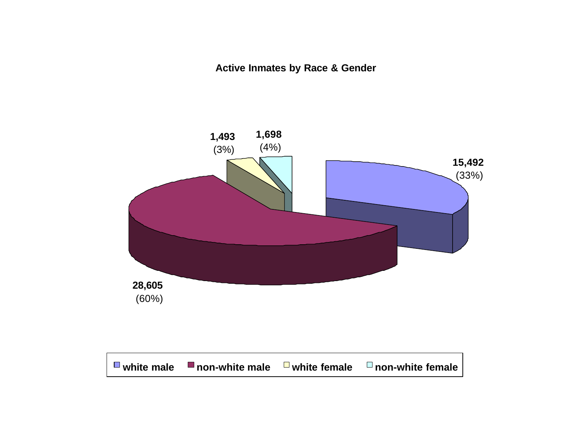**Active Inmates by Race & Gender**

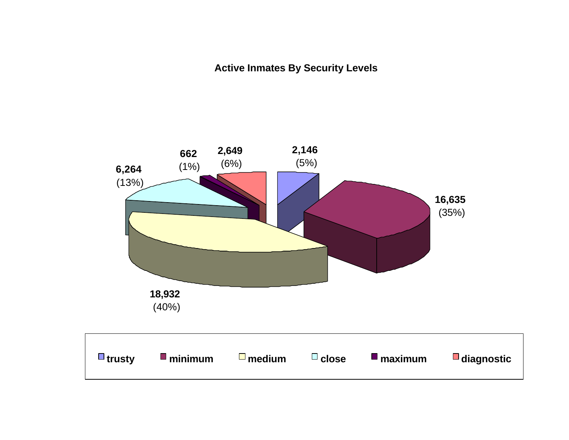**Active Inmates By Security Levels**

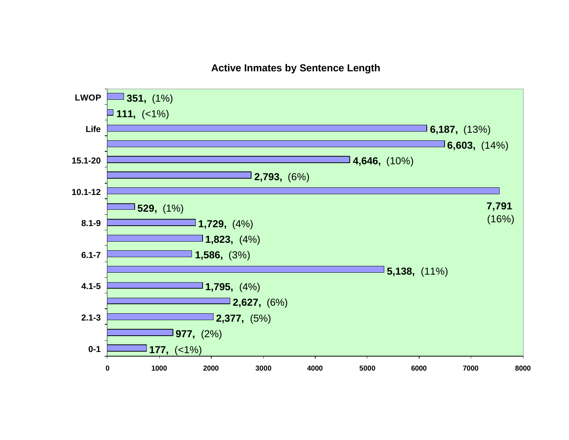#### **Active Inmates by Sentence Length**

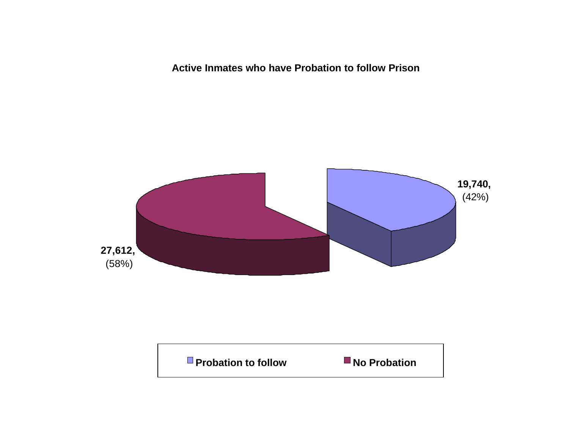**Active Inmates who have Probation to follow Prison**



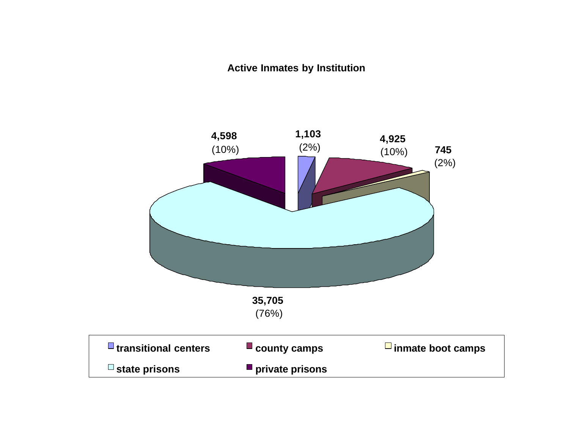#### **Active Inmates by Institution**

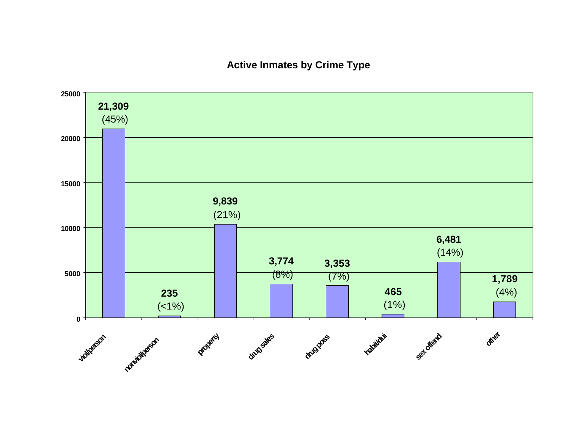#### **Active Inmates by Crime Type**

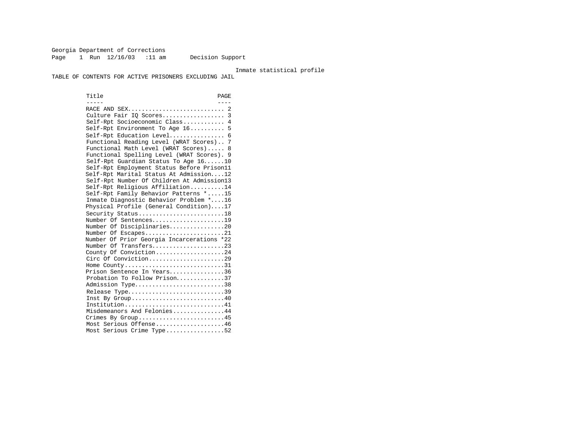Georgia Department of Corrections Page 1 Run  $12/16/03$  :11 am Decision Support

#### Inmate statistical profile

TABLE OF CONTENTS FOR ACTIVE PRISONERS EXCLUDING JAIL

Title PAGE ----- ---- RACE AND SEX............................ 2 Culture Fair IQ Scores.................. 3 Self-Rpt Socioeconomic Class............ 4 Self-Rpt Environment To Age 16.......... 5 Self-Rpt Education Level................ 6 Functional Reading Level (WRAT Scores).. 7 Functional Math Level (WRAT Scores)..... 8 Functional Spelling Level (WRAT Scores). 9 Self-Rpt Guardian Status To Age 16......10 Self-Rpt Employment Status Before Prison11 Self-Rpt Marital Status At Admission....12 Self-Rpt Number Of Children At Admission13 Self-Rpt Religious Affiliation..........14 Self-Rpt Family Behavior Patterns \*.....15 Inmate Diagnostic Behavior Problem \*....16 Physical Profile (General Condition)....17 Security Status............................18 Number Of Sentences.....................19 Number Of Disciplinaries................20 Number Of Escapes.........................21 Number Of Prior Georgia Incarcerations \*22 Number Of Transfers.....................23 County Of Conviction....................24 Circ Of Conviction........................29 Home County.................................31 Prison Sentence In Years................36 Probation To Follow Prison..............37 Admission Type..............................38 Release Type................................39 Inst By Group..............................40 Institution.............................41 Misdemeanors And Felonies...............44 Crimes By Group...........................45 Most Serious Offense....................46 Most Serious Crime Type.................52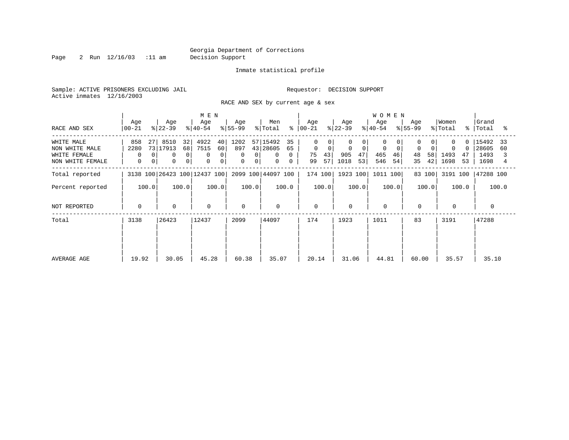Page 2 Run  $12/16/03$  :11 am Decision Support

#### Inmate statistical profile

Sample: ACTIVE PRISONERS EXCLUDING JAIL **Requestor: DECISION SUPPORT** Active inmates 12/16/2003

RACE AND SEX by current age & sex

|                                                                  |                                          |                                                                                      | M E N                                        |                                 |                                                                                   |                                                      |                                          | <b>WOMEN</b>                     |                                  |                                           |                                            |
|------------------------------------------------------------------|------------------------------------------|--------------------------------------------------------------------------------------|----------------------------------------------|---------------------------------|-----------------------------------------------------------------------------------|------------------------------------------------------|------------------------------------------|----------------------------------|----------------------------------|-------------------------------------------|--------------------------------------------|
| RACE AND SEX                                                     | Age<br>$ 00-21 $                         | Age<br>$ 22-39 $                                                                     | Age<br>$ 40-54 $                             | Age<br>$8 55-99$                | Men<br>% Total                                                                    | Age<br>$8   00 - 21$                                 | Age<br>$ 22-39 $                         | Age<br>$ 40-54 $                 | Age<br>$8 55-99$                 | Women<br>% Total<br>ႜ                     | Grand<br>Total<br>°≈                       |
| WHITE MALE<br>NON WHITE MALE<br>WHITE FEMALE<br>NON WHITE FEMALE | 858<br>271<br>2280<br>0<br>$\Omega$<br>0 | 32<br>8510<br>73 17913<br>68<br>$\mathbf 0$<br>$\overline{0}$<br>0<br>0 <sup>1</sup> | 4922<br>40<br>7515<br>60<br>0<br>0<br>0<br>0 | 1202<br>897<br>0<br>0<br>0<br>0 | 57 15492<br>35<br>43 28605<br>65<br>$\mathbf{0}$<br>$\Omega$<br>$\mathbf{0}$<br>0 | $\Omega$<br>$\mathbf 0$<br>0<br>43<br>75<br>57<br>99 | $\Omega$<br>0<br>905<br>47<br>1018<br>53 | 0<br>0<br>465<br>46<br>546<br>54 | $\Omega$<br>48<br>58<br>35<br>42 | $\Omega$<br>0<br>1493<br>47<br>1698<br>53 | 15492<br>33<br>28605<br>60<br>1493<br>1698 |
| Total reported                                                   |                                          | 3138 100 26423 100 12437 100                                                         |                                              |                                 | 2099 100 44097 100                                                                | 174 100                                              | 1923 100                                 | 1011 100                         | 83 100                           | 3191 100                                  | 47288 100                                  |
| Percent reported                                                 | 100.0                                    | 100.0                                                                                | 100.0                                        | 100.0                           | 100.0                                                                             | 100.0                                                | 100.0                                    | 100.0                            | 100.0                            | 100.0                                     | 100.0                                      |
| NOT REPORTED                                                     | 0                                        | $\mathbf 0$                                                                          | $\mathbf 0$                                  | $\Omega$                        | $\mathbf 0$                                                                       | $\mathbf 0$                                          | $\Omega$                                 | $\mathbf 0$                      | $\mathbf 0$                      | $\mathbf 0$                               | $\Omega$                                   |
| Total                                                            | 3138                                     | 26423                                                                                | 12437                                        | 2099                            | 44097                                                                             | 174                                                  | 1923                                     | 1011                             | 83                               | 3191                                      | 47288                                      |
| AVERAGE AGE                                                      | 19.92                                    | 30.05                                                                                | 45.28                                        | 60.38                           | 35.07                                                                             | 20.14                                                | 31.06                                    | 44.81                            | 60.00                            | 35.57                                     | 35.10                                      |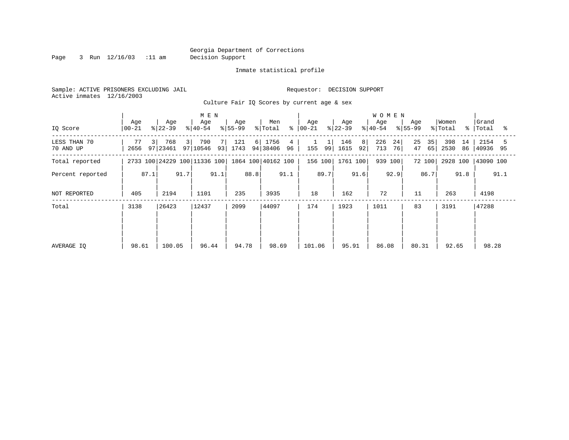Page 3 Run  $12/16/03$  :11 am Decision Support

Inmate statistical profile

Sample: ACTIVE PRISONERS EXCLUDING JAIL **Requestor: DECISION SUPPORT** Active inmates 12/16/2003

Culture Fair IQ Scores by current age & sex

|                           |                  |                              | M E N                  |                      |                             |                              |                         | <b>WOMEN</b>           |                      |                         |                       |
|---------------------------|------------------|------------------------------|------------------------|----------------------|-----------------------------|------------------------------|-------------------------|------------------------|----------------------|-------------------------|-----------------------|
| IQ Score                  | Age<br>$00 - 21$ | Age<br>$ 22-39 $             | Age<br>$ 40-54 $       | Age<br>$ 55-99 $     | Men<br>% Total              | Age<br>$\frac{1}{6}$   00-21 | Age<br>$ 22-39 $        | Age<br>$ 40-54 $       | Age<br>$ 55-99 $     | Women<br>% Total<br>ႜ   | Grand<br>Total<br>ႜ   |
| LESS THAN 70<br>70 AND UP | 77<br>3<br>2656  | 768<br>3 <br>97 23461        | 790<br>7 I<br>97 10546 | 121<br>6 <br>93 1743 | 1756<br>4<br>94 38406<br>96 | 155<br>99                    | 146<br>8 <br>92<br>1615 | 226<br>24<br>713<br>76 | 25<br>35<br>47<br>65 | 398<br>14<br>2530<br>86 | 2154<br>5<br>40936 95 |
| Total reported            |                  | 2733 100 24229 100 11336 100 |                        |                      | 1864 100 40162 100          | 156 100                      | 1761 100                | 939 100                | 72 100               | 2928 100                | 43090 100             |
| Percent reported          | 87.1             | 91.7                         | 91.1                   | 88.8                 | 91.1                        | 89.7                         | 91.6                    | 92.9                   | 86.7                 | 91.8                    | 91.1                  |
| NOT REPORTED              | 405              | 2194                         | 1101                   | 235                  | 3935                        | 18                           | 162                     | 72                     | 11                   | 263                     | 4198                  |
| Total                     | 3138             | 26423                        | 12437                  | 2099                 | 44097                       | 174                          | 1923                    | 1011                   | 83                   | 3191                    | 47288                 |
|                           |                  |                              |                        |                      |                             |                              |                         |                        |                      |                         |                       |
|                           |                  |                              |                        |                      |                             |                              |                         |                        |                      |                         |                       |
| AVERAGE IQ                | 98.61            | 100.05                       | 96.44                  | 94.78                | 98.69                       | 101.06                       | 95.91                   | 86.08                  | 80.31                | 92.65                   | 98.28                 |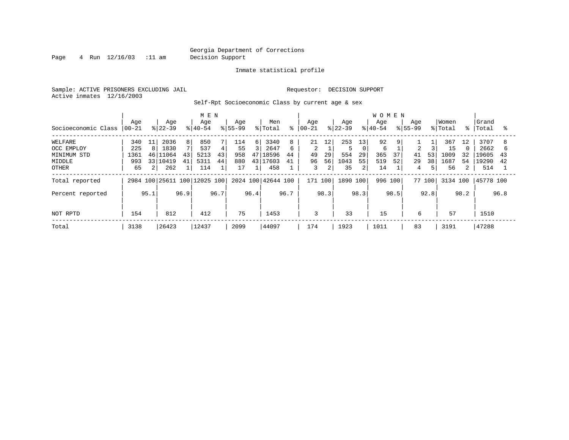Page 4 Run  $12/16/03$  :11 am Decision Support

Inmate statistical profile

Sample: ACTIVE PRISONERS EXCLUDING JAIL **Requestor: DECISION SUPPORT** Active inmates 12/16/2003

Self-Rpt Socioeconomic Class by current age & sex

|                     |           |                 |           |                | M E N                        |      |             |          |                    |      |            |      |           |      | <b>WOMEN</b> |       |             |      |          |                |           |      |
|---------------------|-----------|-----------------|-----------|----------------|------------------------------|------|-------------|----------|--------------------|------|------------|------|-----------|------|--------------|-------|-------------|------|----------|----------------|-----------|------|
|                     | Age       |                 | Age       |                | Age                          |      | Age         |          | Men                |      | Aqe        |      | Age       |      | Age          |       | Age         |      | Women    |                | Grand     |      |
| Socioeconomic Class | $00 - 21$ |                 | $ 22-39 $ |                | $8 40-54$                    |      | $8155 - 99$ |          | % Total            | °    | $ 00 - 21$ |      | $ 22-39 $ |      | $ 40-54$     |       | $8155 - 99$ |      | % Total  | $\approx$ 1    | Total     | °≈   |
| WELFARE             | 340       | 11              | 2036      | 8 <sup>1</sup> | 850                          |      | 114         | $6 \mid$ | 3340               | 8    | 21         | 12   | 253       | 13   | 92           | 9     |             |      | 367      | 12             | 3707      | 8    |
| OCC EMPLOY          | 225       | 8               | 1830      |                | 537                          | 4    | 55          |          | 2647               | 6    | 2          |      |           | 0    | 6            |       | 2           |      | 15       | $\Omega$       | 2662      | h    |
| MINIMUM STD         | 1361      | 46              | 11064     | 43             | 5213                         | 43   | 958         |          | 47 18596           | 44   | 49         | 29   | 554       | 29   | 365          | 37    | 41          | 53   | 1009     | 32             | 19605     | 43   |
| MIDDLE              | 993       | 33 <sup>1</sup> | 10419     | 41             | 5311                         | 44   | 880         | 431      | 17603              | 41   | 96         | 56   | 1043      | 55   | 519          | 52    | 29          | 38   | 1687     | 54             | 19290     | 42   |
| OTHER               | 65        | 2 <sub>1</sub>  | 262       |                | 114                          |      | 17          |          | 458                |      | 3          | 2    | 35        | 2    | 14           |       | 4           |      | 56       | $\overline{2}$ | 514       |      |
| Total reported      |           |                 |           |                | 2984 100 25611 100 12025 100 |      |             |          | 2024 100 42644 100 |      | 171 100    |      | 1890 100  |      | 996          | 100 l | 77 100      |      | 3134 100 |                | 45778 100 |      |
| Percent reported    |           | 95.1            |           | 96.9           |                              | 96.7 |             | 96.4     |                    | 96.7 |            | 98.3 |           | 98.3 |              | 98.5  |             | 92.8 |          | 98.2           |           | 96.8 |
|                     |           |                 |           |                |                              |      |             |          |                    |      |            |      |           |      |              |       |             |      |          |                |           |      |
| NOT RPTD            | 154       |                 | 812       |                | 412                          |      | 75          |          | 1453               |      | 3          |      | 33        |      | 15           |       | 6           |      | 57       |                | 1510      |      |
| Total               | 3138      |                 | 26423     |                | 12437                        |      | 2099        |          | 44097              |      | 174        |      | 1923      |      | 1011         |       | 83          |      | 3191     |                | 47288     |      |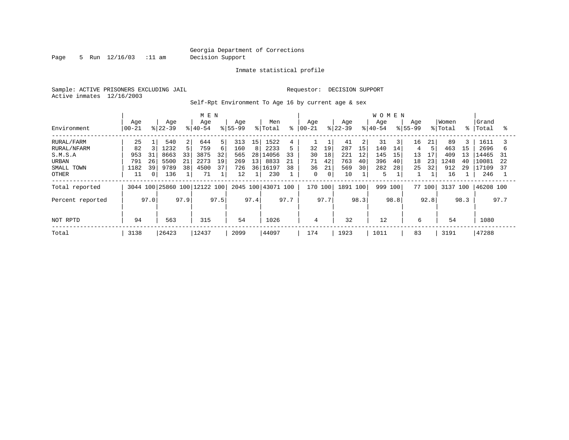Page 5 Run  $12/16/03$  :11 am Decision Support

Inmate statistical profile

Sample: ACTIVE PRISONERS EXCLUDING JAIL **Requestor: DECISION SUPPORT** Active inmates 12/16/2003

Self-Rpt Environment To Age 16 by current age & sex

|                        |                   |          |                  |          | M E N                        |          |                    |                       |                  |          |                   |             |                  |          | <b>WOMEN</b>     |          |                    |          |                  |          |                    |          |
|------------------------|-------------------|----------|------------------|----------|------------------------------|----------|--------------------|-----------------------|------------------|----------|-------------------|-------------|------------------|----------|------------------|----------|--------------------|----------|------------------|----------|--------------------|----------|
| Environment            | Age<br>$ 00 - 21$ |          | Age<br>$ 22-39 $ |          | Age<br>$ 40-54 $             |          | Age<br>$8155 - 99$ |                       | Men<br>% Total   | °        | Age<br>$ 00 - 21$ |             | Age<br>$8 22-39$ |          | Age<br>$8 40-54$ |          | Age<br>$8155 - 99$ |          | Women<br>% Total |          | Grand<br>%   Total | °        |
| RURAL/FARM             | 25                |          | 540              | 2        | 644                          | 5        | 313                | 15                    | 1522             |          |                   |             | 41               | 2        | 31               | 3        | 16                 | 21       | 89               | 3        | 1611               |          |
| RURAL/NFARM<br>S.M.S.A | 82<br>953         | 31       | 1232<br>8663     | 33       | 759<br>3875                  | 6<br>32  | 160<br>565         | 8                     | 2233<br>28 14056 | 33       | 32<br>30          | 19<br>18    | 287<br>221       | 15<br>12 | 140<br>145       | 14<br>15 | 4<br>13            | 17       | 463<br>409       | 15<br>13 | 2696<br>14465      | b<br>31  |
| URBAN<br>SMALL TOWN    | 791<br>1182       | 26<br>39 | 5500<br>9789     | 21<br>38 | 2273<br>4500                 | 19<br>37 | 269<br>726         | 13 <sup>1</sup><br>36 | 8833<br>16197    | 21<br>38 | 71<br>36          | 42<br>21    | 763<br>569       | 40<br>30 | 396<br>282       | 40<br>28 | 18<br>25           | 23<br>32 | 1248<br>912      | 40<br>29 | 10081<br>17109     | 22<br>37 |
| <b>OTHER</b>           | 11                | $\Omega$ | 136              |          | 71                           |          | 12                 |                       | 230              |          | 0                 | $\mathbf 0$ | 10               |          | 5                |          |                    |          | 16               |          | 246                |          |
| Total reported         |                   |          |                  |          | 3044 100 25860 100 12122 100 |          | 2045 100           |                       | 43071 100        |          | 170 100           |             | 1891 100         |          | 999              | 100      |                    | 77 100   | 3137 100         |          | 46208 100          |          |
| Percent reported       |                   | 97.0     |                  | 97.9     |                              | 97.5     |                    | 97.4                  |                  | 97.7     |                   | 97.7        |                  | 98.3     |                  | 98.8     |                    | 92.8     |                  | 98.3     |                    | 97.7     |
| NOT RPTD               | 94                |          | 563              |          | 315                          |          | 54                 |                       | 1026             |          | 4                 |             | 32               |          | 12               |          | 6                  |          | 54               |          | 1080               |          |
| Total                  | 3138              |          | 26423            |          | 12437                        |          | 2099               |                       | 44097            |          | 174               |             | 1923             |          | 1011             |          | 83                 |          | 3191             |          | 47288              |          |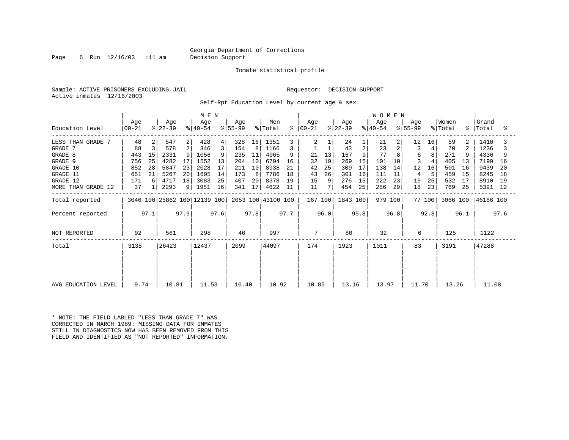Page 6 Run 12/16/03 :11 am Decision Support

Inmate statistical profile

Sample: ACTIVE PRISONERS EXCLUDING JAIL **Requestor: DECISION SUPPORT** Active inmates 12/16/2003

Self-Rpt Education Level by current age & sex

|                     | M E N          |      |                              |      |                  |      |                  |      |                    |      |                |      |                  |                | <b>WOMEN</b>     |      |                  |        |                  |      |                    |      |
|---------------------|----------------|------|------------------------------|------|------------------|------|------------------|------|--------------------|------|----------------|------|------------------|----------------|------------------|------|------------------|--------|------------------|------|--------------------|------|
| Education Level     | Age<br>  00-21 |      | Age<br>$ 22-39 $             |      | Age<br>$ 40-54 $ |      | Age<br>$ 55-99 $ |      | Men<br>% Total     | ∻    | Age<br>  00-21 |      | Age<br>$ 22-39 $ |                | Age<br>$ 40-54 $ |      | Age<br>$ 55-99 $ |        | Women<br>% Total |      | Grand<br>%   Total | ႜ    |
| LESS THAN GRADE 7   | 48             | 2    | 547                          | 2    | 428              | 4    | 328              | 16   | 1351               |      | $\overline{a}$ |      | 24               |                | 21               | 2    | 12               | 16     | 59               | 2    | 1410               |      |
| GRADE 7             | 88             | 3    | 578                          | 2    | 346              | 3    | 154              | 8    | 1166               |      |                |      | 43               | $\overline{2}$ | 23               |      | 3                |        | 70               | 2    | 1236               |      |
| GRADE 8             | 443            | 15   | 2331                         |      | 1056             | 9    | 235              | 11   | 4065               | 9    | 21             | 13   | 167              |                | 77               |      | 6                |        | 271              |      | 4336               |      |
| GRADE 9             | 756            | 25   | 4282                         | 17   | 1552             | 13   | 204              | 10   | 6794               | 16   | 32             | 19   | 269              | 15             | 101              | 10   |                  |        | 405              | 13   | 7199               | 16   |
| GRADE 10            | 852            | 28   | 5847                         | 23   | 2028             | 17   | 211              | 10   | 8938               | 21   | 42             | 25   | 309              | 17             | 138              | 14   | 12               | 16     | 501              | 16   | 9439               | 20   |
| GRADE 11            | 651            | 21   | 5267                         | 20   | 1695             | 14   | 173              | 8    | 7786               | 18   | 43             | 26   | 301              | 16             | 111              | 11   | 4                | 5      | 459              | 15   | 8245               | 18   |
| GRADE 12            | 171            | 6    | 4717                         | 18   | 3083             | 25   | 407              | 20   | 8378               | 19   | 15             | 9    | 276              | 15             | 222              | 23   | 19               | 25     | 532              | 17   | 8910               | -19  |
| MORE THAN GRADE 12  | 37             |      | 2293                         | 9    | 1951             | 16   | 341              | 17   | 4622               | 11   | 11             |      | 454              | 25             | 286              | 29   | 18               | 23     | 769              | 25   | 5391 12            |      |
| Total reported      |                |      | 3046 100 25862 100 12139 100 |      |                  |      |                  |      | 2053 100 43100 100 |      | 167 100        |      | 1843 100         |                | 979 100          |      |                  | 77 100 | 3066 100         |      | 46166 100          |      |
| Percent reported    |                | 97.1 |                              | 97.9 |                  | 97.6 |                  | 97.8 |                    | 97.7 |                | 96.0 |                  | 95.8           |                  | 96.8 |                  | 92.8   |                  | 96.1 |                    | 97.6 |
| NOT REPORTED        | 92             |      | 561                          |      | 298              |      | 46               |      | 997                |      | 7              |      | 80               |                | 32               |      | 6                |        | 125              |      | 1122               |      |
| Total               | 3138           |      | 26423                        |      | 12437            |      | 2099             |      | 44097              |      | 174            |      | 1923             |                | 1011             |      | 83               |        | 3191             |      | 47288              |      |
|                     |                |      |                              |      |                  |      |                  |      |                    |      |                |      |                  |                |                  |      |                  |        |                  |      |                    |      |
|                     |                |      |                              |      |                  |      |                  |      |                    |      |                |      |                  |                |                  |      |                  |        |                  |      |                    |      |
| AVG EDUCATION LEVEL | 9.74           |      | 10.81                        |      | 11.53            |      | 10.40            |      | 10.92              |      | 10.85          |      | 13.16            |                | 13.97            |      | 11.70            |        | 13.26            |      | 11.08              |      |

\* NOTE: THE FIELD LABLED "LESS THAN GRADE 7" WAS CORRECTED IN MARCH 1989: MISSING DATA FOR INMATES STILL IN DIAGNOSTICS NOW HAS BEEN REMOVED FROM THIS FIELD AND IDENTIFIED AS "NOT REPORTED" INFORMATION.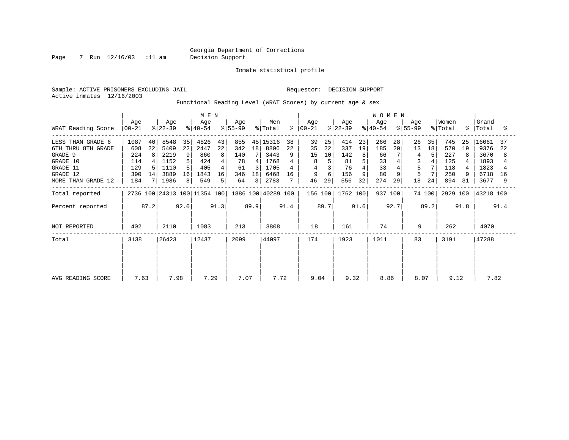Page 7 Run 12/16/03 :11 am Decision Support

Inmate statistical profile

Sample: ACTIVE PRISONERS EXCLUDING JAIL **Requestor: DECISION SUPPORT** Active inmates 12/16/2003

Functional Reading Level (WRAT Scores) by current age & sex

| WRAT Reading Score                                                                                           | Age<br>$ 00-21 $                               |                     | Age<br>$ 22-39 $                                     |                          | M E N<br>Age<br>$ 40-54 $                        |                               | Age<br>$8 55-99$                           |                         | Men<br>% Total                                           | နွ             | Aqe<br>$ 00-21 $                    |                           | Age<br>$ 22-39 $                            |                               | <b>WOMEN</b><br>Age<br>$ 40-54 $          |                | Aqe<br>$ 55-99 $         |                | Women<br>% Total                              | $\approx$ 1    | Grand<br>Total                                        | °                   |
|--------------------------------------------------------------------------------------------------------------|------------------------------------------------|---------------------|------------------------------------------------------|--------------------------|--------------------------------------------------|-------------------------------|--------------------------------------------|-------------------------|----------------------------------------------------------|----------------|-------------------------------------|---------------------------|---------------------------------------------|-------------------------------|-------------------------------------------|----------------|--------------------------|----------------|-----------------------------------------------|----------------|-------------------------------------------------------|---------------------|
| LESS THAN GRADE 6<br>6TH THRU 8TH GRADE<br>GRADE 9<br>GRADE 10<br>GRADE 11<br>GRADE 12<br>MORE THAN GRADE 12 | 1087<br>608<br>224<br>114<br>129<br>390<br>184 | 40<br>22<br>8<br>14 | 8548<br>5409<br>2219<br>1152<br>1110<br>3889<br>1986 | 35<br>22<br>9<br>16<br>8 | 4826<br>2447<br>860<br>424<br>405<br>1843<br>549 | 43<br>22<br>8<br>4<br>16<br>5 | 855<br>342<br>140<br>78<br>61<br>346<br>64 | 18<br>4<br>3<br>18<br>3 | 45 15316<br>8806<br>3443<br>1768<br>1705<br>6468<br>2783 | 38<br>22<br>16 | 39<br>35<br>15<br>8<br>4<br>9<br>46 | 25<br>22<br>10<br>6<br>29 | 414<br>337<br>142<br>81<br>76<br>156<br>556 | 23<br>19<br>8<br>5<br>9<br>32 | 266<br>185<br>66<br>33<br>33<br>80<br>274 | 28<br>20<br>29 | 26<br>13<br>5<br>5<br>18 | 35<br>18<br>24 | 745<br>570<br>227<br>125<br>118<br>250<br>894 | 25<br>19<br>31 | 16061<br>9376<br>3670<br>1893<br>1823<br>6718<br>3677 | 37<br>22<br>8<br>16 |
| Total reported<br>Percent reported<br>NOT REPORTED                                                           | 402                                            | 87.2                | 2110                                                 | 92.0                     | 2736 100 24313 100 11354 100<br>1083             | 91.3                          | 213                                        | 89.9                    | 1886 100 40289 100<br>3808                               | 91.4           | 156 100<br>18                       | 89.7                      | 1762 100<br>161                             | 91.6                          | 937 100<br>74                             | 92.7           | 9                        | 74 100<br>89.2 | 2929 100<br>262                               | 91.8           | 43218 100<br>4070                                     | 91.4                |
| Total<br>AVG READING SCORE                                                                                   | 3138<br>7.63                                   |                     | 26423<br>7.98                                        |                          | 12437<br>7.29                                    |                               | 2099<br>7.07                               |                         | 44097<br>7.72                                            |                | 174<br>9.04                         |                           | 1923<br>9.32                                |                               | 1011<br>8.86                              |                | 83<br>8.07               |                | 3191<br>9.12                                  |                | 47288<br>7.82                                         |                     |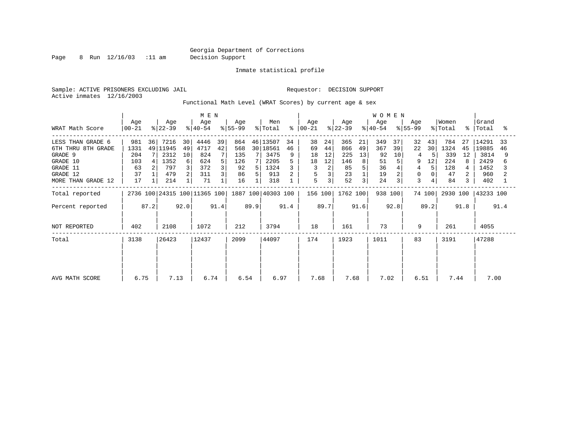Page 8 Run 12/16/03 :11 am Decision Support

Inmate statistical profile

Sample: ACTIVE PRISONERS EXCLUDING JAIL **Requestor: DECISION SUPPORT** Active inmates 12/16/2003

Functional Math Level (WRAT Scores) by current age & sex

| WRAT Math Score                                                                                              | Age<br>$ 00 - 21$                           |         | Age<br>$ 22-39 $                                      |                               | M E N<br>Age<br>$ 40-54 $                      |               | Age<br>$ 55-99 $                           |              | Men<br>% Total                                               | ႜၟ       | Age<br>$ 00-21 $                    |                                | Age<br>$ 22-39 $                           |                     | <b>WOMEN</b><br>Aqe<br>$8 40-54$         |                          | Aqe<br>$ 55-99 $             |                          | Women<br>% Total                             | $\approx$ 1    | Grand<br>Total                                       | °≈       |
|--------------------------------------------------------------------------------------------------------------|---------------------------------------------|---------|-------------------------------------------------------|-------------------------------|------------------------------------------------|---------------|--------------------------------------------|--------------|--------------------------------------------------------------|----------|-------------------------------------|--------------------------------|--------------------------------------------|---------------------|------------------------------------------|--------------------------|------------------------------|--------------------------|----------------------------------------------|----------------|------------------------------------------------------|----------|
| LESS THAN GRADE 6<br>6TH THRU 8TH GRADE<br>GRADE 9<br>GRADE 10<br>GRADE 11<br>GRADE 12<br>MORE THAN GRADE 12 | 981<br>1331<br>204<br>103<br>63<br>37<br>17 | 36<br>4 | 7216<br>49 11945<br>2312<br>1352<br>797<br>479<br>214 | 30<br>49<br>10<br>6<br>3<br>2 | 4446<br>4717<br>824<br>624<br>372<br>311<br>71 | 39<br>42<br>5 | 864<br>568<br>135<br>126<br>92<br>86<br>16 | 7<br>5.<br>5 | 46 13507<br>30   18561<br>3475<br>2205<br>1324<br>913<br>318 | 34<br>46 | 38<br>69<br>18<br>18<br>3<br>5<br>5 | 24<br>44<br>12<br>12<br>2<br>3 | 365<br>866<br>225<br>146<br>85<br>23<br>52 | 21<br>49<br>13<br>8 | 349<br>367<br>92<br>51<br>36<br>19<br>24 | 37<br>39<br>10<br>5<br>3 | 32<br>22<br>9<br>4<br>0<br>3 | 43<br>30<br>5<br>12<br>5 | 784<br>1324<br>339<br>224<br>128<br>47<br>84 | 27<br>45<br>12 | 14291<br>19885<br>3814<br>2429<br>1452<br>960<br>402 | 33<br>46 |
| Total reported<br>Percent reported                                                                           |                                             | 87.2    |                                                       | 92.0                          | 2736 100 24315 100 11365 100                   | 91.4          |                                            | 89.9         | 1887 100 40303 100                                           | 91.4     | 156 100                             | 89.7                           | 1762 100                                   | 91.6                | 938 100                                  | 92.8                     |                              | 74 100<br>89.2           | 2930 100                                     | 91.8           | 43233 100                                            | 91.4     |
| NOT REPORTED<br>Total                                                                                        | 402<br>3138                                 |         | 2108<br>26423                                         |                               | 1072<br>12437                                  |               | 212<br>2099                                |              | 3794<br>44097                                                |          | 18<br>174                           |                                | 161<br>1923                                |                     | 73<br>1011                               |                          | 9<br>83                      |                          | 261<br>3191                                  |                | 4055<br>47288                                        |          |
| AVG MATH SCORE                                                                                               | 6.75                                        |         | 7.13                                                  |                               | 6.74                                           |               | 6.54                                       |              | 6.97                                                         |          | 7.68                                |                                | 7.68                                       |                     | 7.02                                     |                          | 6.51                         |                          | 7.44                                         |                | 7.00                                                 |          |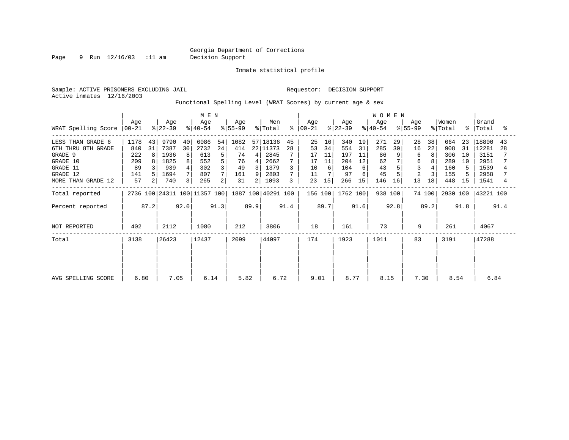Page 9 Run 12/16/03 :11 am Decision Support

Inmate statistical profile

Active inmates 12/16/2003

Sample: ACTIVE PRISONERS EXCLUDING JAIL **Requestor: DECISION SUPPORT** 

Functional Spelling Level (WRAT Scores) by current age & sex

|                             | M E N |                |                  |      |                              |      |                  |      |                            |      |                  |      |                  |      | <b>WOMEN</b>     |      |                  |        |                  |      |                      |      |
|-----------------------------|-------|----------------|------------------|------|------------------------------|------|------------------|------|----------------------------|------|------------------|------|------------------|------|------------------|------|------------------|--------|------------------|------|----------------------|------|
| WRAT Spelling Score   00-21 | Age   |                | Age<br>$ 22-39 $ |      | Age<br>$ 40-54 $             |      | Age<br>$ 55-99 $ |      | Men<br>$\frac{1}{2}$ Total | ∻    | Age<br>$ 00-21 $ |      | Age<br>$ 22-39 $ |      | Age<br>$ 40-54 $ |      | Aqe<br>$ 55-99 $ |        | Women<br>% Total |      | Grand<br>%   Total   | ႜ    |
| LESS THAN GRADE 6           | 1178  | 43             | 9790             | 40   | 6086                         | 54   | 1082             |      | 57 18136                   | 45   | 25               | 16   | 340              | 19   | 271              | 29   | 28               | 38     | 664              | 23   | 18800                | 43   |
| 6TH THRU 8TH GRADE          | 840   | 31             | 7387             | 30   | 2732                         | 24   | 414              |      | 22 11373                   | 28   | 53               | 34   | 554              | 31   | 285              | 30   | 16               | 22     | 908              | 31   | 12281                | 28   |
| GRADE 9                     | 222   | 8              | 1936             | 8    | 613                          | 5    | 74               | 4    | 2845                       |      | 17               | 11   | 197              | 11   | 86               | 9    | 6                | 8      | 306              | 10   | 3151                 |      |
| GRADE 10                    | 209   |                | 1825             | 8    | 552                          | 5    | 76               | 4    | 2662                       |      | 17               | 11   | 204              | 12   | 62               |      | 6                |        | 289              | 10   | 2951                 |      |
| GRADE 11                    | 89    |                | 939              | 4    | 302                          | 3    | 49               | 3 I  | 1379                       |      | 10               | 6    | 104              | 6    | 43               |      |                  |        | 160              |      | 1539                 |      |
| GRADE 12                    | 141   |                | 1694             | 7    | 807                          |      | 161              | 9    | 2803                       |      | 11               |      | 97               |      | 45               |      | $\overline{c}$   | 3      | 155              |      | 2958                 |      |
| MORE THAN GRADE 12          | 57    | $\overline{a}$ | 740              | 3    | 265                          | 2    | 31               | 2    | 1093                       | 3    | 23               | 15   | 266              | 15   | 146              | 16   | 13               | 18     | 448              | 15   | 1541                 | 4    |
| Total reported              |       |                |                  |      | 2736 100 24311 100 11357 100 |      |                  |      | 1887 100 40291 100         |      | 156 100          |      | 1762 100         |      | 938 100          |      |                  | 74 100 |                  |      | 2930 100   43221 100 |      |
| Percent reported            |       | 87.2           |                  | 92.0 |                              | 91.3 |                  | 89.9 |                            | 91.4 |                  | 89.7 |                  | 91.6 |                  | 92.8 |                  | 89.2   |                  | 91.8 |                      | 91.4 |
| NOT REPORTED                | 402   |                | 2112             |      | 1080                         |      | 212              |      | 3806                       |      | 18               |      | 161              |      | 73               |      | 9                |        | 261              |      | 4067                 |      |
| Total                       | 3138  |                | 26423            |      | 12437                        |      | 2099             |      | 44097                      |      | 174              |      | 1923             |      | 1011             |      | 83               |        | 3191             |      | 47288                |      |
|                             |       |                |                  |      |                              |      |                  |      |                            |      |                  |      |                  |      |                  |      |                  |        |                  |      |                      |      |
|                             |       |                |                  |      |                              |      |                  |      |                            |      |                  |      |                  |      |                  |      |                  |        |                  |      |                      |      |
| AVG SPELLING SCORE          | 6.80  |                | 7.05             |      | 6.14                         |      | 5.82             |      | 6.72                       |      | 9.01             |      | 8.77             |      | 8.15             |      | 7.30             |        | 8.54             |      | 6.84                 |      |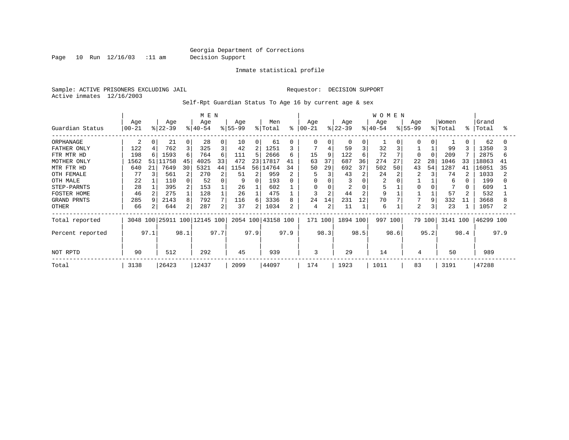Page 10 Run 12/16/03 :11 am Decision Support

Inmate statistical profile

Sample: ACTIVE PRISONERS EXCLUDING JAIL **Requestor: DECISION SUPPORT** Active inmates 12/16/2003

Self-Rpt Guardian Status To Age 16 by current age & sex

|                  |                  |      | M E N            |                |                              |          |                  |          |                    |      | <b>WOMEN</b>    |      |                  |          |                  |          |                 |          |                  |      |                |      |
|------------------|------------------|------|------------------|----------------|------------------------------|----------|------------------|----------|--------------------|------|-----------------|------|------------------|----------|------------------|----------|-----------------|----------|------------------|------|----------------|------|
| Guardian Status  | Age<br>$00 - 21$ |      | Age<br>$ 22-39 $ |                | Age<br>$ 40-54 $             |          | Age<br>$ 55-99 $ |          | Men<br>% Total     | နွ   | Age<br>$ 00-21$ |      | Age<br>$ 22-39 $ |          | Age<br>$8 40-54$ |          | Age<br>$ 55-99$ |          | Women<br>% Total | န္   | Grand<br>Total | °≈   |
| ORPHANAGE        | 2                | 0    | 21               | $\Omega$       | 28                           | $\Omega$ | 10               | $\Omega$ | 61                 |      | $\Omega$        |      | $\Omega$         | $\Omega$ |                  | $\Omega$ |                 | $\Omega$ |                  |      | 62             |      |
| FATHER ONLY      | 122              | 4    | 762              | $\overline{3}$ | 325                          | 3        | 42               | 2        | 1251               |      | 7               |      | 59               |          | 32               |          |                 |          | 99               |      | 1350           |      |
| FTR MTR HD       | 198              | 6    | 1593             | 6              | 764                          | 6        | 111              | 5        | 2666               | 6    | 15              | 9    | 122              |          | 72               |          |                 |          | 209              |      | 2875           | 6    |
| MOTHER ONLY      | 1562             | 51   | L1758            | 45             | 4025                         | 33       | 472              |          | 23 17817           | 41   | 63              | 37   | 687              | 36       | 274              | 27       | 22              | 28       | 1046             | 33   | 18863          | 41   |
| MTR FTR HD       | 640              | 21   | 7649             | 30             | 5321                         | 44       | 1154             | 56       | 14764              | 34   | 50              | 29   | 692              | 37       | 502              | 50       | 43              | 54       | 1287             | 41   | 16051          | 35   |
| OTH FEMALE       | 77               |      | 561              | 2              | 270                          |          | 51               |          | 959                |      |                 |      | 43               |          | 24               |          |                 |          | 74               |      | 1033           |      |
| OTH MALE         | 22               |      | 110              |                | 52                           |          |                  | 0        | 193                |      |                 |      | 3                |          | 2                |          |                 |          | 6                |      | 199            |      |
| STEP-PARNTS      | 28               |      | 395              |                | 153                          |          | 26               |          | 602                |      |                 |      |                  |          |                  |          |                 |          |                  |      | 609            |      |
| FOSTER HOME      | 46               |      | 275              |                | 128                          |          | 26               |          | 475                |      | ς               |      | 44               |          | 9                |          |                 |          | 57               |      | 532            |      |
| GRAND PRNTS      | 285              |      | 2143             | 8              | 792                          |          | 116              | 6        | 3336               |      | 24              | 14   | 231              | 12       | 70               |          |                 | 9        | 332              | 11   | 3668           |      |
| OTHER            | 66               |      | 644              | $\overline{2}$ | 287                          | 2        | 37               |          | 1034               |      | 4               |      | 11               |          | 6                |          | $\overline{2}$  |          | 23               |      | 1057           |      |
| Total reported   |                  |      |                  |                | 3048 100 25911 100 12145 100 |          |                  |          | 2054 100 43158 100 |      | 171 100         |      | 1894 100         |          | 997              | 100      |                 | 79 100   | 3141 100         |      | 46299 100      |      |
| Percent reported |                  | 97.1 |                  | 98.1           |                              | 97.7     |                  | 97.9     |                    | 97.9 |                 | 98.3 |                  | 98.5     |                  | 98.6     |                 | 95.2     |                  | 98.4 |                | 97.9 |
| NOT RPTD         | 90               |      | 512              |                | 292                          |          | 45               |          | 939                |      | 3               |      | 29               |          | 14               |          | 4               |          | 50               |      | 989            |      |
| Total            | 3138             |      | 26423            |                | 12437                        |          | 2099             |          | 44097              |      | 174             |      | 1923             |          | 1011             |          | 83              |          | 3191             |      | 47288          |      |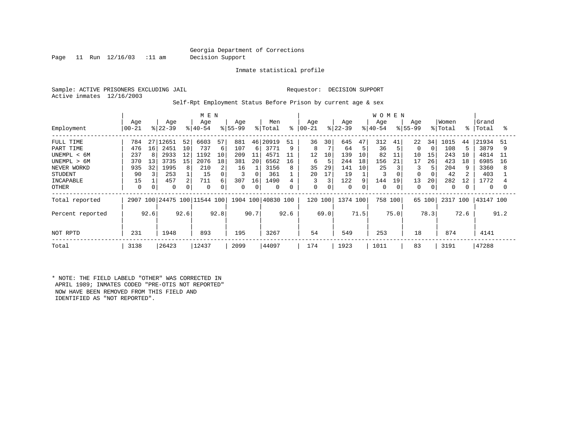Page 11 Run 12/16/03 :11 am Decision Support

Inmate statistical profile

Sample: ACTIVE PRISONERS EXCLUDING JAIL **Requestor: DECISION SUPPORT** Active inmates 12/16/2003

Self-Rpt Employment Status Before Prison by current age & sex

|                  | M E N            |      |                  |      |                         |      |                 |      |                    |      |                 |             |                  |      | W O M E N       |      |                  |          |                  |      |                |      |
|------------------|------------------|------|------------------|------|-------------------------|------|-----------------|------|--------------------|------|-----------------|-------------|------------------|------|-----------------|------|------------------|----------|------------------|------|----------------|------|
| Employment       | Age<br>$00 - 21$ |      | Age<br>$ 22-39 $ |      | Age<br>$8 40-54$        |      | Age<br>$ 55-99$ |      | Men<br>% Total     | နွ   | Age<br>$ 00-21$ |             | Age<br>$ 22-39 $ |      | Age<br>$ 40-54$ |      | Age<br>$ 55-99 $ |          | Women<br>% Total | ႜ    | Grand<br>Total | ႜ    |
|                  |                  |      |                  |      |                         |      |                 |      |                    |      |                 |             |                  |      |                 |      |                  |          |                  |      |                |      |
| FULL TIME        | 784              | 27   | .2651            | 52   | 6603                    | 57   | 881             | 46   | 20919              | 51   | 36              | 30          | 645              | 47   | 312             | 41   | 22               | 34       | 1015             | 44   | 21934          | 51   |
| PART TIME        | 476              | 16   | 2451             | 10   | 737                     | 6    | 107             | 6    | 3771               | 9    | 8               |             | 64               | 5    | 36              |      | $\mathbf 0$      | $\Omega$ | 108              |      | 3879           |      |
| UNEMPL < 6M      | 237              | 8    | 2933             | 12   | 1192                    | 10   | 209             | 11   | 4571               | 11   | 12              | 10          | 139              | 10   | 82              | 11   | 10               | 15       | 243              | 10   | 4814           | 11   |
| UNEMPL > 6M      | 370              | 13   | 3735             | 15   | 2076                    | 18   | 381             | 20   | 6562               | 16   | 6               | 5           | 244              | 18   | 156             | 21   | 17               | 26       | 423              | 18   | 6985           | 16   |
| NEVER WORKD      | 935              | 32   | 1995             | 8    | 210                     | 2    | 16              |      | 3156               | 8    | 35              | 29          | 141              | 10   | 25              |      | 3                | 5        | 204              |      | 3360           | 8    |
| <b>STUDENT</b>   | 90               |      | 253              |      | 15                      | 0    |                 |      | 361                |      | 20              | 17          | 19               |      | 3               |      | 0                |          | 42               |      | 403            |      |
| INCAPABLE        | 15               |      | 457              |      | 711                     | 6    | 307             | 16   | 1490               |      |                 | 3           | 122              | 9    | 144             | 19   | 13               | 20       | 282              | 12   | 1772           |      |
| <b>OTHER</b>     | 0                |      | 0                |      | 0                       | 0    | $\mathbf 0$     | 0    | $\mathbf 0$        | 0    | 0               | $\mathbf 0$ | 0                |      | $\Omega$        | 0    | 0                | 0        | 0                |      | 0              |      |
| Total reported   | 2907             |      |                  |      | 100 24475 100 11544 100 |      |                 |      | 1904 100 40830 100 |      | 120 100         |             | 1374 100         |      | 758             | 100  | 65 100           |          | 2317 100         |      | 43147 100      |      |
| Percent reported |                  | 92.6 |                  | 92.6 |                         | 92.8 |                 | 90.7 |                    | 92.6 |                 | 69.0        |                  | 71.5 |                 | 75.0 |                  | 78.3     |                  | 72.6 |                | 91.2 |
| NOT RPTD         | 231              |      | 1948             |      | 893                     |      | 195             |      | 3267               |      | 54              |             | 549              |      | 253             |      | 18               |          | 874              |      | 4141           |      |
| Total            | 3138             |      | 26423            |      | 12437                   |      | 2099            |      | 44097              |      | 174             |             | 1923             |      | 1011            |      | 83               |          | 3191             |      | 47288          |      |

\* NOTE: THE FIELD LABELD "OTHER" WAS CORRECTED IN APRIL 1989; INMATES CODED "PRE-OTIS NOT REPORTED" NOW HAVE BEEN REMOVED FROM THIS FIELD AND IDENTIFIED AS "NOT REPORTED".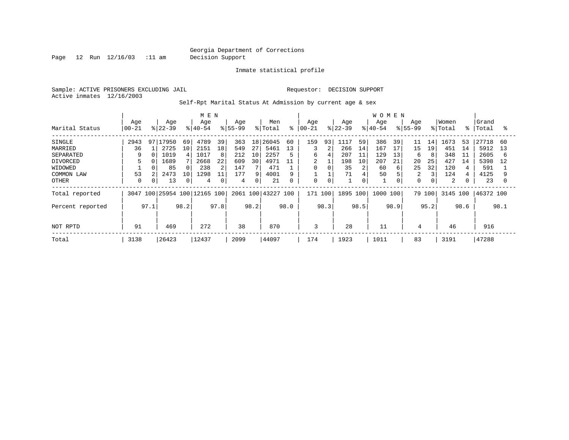Page 12 Run 12/16/03 :11 am Decision Support

Inmate statistical profile

Sample: ACTIVE PRISONERS EXCLUDING JAIL **Requestor: DECISION SUPPORT** Active inmates 12/16/2003

Self-Rpt Marital Status At Admission by current age & sex

|                  |           |      | M E N     |      |                         |      |                   |      |           |      | <b>WOMEN</b> |             |           |      |           |      |             |      |         |           |           |      |
|------------------|-----------|------|-----------|------|-------------------------|------|-------------------|------|-----------|------|--------------|-------------|-----------|------|-----------|------|-------------|------|---------|-----------|-----------|------|
|                  | Age       |      | Age       |      | Age                     |      | Age               |      | Men       |      | Age          |             | Age       |      | Age       |      | Age         |      | Women   |           | Grand     |      |
| Marital Status   | $00 - 21$ |      | $ 22-39 $ |      | $8 40-54$               |      | $\frac{8}{55-99}$ |      | % Total   | နွ   | $ 00-21$     |             | $8 22-39$ |      | $8 40-54$ |      | $8155 - 99$ |      | % Total | $\approx$ | Total     | °≈   |
| SINGLE           | 2943      | 97   | 17950     | 69   | 4789                    | 39   | 363               | 18   | 26045     | 60   | 159          | 93          | .117      | 59   | 386       | 39   | 11          | 14   | 1673    | 53        | 27718     | 60   |
| MARRIED          | 36        |      | 2725      | 10   | 2151                    | 18   | 549               | 27   | 5461      | 13   | 3            | 2           | 266       | 14   | 167       | 17   | 15          | 19   | 451     | 14        | 5912      | 13   |
| SEPARATED        | 9         |      | 1019      |      | 1017                    | 8    | 212               | 10   | 2257      | 5    | 6            | 4           | 207       | 11   | 129       | 13   | 6           | 8    | 348     | 11        | 2605      | 6    |
| DIVORCED         | 5         |      | 1689      |      | 2668                    | 22   | 609               | 30   | 4971      |      | 2            |             | 198       | 10   | 207       | 21   | 20          | 25   | 427     | 14        | 5398      | 12   |
| WIDOWED          |           |      | 85        |      | 238                     | 2    | 147               |      | 471       |      | $\mathbf 0$  | $\Omega$    | 35        | 2    | 60        | 6    | 25          | 32   | 120     |           | 591       |      |
| COMMON LAW       | 53        |      | 2473      | 10   | 1298                    | 11   | 177               | 9    | 4001      | 9    |              |             | 71        |      | 50        |      | 2           | 3    | 124     |           | 4125      |      |
| <b>OTHER</b>     | 0         |      | 13        | 0    | 4                       | 0    | 4                 |      | 21        | 0    | 0            | $\mathbf 0$ |           | 0    |           |      | $\Omega$    | 0    | 2       |           | 23        | 0    |
| Total reported   | 3047      |      |           |      | 100 25954 100 12165 100 |      | 2061              | 100  | 43227 100 |      | 171          | 100         | 1895 100  |      | 1000      | 100  | 79 100      |      | 3145    | 100       | 46372 100 |      |
| Percent reported |           | 97.1 |           | 98.2 |                         | 97.8 |                   | 98.2 |           | 98.0 |              | 98.3        |           | 98.5 |           | 98.9 |             | 95.2 |         | 98.6      |           | 98.1 |
|                  |           |      |           |      |                         |      |                   |      |           |      |              |             |           |      |           |      |             |      |         |           |           |      |
| NOT RPTD         | 91        |      | 469       |      | 272                     |      | 38                |      | 870       |      | 3            |             | 28        |      | 11        |      | 4           |      | 46      |           | 916       |      |
| Total            | 3138      |      | 26423     |      | 12437                   |      | 2099              |      | 44097     |      | 174          |             | 1923      |      | 1011      |      | 83          |      | 3191    |           | 47288     |      |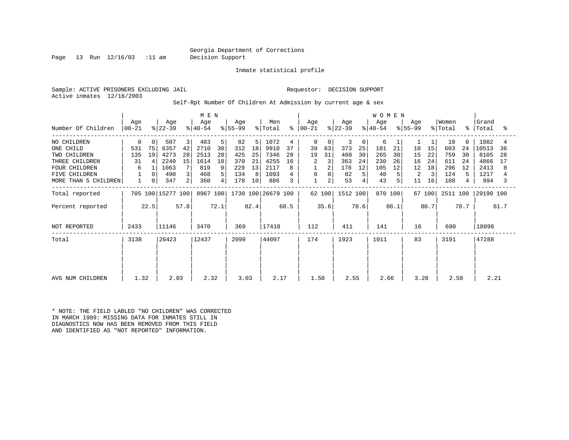Page 13 Run 12/16/03 :11 am Decision Support

Inmate statistical profile

Sample: ACTIVE PRISONERS EXCLUDING JAIL **Requestor: DECISION SUPPORT** Active inmates 12/16/2003

Self-Rpt Number Of Children At Admission by current age & sex

|                      |                |      | M E N             |      |                  |      |                  |      |                    |      | <b>WOMEN</b>         |          |                  |             |                  |      |                  |        |                  |             |                |      |
|----------------------|----------------|------|-------------------|------|------------------|------|------------------|------|--------------------|------|----------------------|----------|------------------|-------------|------------------|------|------------------|--------|------------------|-------------|----------------|------|
| Number Of Children   | Age<br>  00-21 |      | Age<br>$ 22-39 $  |      | Age<br>$ 40-54 $ |      | Age<br>$ 55-99 $ |      | Men<br>% Total     |      | Age<br>$8   00 - 21$ |          | Age<br>$ 22-39 $ |             | Age<br>$ 40-54 $ |      | Age<br>$ 55-99 $ |        | Women<br>% Total | $\approx$ 1 | Grand<br>Total | °    |
| NO CHILDREN          | 0              | 0    | 507               | 3    | 483              | 5    | 82               | 5    | 1072               | 4    | 0                    | 0        | 3                | $\mathbf 0$ | 6                |      |                  |        | 10               | $\Omega$    | 1082           | 4    |
| ONE CHILD            | 531            | 75   | 6357              | 42   | 2710             | 30   | 312              | 18   | 9910               | 37   | 39                   | 63       | 373              | 25          | 181              | 21   | 10               | 15     | 603              | 24          | 10513          | 36   |
| TWO CHILDREN         | 135            | 19   | 4273              | 28   | 2513             | 28   | 425              | 25   | 7346               | 28   | 19                   | 31       | 460              | 30          | 265              | 30   | 15               | 22     | 759              | 30          | 8105           | 28   |
| THREE CHILDREN       | 31             | 4    | 2240              | 15   | 1614             | 18   | 370              | 21   | 4255               | 16   | 2                    |          | 363              | 24          | 230              | 26   | 16               | 24     | 611              | 24          | 4866           | 17   |
| <b>FOUR CHILDREN</b> | 6              |      | 1063              |      | 819              | 9    | 229              | 13   | 2117               |      |                      |          | 178              | 12          | 105              | 12   | 12               | 18     | 296              | 12          | 2413           | 8    |
| FIVE CHILDREN        |                | 0    | 490               | 3    | 468              | 5    | 134              | 8    | 1093               |      | 0                    | $\Omega$ | 82               | 5           | 40               |      | 2                | 3      | 124              | 5           | 1217           |      |
| MORE THAN 5 CHILDREN | $\mathbf{1}$   | 0    | 347               | 2    | 360              | 4    | 178              | 10   | 886                |      | $\mathbf{1}$         | 2        | 53               | 4           | 43               | 5    | 11               | 16     | 108              | 4           | 994            |      |
| Total reported       |                |      | 705 100 15277 100 |      | 8967 100         |      |                  |      | 1730 100 26679 100 |      |                      | 62 100   | 1512 100         |             | 870 100          |      |                  | 67 100 | 2511 100         |             | 29190 100      |      |
| Percent reported     |                | 22.5 |                   | 57.8 |                  | 72.1 |                  | 82.4 |                    | 60.5 |                      | 35.6     |                  | 78.6        |                  | 86.1 |                  | 80.7   |                  | 78.7        |                | 61.7 |
| NOT REPORTED         | 2433           |      | 11146             |      | 3470             |      | 369              |      | 17418              |      | 112                  |          | 411              |             | 141              |      | 16               |        | 680              |             | 18098          |      |
| Total                | 3138           |      | 26423             |      | 12437            |      | 2099             |      | 44097              |      | 174                  |          | 1923             |             | 1011             |      | 83               |        | 3191             |             | 47288          |      |
|                      |                |      |                   |      |                  |      |                  |      |                    |      |                      |          |                  |             |                  |      |                  |        |                  |             |                |      |
| AVG NUM CHILDREN     | 1.32           |      | 2.03              |      | 2.32             |      | 3.03             |      | 2.17               |      | 1.50                 |          | 2.55             |             | 2.66             |      | 3.28             |        | 2.58             |             | 2.21           |      |

\* NOTE: THE FIELD LABLED "NO CHILDREN" WAS CORRECTED IN MARCH 1989: MISSING DATA FOR INMATES STILL IN DIAGNOSTICS NOW HAS BEEN REMOVED FROM THIS FIELD AND IDENTIFIED AS "NOT REPORTED" INFORMATION.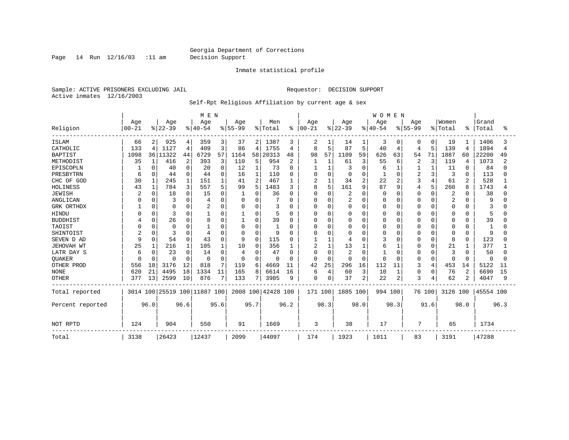Page 14 Run 12/16/03 :11 am Decision Support

#### Inmate statistical profile

Sample: ACTIVE PRISONERS EXCLUDING JAIL **Requestor: DECISION SUPPORT** Active inmates 12/16/2003

Self-Rpt Religious Affiliation by current age & sex

|                  |                |              |          |          | M E N                        |      |           |          |                    |              |               |              |           |                | <b>WOMEN</b> |              |                |          |                |                |           |      |
|------------------|----------------|--------------|----------|----------|------------------------------|------|-----------|----------|--------------------|--------------|---------------|--------------|-----------|----------------|--------------|--------------|----------------|----------|----------------|----------------|-----------|------|
|                  | Age            |              | Age      |          | Age                          |      | Age       |          | Men                |              | Age           |              | Age       |                | Age          |              | Age            |          | Women          |                | Grand     |      |
| Religion         | $00 - 21$      |              | $ 22-39$ |          | $ 40-54$                     |      | $8 55-99$ |          | % Total            |              | $8   00 - 21$ |              | $ 22-39 $ |                | $8 40-54$    |              | $8 55-99$      |          | % Total        | ిక             | Total     | ႜ    |
| <b>ISLAM</b>     | 66             | 2            | 925      | 4        | 359                          | 3    | 37        | 2        | 1387               | 3            | 2             |              | 14        | 1              | 3            | $\Omega$     | 0              | 0        | 19             |                | 1406      |      |
| CATHOLIC         | 133            | 4            | 1127     | 4        | 409                          | 3    | 86        | 4        | 1755               | 4            | 8             | 5            | 87        | 5              | 40           | 4            | 4              | 5        | 139            | 4              | 1894      | 4    |
| <b>BAPTIST</b>   | 1098           |              | 36 11322 | 44       | 6729                         | 57   | 1164      | 58       | 20313              | 48           | 98            | 57           | 1109      | 59             | 626          | 63           | 54             | 71       | 1887           | 60             | 22200     | 49   |
| METHODIST        | 35             | 1            | 416      | 2        | 393                          | 3    | 110       | 5        | 954                | 2            | 1             |              | 61        | 3              | 55           | 6            | $\overline{2}$ | 3        | 119            | 4              | 1073      | 2    |
| EPISCOPLN        |                | $\Omega$     | 40       | 0        | 20                           | 0    | 12        | 1        | 73                 | <sup>0</sup> |               |              | 3         | $\mathbf 0$    | 6            |              |                |          | 11             | 0              | 84        |      |
| PRESBYTRN        | 6              | <sup>0</sup> | 44       | 0        | 44                           | 0    | 16        | 1        | 110                | <sup>0</sup> | 0             | 0            | $\Omega$  | 0              |              | $\Omega$     | 2              | ς        | 3              | $\Omega$       | 113       |      |
| CHC OF GOD       | 30             |              | 245      | 1        | 151                          |      | 41        | 2        | 467                | 1            | 2             | $\mathbf{1}$ | 34        | 2              | 22           | 2            | 3              |          | 61             |                | 528       |      |
| HOLINESS         | 43             | 1            | 784      | 3        | 557                          | 5    | 99        | 5        | 1483               | κ            | 8             | 5            | 161       | 9              | 87           | q            | 4              | 5        | 260            | 8              | 1743      |      |
| <b>JEWISH</b>    | $\overline{2}$ | $\Omega$     | 18       | 0        | 15                           | 0    | 1         | 0        | 36                 | 0            | $\Omega$      | 0            | 2         | $\mathbf 0$    | $\Omega$     | $\Omega$     | 0              | 0        | 2              | O              | 38        |      |
| ANGLICAN         |                |              | 3        | 0        |                              | 0    | 0         | 0        |                    | 0            | 0             | $\Omega$     | 2         | 0              |              | 0            | O              |          | $\overline{2}$ |                | q         |      |
| GRK ORTHDX       |                | 0            | $\Omega$ | 0        |                              | 0    | $\Omega$  | 0        | 3                  | 0            | 0             | $\Omega$     | U         | $\Omega$       | U            | 0            | O              | O        | $\Omega$       | O              |           |      |
| HINDU            |                | $\cap$       | 3        | 0        |                              | 0    | 1         | 0        | 5                  | 0            | 0             | $\Omega$     | Ω         | $\mathbf 0$    |              | $\Omega$     | O              | U        | $\Omega$       | O              | 5         |      |
| <b>BUDDHIST</b>  |                | <sup>0</sup> | 26       | 0        | 8                            | O    |           | 0        | 39                 | O            | 0             | $\Omega$     | Ω         | $\Omega$       |              | $\Omega$     | U              | O        | $\Omega$       | O              | 39        |      |
| TAOIST           | n              | $\Omega$     | $\Omega$ | O        |                              | O    | $\Omega$  | U        |                    | O            | 0             | $\cap$       | Ω         | $\Omega$       |              | $\Omega$     | O              | U        | $\Omega$       | U              |           |      |
| SHINTOIST        |                | ∩            | 3        | O        | 4                            | O    | $\Omega$  | U        | 9                  | U            | O             | $\cap$       | Ω         | $\Omega$       | U            | $\Omega$     | O              | U        | $\Omega$       | $\Omega$       | 9         |      |
| SEVEN D AD       | 9              | $\Omega$     | 54       | 0        | 43                           | 0    | 9         | $\Omega$ | 115                | O            |               |              |           | $\Omega$       |              | 0            | 0              | 0        | 8              | 0              | 123       |      |
| JEHOVAH WT       | 25             |              | 216      |          | 105                          |      | 10        | 0        | 356                |              | 2             |              | 13        | 1              | 6            |              | 0              | O        | 21             |                | 377       |      |
| LATR DAY S       | 6              | O            | 23       | $\Omega$ | 14                           | 0    | 4         | O        | 47                 | $\Omega$     | $\Omega$      | $\Omega$     | 2         | $\Omega$       |              | n            | 0              |          | 3              | <sup>0</sup>   | 50        |      |
| QUAKER           | 0              | $\cap$       | ∩        | $\Omega$ | $\Omega$                     | 0    | $\Omega$  | 0        | U                  | $\Omega$     | $\Omega$      | $\Omega$     | U         | $\Omega$       | $\cap$       | $\cap$       | 0              | $\Omega$ | $\Omega$       | $\Omega$       | $\Omega$  |      |
| OTHER PROD       | 556            | 18           | 3176     | 12       | 818                          | 7    | 119       | 6        | 4669               | 11           | 42            | 25           | 296       | 16             | 112          | 11           | 3              | 4        | 453            | 14             | 5122      | 11   |
| <b>NONE</b>      | 620            | 21           | 4495     | 18       | 1334                         | 11   | 165       | 8        | 6614               | 16           | б             | 4            | 60        | 3              | 10           | $\mathbf{1}$ | $\Omega$       | O        | 76             | $\overline{c}$ | 6690      | 15   |
| <b>OTHER</b>     | 377            | 13           | 2599     | 10       | 876                          | 7    | 133       | 71       | 3985               | 9            | 0             | $\Omega$     | 37        | $\overline{2}$ | 22           | 2            | 3              | 4        | 62             |                | 4047      | 9    |
| Total reported   |                |              |          |          | 3014 100 25519 100 11887 100 |      |           |          | 2008 100 42428 100 |              | 171 100       |              | 1885 100  |                | 994 100      |              | 76 100         |          | 3126 100       |                | 45554 100 |      |
| Percent reported |                | 96.0         |          | 96.6     |                              | 95.6 |           | 95.7     |                    | 96.2         |               | 98.3         |           | 98.0           |              | 98.3         |                | 91.6     |                | 98.0           |           | 96.3 |
| NOT RPTD         | 124            |              | 904      |          | 550                          |      | 91        |          | 1669               |              | 3             |              | 38        |                | 17           |              | 7              |          | 65             |                | 1734      |      |
| Total            | 3138           |              | 26423    |          | 12437                        |      | 2099      |          | 44097              |              | 174           |              | 1923      |                | 1011         |              | 83             |          | 3191           |                | 47288     |      |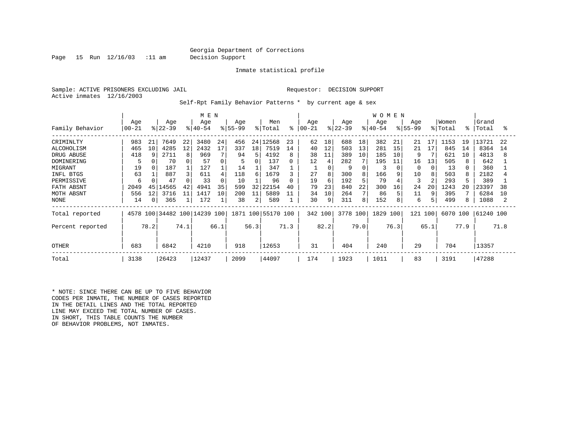Page 15 Run 12/16/03 :11 am Decision Support

Inmate statistical profile

Sample: ACTIVE PRISONERS EXCLUDING JAIL REGUESTOR: DECISION SUPPORT Active inmates 12/16/2003

Self-Rpt Family Behavior Patterns \* by current age & sex

|                                                                                                                       |                                                        | M E N                |                                                                 |                           |                                                               |                                       |                                                        |                                                  |                                                                    |                                          |                                              |                                                |                                                           |                                | <b>WOMEN</b>                                       |                                 |                                                        |                           |                                                              |                           |                                                                     |                           |
|-----------------------------------------------------------------------------------------------------------------------|--------------------------------------------------------|----------------------|-----------------------------------------------------------------|---------------------------|---------------------------------------------------------------|---------------------------------------|--------------------------------------------------------|--------------------------------------------------|--------------------------------------------------------------------|------------------------------------------|----------------------------------------------|------------------------------------------------|-----------------------------------------------------------|--------------------------------|----------------------------------------------------|---------------------------------|--------------------------------------------------------|---------------------------|--------------------------------------------------------------|---------------------------|---------------------------------------------------------------------|---------------------------|
| Family Behavior                                                                                                       | Age<br>$00 - 21$                                       |                      | Age<br>$ 22-39 $                                                |                           | Age<br>$ 40-54 $                                              |                                       | Age<br>$ 55-99$                                        |                                                  | Men<br>% Total                                                     | ွေ                                       | Age<br>$ 00-21 $                             |                                                | Age<br>$ 22-39 $                                          |                                | Age<br>$8 40-54$                                   |                                 | Age<br>$8 55-99$                                       |                           | Women<br>% Total                                             | $\approx$ 1               | Grand<br>Total                                                      | °                         |
| CRIMINLTY<br>ALCOHOLISM<br>DRUG ABUSE<br>DOMINERING<br>MIGRANT<br>INFL BTGS<br>PERMISSIVE<br>FATH ABSNT<br>MOTH ABSNT | 983<br>465<br>418<br>5<br>19<br>63<br>6<br>2049<br>556 | 21<br>10<br>45<br>12 | 7649<br>4285<br>2711<br>70<br>187<br>887<br>47<br>14565<br>3716 | 22<br>12<br>8<br>42<br>11 | 3480<br>2432<br>969<br>57<br>127<br>611<br>33<br>4941<br>1417 | 24<br>17<br>0<br>$\Omega$<br>35<br>10 | 456<br>337<br>94<br>5<br>14<br>118<br>10<br>599<br>200 | 24 <sub>1</sub><br>18<br>5<br>0<br>6<br>32<br>11 | 12568<br>7519<br>4192<br>137<br>347<br>1679<br>96<br>22154<br>5889 | 23<br>14<br>8<br>0<br>3<br>0<br>40<br>11 | 62<br>40<br>38<br>12<br>27<br>19<br>79<br>34 | 18<br>12<br>11<br>4<br>0<br>8<br>6<br>23<br>10 | 688<br>503<br>389<br>282<br>9<br>300<br>192<br>840<br>264 | 18<br>13<br>10<br>7<br>8<br>22 | 382<br>281<br>185<br>195<br>166<br>79<br>300<br>86 | 21<br>15<br>10<br>11<br>9<br>16 | 21<br>21<br>9<br>16<br>$\Omega$<br>10<br>3<br>24<br>11 | 17<br>17<br>13<br>20<br>9 | 1153<br>845<br>621<br>505<br>13<br>503<br>293<br>1243<br>395 | 19<br>14<br>10<br>8<br>20 | 13721<br>8364<br>4813<br>642<br>360<br>2182<br>389<br>23397<br>6284 | 22<br>14<br>8<br>38<br>10 |
| NONE<br>Total reported<br>Percent reported<br><b>OTHER</b>                                                            | 14<br>683                                              | 0<br>78.2            | 365<br>6842                                                     | 74.1                      | 172<br>4578 100 34482 100 14239 100<br>4210                   | 66.1                                  | 38<br>918                                              | $\overline{2}$<br>56.3                           | 589<br>1871 100 55170 100<br>12653                                 | 71.3                                     | 30<br>342 100<br>31                          | 9<br>82.2                                      | 311<br>3778 100<br>404                                    | 8<br>79.0                      | 152<br>1829<br>240                                 | 100<br>76.3                     | 6<br>121<br>29                                         | 100<br>65.1               | 499<br>6070 100<br>704                                       | 77.9                      | 1088<br>61240 100<br>13357                                          | 71.8                      |
| Total                                                                                                                 | 3138                                                   |                      | 26423                                                           |                           | 12437                                                         |                                       | 2099                                                   |                                                  | 44097                                                              |                                          | 174                                          |                                                | 1923                                                      |                                | 1011                                               |                                 | 83                                                     |                           | 3191                                                         |                           | 47288                                                               |                           |

\* NOTE: SINCE THERE CAN BE UP TO FIVE BEHAVIOR CODES PER INMATE, THE NUMBER OF CASES REPORTED IN THE DETAIL LINES AND THE TOTAL REPORTED LINE MAY EXCEED THE TOTAL NUMBER OF CASES. IN SHORT, THIS TABLE COUNTS THE NUMBER OF BEHAVIOR PROBLEMS, NOT INMATES.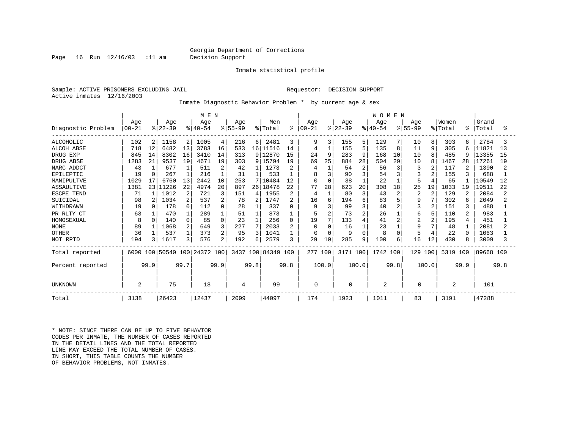Page 16 Run 12/16/03 :11 am Decision Support

Inmate statistical profile

Sample: ACTIVE PRISONERS EXCLUDING JAIL REGUESTOR: DECISION SUPPORT Active inmates 12/16/2003

Inmate Diagnostic Behavior Problem \* by current age & sex

|                    | M E N     |          |           |        |                              |          |           |      |                    |                |          |                |           |                | <b>WOMEN</b> |                |                |                |         |      |           |      |
|--------------------|-----------|----------|-----------|--------|------------------------------|----------|-----------|------|--------------------|----------------|----------|----------------|-----------|----------------|--------------|----------------|----------------|----------------|---------|------|-----------|------|
|                    | Age       |          | Age       |        | Age                          |          | Age       |      | Men                |                | Age      |                | Age       |                | Age          |                | Age            |                | Women   |      | Grand     |      |
| Diagnostic Problem | $00 - 21$ |          | $ 22-39 $ |        | $ 40-54$                     |          | $8 55-99$ |      | % Total            | ိ              | $ 00-21$ |                | $ 22-39 $ |                | $ 40-54$     |                | $8155 - 99$    |                | % Total | ႜ    | Total     | °    |
| <b>ALCOHOLIC</b>   | 102       | 2        | 1158      | 2      | 1005                         | 4        | 216       | 6    | 2481               | 3              | 9        | 3              | 155       | 5              | 129          |                | 10             | 8              | 303     | 6    | 2784      |      |
| <b>ALCOH ABSE</b>  | 718       | 12       | 6482      | 13     | 3783                         | 16       | 533       | 16   | 11516              | 14             | 4        |                | 155       | 5              | 135          | 8              | 11             | 9              | 305     | 6    | 11821     | 13   |
| DRUG EXP           | 845       | 14       | 8302      | 16     | 3410                         | 14       | 313       | 9    | 12870              | 15             | 24       | 9              | 283       | 9              | 168          | 10             | 10             | 8              | 485     | 9    | 13355     | 15   |
| DRUG ABSE          | 1283      | 21       | 9537      | 19     | 4671                         | 19       | 303       | 9    | 15794              | 19             | 69       | 25             | 884       | 28             | 504          | 29             | 10             | 8              | 1467    | 28   | 17261     | 19   |
| NARC ADDCT         | 43        |          | 677       |        | 511                          | 2        | 42        |      | 1273               | 2              |          |                | 54        | 2              | 56           | 3              | 3              | $\overline{a}$ | 117     | 2    | 1390      |      |
| EPILEPTIC          | 19        |          | 267       |        | 216                          |          | 31        |      | 533                |                | 8        | 3              | 90        | 3              | 54           | 3              |                | $\overline{2}$ | 155     |      | 688       |      |
| MANIPULTVE         | 1029      | 17       | 6760      | 13     | 2442                         | 10       | 253       |      | 10484              | 12             | $\Omega$ | $\Omega$       | 38        |                | 22           |                | 5              | $\overline{4}$ | 65      |      | 10549     | 12   |
| ASSAULTIVE         | 1381      |          | 23 11226  | 22     | 4974                         | 20       | 897       |      | 26   18478         | 22             | 77       | 28             | 623       | 20             | 308          | 18             | 25             | 19             | 1033    | 19   | 19511     | 22   |
| ESCPE TEND         | 71        |          | 1012      | 2      | 721                          | 3        | 151       | 4    | 1955               | $\overline{2}$ | 4        |                | 80        | 3              | 43           | $\overline{2}$ | $\overline{c}$ | $\overline{2}$ | 129     | 2    | 2084      |      |
| SUICIDAL           | 98        |          | 1034      | 2      | 537                          | 2        | 78        | 2    | 1747               | 2              | 16       | 6              | 194       | 6              | 83           |                | 9              | 7              | 302     | 6    | 2049      |      |
| WITHDRAWN          | 19        |          | 178       | 0      | 112                          | 0        | 28        |      | 337                | U              |          | 3              | 99        | 3              | 40           | 2              | 3              | $\overline{2}$ | 151     | 3    | 488       |      |
| PR RLTY CT         | 63        |          | 470       |        | 289                          |          | 51        |      | 873                |                | 5        | $\overline{2}$ | 73        | $\overline{a}$ | 26           |                | 6              | 5              | 110     | 2    | 983       |      |
| HOMOSEXUAL         | 8         | $\Omega$ | 140       | $\cap$ | 85                           | $\Omega$ | 23        |      | 256                | $\Omega$       | 19       | 7              | 133       | $\overline{4}$ | 41           | $\overline{c}$ | 2              | 2              | 195     | 4    | 451       |      |
| <b>NONE</b>        | 89        |          | 1068      | 2      | 649                          | 3        | 227       |      | 2033               | $\overline{2}$ | $\Omega$ | $\Omega$       | 16        |                | 23           |                | 9              | 7              | 48      |      | 2081      |      |
| <b>OTHER</b>       | 36        |          | 537       |        | 373                          | 2        | 95        | ζ    | 1041               |                | O        | $\Omega$       | 9         | $\Omega$       | 8            | $\Omega$       | 5              | 4              | 22      | ∩    | 1063      |      |
| NOT RPTD           | 194       | ζ        | 1617      | 3      | 576                          | 2        | 192       | б.   | 2579               | 3              | 29       | 10             | 285       | 9              | 100          | 6              | 16             | 12             | 430     | 8    | 3009      |      |
| Total reported     |           |          |           |        | 6000 100 50540 100 24372 100 |          |           |      | 3437 100 84349 100 |                | 277 100  |                | 3171 100  |                | 1742 100     |                | 129 100        |                | 5319    | 100  | 89668 100 |      |
| Percent reported   |           | 99.9     |           | 99.7   |                              | 99.9     |           | 99.8 |                    | 99.8           |          | 100.0          |           | 100.0          |              | 99.8           |                | 100.0          |         | 99.9 |           | 99.8 |
| UNKNOWN            | 2         |          | 75        |        | 18                           |          | 4         |      | 99                 |                | 0        |                | 0         |                | 2            |                | $\Omega$       |                | 2       |      | 101       |      |
| Total              | 3138      |          | 26423     |        | 12437                        |          | 2099      |      | 44097              |                | 174      |                | 1923      |                | 1011         |                | 83             |                | 3191    |      | 47288     |      |

\* NOTE: SINCE THERE CAN BE UP TO FIVE BEHAVIOR CODES PER INMATE, THE NUMBER OF CASES REPORTED IN THE DETAIL LINES AND THE TOTAL REPORTED LINE MAY EXCEED THE TOTAL NUMBER OF CASES. IN SHORT, THIS TABLE COUNTS THE NUMBER OF BEHAVIOR PROBLEMS, NOT INMATES.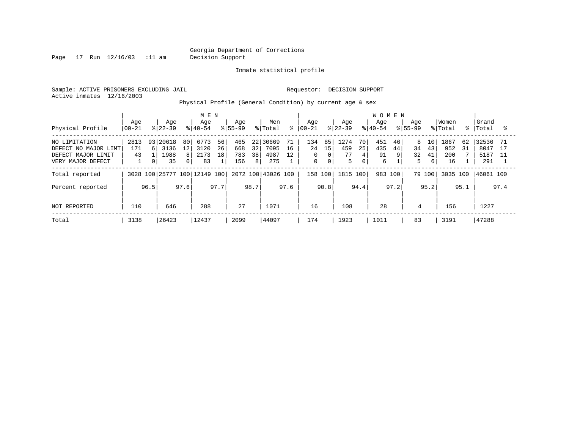Page 17 Run 12/16/03 :11 am Decision Support

Inmate statistical profile

Sample: ACTIVE PRISONERS EXCLUDING JAIL **Requestor: DECISION SUPPORT** Active inmates 12/16/2003

Physical Profile (General Condition) by current age & sex

|                      |          |      |           | M E N   |                              |      |             |              |                    |      |            |             |           | <b>WOMEN</b> |           |      |             |      |          |      |           |      |
|----------------------|----------|------|-----------|---------|------------------------------|------|-------------|--------------|--------------------|------|------------|-------------|-----------|--------------|-----------|------|-------------|------|----------|------|-----------|------|
|                      | Age      |      | Age       |         | Age                          |      | Age         |              | Men                |      | Age        |             | Age       |              | Age       |      | Age         |      | Women    |      | Grand     |      |
| Physical Profile     | $ 00-21$ |      | $ 22-39 $ |         | $ 40-54 $                    |      | $8155 - 99$ |              | % Total            | °≈   | $ 00 - 21$ |             | $ 22-39 $ |              | $8 40-54$ |      | $8155 - 99$ |      | % Total  | န္   | Total     |      |
| NO LIMITATION        | 2813     | 931  | 20618     | 80      | 6773                         | 56   | 465         | $22^{\circ}$ | 30669              | 71   | 134        | 85          | 1274      | 70           | 451       | 46   | 8           | 10   | 1867     | 62   | 32536     | -71  |
| DEFECT NO MAJOR LIMT | 171      | б.   | 3136      | $12 \,$ | 3120                         | 26   | 668         | 32           | 7095               | 16   | 24         | 15          | 459       | 25           | 435       | 44   | 34          | 43   | 952      | 31   | 8047      | 17   |
| DEFECT MAJOR LIMIT   | 43       |      | 1988      | 8       | 2173                         | 18   | 783         | 38           | 4987               | 12   | $\Omega$   | 0           | 77        | 4            | 91        | 9    | 32          | 41   | 200      |      | 5187      |      |
| VERY MAJOR DEFECT    |          | 0    | 35        | 0 I     | 83                           |      | 156         | 8            | 275                |      | 0          | $\mathbf 0$ | 5         | 0            | 6         |      | 5           | 6    | 16       |      | 291       |      |
| Total reported       |          |      |           |         | 3028 100 25777 100 12149 100 |      |             |              | 2072 100 43026 100 |      | 158 100    |             | 1815 100  |              | 983 100   |      | 79 100      |      | 3035 100 |      | 46061 100 |      |
| Percent reported     |          | 96.5 |           | 97.6    |                              | 97.7 |             | 98.7         |                    | 97.6 |            | 90.8        |           | 94.4         |           | 97.2 |             | 95.2 |          | 95.1 |           | 97.4 |
| NOT REPORTED         | 110      |      | 646       |         | 288                          |      | 27          |              | 1071               |      | 16         |             | 108       |              | 28        |      | 4           |      | 156      |      | 1227      |      |
| Total                | 3138     |      | 26423     |         | 12437                        |      | 2099        |              | 44097              |      | 174        |             | 1923      |              | 1011      |      | 83          |      | 3191     |      | 47288     |      |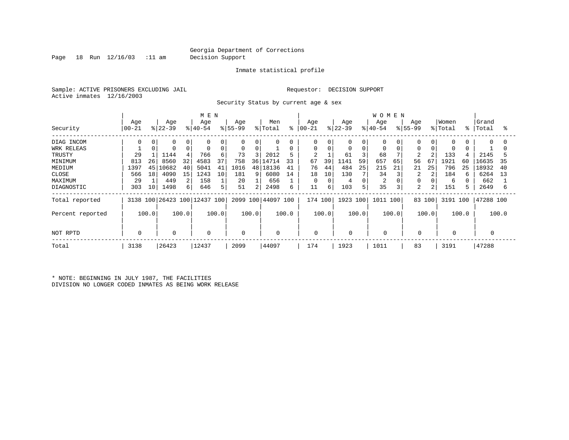Page 18 Run 12/16/03 :11 am Decision Support

#### Inmate statistical profile

Sample: ACTIVE PRISONERS EXCLUDING JAIL **Requestor: DECISION SUPPORT** Active inmates 12/16/2003

Security Status by current age & sex

|                  |                |       |                 |       | M E N                   |       |                  |       |                    |       |                      |       |                  |          | <b>WOMEN</b>     |       |                  |          |                  |       |                |       |
|------------------|----------------|-------|-----------------|-------|-------------------------|-------|------------------|-------|--------------------|-------|----------------------|-------|------------------|----------|------------------|-------|------------------|----------|------------------|-------|----------------|-------|
| Security         | Age<br>  00-21 |       | Age<br>$ 22-39$ |       | Age<br>$ 40-54 $        |       | Age<br>$ 55-99 $ |       | Men<br>% Total     |       | Age<br>$8   00 - 21$ |       | Age<br>$ 22-39 $ |          | Age<br>$8 40-54$ |       | Age<br>$ 55-99 $ |          | Women<br>% Total | °≈    | Grand<br>Total | °     |
| DIAG INCOM       | <sup>0</sup>   | 0     | 0               |       | $\Omega$                |       | 0                | 0     | $\Omega$           | 0     | 0                    | 0     | 0                | 0        | $\Omega$         |       | $\Omega$         | $\Omega$ | 0                |       | $\Omega$       |       |
| WRK RELEAS       |                |       | 0               |       | 0                       | 0     | $\mathbf 0$      | 0     |                    | 0     | 0                    | 0     | 0                | 0        | $\Omega$         |       | $\Omega$         |          | 0                |       |                |       |
| TRUSTY           | 29             |       | 1144            |       | 766                     | 6     | 73               | 3     | 2012               | 5     |                      |       | 61               |          | 68               |       | $\overline{2}$   |          | 133              |       | 2145           |       |
| MINIMUM          | 813            | 26    | 8560            | 32    | 4583                    | 37    | 758              | 36    | 14714              | 33    | 67                   | 39    | 1141             | 59       | 657              | 65    | 56               | 67       | 1921             | 60    | 16635          | 35    |
| MEDIUM           | 1397           | 45    | 0682            | 40    | 5041                    | 41    | 1016             |       | 48 18136           | 41    | 76                   | 44    | 484              | 25       | 215              | 21    | 21               | 25       | 796              | 25    | 18932          | 40    |
| CLOSE            | 566            | 18    | 4090            | 15    | 1243                    | 10    | 181              | 9     | 6080               | 14    | 18                   | 10    | 130              |          | 34               |       | 2                |          | 184              | 6     | 6264           | 13    |
| MAXIMUM          | 29             |       | 449             | 2     | 158                     |       | 20               |       | 656                |       | 0                    |       | 4                | $\Omega$ | $\overline{c}$   |       |                  |          | 6                |       | 662            |       |
| DIAGNOSTIC       | 303            | 10    | 1498            | 61    | 646                     | 5     | 51               | 21    | 2498               | 6     | 11                   | 6     | 103              | 5        | 35               |       | 2                | 2        | 151              |       | 2649           | 6     |
| Total reported   | 3138           |       |                 |       | 100 26423 100 12437 100 |       |                  |       | 2099 100 44097 100 |       | 174 100              |       | 1923 100         |          | 1011 100         |       |                  | 83 100   | 3191 100         |       | 47288 100      |       |
| Percent reported |                | 100.0 |                 | 100.0 |                         | 100.0 |                  | 100.0 |                    | 100.0 |                      | 100.0 |                  | 100.0    |                  | 100.0 |                  | 100.0    |                  | 100.0 |                | 100.0 |
| NOT RPTD         |                |       | $\mathbf 0$     |       | 0                       |       | 0                |       | $\mathbf 0$        |       | 0                    |       | 0                |          |                  |       | $\mathbf 0$      |          | 0                |       |                |       |
| Total            | 3138           |       | 26423           |       | 12437                   |       | 2099             |       | 44097              |       | 174                  |       | 1923             |          | 1011             |       | 83               |          | 3191             |       | 47288          |       |

\* NOTE: BEGINNING IN JULY 1987, THE FACILITIES DIVISION NO LONGER CODED INMATES AS BEING WORK RELEASE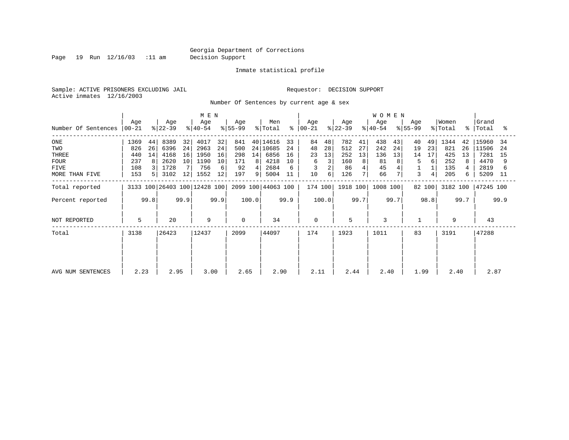Page 19 Run 12/16/03 :11 am Decision Support

#### Inmate statistical profile

Sample: ACTIVE PRISONERS EXCLUDING JAIL **Requestor: DECISION SUPPORT** Active inmates 12/16/2003

Number Of Sentences by current age & sex

|                     |                  |      |                              |      | M E N          |      |                  |       |                    |           |                  |       |                  |                | W O M E N        |      |                  |        |                  |      |                    |      |
|---------------------|------------------|------|------------------------------|------|----------------|------|------------------|-------|--------------------|-----------|------------------|-------|------------------|----------------|------------------|------|------------------|--------|------------------|------|--------------------|------|
| Number Of Sentences | Age<br>$ 00-21 $ |      | Age<br>$ 22-39 $             |      | Age<br>୫∣40-54 |      | Age<br>$8 55-99$ |       | Men<br>% Total     | $\approx$ | Age<br>$ 00-21 $ |       | Age<br>$ 22-39 $ |                | Age<br>$ 40-54 $ |      | Age<br>$8 55-99$ |        | Women<br>% Total |      | Grand<br>%   Total | ႜ    |
| ONE                 | 1369             | 44   | 8389                         | 32   | 4017           | 32   | 841              |       | 40 14616           | 33        | 84               | 48    | 782              | 41             | 438              | 43   | 40               | 49     | 1344             | 42   | 15960              | 34   |
| TWO                 | 826              | 26   | 6396                         | 24   | 2963           | 24   | 500              |       | 24 10685           | 24        | 48               | 28    | 512              | 27             | 242              | 24   | 19               | 23     | 821              | 26   | 11506              | -24  |
| THREE               | 440              | 14   | 4168                         | 16   | 1950           | 16   | 298              | 14    | 6856               | 16        | 23               | 13    | 252              | 13             | 136              | 13   | 14               | 17     | 425              | 13   | 7281               | 15   |
| <b>FOUR</b>         | 237              | 8    | 2620                         | 10   | 1190           | 10   | 171              | 8     | 4218               | 10        | 6                |       | 160              | 8 <sup>1</sup> | 81               | 8    | 5                | 6      | 252              | 8    | 4470               |      |
| FIVE                | 108              |      | 1728                         |      | 756            | 6    | 92               | 4     | 2684               |           |                  |       | 86               |                | 45               | 4    |                  |        | 135              |      | 2819               |      |
| MORE THAN FIVE      | 153              |      | 3102                         | 12   | 1552           | 12   | 197              | 9     | 5004               | 11        | 10               | 6     | 126              | 7              | 66               |      | 3                |        | 205              | б.   | 5209               | 11   |
| Total reported      |                  |      | 3133 100 26403 100 12428 100 |      |                |      |                  |       | 2099 100 44063 100 |           | 174 100          |       | 1918 100         |                | 1008 100         |      |                  | 82 100 | 3182 100         |      | 47245 100          |      |
| Percent reported    |                  | 99.8 |                              | 99.9 |                | 99.9 |                  | 100.0 |                    | 99.9      |                  | 100.0 |                  | 99.7           |                  | 99.7 |                  | 98.8   |                  | 99.7 |                    | 99.9 |
| NOT REPORTED        | 5                |      | 20                           |      | 9              |      | $\Omega$         |       | 34                 |           | $\mathbf 0$      |       | 5                |                | 3                |      |                  |        | 9                |      | 43                 |      |
| Total               | 3138             |      | 26423                        |      | 12437          |      | 2099             |       | 44097              |           | 174              |       | 1923             |                | 1011             |      | 83               |        | 3191             |      | 47288              |      |
|                     |                  |      |                              |      |                |      |                  |       |                    |           |                  |       |                  |                |                  |      |                  |        |                  |      |                    |      |
| AVG NUM SENTENCES   | 2.23             |      | 2.95                         |      | 3.00           |      | 2.65             |       | 2.90               |           | 2.11             |       | 2.44             |                | 2.40             |      | 1.99             |        | 2.40             |      | 2.87               |      |
|                     |                  |      |                              |      |                |      |                  |       |                    |           |                  |       |                  |                |                  |      |                  |        |                  |      |                    |      |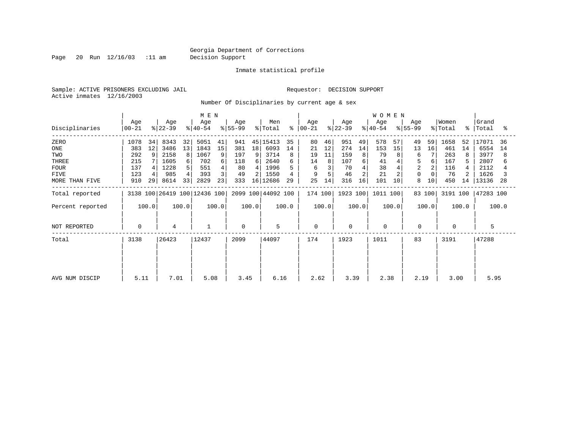Page 20 Run 12/16/03 :11 am Decision Support

Inmate statistical profile

Sample: ACTIVE PRISONERS EXCLUDING JAIL **Requestor: DECISION SUPPORT** Active inmates 12/16/2003

Number Of Disciplinaries by current age & sex

|                  | M E N              |       |                  |       |                              |       |                  |       |                    |       |                  |       |                  |       | <b>WOMEN</b>     |       |                  |        |                  |       |                    |       |
|------------------|--------------------|-------|------------------|-------|------------------------------|-------|------------------|-------|--------------------|-------|------------------|-------|------------------|-------|------------------|-------|------------------|--------|------------------|-------|--------------------|-------|
| Disciplinaries   | Age<br>$ 00 - 21 $ |       | Age<br>$ 22-39 $ |       | Age<br>$ 40-54 $             |       | Age<br>$ 55-99 $ |       | Men<br>% Total     | ႜ     | Age<br>$00 - 21$ |       | Age<br>$ 22-39 $ |       | Age<br>$ 40-54 $ |       | Age<br>$ 55-99 $ |        | Women<br>% Total |       | Grand<br>%   Total | °≈    |
| ZERO             | 1078               | 34    | 8343             | 32    | 5051                         | 41    | 941              |       | 45 15413           | 35    | 80               | 46    | 951              | 49    | 578              | 57    | 49               | 59     | 1658             | 52    | 17071              | -36   |
| ONE              | 383                | 12    | 3486             | 13    | 1843                         | 15    | 381              | 18    | 6093               | 14    | 21               | 12    | 274              | 14    | 153              | 15    | 13               | 16     | 461              | 14    | 6554               | 14    |
| TWO              | 292                | 9     | 2158             | 8     | 1067                         | 9     | 197              | 9     | 3714               | 8     | 19               | 11    | 159              | 8     | 79               | 8     | 6                |        | 263              | 8     | 3977               | 8     |
| THREE            | 215                |       | 1605             | 6     | 702                          | 6     | 118              | 6     | 2640               |       | 14               |       | 107              |       | 41               |       | 5                | 6      | 167              |       | 2807               |       |
| <b>FOUR</b>      | 137                |       | 1228             | 5.    | 551                          |       | 80               |       | 1996               |       | 6                |       | 70               |       | 38               |       | $\overline{2}$   |        | 116              |       | 2112               |       |
| FIVE             | 123                |       | 985              |       | 393                          | 3     | 49               |       | 1550               |       |                  |       | 46               |       | 21               |       | $\mathbf 0$      |        | 76               |       | 1626               |       |
| MORE THAN FIVE   | 910                | 29    | 8614             | 33    | 2829                         | 23    | 333              |       | 16 12686           | 29    | 25               | 14    | 316              | 16    | 101              | 10    | 8                | 10     | 450              | 14    | 13136              | -28   |
| Total reported   |                    |       |                  |       | 3138 100 26419 100 12436 100 |       |                  |       | 2099 100 44092 100 |       | 174 100          |       | 1923 100         |       | 1011 100         |       |                  | 83 100 | 3191 100         |       | 47283 100          |       |
| Percent reported |                    | 100.0 |                  | 100.0 |                              | 100.0 |                  | 100.0 |                    | 100.0 |                  | 100.0 |                  | 100.0 |                  | 100.0 |                  | 100.0  |                  | 100.0 |                    | 100.0 |
| NOT REPORTED     | $\mathbf 0$        |       | 4                |       | $\mathbf 1$                  |       | $\Omega$         |       | 5                  |       | $\mathbf 0$      |       | 0                |       | $\mathbf 0$      |       | $\mathbf 0$      |        | 0                |       | 5                  |       |
| Total            | 3138               |       | 26423            |       | 12437                        |       | 2099             |       | 44097              |       | 174              |       | 1923             |       | 1011             |       | 83               |        | 3191             |       | 47288              |       |
|                  |                    |       |                  |       |                              |       |                  |       |                    |       |                  |       |                  |       |                  |       |                  |        |                  |       |                    |       |
|                  |                    |       |                  |       |                              |       |                  |       |                    |       |                  |       |                  |       |                  |       |                  |        |                  |       |                    |       |
| AVG NUM DISCIP   | 5.11               |       | 7.01             |       | 5.08                         |       | 3.45             |       | 6.16               |       | 2.62             |       | 3.39             |       | 2.38             |       | 2.19             |        | 3.00             |       | 5.95               |       |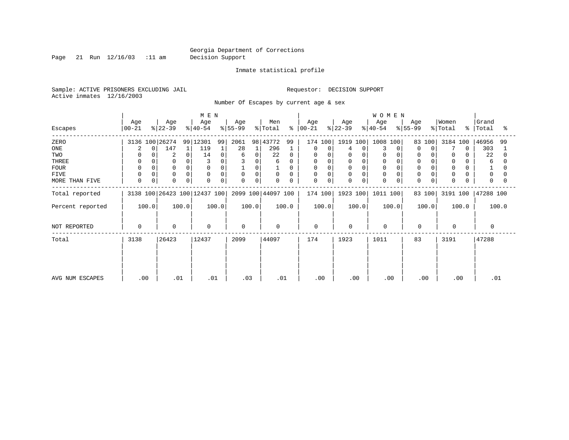Page 21 Run 12/16/03 :11 am Decision Support

Inmate statistical profile

Sample: ACTIVE PRISONERS EXCLUDING JAIL **Requestor: DECISION SUPPORT** Active inmates 12/16/2003

Number Of Escapes by current age & sex

|                  |                  |                  | M E N                        |                  |                    |                      |                  | <b>WOMEN</b>     |                  |                              |                          |
|------------------|------------------|------------------|------------------------------|------------------|--------------------|----------------------|------------------|------------------|------------------|------------------------------|--------------------------|
| Escapes          | Age<br>  00-21   | Age<br>$ 22-39 $ | Age<br>$ 40-54 $             | Age<br>$ 55-99 $ | Men<br>% Total     | Age<br>$8   00 - 21$ | Age<br>$ 22-39 $ | Age<br>$8 40-54$ | Age<br>$ 55-99 $ | Women<br>$\frac{1}{2}$ Total | Grand<br>%   Total<br>°≈ |
| ZERO             | 3136 100 26274   |                  | 99 12301<br>99               | 2061<br>98       | 43772<br>99        | 174 100              | 1919 100         | 1008<br>100      | 83 100           | 3184 100                     | 46956<br>99              |
| ONE              | 0                | 147              | 119<br>1                     | 28<br>1          | 296                | 0<br>0               | $\Omega$         | 3                | $\Omega$<br>0    |                              | 303                      |
| TWO              |                  | 2                | 14<br>0                      | 0<br>6           | 22<br>$\Omega$     | 0                    | 0<br>0           | 0                | <sup>0</sup>     | $\Omega$                     | 22                       |
| THREE            |                  | $\mathbf 0$      |                              | 0                | 6                  | 0                    | 0                |                  |                  | 0                            | 6                        |
| <b>FOUR</b>      |                  | $\mathbf 0$      | $\Omega$                     | 0                |                    | 0                    | 0<br>$\Omega$    |                  |                  | $\mathbf 0$                  |                          |
| <b>FIVE</b>      |                  | $\mathbf 0$      | $\Omega$<br>0                | 0<br>$\mathbf 0$ | $\mathbf 0$<br>0   | 0<br>$\Omega$        | 0<br>$\Omega$    | $\mathbf 0$      | $\Omega$         | $\mathbf 0$                  | $\Omega$                 |
| MORE THAN FIVE   | 0<br>$\mathbf 0$ | $\mathbf 0$      | 0<br>$\mathbf 0$             | 0<br>0           | 0<br>0             | 0<br>0               | $\mathbf 0$<br>0 | $\mathbf 0$      | $\mathbf 0$<br>0 | $\mathbf 0$                  | $\Omega$                 |
| Total reported   |                  |                  | 3138 100 26423 100 12437 100 |                  | 2099 100 44097 100 | 174 100              | 1923 100         | 1011 100         | 83 100           | 3191 100                     | 47288 100                |
| Percent reported | 100.0            | 100.0            | 100.0                        | 100.0            | 100.0              | 100.0                | 100.0            | 100.0            | 100.0            | 100.0                        | 100.0                    |
| NOT REPORTED     | 0                | $\mathbf 0$      | $\mathbf 0$                  | $\Omega$         | $\Omega$           | $\mathbf 0$          | 0                | $\mathbf 0$      | $\mathbf 0$      | $\mathbf{0}$                 |                          |
| Total            | 3138             | 26423            | 12437                        | 2099             | 44097              | 174                  | 1923             | 1011             | 83               | 3191                         | 47288                    |
|                  |                  |                  |                              |                  |                    |                      |                  |                  |                  |                              |                          |
|                  |                  |                  |                              |                  |                    |                      |                  |                  |                  |                              |                          |
| AVG NUM ESCAPES  | .00              | .01              | .01                          | .03              | .01                | .00                  | .00              | .00              | .00              | .00                          | .01                      |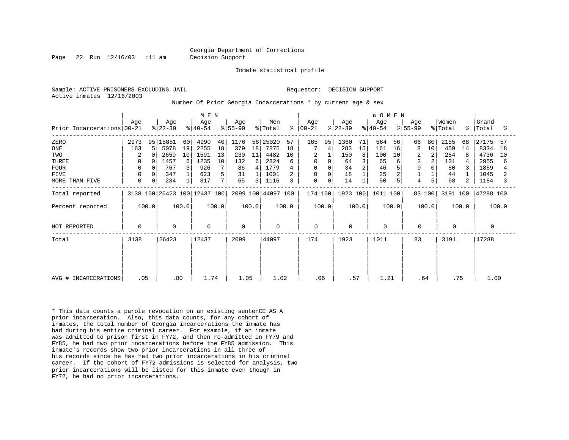Page 22 Run 12/16/03 :11 am Decision Support

Inmate statistical profile

Active inmates 12/16/2003

Sample: ACTIVE PRISONERS EXCLUDING JAIL RESOLUTION SUPPORT Requestor: DECISION SUPPORT

Number Of Prior Georgia Incarcerations \* by current age & sex

| M E N                      |      |             |                              |       |                  |       |                  |                |                    |       |                  |       |                  | W O M E N |                  |       |                  |                |                  |             |                |       |
|----------------------------|------|-------------|------------------------------|-------|------------------|-------|------------------|----------------|--------------------|-------|------------------|-------|------------------|-----------|------------------|-------|------------------|----------------|------------------|-------------|----------------|-------|
| Prior Incarcerations 00-21 | Age  |             | Age<br>$ 22-39 $             |       | Age<br>$ 40-54 $ |       | Age<br>$8 55-99$ |                | Men<br>% Total     | ៖     | Age<br>$ 00-21 $ |       | Age<br>$ 22-39 $ |           | Age<br>$ 40-54 $ |       | Age<br>$ 55-99 $ |                | Women<br>% Total | $\approx$ 1 | Grand<br>Total | ႜ     |
|                            |      |             |                              |       |                  |       |                  |                |                    |       |                  |       |                  |           |                  |       |                  |                |                  |             |                |       |
| ZERO                       | 2973 |             | 95 15881                     | 60    | 4990             | 40    | 1176             |                | 56 25020           | 57    | 165              | 95    | 1360             | 71        | 564              | 56    | 66               | 80             | 2155             | 68          | 27175          | 57    |
| ONE                        | 163  | 5           | 5078                         | 19    | 2255             | 18    | 379              | 18             | 7875               | 18    |                  |       | 283              | 15        | 161              | 16    | 8                | 10             | 459              | 14          | 8334           | 18    |
| TWO                        | 2    |             | 2659                         | 10    | 1591             | 13    | 230              | 11             | 4482               | 10    | $\overline{2}$   |       | 150              | 8         | 100              | 10    |                  | 2              | 254              | 8           | 4736           | 10    |
| THREE                      | 0    |             | 1457                         | 6     | 1235             | 10    | 132              | 6              | 2824               | 6     | $\mathbf 0$      |       | 64               |           | 65               | 6     | 2                | 2              | 131              |             | 2955           |       |
| <b>FOUR</b>                | 0    |             | 767                          | 3     | 926              |       | 86               | 4              | 1779               |       | 0                |       | 34               |           | 46               | 5     |                  |                | 80               |             | 1859           |       |
| <b>FIVE</b>                | 0    | 0           | 347                          |       | 623              | 5     | 31               |                | 1001               |       | 0                |       | 18               |           | 25               | 2     |                  |                | 44               |             | 1045           |       |
| MORE THAN FIVE             | 0    | $\mathbf 0$ | 234                          |       | 817              | 7     | 65               | $\overline{3}$ | 1116               | 3     | $\mathbf 0$      | 0     | 14               |           | 50               | 5     | 4                | 5 <sub>1</sub> | 68               | 2           | 1184           | 3     |
| Total reported             |      |             | 3138 100 26423 100 12437 100 |       |                  |       |                  |                | 2099 100 44097 100 |       | 174 100          |       | 1923 100         |           | 1011 100         |       |                  | 83 100         | 3191 100         |             | 47288 100      |       |
| Percent reported           |      | 100.0       |                              | 100.0 |                  | 100.0 |                  | 100.0          |                    | 100.0 |                  | 100.0 |                  | 100.0     |                  | 100.0 |                  | 100.0          |                  | 100.0       |                | 100.0 |
| NOT REPORTED               | 0    |             | $\Omega$                     |       | $\mathbf 0$      |       | $\Omega$         |                | $\mathbf 0$        |       | $\mathbf 0$      |       | $\mathbf 0$      |           | $\Omega$         |       | $\mathbf 0$      |                | $\Omega$         |             | 0              |       |
| Total                      | 3138 |             | 26423                        |       | 12437            |       | 2099             |                | 44097              |       | 174              |       | 1923             |           | 1011             |       | 83               |                | 3191             |             | 47288          |       |
|                            |      |             |                              |       |                  |       |                  |                |                    |       |                  |       |                  |           |                  |       |                  |                |                  |             |                |       |
|                            |      |             |                              |       |                  |       |                  |                |                    |       |                  |       |                  |           |                  |       |                  |                |                  |             |                |       |
| AVG # INCARCERATIONS       | .05  |             | .80                          |       | 1.74             |       | 1.05             |                | 1.02               |       | .06              |       | .57              |           | 1.21             |       | .64              |                |                  | .75         | 1.00           |       |

\* This data counts a parole revocation on an existing sentenCE AS A prior incarceration. Also, this data counts, for any cohort of inmates, the total number of Georgia incarcerations the inmate has had during his entire criminal career. For example, if an inmate was admitted to prison first in FY72, and then re-admitted in FY79 and FY85, he had two prior incarcerations before the FY85 admission. This inmate's records show two prior incarcerations in all three of his records since he has had two prior incarcerations in his criminal career. If the cohort of FY72 admissions is selected for analysis, two prior incarcerations will be listed for this inmate even though in FY72, he had no prior incarcerations.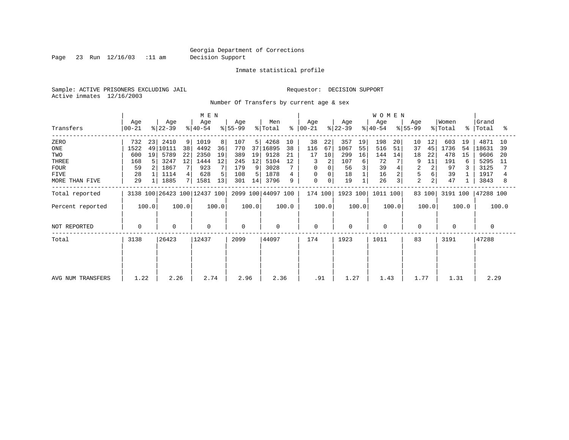Page 23 Run 12/16/03 :11 am Decision Support

Inmate statistical profile

Sample: ACTIVE PRISONERS EXCLUDING JAIL **Requestor: DECISION SUPPORT** Active inmates 12/16/2003

Number Of Transfers by current age & sex

|                   | M E N            |       |                  |       |                              |       |                  |       |                    |       |                    |          |                  |       | <b>WOMEN</b>     |       |                  |                |                  |       |                      |       |
|-------------------|------------------|-------|------------------|-------|------------------------------|-------|------------------|-------|--------------------|-------|--------------------|----------|------------------|-------|------------------|-------|------------------|----------------|------------------|-------|----------------------|-------|
| Transfers         | Age<br>$ 00-21 $ |       | Age<br>$ 22-39 $ |       | Age<br>$ 40-54 $             |       | Age<br>$ 55-99 $ |       | Men<br>% Total     |       | Age<br>$8   00-21$ |          | Age<br>$ 22-39 $ |       | Age<br>$ 40-54 $ |       | Age<br>$ 55-99 $ |                | Women<br>% Total |       | Grand<br>%   Total   | ႜ     |
| ZERO              | 732              | 23    | 2410             | 9     | 1019                         | 8     | 107              | 5     | 4268               | 10    | 38                 | 22       | 357              | 19    | 198              | 20    | 10               | 12             | 603              | 19    | 4871                 | 10    |
| ONE               | 1522             | 49    | 10111            | 38    | 4492                         | 36    | 770              | 37    | 16895              | 38    | 116                | 67       | 1067             | 55    | 516              | 51    | 37               | 45             | 1736             | 54    | 18631                | 39    |
| TWO               | 600              | 19    | 5789             | 22    | 2350                         | 19    | 389              | 19    | 9128               | 21    | 17                 | 10       | 299              | 16    | 144              | 14    | 18               | 22             | 478              | 15    | 9606                 | -20   |
| THREE             | 168              |       | 3247             | 12    | 1444                         | 12    | 245              | 12    | 5104               | 12    | 3                  |          | 107              | 6     | 72               |       | 9                | 11             | 191              | 6     | 5295                 | -11   |
| <b>FOUR</b>       | 59               |       | 1867             |       | 923                          |       | 179              | 9     | 3028               |       | $\Omega$           |          | 56               |       | 39               |       | 2                | 2              | 97               |       | 3125                 |       |
| <b>FIVE</b>       | 28               |       | 1114             | 4     | 628                          | 5     | 108              | 5.    | 1878               |       | $\Omega$           | $\Omega$ | 18               |       | 16               | 2     | 5                |                | 39               |       | 1917                 |       |
| MORE THAN FIVE    | 29               |       | 1885             |       | 1581                         | 13    | 301              | 14    | 3796               | 9     | 0                  | 0        | 19               |       | 26               | 3     | $\overline{2}$   | $\overline{2}$ | 47               |       | 3843                 | 8     |
| Total reported    |                  |       |                  |       | 3138 100 26423 100 12437 100 |       |                  |       | 2099 100 44097 100 |       | 174 100            |          | 1923 100         |       | 1011 100         |       |                  | 83 100         |                  |       | 3191 100   47288 100 |       |
| Percent reported  |                  | 100.0 |                  | 100.0 |                              | 100.0 |                  | 100.0 |                    | 100.0 |                    | 100.0    |                  | 100.0 |                  | 100.0 |                  | 100.0          |                  | 100.0 |                      | 100.0 |
| NOT REPORTED      | 0                |       | $\mathbf 0$      |       | $\mathbf{0}$                 |       | $\Omega$         |       | $\mathbf 0$        |       | $\mathbf 0$        |          | $\Omega$         |       | $\mathbf 0$      |       | $\mathbf 0$      |                | $\Omega$         |       | $\Omega$             |       |
| Total             | 3138             |       | 26423            |       | 12437                        |       | 2099             |       | 44097              |       | 174                |          | 1923             |       | 1011             |       | 83               |                | 3191             |       | 47288                |       |
|                   |                  |       |                  |       |                              |       |                  |       |                    |       |                    |          |                  |       |                  |       |                  |                |                  |       |                      |       |
|                   |                  |       |                  |       |                              |       |                  |       |                    |       |                    |          |                  |       |                  |       |                  |                |                  |       |                      |       |
| AVG NUM TRANSFERS | 1.22             |       | 2.26             |       | 2.74                         |       | 2.96             |       | 2.36               |       | .91                |          | 1.27             |       | 1.43             |       | 1.77             |                | 1.31             |       | 2.29                 |       |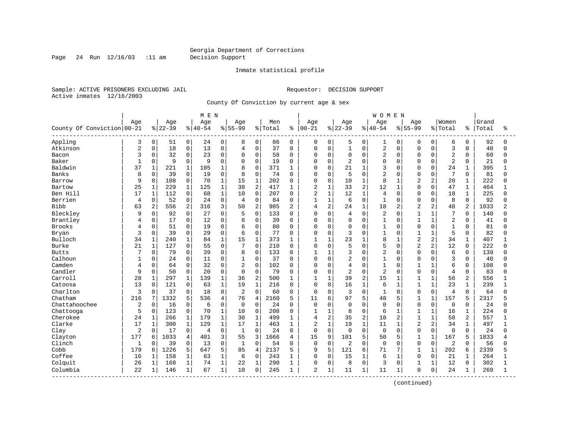Page 24 Run 12/16/03 :11 am Decision Support

#### Inmate statistical profile

Sample: ACTIVE PRISONERS EXCLUDING JAIL **Requestor: DECISION SUPPORT** Active inmates 12/16/2003

County Of Conviction by current age & sex

|                              |                |                |           |                | M E N     |                |                |                |         |                |                |              |                |                | WOMEN          |              |                |                |                |                |       |          |
|------------------------------|----------------|----------------|-----------|----------------|-----------|----------------|----------------|----------------|---------|----------------|----------------|--------------|----------------|----------------|----------------|--------------|----------------|----------------|----------------|----------------|-------|----------|
|                              | Age            |                | Age       |                | Age       |                | Age            |                | Men     |                | Age            |              | Age            |                | Age            |              | Age            |                | Women          |                | Grand |          |
| County Of Conviction   00-21 |                |                | $8 22-39$ |                | $8 40-54$ |                | $8 55-99$      |                | % Total | ႜ              | $ 00 - 21$     |              | $8 22-39$      |                | $8 40-54$      |              | $8 55-99$      |                | % Total        | နွ             | Total | ႜ        |
| Appling                      | 3              | 0              | 51        | 0              | 24        | 0              | 8              | 0              | 86      | 0              | 0              | 0            | 5              | $\mathbf 0$    | 1              | 0            | $\Omega$       | 0              | 6              | 0              | 92    | $\Omega$ |
| Atkinson                     | $\overline{2}$ | 0              | 18        | $\mathsf 0$    | 13        | $\mathbf 0$    | 4              | $\mathbf 0$    | 37      | $\mathbf 0$    | 0              | $\mathbf 0$  | $\mathbf{1}$   | $\mathbf 0$    | $\overline{2}$ | 0            | $\Omega$       | $\Omega$       | 3              | $\Omega$       | 40    | $\Omega$ |
| Bacon                        | 3              | 0              | 32        | $\mathbf 0$    | 23        | 0              | $\mathbf 0$    | $\Omega$       | 58      | $\Omega$       | $\Omega$       | $\mathbf 0$  | $\mathbf 0$    | $\Omega$       | $\overline{2}$ | 0            | $\Omega$       | $\Omega$       | $\overline{2}$ | $\Omega$       | 60    | $\Omega$ |
| Baker                        | $\mathbf{1}$   | 0              | 9         | $\mathsf 0$    | 9         | $\Omega$       | $\mathbf 0$    | $\Omega$       | 19      | $\Omega$       | O              | $\mathbf 0$  | 2              | $\Omega$       | $\mathbf 0$    | $\Omega$     | $\Omega$       | $\Omega$       | $\overline{2}$ | $\Omega$       | 21    | U        |
| Baldwin                      | 37             | $\mathbf{1}$   | 221       | $\mathbf{1}$   | 105       | 1              | 8              | $\Omega$       | 371     | $\mathbf{1}$   | $\Omega$       | $\Omega$     | 21             | $\mathbf{1}$   | 3              | $\cap$       | $\Omega$       | $\Omega$       | 24             | $\mathbf{1}$   | 395   |          |
| <b>Banks</b>                 | 8              | 0              | 39        | $\mathbf 0$    | 19        | $\Omega$       | 8              | $\Omega$       | 74      | $\Omega$       | O              | $\mathbf 0$  | 5              | $\Omega$       | $\overline{2}$ | $\Omega$     | $\Omega$       | $\Omega$       | 7              | $\Omega$       | 81    | $\Omega$ |
| Barrow                       | 9              | 0              | 108       | $\mathsf 0$    | 70        | $\mathbf{1}$   | 15             | $1\,$          | 202     | $\Omega$       | 0              | $\mathbf 0$  | 10             | $\mathbf 1$    | 8              | $\mathbf{1}$ | $\overline{a}$ | $\overline{c}$ | 20             | $\mathbf 1$    | 222   |          |
| Bartow                       | 25             | $\mathbf 1$    | 229       | $\mathbf{1}$   | 125       | $\mathbf 1$    | 38             | $\overline{2}$ | 417     | 1              | 2              | $\mathbf{1}$ | 33             | 2              | 12             | $\mathbf 1$  | $\Omega$       | $\Omega$       | 47             | $\mathbf{1}$   | 464   |          |
| Ben Hill                     | 17             | $\mathbf 1$    | 112       | $\mathsf 0$    | 68        | 1              | 10             | $\mathbf 0$    | 207     | 0              | 2              | $\mathbf{1}$ | 12             | 1              | $\overline{4}$ | $\Omega$     | $\Omega$       | $\Omega$       | 18             | 1              | 225   | U        |
| Berrien                      | 4              | 0              | 52        | $\mathbf 0$    | 24        | 0              | 4              | $\mathbf 0$    | 84      | 0              | $\mathbf{1}$   | $\mathbf{1}$ | 6              | $\Omega$       | $\mathbf{1}$   | $\Omega$     | $\Omega$       | 0              | 8              | $\mathbf 0$    | 92    |          |
| <b>Bibb</b>                  | 63             | $\overline{a}$ | 556       | $\overline{2}$ | 316       | 3              | 50             | $\overline{2}$ | 985     | $\overline{2}$ | 4              | 2            | 24             | $\mathbf{1}$   | 18             | 2            | $\overline{a}$ | 2              | 48             | $\overline{a}$ | 1033  |          |
| Bleckley                     | 9              | $\Omega$       | 92        | $\Omega$       | 27        | $\Omega$       | 5              | $\Omega$       | 133     | $\Omega$       | $\Omega$       | $\Omega$     | 4              | $\Omega$       | $\overline{2}$ | $\Omega$     | $\mathbf{1}$   | $\mathbf{1}$   | 7              | $\Omega$       | 140   |          |
| Brantley                     | 4              | 0              | 17        | $\mathsf 0$    | 12        | $\mathbf 0$    | 6              | $\mathbf 0$    | 39      | $\Omega$       | $\Omega$       | $\mathbf 0$  | $\mathbf 0$    | $\Omega$       | $\mathbf{1}$   | $\Omega$     | $\mathbf{1}$   | $\mathbf{1}$   | $\overline{2}$ | $\Omega$       | 41    |          |
| <b>Brooks</b>                | 4              | 0              | 51        | $\mathbf 0$    | 19        | $\Omega$       | 6              | $\Omega$       | 80      | $\Omega$       | $\Omega$       | $\Omega$     | $\mathbf 0$    | $\cap$         | $\mathbf{1}$   | 0            | $\Omega$       | $\Omega$       | $\mathbf{1}$   | $\Omega$       | 81    |          |
| Bryan                        | 3              | 0              | 39        | $\mathbf 0$    | 29        | 0              | 6              | $\Omega$       | 77      | $\Omega$       | $\Omega$       | $\mathbf 0$  | 3              | $\cap$         | $\mathbf{1}$   | $\Omega$     | $\mathbf{1}$   | $\mathbf{1}$   | 5              | $\Omega$       | 82    | n        |
| Bulloch                      | 34             | $\mathbf{1}$   | 240       | $\mathbf 1$    | 84        | $\mathbf{1}$   | 15             | $\mathbf{1}$   | 373     |                | $\mathbf{1}$   | $\mathbf{1}$ | 23             | $\mathbf{1}$   | 8              |              | $\overline{2}$ | 2              | 34             | $\mathbf{1}$   | 407   |          |
| <b>Burke</b>                 | 21             | $\mathbf 1$    | 127       | $\mathbf 0$    | 55        | $\Omega$       | 7              | $\Omega$       | 210     | $\Omega$       | $\Omega$       | $\Omega$     | 5              | $\Omega$       | 5              | 0            | $\overline{a}$ | 2              | 12             | $\Omega$       | 222   |          |
| <b>Butts</b>                 | 7              | $\Omega$       | 79        | $\mathbf 0$    | 39        | $\Omega$       | 8              | $\mathbf 0$    | 133     | 0              | 1              | $\mathbf{1}$ | 3              | $\Omega$       | $\overline{2}$ | $\Omega$     | $\Omega$       | $\Omega$       | 6              | $\Omega$       | 139   | ∩        |
| Calhoun                      | $\mathbf{1}$   | 0              | 24        | $\mathsf 0$    | 11        | 0              | 1              | $\mathbf 0$    | 37      | $\Omega$       | 0              | $\mathbf 0$  | 2              | $\Omega$       | $\mathbf{1}$   | 0            | $\Omega$       | $\mathbf 0$    | 3              | $\mathbf 0$    | 40    |          |
| Camden                       | 4              | 0              | 64        | $\mathbf 0$    | 32        | $\mathbf 0$    | 2              | $\mathbf 0$    | 102     | $\Omega$       | $\Omega$       | $\mathbf 0$  | 4              | $\Omega$       | $\mathbf{1}$   | O            | $\mathbf{1}$   | $\mathbf{1}$   | 6              | $\Omega$       | 108   | U        |
| Candler                      | 9              | 0              | 50        | $\mathbf 0$    | 20        | 0              | $\mathbf 0$    | $\mathbf 0$    | 79      | 0              | 0              | 0            | $\overline{2}$ | $\Omega$       | $\overline{2}$ | 0            | $\Omega$       | $\Omega$       | $\overline{4}$ | $\Omega$       | 83    |          |
| Carroll                      | 28             | $\mathbf 1$    | 297       | $\mathbf 1$    | 139       | $\mathbf{1}$   | 36             | $\overline{2}$ | 500     | 1              | $\mathbf{1}$   | $\mathbf{1}$ | 39             | $\overline{a}$ | 15             | $\mathbf{1}$ | $\mathbf{1}$   | $\mathbf{1}$   | 56             | $\overline{a}$ | 556   |          |
| Catoosa                      | 13             | $\Omega$       | 121       | $\Omega$       | 63        | $\mathbf{1}$   | 19             | $\mathbf{1}$   | 216     | $\Omega$       | $\Omega$       | $\Omega$     | 16             | $\mathbf{1}$   | 6              | $\mathbf{1}$ | $\mathbf{1}$   | $\mathbf{1}$   | 23             | $\mathbf{1}$   | 239   |          |
| Charlton                     | 3              | 0              | 37        | $\mathbf 0$    | 18        | $\Omega$       | $\overline{c}$ | $\Omega$       | 60      | $\Omega$       | 0              | $\Omega$     | 3              | $\Omega$       | $\mathbf{1}$   | $\Omega$     | $\Omega$       | 0              | 4              | $\Omega$       | 64    |          |
| Chatham                      | 216            | 7              | 1332      | 5              | 536       | $\overline{4}$ | 76             | $\overline{4}$ | 2160    | 5              | 11             | 6            | 97             | 5              | 48             | 5            | $\mathbf{1}$   | $\mathbf{1}$   | 157            | 5              | 2317  |          |
| Chattahoochee                | $\overline{c}$ | 0              | 16        | $\mathbf 0$    | 6         | $\mathbf 0$    | $\mathbf 0$    | $\mathbf 0$    | 24      | $\Omega$       | 0              | $\Omega$     | $\mathbf 0$    | $\Omega$       | $\mathbf 0$    | $\Omega$     | $\Omega$       | $\Omega$       | $\mathbf 0$    | $\Omega$       | 24    |          |
| Chattooga                    | 5              | 0              | 123       | $\mathsf 0$    | 70        | 1              | 10             | $\mathbf 0$    | 208     | 0              | $\mathbf{1}$   | $\mathbf{1}$ | 8              | $\Omega$       | 6              | 1            | $\mathbf{1}$   | $\mathbf{1}$   | 16             | 1              | 224   | U        |
| Cherokee                     | 24             | $\mathbf{1}$   | 266       | 1              | 179       | $\mathbf{1}$   | 30             | $\mathbf{1}$   | 499     | 1              | 4              | 2            | 35             | 2              | 18             | 2            | $\mathbf{1}$   | $\mathbf{1}$   | 58             | 2              | 557   |          |
| Clarke                       | 17             | $\mathbf{1}$   | 300       | $\mathbf{1}$   | 129       | $\mathbf{1}$   | 17             | $\mathbf{1}$   | 463     | 1              | $\overline{2}$ | $\mathbf{1}$ | 19             | $\mathbf{1}$   | 11             | $\mathbf{1}$ | $\overline{2}$ | 2              | 34             | $\mathbf 1$    | 497   |          |
| Clay                         | 2              | 0              | 17        | $\mathbf 0$    | 4         | $\mathbf 0$    | $\mathbf{1}$   | $\mathbf 0$    | 24      | $\mathbf 0$    | 0              | $\mathbf 0$  | $\mathbf 0$    | $\Omega$       | $\mathbf 0$    | $\Omega$     | $\Omega$       | 0              | $\mathbf 0$    | $\Omega$       | 24    |          |
| Clayton                      | 177            | 6              | 1033      | 4              | 401       | 3              | 55             | 3              | 1666    | 4              | 15             | 9            | 101            | 5              | 50             | 5            | $\mathbf{1}$   | $\mathbf{1}$   | 167            | 5              | 1833  |          |
| Clinch                       | $\mathbf{1}$   | $\Omega$       | 39        | $\Omega$       | 13        | $\Omega$       | $\mathbf{1}$   | $\Omega$       | 54      | $\Omega$       | $\Omega$       | $\mathbf 0$  | $\overline{2}$ | $\Omega$       | $\Omega$       | $\Omega$     | $\Omega$       | $\Omega$       | 2              | $\Omega$       | 56    | $\Omega$ |
| Cobb                         | 179            | 6              | 1226      | 5              | 647       | 5              | 85             | $\overline{4}$ | 2137    | 5              | 9              | 5            | 121            | 6              | 71             | 7            | $\mathbf{1}$   | $\mathbf{1}$   | 202            | 6              | 2339  |          |
| Coffee                       | 16             | $\mathbf{1}$   | 158       | $\mathbf{1}$   | 63        | $\mathbf{1}$   | 6              | $\Omega$       | 243     | 1              | $\Omega$       | $\Omega$     | 15             | $\mathbf{1}$   | 6              | $\mathbf 1$  | $\Omega$       | $\Omega$       | 21             | 1              | 264   |          |
| Colquit                      | 26             | $\mathbf 1$    | 168       | $\mathbf 1$    | 74        | $\mathbf{1}$   | 22             | $\mathbf{1}$   | 290     | 1              | 0              | $\mathbf 0$  | 8              | $\Omega$       | 3              | $\Omega$     | $\mathbf{1}$   | $\mathbf{1}$   | 12             | $\Omega$       | 302   |          |
| Columbia<br>----------       | 22             | 1              | 146       | $\mathbf{1}$   | 67        | $\mathbf{1}$   | 10             | $\mathbf 0$    | 245     | 1              | $\overline{2}$ | $\mathbf{1}$ | 11             | 1              | 11             | $\mathbf{1}$ | $\Omega$       | 0              | 24             | 1              | 269   |          |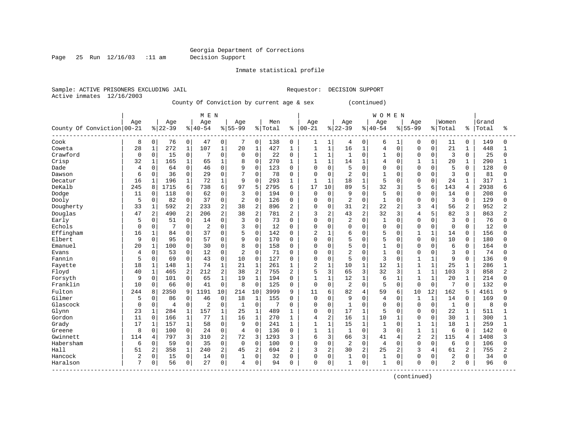Page 25 Run 12/16/03 :11 am Decision Support

Inmate statistical profile

Sample: ACTIVE PRISONERS EXCLUDING JAIL **Requestor: DECISION SUPPORT** Active inmates 12/16/2003

County Of Conviction by current age & sex (continued)

|                            |          |                |          |              | M E N          |                |                |                |         |                |                |                |                |                | <b>WOMEN</b>   |                |                |                |                |              |       |                |
|----------------------------|----------|----------------|----------|--------------|----------------|----------------|----------------|----------------|---------|----------------|----------------|----------------|----------------|----------------|----------------|----------------|----------------|----------------|----------------|--------------|-------|----------------|
|                            | Age      |                | Age      |              | Age            |                | Age            |                | Men     |                | Age            |                | Age            |                | Age            |                | Age            |                | Women          |              | Grand |                |
| County Of Conviction 00-21 |          |                | $ 22-39$ |              | $8 40-54$      |                | $8 55-99$      |                | % Total | ႜ              | $ 00 - 21$     |                | $8 22-39$      |                | $8140 - 54$    |                | $8155 - 99$    |                | % Total        | ႜ            | Total | ႜ              |
| Cook                       | 8        | 0              | 76       | $\mathbf 0$  | 47             | $\mathbf 0$    | 7              | $\mathbf 0$    | 138     | 0              | 1              | 1              | 4              | 0              | 6              | 1              | 0              | 0              | 11             | $\mathbf 0$  | 149   | ∩              |
| Coweta                     | 28       | $1\,$          | 272      | 1            | 107            | $\mathbf{1}$   | 20             | $\mathbf 1$    | 427     | $\mathbf{1}$   | $\mathbf{1}$   | $\mathbf{1}$   | 16             | $\mathbf{1}$   | $\overline{4}$ | $\Omega$       | $\Omega$       | $\Omega$       | 21             | 1            | 448   |                |
| Crawford                   | 0        | 0              | 15       | $\mathbf 0$  | 7              | $\mathbf 0$    | $\mathbf 0$    | $\Omega$       | 22      | 0              | 1              | $\mathbf{1}$   | 1              | $\Omega$       | $\mathbf{1}$   | $\Omega$       | $\Omega$       | $\Omega$       | 3              | $\mathbf 0$  | 25    | $\Omega$       |
| Crisp                      | 32       | $\mathbf{1}$   | 165      | $\mathbf{1}$ | 65             | $\mathbf{1}$   | 8              | $\mathbf 0$    | 270     | 1              | $\mathbf{1}$   | $\mathbf{1}$   | 14             | $\mathbf{1}$   | 4              | $\Omega$       | $\mathbf{1}$   | $\mathbf{1}$   | 20             | $\mathbf{1}$ | 290   |                |
| Dade                       | 4        | $\mathbf 0$    | 64       | $\mathbf 0$  | 46             | $\Omega$       | 9              | $\mathbf 0$    | 123     | $\mathbf 0$    | $\mathbf 0$    | $\mathbf 0$    | 5              | $\Omega$       | $\Omega$       | 0              | $\Omega$       | $\Omega$       | 5              | $\Omega$     | 128   | U              |
| Dawson                     | 6        | $\mathbf 0$    | 36       | $\mathbf 0$  | 29             | $\Omega$       | 7              | $\Omega$       | 78      | $\mathbf 0$    | $\mathbf 0$    | $\mathbf 0$    | $\overline{2}$ | $\Omega$       | $\mathbf{1}$   | $\Omega$       | $\Omega$       | $\Omega$       | 3              | $\Omega$     | 81    | U              |
| Decatur                    | 16       | 1              | 196      | 1            | 72             | 1              | 9              | $\Omega$       | 293     | 1              | 1              | 1              | 18             | 1              | 5              | 0              | $\Omega$       | $\Omega$       | 24             |              | 317   |                |
| DeKalb                     | 245      | 8              | 1715     | 6            | 738            | 6              | 97             | 5              | 2795    | 6              | 17             | 10             | 89             | 5              | 32             | 3              | 5              | 6              | 143            | 4            | 2938  |                |
| Dodge                      | 11       | $\mathbf 0$    | 118      | 0            | 62             | $\Omega$       | 3              | $\Omega$       | 194     | 0              | $\mathbf 0$    | $\overline{0}$ | 9              | $\Omega$       | 5              | U              | $\Omega$       | $\Omega$       | 14             | $\Omega$     | 208   | ∩              |
| Dooly                      | 5        | 0              | 82       | $\mathbf 0$  | 37             | $\mathbf 0$    | 2              | $\mathbf 0$    | 126     | $\mathbf 0$    | $\mathbf 0$    | $\mathbf 0$    | $\overline{2}$ | $\Omega$       | $\mathbf{1}$   | $\Omega$       | $\Omega$       | $\Omega$       | 3              | $\Omega$     | 129   | O              |
| Dougherty                  | 33       | 1              | 592      | 2            | 233            | 2              | 38             | 2              | 896     | 2              | 0              | $\mathbf 0$    | 31             | 2              | 22             | 2              | 3              | 4              | 56             | 2            | 952   | 2              |
| Douglas                    | 47       | $\overline{2}$ | 490      | 2            | 206            | $\overline{a}$ | 38             | 2              | 781     | 2              | 3              | 2              | 43             | 2              | 32             | 3              | $\overline{4}$ | 5              | 82             | 3            | 863   | 2              |
| Early                      | 5        | 0              | 51       | $\mathbf 0$  | 14             | $\Omega$       | 3              | $\Omega$       | 73      | $\Omega$       | $\Omega$       | $\Omega$       | $\overline{2}$ | $\Omega$       | $\mathbf{1}$   | 0              | $\Omega$       | $\Omega$       | 3              | $\Omega$     | 76    | Λ              |
| Echols                     | $\Omega$ | $\mathbf 0$    | 7        | $\mathbf 0$  | $\overline{2}$ | $\Omega$       | 3              | $\Omega$       | 12      | $\Omega$       | $\Omega$       | $\Omega$       | $\Omega$       | $\Omega$       | $\Omega$       | 0              | $\Omega$       | $\Omega$       | $\Omega$       | $\Omega$     | 12    | $\Omega$       |
| Effingham                  | 16       | 1              | 84       | $\mathbf 0$  | 37             | $\mathbf 0$    | 5              | $\mathbf 0$    | 142     | $\mathbf 0$    | $\overline{2}$ |                | 6              | $\Omega$       | 5              | U              | $\mathbf{1}$   | 1              | 14             | 0            | 156   |                |
| Elbert                     | 9        | $\mathbf 0$    | 95       | $\mathbf 0$  | 57             | $\Omega$       | 9              | $\mathbf 0$    | 170     | 0              | $\mathbf 0$    | $\Omega$       | 5              | $\Omega$       | 5              | O              | $\Omega$       | $\Omega$       | 10             | $\Omega$     | 180   |                |
| Emanuel                    | 20       | $\mathbf{1}$   | 100      | 0            | 30             | $\Omega$       | 8              | $\Omega$       | 158     | $\Omega$       | $\Omega$       | $\Omega$       | 5              | $\Omega$       | $\mathbf{1}$   | $\Omega$       | $\Omega$       | $\Omega$       | 6              | $\Omega$     | 164   |                |
| Evans                      | 4        | $\Omega$       | 53       | $\Omega$     | 12             | $\Omega$       | $\overline{a}$ | $\Omega$       | 71      | $\Omega$       | 0              | $\Omega$       | $\overline{a}$ | $\Omega$       | $\mathbf{1}$   | $\Omega$       | $\Omega$       | $\Omega$       | 3              | $\Omega$     | 74    |                |
| Fannin                     | 5        | 0              | 69       | $\mathbf 0$  | 43             | $\mathbf 0$    | 10             | $\mathbf 0$    | 127     | 0              | 0              | $\mathbf{0}$   | 5              | 0              | 3              | 0              | $\mathbf{1}$   | $\mathbf{1}$   | 9              | $\mathbf 0$  | 136   |                |
| Fayette                    | 18       | $\mathbf{1}$   | 148      | 1            | 74             | $\mathbf{1}$   | 21             | $\mathbf{1}$   | 261     | $\mathbf{1}$   | $\overline{2}$ | $\mathbf{1}$   | 10             | $\mathbf{1}$   | 12             | $\mathbf 1$    | 1              | $\mathbf{1}$   | 25             | $\mathbf{1}$ | 286   |                |
| Floyd                      | 40       | $\mathbf{1}$   | 465      | 2            | 212            | $\overline{2}$ | 38             | $\overline{2}$ | 755     | 2              | 5              | 3              | 65             | 3              | 32             | 3              | 1              | $\mathbf{1}$   | 103            | 3            | 858   | $\overline{2}$ |
| Forsyth                    | 9        | $\mathbf 0$    | 101      | $\mathbf 0$  | 65             | 1              | 19             | $\mathbf{1}$   | 194     | $\mathbf 0$    | $\mathbf{1}$   | $\mathbf{1}$   | 12             | 1              | 6              | 1              | $\mathbf{1}$   | 1              | 20             | 1            | 214   | O              |
| Franklin                   | 10       | $\mathbf 0$    | 66       | $\mathbf 0$  | 41             | $\mathbf 0$    | 8              | $\mathbf 0$    | 125     | 0              | $\mathbf 0$    | $\mathbf{0}$   | $\overline{2}$ | 0              | 5              | 0              | $\Omega$       | $\mathbf 0$    | 7              | $\Omega$     | 132   |                |
| Fulton                     | 244      | 8              | 2350     | 9            | 1191           | 10             | 214            | 10             | 3999    | 9              | 11             | 6              | 82             | 4              | 59             | 6              | 10             | 12             | 162            | 5            | 4161  |                |
| Gilmer                     | 5        | $\mathbf 0$    | 86       | 0            | 46             | $\mathbf 0$    | 18             | 1              | 155     | $\mathbf 0$    | $\mathbf 0$    | $\Omega$       | 9              | $\Omega$       | $\overline{4}$ | $\Omega$       | $\mathbf{1}$   | $\mathbf{1}$   | 14             | $\Omega$     | 169   | ∩              |
| Glascock                   | $\Omega$ | $\mathbf 0$    | 4        | $\mathbf 0$  | $\overline{2}$ | $\mathbf 0$    | $\mathbf{1}$   | $\Omega$       | 7       | $\Omega$       | $\mathbf 0$    | $\Omega$       | $\mathbf{1}$   | $\Omega$       | $\mathbf 0$    | $\Omega$       | $\Omega$       | $\Omega$       | $\mathbf{1}$   | $\Omega$     | 8     | U              |
| Glynn                      | 23       | $\mathbf{1}$   | 284      | 1            | 157            | $\mathbf{1}$   | 25             | $\mathbf 1$    | 489     | 1              | 0              | 0              | 17             | $\mathbf{1}$   | 5              | $\Omega$       | $\Omega$       | $\Omega$       | 22             | 1            | 511   |                |
| Gordon                     | 11       | $\mathbf 0$    | 166      | $\mathbf{1}$ | 77             | $\mathbf{1}$   | 16             | $\mathbf{1}$   | 270     | $\mathbf{1}$   | 4              | 2              | 16             | $\mathbf{1}$   | 10             | $\mathbf{1}$   | $\Omega$       | $\Omega$       | 30             | $\mathbf{1}$ | 300   | $\mathbf{1}$   |
| Grady                      | 17       | $1\,$          | 157      | $\mathbf{1}$ | 58             | $\mathbf{0}$   | 9              | $\Omega$       | 241     | 1              | $\mathbf{1}$   | $\mathbf{1}$   | 15             | $\mathbf{1}$   | $\mathbf{1}$   | $\Omega$       | $\mathbf{1}$   | $\mathbf{1}$   | 18             | $\mathbf 1$  | 259   | $\mathbf{1}$   |
| Greene                     | 8        | $\mathbf 0$    | 100      | $\mathbf 0$  | 24             | $\mathbf 0$    | $\overline{4}$ | $\Omega$       | 136     | 0              | $\mathbf{1}$   | $\mathbf{1}$   | $\mathbf{1}$   | $\Omega$       | 3              | O              | $\mathbf{1}$   | $\mathbf{1}$   | 6              | $\Omega$     | 142   | U              |
| Gwinnett                   | 114      | $\overline{4}$ | 797      | 3            | 310            | 2              | 72             | 3              | 1293    | 3              | 6              | 3              | 66             | 3              | 41             | 4              | $\overline{c}$ | $\overline{a}$ | 115            | 4            | 1408  |                |
| Habersham                  | 6        | $\mathbf 0$    | 59       | $\Omega$     | 35             | $\Omega$       | $\Omega$       | $\Omega$       | 100     | $\Omega$       | $\Omega$       | $\Omega$       | $\overline{2}$ | $\Omega$       | $\overline{4}$ | $\Omega$       | $\Omega$       | <sup>0</sup>   | 6              | $\Omega$     | 106   | U              |
| Hall                       | 51       | $\overline{2}$ | 358      | $\mathbf{1}$ | 240            | $\overline{2}$ | 45             | $\overline{2}$ | 694     | $\overline{2}$ | 3              | $\overline{2}$ | 30             | $\overline{a}$ | 25             | $\overline{a}$ | 3              | 4              | 61             | 2            | 755   | 2              |
| Hancock                    | 2        | 0              | 15       | $\mathsf{O}$ | 14             | $\mathbf 0$    | 1              | $\mathbf 0$    | 32      | $\mathbf 0$    | 0              | $\mathbf 0$    | 1              | $\Omega$       | $1\,$          | 0              | $\Omega$       | $\Omega$       | 2              | 0            | 34    |                |
| Haralson                   | 7        | 0              | 56       | 0            | 27             | $\mathbf{0}$   | 4              | 0              | 94      | 0              | $\mathbf 0$    | $\Omega$       | $\mathbf{1}$   | 0              | $\mathbf{1}$   | 0              | $\Omega$       | $\mathbf 0$    | $\overline{2}$ | 0            | 96    | $\Omega$       |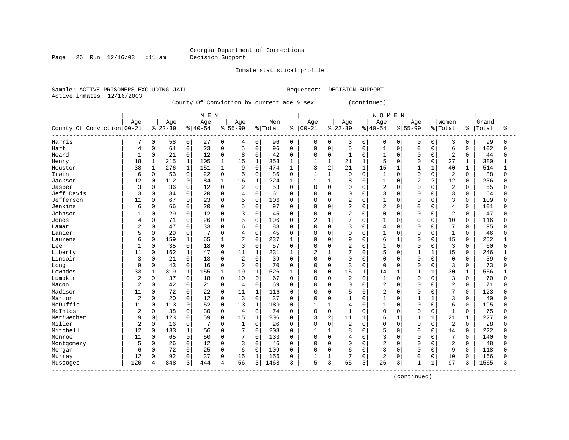Page 26 Run 12/16/03 :11 am Decision Support

Inmate statistical profile

Sample: ACTIVE PRISONERS EXCLUDING JAIL **Requestor: DECISION SUPPORT** Active inmates 12/16/2003

County Of Conviction by current age & sex (continued)

|                                |                |              |          |              | M E N     |              |                |              |         |          |              |                |                |              | <b>WOMEN</b>   |              |                |              |                |              |       |          |
|--------------------------------|----------------|--------------|----------|--------------|-----------|--------------|----------------|--------------|---------|----------|--------------|----------------|----------------|--------------|----------------|--------------|----------------|--------------|----------------|--------------|-------|----------|
|                                | Age            |              | Age      |              | Age       |              | Age            |              | Men     |          | Age          |                | Age            |              | Age            |              | Age            |              | Women          |              | Grand |          |
| County Of Conviction 00-21     |                |              | $ 22-39$ |              | $8 40-54$ |              | $8155 - 99$    |              | % Total | ႜ        | $ 00 - 21$   |                | $8 22-39$      |              | $8 40-54$      |              | $8155 - 99$    |              | % Total        | ႜ            | Total | ႜ        |
| Harris                         | 7              | 0            | 58       | 0            | 27        | $\mathbf 0$  | 4              | 0            | 96      | 0        | 0            | 0              | 3              | 0            | 0              | 0            | $\Omega$       | 0            | 3              | 0            | 99    | n        |
| Hart                           | 4              | 0            | 64       | $\mathbf 0$  | 23        | $\mathbf 0$  | 5              | $\mathbf 0$  | 96      | $\Omega$ | 0            | $\mathbf 0$    | 5              | $\Omega$     | $\mathbf{1}$   | $\Omega$     | $\Omega$       | $\Omega$     | 6              | $\Omega$     | 102   | $\Omega$ |
| Heard                          | 1              | 0            | 21       | $\mathbf 0$  | 12        | $\mathbf 0$  | 8              | $\mathbf 0$  | 42      | $\Omega$ | 0            | $\mathbf 0$    | $\mathbf{1}$   | 0            | 1              | $\Omega$     | $\Omega$       | $\Omega$     | $\overline{2}$ | 0            | 44    |          |
| Henry                          | 18             | $\mathbf 1$  | 215      | $\mathbf 1$  | 105       | $\mathbf{1}$ | 15             | $\mathbf{1}$ | 353     | 1        | $\mathbf{1}$ | $\mathbf{1}$   | 21             | $\mathbf{1}$ | 5              | $\Omega$     | $\Omega$       | $\Omega$     | 27             | $\mathbf{1}$ | 380   |          |
| Houston                        | 38             | $\mathbf{1}$ | 276      | $\mathbf{1}$ | 151       | $\mathbf{1}$ | 9              | $\mathbf 0$  | 474     | 1        | 3            | 2              | 21             | $\mathbf{1}$ | 15             | 1            | $\mathbf{1}$   | $\mathbf 1$  | 40             | $\mathbf 1$  | 514   |          |
| Irwin                          | 6              | 0            | 53       | 0            | 22        | 0            | 5              | $\Omega$     | 86      | $\Omega$ | $\mathbf{1}$ | $\mathbf{1}$   | $\mathbf 0$    | $\Omega$     | 1              | $\Omega$     | $\Omega$       | $\Omega$     | 2              | $\Omega$     | 88    | $\Omega$ |
| Jackson                        | 12             | 0            | 112      | $\mathsf 0$  | 84        | $\mathbf{1}$ | 16             | $\mathbf{1}$ | 224     |          | 1            | $\mathbf 1$    | 8              | $\Omega$     | $\mathbf{1}$   | 0            | $\overline{2}$ | 2            | 12             | $\Omega$     | 236   |          |
| Jasper                         | 3              | 0            | 36       | $\mathbf 0$  | 12        | $\Omega$     | $\overline{2}$ | $\Omega$     | 53      | $\Omega$ | $\Omega$     | $\Omega$       | 0              | $\Omega$     | $\overline{2}$ | 0            | $\Omega$       | O            | 2              | $\Omega$     | 55    |          |
| Jeff Davis                     | 3              | $\Omega$     | 34       | $\mathbf 0$  | 20        | 0            | 4              | $\Omega$     | 61      | $\Omega$ | $\Omega$     | $\Omega$       | $\mathbf 0$    | $\Omega$     | 3              | $\Omega$     | $\Omega$       | $\Omega$     | 3              | $\Omega$     | 64    |          |
| Jefferson                      | 11             | 0            | 67       | $\mathbf 0$  | 23        | 0            | 5              | $\mathbf 0$  | 106     | $\Omega$ | 0            | $\mathbf 0$    | 2              | $\Omega$     | $\mathbf{1}$   | O            | $\Omega$       | $\Omega$     | 3              | 0            | 109   |          |
| Jenkins                        | 6              | 0            | 66       | $\mathsf 0$  | 20        | 0            | 5              | $\mathbf 0$  | 97      | $\Omega$ | U            | 0              | $\overline{a}$ | $\Omega$     | $\overline{2}$ | 0            | $\Omega$       | 0            | 4              | $\Omega$     | 101   |          |
| Johnson                        |                | 0            | 29       | $\mathsf 0$  | 12        | 0            | 3              | $\mathbf{0}$ | 45      | $\Omega$ | $\Omega$     | $\mathbf 0$    | $\overline{2}$ | $\Omega$     | $\Omega$       | $\Omega$     | $\Omega$       | 0            | $\overline{2}$ | $\Omega$     | 47    |          |
| Jones                          | 4              | 0            | 71       | $\mathbf 0$  | 26        | $\Omega$     | 5              | $\mathbf 0$  | 106     | $\Omega$ | 2            | $\mathbf{1}$   | 7              | $\Omega$     | $\mathbf{1}$   | 0            | $\Omega$       | $\Omega$     | 10             | $\Omega$     | 116   |          |
| Lamar                          | $\overline{c}$ | 0            | 47       | $\mathbf 0$  | 33        | $\Omega$     | 6              | $\Omega$     | 88      | $\Omega$ | $\Omega$     | $\Omega$       | 3              | $\Omega$     | 4              | $\Omega$     | $\Omega$       | $\Omega$     | 7              | $\Omega$     | 95    | ∩        |
| Lanier                         | 5              | 0            | 29       | $\mathbf 0$  |           | $\Omega$     | 4              | $\mathbf 0$  | 45      | 0        | 0            | 0              | 0              | $\Omega$     | 1              | 0            | $\Omega$       | O            | $\mathbf{1}$   | $\Omega$     | 46    |          |
| Laurens                        | 6              | 0            | 159      | 1            | 65        | $\mathbf{1}$ | 7              | $\Omega$     | 237     | -1       | $\Omega$     | $\Omega$       | 9              | $\Omega$     | 6              | $\mathbf{1}$ | $\Omega$       | $\Omega$     | 15             | $\Omega$     | 252   |          |
| Lee                            | $\mathbf{1}$   | 0            | 35       | $\Omega$     | 18        | $\Omega$     | 3              | $\Omega$     | 57      | $\Omega$ | $\Omega$     | $\Omega$       | $\overline{2}$ | $\Omega$     | $\mathbf{1}$   | $\Omega$     | $\Omega$       | $\Omega$     | 3              | $\Omega$     | 60    |          |
| Liberty                        | 11             | 0            | 162      | $\mathbf 1$  | 47        | $\Omega$     | 11             | $\mathbf{1}$ | 231     | 1        | 2            | $\mathbf{1}$   | 7              | $\Omega$     | 5              | $\Omega$     | $\mathbf{1}$   | $\mathbf{1}$ | 15             | $\Omega$     | 246   |          |
| Lincoln                        | 3              | 0            | 21       | $\mathbf 0$  | 13        | 0            | 2              | $\mathbf 0$  | 39      | $\Omega$ | $\Omega$     | $\mathbf 0$    | $\mathbf 0$    | $\Omega$     | $\Omega$       | 0            | $\Omega$       | $\mathbf 0$  | $\mathbf 0$    | $\Omega$     | 39    |          |
| Long                           | 9              | 0            | 43       | $\mathbf 0$  | 16        | 0            | 2              | $\Omega$     | 70      | $\Omega$ | 0            | $\Omega$       | 3              | $\Omega$     | $\Omega$       | $\Omega$     | $\Omega$       | $\mathbf 0$  | 3              | $\Omega$     | 73    |          |
| Lowndes                        | 33             | 1            | 319      | 1            | 155       | $\mathbf 1$  | 19             | $\mathbf{1}$ | 526     | 1        | $\Omega$     | 0              | 15             | $\mathbf{1}$ | 14             | 1            | 1              | $\mathbf{1}$ | 30             | $\mathbf{1}$ | 556   |          |
| Lumpkin                        | $\overline{2}$ | 0            | 37       | $\mathbf 0$  | 18        | 0            | 10             | $\mathbf 0$  | 67      | 0        | 0            | 0              | $\overline{2}$ | $\Omega$     | 1              | 0            | $\Omega$       | $\Omega$     | 3              | $\Omega$     | 70    |          |
| Macon                          | $\overline{2}$ | 0            | 42       | $\mathsf 0$  | 21        | 0            | 4              | $\mathbf 0$  | 69      | 0        | 0            | 0              | $\mathbf 0$    | $\Omega$     | $\overline{2}$ | 0            | $\Omega$       | 0            | $\overline{2}$ | 0            | 71    |          |
| Madison                        | 11             | $\Omega$     | 72       | $\mathbf 0$  | 22        | $\Omega$     | 11             | $\mathbf{1}$ | 116     | $\Omega$ | $\Omega$     | $\Omega$       | 5              | $\Omega$     | $\overline{2}$ | 0            | $\Omega$       | U            | 7              | $\Omega$     | 123   |          |
| Marion                         | $\overline{2}$ | 0            | 20       | $\mathbf 0$  | 12        | $\Omega$     | $\overline{3}$ | $\Omega$     | 37      | $\Omega$ | $\Omega$     | $\Omega$       | $\mathbf{1}$   | $\cap$       | $\mathbf{1}$   | $\Omega$     | $\mathbf{1}$   | $\mathbf{1}$ | 3              | $\Omega$     | 40    |          |
| McDuffie                       | 11             | 0            | 113      | $\mathbf 0$  | 52        | $\Omega$     | 13             | $\mathbf{1}$ | 189     | 0        | 1            | $\overline{1}$ | 4              | $\Omega$     | $\mathbf{1}$   | $\Omega$     | $\Omega$       | $\Omega$     | 6              | $\Omega$     | 195   |          |
| McIntosh                       | $\sqrt{2}$     | 0            | 38       | $\mathsf 0$  | 30        | $\mathbf 0$  | $\overline{4}$ | $\mathbf 0$  | 74      | $\Omega$ | 0            | $\mathbf 0$    | $\mathbf{1}$   | $\Omega$     | $\Omega$       | $\Omega$     | $\Omega$       | $\Omega$     | $\mathbf{1}$   | 0            | 75    |          |
| Meriwether                     | 9              | 0            | 123      | $\mathbf 0$  | 59        | $\mathbf 0$  | 15             | $\mathbf{1}$ | 206     | $\Omega$ | 3            | $\overline{2}$ | 11             | $\mathbf{1}$ | 6              | $\mathbf{1}$ | $\mathbf{1}$   | $\mathbf{1}$ | 21             | $\mathbf{1}$ | 227   |          |
| Miller                         | $\overline{2}$ | 0            | 16       | $\mathbf 0$  | 7         | $\Omega$     | 1              | $\mathbf 0$  | 26      | $\Omega$ | 0            | $\mathbf 0$    | $\overline{2}$ | $\Omega$     | $\mathbf 0$    | 0            | $\Omega$       | $\Omega$     | 2              | $\Omega$     | 28    |          |
| Mitchell                       | 12             | 0            | 133      | $\mathbf{1}$ | 56        | $\mathbf 0$  | 7              | $\mathbf{0}$ | 208     | 0        | 1            | $\mathbf{1}$   | 8              | $\Omega$     | 5              | 0            | $\Omega$       | $\Omega$     | 14             | $\Omega$     | 222   |          |
| Monroe                         | 11             | 0            | 65       | $\mathbf 0$  | 50        | $\Omega$     | 7              | $\Omega$     | 133     | $\Omega$ | $\Omega$     | 0              | 4              | $\Omega$     | 3              | 0            | $\Omega$       | U            | 7              | $\Omega$     | 140   |          |
| Montgomery                     | 5              | 0            | 26       | $\Omega$     | 12        | $\Omega$     | 3              | $\Omega$     | 46      | $\Omega$ | $\Omega$     | $\Omega$       | $\Omega$       | $\Omega$     | $\overline{a}$ | $\Omega$     | $\Omega$       | O            | $\overline{2}$ | $\Omega$     | 48    |          |
| Morgan                         | 6              | 0            | 72       | $\mathbf 0$  | 25        | $\mathbf 0$  | 6              | $\mathbf 0$  | 109     | $\Omega$ | 0            | $\Omega$       | 6              | $\Omega$     | 3              | $\Omega$     | $\Omega$       | $\Omega$     | 9              | 0            | 118   |          |
| Murray                         | 12             | 0            | 92       | $\mathsf 0$  | 37        | $\mathbf 0$  | 15             | $\mathbf{1}$ | 156     | $\Omega$ |              | $\mathbf 1$    | 7              | $\Omega$     | $\overline{c}$ | 0            | $\Omega$       | 0            | 10             | 0            | 166   |          |
| Muscogee<br>------------------ | 120            | 4            | 848      | 3            | 444       | 4            | 56             | 3            | 1468    | 3        | 5            | 3              | 65             | 3            | 26             | 3            | 1              | $\mathbf{1}$ | 97             | 3            | 1565  | 3        |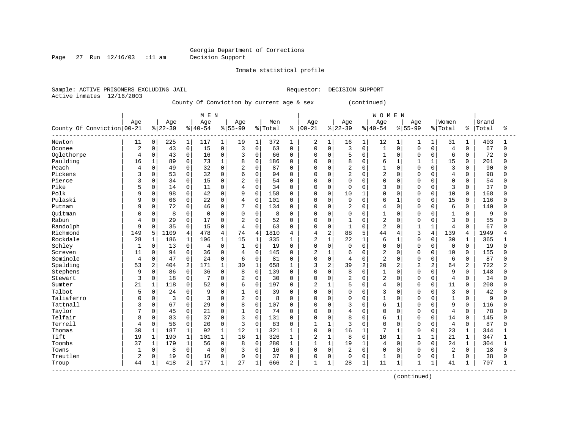# Georgia Department of Corrections<br>Decision Support

Page 27 Run 12/16/03 :11 am

Inmate statistical profile

|  |                           | Sample: ACTIVE PRISONERS EXCLUDING JAIL |                                           |  | Requestor: DECISION SUPPORT |             |
|--|---------------------------|-----------------------------------------|-------------------------------------------|--|-----------------------------|-------------|
|  | Active inmates 12/16/2003 |                                         |                                           |  |                             |             |
|  |                           |                                         | County Of Conviction by current age & sex |  |                             | (continued) |

|                            |                |                |          |                | M E N     |                |                |              |         |              |                |                  |                |          | WOMEN          |                |                |                |                |             |       |              |
|----------------------------|----------------|----------------|----------|----------------|-----------|----------------|----------------|--------------|---------|--------------|----------------|------------------|----------------|----------|----------------|----------------|----------------|----------------|----------------|-------------|-------|--------------|
|                            | Age            |                | Age      |                | Age       |                | Age            |              | Men     |              | Age            |                  | Age            |          | Age            |                | Age            |                | Women          |             | Grand |              |
| County Of Conviction 00-21 |                |                | $ 22-39$ |                | $8 40-54$ |                | $8 55-99$      |              | % Total | ႜ            | $00 - 21$      |                  | $ 22-39$       |          | $ 40-54$       |                | $8155 - 99$    |                | % Total        | ိ           | Total | ిక           |
| Newton                     | 11             | $\mathbf 0$    | 225      | $\mathbf{1}$   | 117       | $\mathbf 1$    | 19             | $\mathbf{1}$ | 372     | 1            | 2              | 1                | 16             | 1        | 12             |                | 1              | 1              | 31             | 1           | 403   | 1            |
| Oconee                     | 2              | $\mathbf 0$    | 43       | $\overline{0}$ | 15        | $\mathbf 0$    | 3              | $\mathbf 0$  | 63      | $\Omega$     | $\Omega$       | $\Omega$         | 3              | $\Omega$ | $\mathbf{1}$   | $\Omega$       | $\mathbf 0$    | $\Omega$       | $\overline{4}$ | $\Omega$    | 67    | $\Omega$     |
| Oglethorpe                 | $\overline{4}$ | $\mathbf 0$    | 43       | $\overline{0}$ | 16        | $\mathbf 0$    | 3              | $\mathbf 0$  | 66      | 0            | $\mathbf 0$    | $\mathbf 0$      | 5              | $\Omega$ | $\mathbf{1}$   | $\Omega$       | 0              | $\Omega$       | 6              | $\Omega$    | 72    | $\Omega$     |
| Paulding                   | 16             | $\mathbf{1}$   | 89       | $\mathbf 0$    | 73        | $\mathbf{1}$   | 8              | $\mathbf 0$  | 186     | $\Omega$     | $\Omega$       | $\Omega$         | 8              | $\Omega$ | 6              | $\mathbf{1}$   | $\mathbf{1}$   | $\mathbf{1}$   | 15             | $\Omega$    | 201   | $\Omega$     |
| Peach                      | 4              | $\Omega$       | 49       | 0              | 32        | $\mathbf 0$    | $\overline{2}$ | $\Omega$     | 87      | 0            | $\Omega$       | $\Omega$         | 2              | $\Omega$ | $\mathbf{1}$   | $\Omega$       | $\Omega$       | $\Omega$       | 3              | 0           | 90    | <sup>0</sup> |
| Pickens                    | 3              | $\Omega$       | 53       | $\mathsf{O}$   | 32        | $\mathbf 0$    | 6              | $\Omega$     | 94      | O            | $\Omega$       | $\Omega$         | $\overline{2}$ | $\Omega$ | $\overline{2}$ | $\Omega$       | $\Omega$       | $\Omega$       | $\overline{4}$ | $\Omega$    | 98    | <sup>0</sup> |
| Pierce                     | 3              | $\Omega$       | 34       | $\mathbf 0$    | 15        | $\Omega$       | 2              | $\Omega$     | 54      | U            | $\cap$         | $\Omega$         | $\Omega$       | $\Omega$ | $\Omega$       | $\Omega$       | $\Omega$       | $\Omega$       | $\mathbf 0$    | $\Omega$    | 54    | 0            |
| Pike                       | 5              | $\mathbf 0$    | 14       | $\overline{0}$ | 11        | $\mathbf 0$    | $\overline{4}$ | $\mathbf 0$  | 34      | 0            | $\mathbf 0$    | $\Omega$         | $\mathbf 0$    | $\Omega$ | 3              | $\Omega$       | $\mathbf 0$    | $\Omega$       | 3              | $\Omega$    | 37    | 0            |
| Polk                       | 9              | $\mathbf 0$    | 98       | $\mathsf{O}$   | 42        | $\mathbf 0$    | 9              | $\mathbf 0$  | 158     | 0            | $\Omega$       | $\mathbf 0$      | 10             |          | $\Omega$       | $\mathbf 0$    | $\mathbf 0$    | $\mathbf 0$    | 10             | 0           | 168   | O            |
| Pulaski                    | 9              | $\mathbf 0$    | 66       | $\overline{0}$ | 22        | $\mathbf 0$    | 4              | $\mathbf 0$  | 101     | 0            | $\Omega$       | 0                | 9              | $\Omega$ | 6              | 1              | $\mathbf 0$    | $\Omega$       | 15             | $\Omega$    | 116   | $\Omega$     |
| Putnam                     | 9              | 0              | 72       | $\overline{0}$ | 46        | 0              | 7              | $\mathbf 0$  | 134     | 0            | $\Omega$       | 0                | $\overline{2}$ | $\Omega$ | $\overline{4}$ | 0              | 0              | $\Omega$       | 6              | 0           | 140   | $\Omega$     |
| Ouitman                    | $\Omega$       | $\mathbf 0$    | 8        | $\mathbf 0$    | $\Omega$  | $\mathbf 0$    | 0              | $\mathbf 0$  | 8       | $\Omega$     | $\Omega$       | $\Omega$         | $\Omega$       | $\Omega$ | $\mathbf{1}$   | $\Omega$       | $\Omega$       | $\Omega$       | $\mathbf{1}$   | $\Omega$    | 9     | O            |
| Rabun                      | 4              | $\Omega$       | 29       | $\mathbf 0$    | 17        | $\overline{0}$ | 2              | $\Omega$     | 52      | 0            | $\Omega$       | $\Omega$         | $\mathbf{1}$   | $\Omega$ | $\overline{2}$ | $\Omega$       | $\Omega$       | $\Omega$       | 3              | $\Omega$    | 55    | <sup>0</sup> |
| Randolph                   | 9              | $\Omega$       | 35       | $\mathbf 0$    | 15        | $\mathbf 0$    | $\overline{4}$ | $\Omega$     | 63      | 0            | $\Omega$       | $\Omega$         | $\mathbf{1}$   | $\Omega$ | $\overline{2}$ | $\Omega$       | $\mathbf{1}$   | $\mathbf{1}$   | $\overline{4}$ | $\Omega$    | 67    | <sup>0</sup> |
| Richmond                   | 149            | 5              | 1109     | $\overline{4}$ | 478       | 4              | 74             | 4            | 1810    | 4            | $\overline{4}$ | $\boldsymbol{2}$ | 88             | 5        | 44             | 4              | 3              | $\overline{4}$ | 139            | 4           | 1949  | 4            |
| Rockdale                   | 28             | $\mathbf{1}$   | 186      | $\mathbf{1}$   | 106       | $\mathbf{1}$   | 15             | $\mathbf{1}$ | 335     | $\mathbf{1}$ | $\overline{2}$ | $\mathbf 1$      | 22             | 1        | 6              | $\mathbf{1}$   | $\mathbf 0$    | $\Omega$       | 30             | 1           | 365   | $\mathbf{1}$ |
| Schley                     | 1              | $\mathbf 0$    | 13       | $\mathsf{O}$   | 4         | $\mathbf 0$    | 1              | $\Omega$     | 19      | 0            | $\Omega$       | $\mathbf 0$      | $\mathbf 0$    | $\Omega$ | $\mathbf 0$    | $\mathbf 0$    | $\mathbf 0$    | $\Omega$       | 0              | $\mathbf 0$ | 19    | 0            |
| Screven                    | 11             | $\mathbf 0$    | 94       | $\mathsf{O}$   | 36        | $\overline{0}$ | 4              | $\Omega$     | 145     | O            | $\overline{c}$ | $\mathbf{1}$     | 6              | $\Omega$ | $\overline{2}$ | $\Omega$       | $\mathbf 0$    | $\Omega$       | 10             | $\Omega$    | 155   | $\Omega$     |
| Seminole                   | 4              | $\Omega$       | 47       | $\mathbf 0$    | 24        | $\Omega$       | 6              | $\mathbf 0$  | 81      | 0            | $\Omega$       | $\Omega$         | $\overline{4}$ | $\Omega$ | $\overline{2}$ | $\Omega$       | $\mathbf 0$    | $\Omega$       | 6              | $\Omega$    | 87    | 0            |
| Spalding                   | 53             | $\overline{c}$ | 404      | $\overline{2}$ | 171       | $\mathbf{1}$   | 30             | $\mathbf{1}$ | 658     | 1            | 3              | 2                | 39             | 2        | 20             | $\overline{2}$ | $\overline{2}$ | 2              | 64             | 2           | 722   | 2            |
| Stephens                   | 9              | $\mathbf 0$    | 86       | $\mathsf{O}$   | 36        | $\mathbf 0$    | 8              | $\mathbf 0$  | 139     | 0            | $\Omega$       | $\mathbf 0$      | 8              | $\Omega$ | $\mathbf{1}$   | $\Omega$       | $\mathbf 0$    | $\Omega$       | 9              | $\Omega$    | 148   | $\Omega$     |
| Stewart                    | 3              | 0              | 18       | $\overline{0}$ | 7         | $\mathbf 0$    | 2              | $\mathbf 0$  | 30      | 0            | $\mathbf 0$    | 0                | 2              | $\Omega$ | $\overline{2}$ | 0              | $\mathbf 0$    | $\mathbf 0$    | $\overline{4}$ | 0           | 34    | 0            |
| Sumter                     | 21             | 1              | 118      | $\mathbf 0$    | 52        | $\mathbf 0$    | 6              | $\mathbf 0$  | 197     | 0            | $\overline{2}$ | 1                | 5              | 0        | $\overline{4}$ | 0              | $\mathbf 0$    | $\Omega$       | 11             | $\Omega$    | 208   | O            |
| Talbot                     | 5              | $\mathbf 0$    | 24       | $\mathbf 0$    | 9         | $\mathbf 0$    | 1              | $\Omega$     | 39      | O            | $\Omega$       | $\mathbf 0$      | $\Omega$       | $\Omega$ | 3              | $\Omega$       | $\Omega$       | $\Omega$       | 3              | $\Omega$    | 42    | <sup>0</sup> |
| Taliaferro                 | $\Omega$       | $\Omega$       | 3        | $\mathbf 0$    | 3         | $\Omega$       | 2              | $\mathbf 0$  | 8       | $\Omega$     | $\Omega$       | $\Omega$         | $\Omega$       | $\Omega$ | $\mathbf{1}$   | $\Omega$       | $\Omega$       | $\Omega$       | $\mathbf{1}$   | $\Omega$    | 9     | $\Omega$     |
| Tattnall                   | 3              | $\mathbf 0$    | 67       | $\overline{0}$ | 29        | $\mathbf 0$    | 8              | $\mathbf 0$  | 107     | 0            | $\Omega$       | $\Omega$         | 3              | $\Omega$ | 6              | -1             | $\mathbf 0$    | $\Omega$       | 9              | $\Omega$    | 116   | $\Omega$     |
| Taylor                     |                | $\mathbf 0$    | 45       | $\mathsf{O}$   | 21        | $\mathbf 0$    | $\mathbf{1}$   | $\mathbf 0$  | 74      | O            | $\Omega$       | 0                | $\overline{4}$ | $\Omega$ | $\mathbf 0$    | $\mathbf 0$    | $\mathbf 0$    | $\Omega$       | $\overline{4}$ | $\mathbf 0$ | 78    | <sup>0</sup> |
| Telfair                    | 8              | $\Omega$       | 83       | $\mathsf{O}$   | 37        | $\mathbf 0$    | 3              | $\Omega$     | 131     | 0            | $\Omega$       | 0                | 8              | $\Omega$ | 6              | 1              | $\mathbf 0$    | $\Omega$       | 14             | $\Omega$    | 145   | $\Omega$     |
| Terrell                    | $\overline{4}$ | $\mathbf 0$    | 56       | $\mathsf{O}$   | 20        | $\mathbf 0$    | 3              | $\mathbf 0$  | 83      | 0            |                | 1                | 3              | $\Omega$ | $\mathbf 0$    | $\Omega$       | $\mathbf 0$    | $\Omega$       | $\overline{4}$ | 0           | 87    | <sup>0</sup> |
| Thomas                     | 30             | $\mathbf{1}$   | 187      | $\mathbf{1}$   | 92        | $\mathbf{1}$   | 12             | $\mathbf{1}$ | 321     | 1            | $\Omega$       | $\mathbf 0$      | 16             |          | 7              |                | $\mathbf 0$    | $\Omega$       | 23             | $\mathbf 1$ | 344   | $\mathbf{1}$ |
| Tift                       | 19             | $\mathbf{1}$   | 190      | $\mathbf{1}$   | 101       | $\mathbf{1}$   | 16             | $\mathbf{1}$ | 326     | 1            | 2              | $\mathbf{1}$     | 8              | $\Omega$ | 10             | 1              | 1              | $\mathbf{1}$   | 21             | 1           | 347   | 1            |
| Toombs                     | 37             | $\mathbf{1}$   | 179      | $\mathbf{1}$   | 56        | $\mathbf 0$    | 8              | $\mathbf 0$  | 280     | 1            | $\mathbf{1}$   | 1                | 19             |          | $\overline{4}$ | $\mathbf 0$    | $\mathbf 0$    | $\mathbf 0$    | 24             | 1           | 304   | 1            |
| Towns                      | $\mathbf{1}$   | $\mathbf 0$    | 8        | $\mathbf 0$    | 4         | $\mathbf 0$    | 3              | $\mathbf 0$  | 16      | $\Omega$     | $\mathbf 0$    | $\mathbf 0$      | $\overline{2}$ | $\Omega$ | $\mathbf 0$    | $\Omega$       | 0              | $\Omega$       | 2              | $\Omega$    | 18    | $\Omega$     |
| Treutlen                   | $\overline{2}$ | $\mathbf 0$    | 19       | $\mathbf 0$    | 16        | $\mathbf 0$    | 0              | 0            | 37      | 0            | $\mathbf 0$    | 0                | $\mathbf 0$    | 0        | $\mathbf{1}$   | $\mathbf 0$    | $\mathbf 0$    | $\mathbf 0$    | $\mathbf{1}$   | 0           | 38    | 0            |
| Troup                      | 44             | $\mathbf{1}$   | 418      | $\overline{2}$ | 177       | $\mathbf{1}$   | 27             | $\mathbf{1}$ | 666     | 2            | $\mathbf{1}$   | 1                | 28             | 1        | 11             | 1              | $\mathbf{1}$   | $\mathbf{1}$   | 41             | 1           | 707   | $\mathbf{1}$ |
|                            |                |                |          |                |           |                |                |              |         |              |                |                  |                |          |                |                | (continued)    |                |                |             |       |              |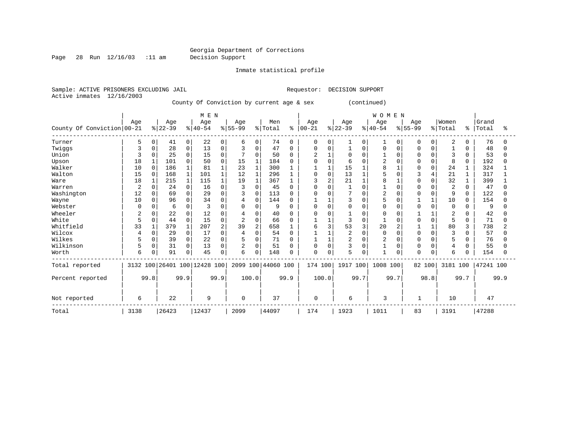# Georgia Department of Corrections<br>Decision Support

Page 28 Run  $12/16/03$  :11 am

Inmate statistical profile

|  | Sample: ACTIVE PRISONERS EXCLUDING JAIL |  |                                           |  | Requestor: DECISION SUPPORT |                         |  |  |
|--|-----------------------------------------|--|-------------------------------------------|--|-----------------------------|-------------------------|--|--|
|  | Active inmates 12/16/2003               |  |                                           |  |                             |                         |  |  |
|  |                                         |  | County Of Conviction by current age & sex |  |                             | (continued)             |  |  |
|  |                                         |  |                                           |  |                             |                         |  |  |
|  |                                         |  | M F N                                     |  |                             | $M \cap M$ $\Gamma$ $M$ |  |  |

|                            |              |          |           |                | N F M                        |                |                |              |                    |          |                |          |                |             | W O M F M |          |              |              |                |          |           |      |
|----------------------------|--------------|----------|-----------|----------------|------------------------------|----------------|----------------|--------------|--------------------|----------|----------------|----------|----------------|-------------|-----------|----------|--------------|--------------|----------------|----------|-----------|------|
|                            | Age          |          | Age       |                | Age                          |                | Age            |              | Men                |          | Age            |          | Age            |             | Age       |          | Age          |              | Women          |          | Grand     |      |
| County Of Conviction 00-21 |              |          | $ 22-39 $ |                | $ 40-54 $                    |                | $8 55-99$      |              | % Total            | ి        | $ 00 - 21$     |          | $ 22-39$       |             | $ 40-54$  |          | $8 55-99$    |              | % Total        | န္       | Total     | °≈   |
| Turner                     | 5            | 0        | 41        | $\overline{0}$ | 22                           | 0              | 6              | 0            | 74                 | $\Omega$ | 0              | 0        |                | 0           |           | $\Omega$ | <sup>0</sup> | 0            | $\overline{2}$ | 0        | 76        |      |
| Twiggs                     |              | $\Omega$ | 28        | $\mathbf 0$    | 13                           | 0              | 3              | $\mathbf 0$  | 47                 | $\Omega$ | $\mathbf 0$    |          |                | $\mathbf 0$ | $\Omega$  | $\Omega$ | $\Omega$     | $\Omega$     |                | $\Omega$ | 48        |      |
| Union                      |              |          | 25        | $\Omega$       | 15                           | $\Omega$       |                | $\Omega$     | 50                 | $\Omega$ | $\overline{c}$ |          | O              | U           |           | O        |              |              | 3              | 0        | 53        |      |
| Upson                      | 18           |          | 101       | $\Omega$       | 50                           | O              | 15             | 1            | 184                |          | $\cap$         |          | 6              |             |           |          |              | $\Omega$     | 8              | 0        | 192       |      |
| Walker                     | 10           | $\Omega$ | 186       |                | 81                           |                | 23             | $\mathbf{1}$ | 300                |          |                |          | 15             |             |           |          |              | <sup>0</sup> | 24             |          | 324       |      |
| Walton                     | 15           | $\Omega$ | 168       |                | 101                          |                | 12             | $\mathbf{1}$ | 296                |          | $\Omega$       | $\Omega$ | 13             |             |           |          |              |              | 21             |          | 317       |      |
| Ware                       | 18           |          | 215       | 1              | 115                          |                | 19             | $\mathbf 1$  | 367                |          | 3              |          | 21             |             |           |          |              |              | 32             |          | 399       |      |
| Warren                     | 2            |          | 24        | $\cap$         | 16                           | O              | 3              | $\Omega$     | 45                 |          | $\Omega$       |          |                |             |           | $\Omega$ |              |              | $\overline{2}$ | 0        | 47        |      |
| Washington                 | 12           |          | 69        | $\Omega$       | 29                           | O              | 3              | $\Omega$     | 113                |          | $\Omega$       |          | 7              |             |           |          |              | <sup>0</sup> | 9              | 0        | 122       |      |
| Wayne                      | 10           | $\Omega$ | 96        | $\Omega$       | 34                           | $\Omega$       |                | $\mathbf 0$  | 144                | n        |                |          | 3              | O           | 5         |          |              | $\mathbf{1}$ | 10             | $\Omega$ | 154       |      |
| Webster                    | <sup>0</sup> | $\Omega$ | 6         | $\Omega$       | ζ                            | O              | O              | $\Omega$     | 9                  |          | $\Omega$       | ∩        | $\Omega$       | O           | $\Omega$  | O        | $\Omega$     | $\Omega$     | $\Omega$       | 0        | q         |      |
| Wheeler                    | 2            |          | 22        | $\Omega$       | 12                           | 0              |                | $\Omega$     | 40                 |          | $\Omega$       |          |                |             |           |          |              |              | 2              |          | 42        |      |
| White                      | 5            | $\Omega$ | 44        | $\Omega$       | 15                           | $\Omega$       | $\overline{2}$ | $\Omega$     | 66                 |          |                |          | 3              | O           |           |          | $\Omega$     | $\Omega$     | 5              | $\Omega$ | 71        |      |
| Whitfield                  | 33           |          | 379       | $\mathbf{1}$   | 207                          | $\overline{2}$ | 39             | 2            | 658                |          | 6              |          | 53             | 3           | 20        |          |              |              | 80             | 3        | 738       |      |
| Wilcox                     | 4            | $\Omega$ | 29        | $\Omega$       | 17                           | $\Omega$       | 4              | $\mathbf 0$  | 54                 | ∩        |                |          | $\overline{2}$ | O           | $\Omega$  | $\cap$   |              | $\cap$       | $\mathcal{R}$  | 0        | 57        |      |
| Wilkes                     |              |          | 39        | $\Omega$       | 22                           | O              |                | 0            | 71                 |          |                |          | $\overline{2}$ |             |           |          |              |              | 5              | 0        | 76        |      |
| Wilkinson                  | 5            | $\Omega$ | 31        | $\Omega$       | 13                           | 0              | $\overline{2}$ | $\Omega$     | 51                 |          | $\Omega$       |          | 3              |             |           |          |              |              | 4              | 0        | 55        |      |
| Worth                      | б            | $\Omega$ | 91        | 0              | 45                           | 0              | 6              | $\mathbf 0$  | 148                |          | $\mathbf 0$    |          | 5              | 0           |           |          | $\Omega$     | O            | 6              | 0        | 154       |      |
| Total reported             |              |          |           |                | 3132 100 26401 100 12428 100 |                |                |              | 2099 100 44060 100 |          | 174 100        |          | 1917 100       |             | 1008 100  |          | 82 100       |              | 3181 100       |          | 47241 100 |      |
| Percent reported           |              | 99.8     |           | 99.9           |                              | 99.9           |                | 100.0        |                    | 99.9     |                | 100.0    | 99.7           |             |           | 99.7     |              | 98.8         |                | 99.7     |           | 99.9 |
| Not reported               | 6            |          | 22        |                | 9                            |                | $\Omega$       |              | 37                 |          | $\Omega$       |          | 6              |             | 3         |          | -1           |              | 10             |          | 47        |      |
| Total                      | 3138         |          | 26423     |                | 12437                        |                | 2099           |              | 44097              |          | 174            |          | 1923           |             | 1011      |          | 83           |              | 3191           |          | 47288     |      |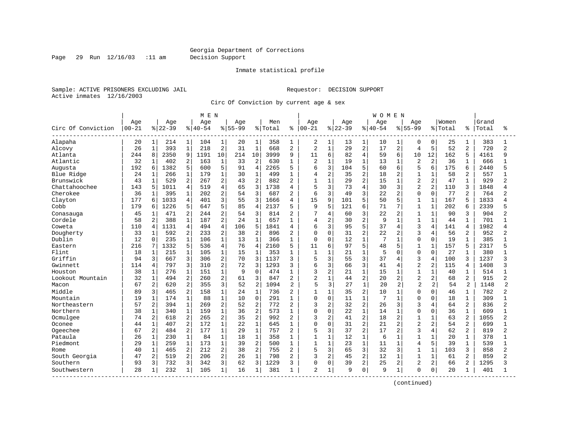Page 29 Run 12/16/03 :11 am Decision Support

#### Inmate statistical profile

Sample: ACTIVE PRISONERS EXCLUDING JAIL **Requestor: DECISION SUPPORT** Active inmates 12/16/2003

Circ Of Conviction by current age & sex

|                    |           |                |          |                | M E N       |                |             |                |         |                |                |                |           |                | WOMEN     |                |                |                |         |                |       |                |
|--------------------|-----------|----------------|----------|----------------|-------------|----------------|-------------|----------------|---------|----------------|----------------|----------------|-----------|----------------|-----------|----------------|----------------|----------------|---------|----------------|-------|----------------|
|                    | Age       |                | Age      |                | Age         |                | Age         |                | Men     |                | Age            |                | Age       |                | Age       |                | Age            |                | Women   |                | Grand |                |
| Circ Of Conviction | $00 - 21$ |                | $ 22-39$ |                | $8140 - 54$ |                | $8155 - 99$ |                | % Total | ႜ              | $ 00 - 21$     |                | $8 22-39$ |                | $8 40-54$ |                | $8155 - 99$    |                | % Total | ႜ              | Total | °              |
| Alapaha            | 20        | 1              | 214      | $1\vert$       | 104         | 1              | 20          | 1              | 358     | 1              | 2              | 1              | 13        | 1              | 10        | 1              | 0              | 0              | 25      | 1              | 383   |                |
| Alcovy             | 26        | $\mathbf{1}$   | 393      | $\mathbf{1}$   | 218         | $\overline{2}$ | 31          | $\mathbf{1}$   | 668     | $\overline{2}$ | $\overline{c}$ | $\mathbf{1}$   | 29        | $\overline{a}$ | 17        | 2              | $\overline{4}$ | 5              | 52      | 2              | 720   | $\overline{a}$ |
| Atlanta            | 244       | 8              | 2350     | 9              | 1191        | 10             | 214         | 10             | 3999    | 9              | 11             | 6              | 82        | 4              | 59        | 6              | 10             | 12             | 162     | 5              | 4161  | 9              |
| Atlantic           | 32        | $\mathbf{1}$   | 402      | 2              | 163         | $\mathbf 1$    | 33          | 2              | 630     | 1              | 2              |                | 19        | $\mathbf 1$    | 13        | 1              | $\overline{c}$ | 2              | 36      |                | 666   |                |
| Augusta            | 192       | 6              | 1382     | 5              | 600         | 5              | 91          | $\overline{4}$ | 2265    | 5              | 6              | 3              | 104       | 5              | 60        | 6              | 5              | 6              | 175     | б              | 2440  |                |
| Blue Ridge         | 24        | $\mathbf{1}$   | 266      | $\mathbf 1$    | 179         | $\mathbf{1}$   | 30          | $\mathbf{1}$   | 499     | $\mathbf{1}$   | 4              | $\overline{2}$ | 35        | 2              | 18        | 2              | $\mathbf{1}$   | 1              | 58      | 2              | 557   |                |
| Brunswick          | 43        | $\mathbf{1}$   | 529      | 2              | 267         | $\overline{2}$ | 43          | $\overline{2}$ | 882     | $\overline{2}$ | $\mathbf{1}$   | $\mathbf{1}$   | 29        | $\overline{2}$ | 15        | $\mathbf{1}$   | $\overline{2}$ | 2              | 47      |                | 929   | 2              |
| Chattahoochee      | 143       | 5              | 1011     | 4              | 519         | $\overline{4}$ | 65          | 3              | 1738    | $\overline{4}$ | 5              | 3              | 73        | 4              | 30        | 3              | $\overline{2}$ | 2              | 110     | 3              | 1848  |                |
| Cherokee           | 36        | 1              | 395      | 1              | 202         | 2              | 54          | 3              | 687     | 2              | 6              | 3              | 49        | 3              | 22        | 2              | $\Omega$       | $\Omega$       | 77      | $\overline{2}$ | 764   | 2              |
| Clayton            | 177       | 6              | 1033     | $\overline{4}$ | 401         | 3              | 55          | 3              | 1666    | 4              | 15             | 9              | 101       | 5              | 50        | 5              | $\mathbf{1}$   | 1              | 167     |                | 1833  | Δ              |
| Cobb               | 179       | 6              | 1226     | 5              | 647         | 5              | 85          | $\overline{4}$ | 2137    | 5              | 9              | 5              | 121       | б              | 71        | 7              | 1              | $\mathbf{1}$   | 202     | 6              | 2339  | 5              |
| Conasauga          | 45        | $\mathbf 1$    | 471      | $\overline{2}$ | 244         | $\overline{2}$ | 54          | 3              | 814     | $\overline{a}$ | 7              | 4              | 60        | $\overline{3}$ | 22        | $\overline{a}$ | $\mathbf{1}$   | $\mathbf{1}$   | 90      | 3              | 904   | 2              |
| Cordele            | 58        | $\overline{c}$ | 388      | $\mathbf{1}$   | 187         | $\overline{2}$ | 24          | $\mathbf{1}$   | 657     | $\mathbf{1}$   | 4              | $\overline{2}$ | 30        | $\overline{2}$ | 9         | $\mathbf{1}$   | $\mathbf{1}$   | $\mathbf{1}$   | 44      |                | 701   |                |
| Coweta             | 110       | $\overline{4}$ | 1131     | $\overline{4}$ | 494         | $\overline{4}$ | 106         | 5              | 1841    | 4              | 6              | 3              | 95        | 5              | 37        | 4              | 3              | 4              | 141     | 4              | 1982  |                |
| Dougherty          | 33        | $\mathbf{1}$   | 592      | 2              | 233         | $\overline{2}$ | 38          | $\overline{2}$ | 896     | $\overline{2}$ | 0              | $\Omega$       | 31        | 2              | 22        | $\overline{2}$ | 3              | $\overline{4}$ | 56      | 2              | 952   | $\overline{2}$ |
| Dublin             | 12        | 0              | 235      | $\mathbf{1}$   | 106         | $\mathbf{1}$   | 13          | $\mathbf{1}$   | 366     | 1              | $\Omega$       | $\Omega$       | 12        | $\mathbf{1}$   | 7         | $\mathbf{1}$   | $\Omega$       | $\Omega$       | 19      |                | 385   |                |
| Eastern            | 216       | 7              | 1332     | 5              | 536         | $\overline{4}$ | 76          | $\overline{4}$ | 2160    | 5              | 11             | б              | 97        | 5              | 48        | 5              | 1              | $\mathbf{1}$   | 157     | 5              | 2317  | 5              |
| Flint              | 18        | $\mathbf{1}$   | 215      | $\mathbf{1}$   | 105         | $\mathbf{1}$   | 15          | $\mathbf{1}$   | 353     | 1              | $\mathbf{1}$   | $\mathbf{1}$   | 21        | $\mathbf{1}$   | 5         | $\Omega$       | $\Omega$       | $\Omega$       | 27      |                | 380   |                |
| Griffin            | 94        | 3              | 667      | 3              | 306         | $\overline{2}$ | 70          | 3              | 1137    | 3              | 5              | 3              | 55        | 3              | 37        | 4              | 3              | 4              | 100     | 3              | 1237  | 3              |
| Gwinnett           | 114       | 4              | 797      | 3              | 310         | $\overline{2}$ | 72          | 3              | 1293    | 3              | 6              | 3              | 66        | 3              | 41        | 4              | $\overline{2}$ | 2              | 115     | 4              | 1408  | 3              |
| Houston            | 38        | $\mathbf{1}$   | 276      | 1              | 151         | $\mathbf{1}$   | 9           | $\Omega$       | 474     | $\mathbf{1}$   | 3              | 2              | 21        | 1              | 15        | $\mathbf{1}$   |                |                | 40      |                | 514   |                |
| Lookout Mountain   | 32        | $\mathbf{1}$   | 494      | 2              | 260         | $\overline{2}$ | 61          | 3              | 847     | $\overline{2}$ | $\overline{2}$ | $\mathbf{1}$   | 44        | 2              | 20        | 2              | $\overline{2}$ | $\overline{a}$ | 68      | 2              | 915   | 2              |
| Macon              | 67        | $\overline{2}$ | 620      | $\overline{a}$ | 355         | 3              | 52          | $\overline{a}$ | 1094    | $\overline{2}$ | 5              | 3              | 27        | $\mathbf{1}$   | 20        | 2              | $\overline{c}$ | $\overline{a}$ | 54      | 2              | 1148  | $\overline{c}$ |
| Middle             | 89        | 3              | 465      | $\overline{2}$ | 158         | $\mathbf{1}$   | 24          | $\mathbf{1}$   | 736     | $\overline{2}$ | $\mathbf{1}$   | $\mathbf{1}$   | 35        | $\overline{a}$ | 10        | $\mathbf{1}$   | $\Omega$       | $\Omega$       | 46      | 1              | 782   | 2              |
| Mountain           | 19        | $\mathbf{1}$   | 174      | $\mathbf 1$    | 88          | $\mathbf 1$    | 10          | $\mathbf 0$    | 291     | $\mathbf{1}$   | 0              | $\mathbf 0$    | 11        | $\mathbf{1}$   | 7         | $\mathbf{1}$   | $\Omega$       | 0              | 18      |                | 309   |                |
| Northeastern       | 57        | $\overline{a}$ | 394      | $\mathbf{1}$   | 269         | $\overline{2}$ | 52          | $\overline{2}$ | 772     | $\overline{2}$ | 3              | $\overline{2}$ | 32        | $\overline{a}$ | 26        | 3              | 3              | 4              | 64      | $\overline{2}$ | 836   | $\overline{2}$ |
| Northern           | 38        | $\mathbf{1}$   | 340      | $\mathbf{1}$   | 159         | $\mathbf{1}$   | 36          | $\overline{2}$ | 573     | 1              | 0              | $\Omega$       | 22        | $\mathbf{1}$   | 14        | $\mathbf{1}$   | $\Omega$       | $\Omega$       | 36      | $\mathbf{1}$   | 609   |                |
| Ocmulgee           | 74        | 2              | 618      | 2              | 265         | $\overline{2}$ | 35          | $\overline{2}$ | 992     | $\overline{2}$ | 3              | 2              | 41        | 2              | 18        | 2              | 1              | 1              | 63      | 2              | 1055  | 2              |
| Oconee             | 44        | $\mathbf{1}$   | 407      | $\overline{a}$ | 172         | $\mathbf{1}$   | 22          | $\mathbf{1}$   | 645     | 1              | $\Omega$       | $\Omega$       | 31        | $\overline{a}$ | 21        | $\overline{2}$ | $\overline{2}$ | $\overline{2}$ | 54      | 2              | 699   |                |
| Ogeechee           | 67        | 2              | 484      | 2              | 177         | $\mathbf 1$    | 29          | $\mathbf{1}$   | 757     | $\overline{2}$ | 5              | 3              | 37        | $\overline{a}$ | 17        | $\overline{2}$ | 3              | 4              | 62      | 2              | 819   | 2              |
| Pataula            | 26        | $\mathbf{1}$   | 230      | $\mathbf{1}$   | 84          | $\mathbf{1}$   | 18          | $\mathbf{1}$   | 358     | 1              | 1              | $\mathbf{1}$   | 12        | $\mathbf{1}$   | 6         | $\mathbf{1}$   | $\mathbf{1}$   | $\mathbf{1}$   | 20      | $\mathbf{1}$   | 378   |                |
| Piedmont           | 29        | $\mathbf{1}$   | 259      | $\mathbf{1}$   | 173         | $\mathbf{1}$   | 39          | $\overline{2}$ | 500     | $\mathbf{1}$   | $\mathbf{1}$   | $\mathbf{1}$   | 23        | $\mathbf{1}$   | 11        | $\mathbf{1}$   | $\overline{4}$ | 5              | 39      | $\mathbf{1}$   | 539   | $\mathbf{1}$   |
| Rome               | 40        | $\mathbf{1}$   | 465      | 2              | 212         | 2              | 38          | $\overline{2}$ | 755     | $\overline{2}$ | 5              | 3              | 65        | 3              | 32        | 3              | $\mathbf{1}$   | $\mathbf{1}$   | 103     | 3              | 858   | $\overline{2}$ |
| South Georgia      | 47        | $\overline{a}$ | 519      | $\overline{a}$ | 206         | $\overline{2}$ | 26          | $\mathbf{1}$   | 798     | $\overline{2}$ | 3              | $\overline{2}$ | 45        | 2              | 12        | $\mathbf{1}$   | $\mathbf{1}$   | $\mathbf{1}$   | 61      | 2              | 859   | $\overline{2}$ |
| Southern           | 93        | 3              | 732      | 3              | 342         | 3              | 62          | 3              | 1229    | ζ              | 0              | $\Omega$       | 39        | 2              | 25        | 2              | $\overline{2}$ | 2              | 66      | 2              | 1295  | 3              |
| Southwestern       | 28        | $\mathbf 1$    | 232      | $\mathbf{1}$   | 105         | 1              | 16          | 1              | 381     | 1              | 2              | 1              | 9         | 0              | 9         | $\mathbf{1}$   | $\Omega$       | $\mathbf 0$    | 20      |                | 401   |                |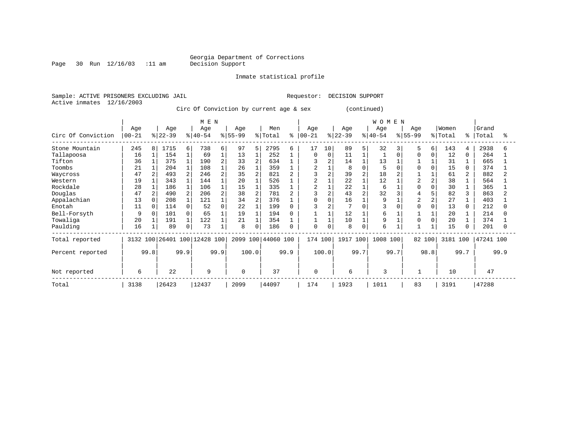#### Georgia Department of Corrections<br>Decision Support

Page 30 Run 12/16/03 :11 am

Inmate statistical profile

Sample: ACTIVE PRISONERS EXCLUDING JAIL Requestor: DECISION SUPPORT Active inmates 12/16/2003

Circ Of Conviction by current age & sex (continued)

|                    | M E N            |                |                 |                |                     |                |                  |                |                |           |                  |          |                  |      | WOMEN           |     |                  |          |                  |                |                |      |
|--------------------|------------------|----------------|-----------------|----------------|---------------------|----------------|------------------|----------------|----------------|-----------|------------------|----------|------------------|------|-----------------|-----|------------------|----------|------------------|----------------|----------------|------|
| Circ Of Conviction | Age<br>$00 - 21$ |                | Age<br>$ 22-39$ |                | Age<br>$ 40-54$     |                | Age<br>$8 55-99$ |                | Men<br>% Total | $\approx$ | Age<br>$00 - 21$ |          | Age<br>$ 22-39 $ |      | Age<br>$ 40-54$ |     | Age<br>$ 55-99 $ |          | Women<br>% Total | ႜႂ             | Grand<br>Total |      |
| Stone Mountain     | 245              | 8              | 1715            | 6              | 738                 | 6              | 97               | 5              | 2795           | 6         | 17               | 10       | 89               | 5    | 32              |     | 5                | 6        | 143              | 4              | 2938           | 6    |
| Tallapoosa         | 16               |                | 154             |                | 69                  |                | 13               |                | 252            |           | 0                | $\Omega$ | 11               |      |                 |     |                  | $\Omega$ | 12               | $\Omega$       | 264            |      |
| Tifton             | 36               |                | 375             |                | 190                 |                | 33               | $\overline{2}$ | 634            |           |                  |          | 14               |      | 13              |     |                  |          | 31               |                | 665            |      |
| Toombs             | 21               |                | 204             |                | 108                 |                | 26               |                | 359            |           | 2                |          | 8                |      |                 |     |                  |          | 15               | 0              | 374            |      |
| Waycross           | 47               |                | 493             |                | 246                 |                | 35               | $\overline{2}$ | 821            |           | ς                |          | 39               |      | 18              |     |                  |          | 61               | $\overline{a}$ | 882            |      |
| Western            | 19               |                | 343             |                | 144                 |                | 20               |                | 526            |           |                  |          | 22               |      | 12              |     | $\overline{c}$   |          | 38               |                | 564            |      |
| Rockdale           | 28               |                | 186             |                | 106                 |                | 15               |                | 335            |           | $\overline{a}$   |          | 22               |      | 6               |     |                  |          | 30               |                | 365            |      |
| Douglas            | 47               | $\overline{a}$ | 490             | $\overline{a}$ | 206                 | $\overline{a}$ | 38               | $\overline{2}$ | 781            |           |                  |          | 43               |      | 32              |     |                  |          | 82               |                | 863            |      |
| Appalachian        | 13               |                | 208             |                | 121                 |                | 34               | $\overline{2}$ | 376            |           | 0                | $\Omega$ | 16               |      | 9               |     | $\overline{2}$   |          | 27               |                | 403            |      |
| Enotah             | 11               | $\Omega$       | 114             | 0              | 52                  |                | 22               | 1              | 199            |           |                  |          | $\overline{7}$   |      | 3               |     |                  |          | 13               |                | 212            |      |
| Bell-Forsyth       | 9                | $\Omega$       | 101             | $\Omega$       | 65                  |                | 19               |                | 194            |           |                  |          | 12               |      | 6               |     |                  |          | 20               |                | 214            |      |
| Towaliga           | 20               |                | 191             |                | 122                 |                | 21               |                | 354            |           |                  |          | 10               |      | 9               |     |                  |          | 20               |                | 374            |      |
| Paulding           | 16               |                | 89              | 0              | 73                  |                | 8                | 0              | 186            |           | 0                | $\Omega$ | 8                |      | 6               |     |                  |          | 15               |                | 201            |      |
| Total reported     | 3132 100         |                |                 |                | 26401 100 12428 100 |                | 2099 100         |                | 44060 100      |           | 174 100          |          | 1917 100         |      | 1008            | 100 | 82 100           |          | 3181 100         |                | 47241 100      |      |
| Percent reported   | 99.8             |                |                 | 99.9           |                     | 99.9           |                  | 100.0          |                | 99.9      |                  | 100.0    |                  | 99.7 | 99.7            |     |                  | 98.8     |                  | 99.7           |                | 99.9 |
| Not reported       | 6                |                | 22              |                | 9                   |                | $\Omega$         |                | 37             |           | $\mathbf{0}$     |          | 6                |      | 3               |     |                  |          | 10               |                | 47             |      |
| Total              | 3138             |                | 26423           |                | 12437               |                | 2099             |                | 44097          |           | 174              |          | 1923             |      | 1011            |     | 83               |          | 3191             |                | 47288          |      |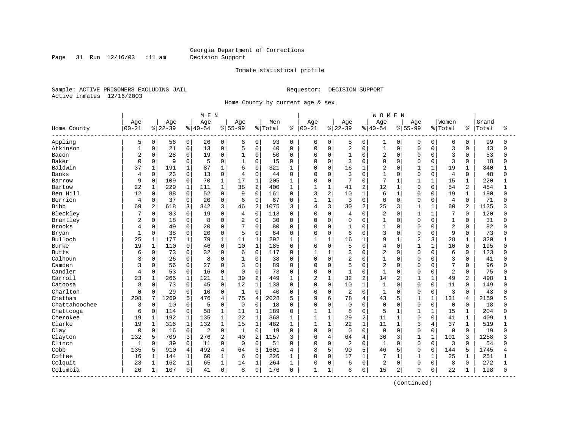Page 31 Run 12/16/03 :11 am Decision Support

#### Inmate statistical profile

Sample: ACTIVE PRISONERS EXCLUDING JAIL **Requestor: DECISION SUPPORT** Active inmates 12/16/2003

Home County by current age & sex

|                         |              |              |           |                | M E N       |              |                |                |         |              |              |                |                |              | <b>WOMEN</b>   |                |                |              |                |              |       |          |
|-------------------------|--------------|--------------|-----------|----------------|-------------|--------------|----------------|----------------|---------|--------------|--------------|----------------|----------------|--------------|----------------|----------------|----------------|--------------|----------------|--------------|-------|----------|
|                         | Age          |              | Age       |                | Age         |              | Age            |                | Men     |              | Age          |                | Age            |              | Age            |                | Age            |              | Women          |              | Grand |          |
| Home County<br>-------- | $00 - 21$    |              | $8 22-39$ |                | $8140 - 54$ |              | $8 55-99$      |                | % Total | ៖            | $ 00 - 21$   |                | $ 22-39$       |              | $ 40-54$       |                | $8 55-99$      |              | % Total        | ៖            | Total | ႜ        |
| Appling                 | 5            | 0            | 56        | 0 <sup>1</sup> | 26          | 0            | 6              | 0              | 93      | $\mathbf 0$  | 0            | 0              | 5              | 0            | 1              | 0              | 0              | $\mathbf 0$  | 6              | $\mathbf 0$  | 99    | $\Omega$ |
| Atkinson                | $\mathbf{1}$ | 0            | 21        | 0              | 13          | $\mathbf 0$  | 5              | $\mathbf 0$    | 40      | $\Omega$     | 0            | $\mathbf 0$    | 2              | $\mathbf 0$  | $1\,$          | 0              | $\Omega$       | $\Omega$     | 3              | $\Omega$     | 43    | $\Omega$ |
| Bacon                   | 2            | 0            | 28        | 0              | 19          | $\mathbf 0$  | $\mathbf{1}$   | $\Omega$       | 50      | $\Omega$     | 0            | $\mathbf 0$    | $\mathbf{1}$   | $\Omega$     | $\overline{2}$ | $\Omega$       | $\Omega$       | $\Omega$     | 3              | $\Omega$     | 53    | $\Omega$ |
| Baker                   | $\Omega$     | 0            | 9         | 0              | 5           | $\mathbf 0$  |                | $\Omega$       | 15      | $\Omega$     | <sup>0</sup> | $\mathbf 0$    | 3              | $\Omega$     | $\mathbf 0$    | $\Omega$       | $\Omega$       | $\Omega$     | 3              | $\Omega$     | 18    |          |
| Baldwin                 | 37           | $\mathbf{1}$ | 191       | $\mathbf{1}$   | 87          | $\mathbf{1}$ | 6              | $\Omega$       | 321     | -1           | $\Omega$     | $\Omega$       | 16             | $\mathbf{1}$ | $\overline{2}$ | $\cap$         | 1              | $\mathbf{1}$ | 19             | $\mathbf 1$  | 340   |          |
| Banks                   | 4            | 0            | 23        | 0              | 13          | $\mathbf 0$  | $\overline{4}$ | $\mathbf 0$    | 44      | $\Omega$     | 0            | $\mathbf 0$    | 3              | $\Omega$     | $\mathbf{1}$   | $\Omega$       | $\mathbf 0$    | 0            | 4              | $\Omega$     | 48    | U        |
| Barrow                  | 9            | 0            | 109       | 0              | 70          | $\mathbf{1}$ | 17             | $\mathbf 1$    | 205     | 1            | $\Omega$     | $\mathbf 0$    | 7              | $\mathbf 0$  | 7              | $\mathbf{1}$   | 1              | $\mathbf{1}$ | 15             | $\mathbf{1}$ | 220   |          |
| Bartow                  | 22           | $\mathbf 1$  | 229       | $\mathbf{1}$   | 111         | $\mathbf{1}$ | 38             | 2              | 400     | 1            | $\mathbf{1}$ | $\mathbf{1}$   | 41             | 2            | 12             | 1              | $\Omega$       | $\Omega$     | 54             | 2            | 454   | 1        |
| Ben Hill                | 12           | $\mathbf 0$  | 88        | 0              | 52          | 0            | 9              | $\mathbf 0$    | 161     | 0            | 3            | $\overline{2}$ | 10             | 1            | 6              | 1              | $\Omega$       | $\Omega$     | 19             | 1            | 180   | U        |
| Berrien                 | 4            | 0            | 37        | 0              | 20          | $\mathbf{0}$ | 6              | 0              | 67      | 0            | $\mathbf{1}$ | $\mathbf{1}$   | 3              | $\Omega$     | $\mathbf 0$    | $\Omega$       | $\Omega$       | $\mathbf 0$  | 4              | $\mathbf 0$  | 71    |          |
| Bibb                    | 69           | 2            | 618       | 3              | 342         | 3            | 46             | 2              | 1075    | 3            | 4            | 3              | 30             | 2            | 25             | 3              | $\mathbf{1}$   | $\mathbf{1}$ | 60             | 2            | 1135  |          |
| Bleckley                |              | 0            | 83        | $\mathbf{0}$   | 19          | $\mathbf 0$  | 4              | $\mathbf 0$    | 113     | $\Omega$     | 0            | $\Omega$       | 4              | $\Omega$     | $\overline{2}$ | $\Omega$       | $\mathbf{1}$   | $\mathbf{1}$ | 7              | $\Omega$     | 120   |          |
| Brantley                | 2            | 0            | 18        | $\mathbf{0}$   | 8           | $\mathbf 0$  | $\overline{2}$ | $\mathbf 0$    | 30      | $\mathbf 0$  | $\Omega$     | $\mathbf 0$    | 0              | $\Omega$     | $\mathbf{1}$   | $\Omega$       | $\Omega$       | $\Omega$     | $\mathbf{1}$   | $\Omega$     | 31    |          |
| <b>Brooks</b>           | 4            | 0            | 49        | 0              | 20          | $\mathbf 0$  | 7              | 0              | 80      | $\Omega$     | 0            | $\mathbf 0$    | 1              | $\Omega$     | $\mathbf{1}$   | $\Omega$       | $\Omega$       | O            | $\overline{2}$ | $\Omega$     | 82    |          |
| Bryan                   | $\mathbf{1}$ | 0            | 38        | 0              | 20          | $\mathbf 0$  | 5              | 0              | 64      | 0            | $\Omega$     | $\mathbf 0$    | 6              | $\Omega$     | 3              | $\Omega$       | $\Omega$       | $\Omega$     | 9              | 0            | 73    | ∩        |
| Bulloch                 | 25           | 1            | 177       | $\mathbf{1}$   | 79          | $\mathbf{1}$ | 11             | $\mathbf{1}$   | 292     | 1            | 1            | $\mathbf{1}$   | 16             | $\mathbf{1}$ | 9              | 1              | $\overline{2}$ | 3            | 28             | 1            | 320   |          |
| Burke                   | 19           | $\mathbf 1$  | 110       | $\Omega$       | 46          | $\Omega$     | 10             | 1              | 185     | $\Omega$     | $\Omega$     | $\Omega$       | 5              | $\Omega$     | 4              | $\Omega$       | $\mathbf{1}$   | $\mathbf{1}$ | 10             | $\Omega$     | 195   | U        |
| <b>Butts</b>            | 6            | 0            | 73        | $\Omega$       | 32          | $\mathbf 0$  | 6              | $\mathbf 0$    | 117     | $\Omega$     | $\mathbf{1}$ | $\mathbf{1}$   | 3              | $\Omega$     | $\overline{2}$ | $\Omega$       | $\Omega$       | $\Omega$     | 6              | $\Omega$     | 123   |          |
| Calhoun                 | 3            | 0            | 26        | 0              | 8           | $\mathbf 0$  | $\mathbf{1}$   | 0              | 38      | $\Omega$     | $\Omega$     | $\mathbf 0$    | 2              | $\Omega$     | $\mathbf{1}$   | $\Omega$       | $\Omega$       | $\Omega$     | 3              | $\Omega$     | 41    |          |
| Camden                  | ς            | 0            | 56        | 0              | 27          | $\Omega$     | 3              | $\Omega$       | 89      | $\Omega$     | $\Omega$     | $\mathbf 0$    | 5              | $\Omega$     | $\overline{a}$ | $\Omega$       | $\Omega$       | $\Omega$     | 7              | $\Omega$     | 96    | ∩        |
| Candler                 | 4            | $\mathbf 0$  | 53        | 0              | 16          | $\mathbf 0$  | $\Omega$       | $\Omega$       | 73      | $\Omega$     | $\Omega$     | $\mathbf 0$    | $\mathbf{1}$   | $\Omega$     | $\mathbf{1}$   | $\Omega$       | $\Omega$       | $\Omega$     | $\overline{c}$ | $\Omega$     | 75    |          |
| Carroll                 | 23           | $\mathbf{1}$ | 266       | 1              | 121         | $\mathbf{1}$ | 39             | $\overline{2}$ | 449     | 1            | 2            | $\mathbf{1}$   | 32             | 2            | 14             | 2              | $\mathbf{1}$   | $\mathbf{1}$ | 49             | 2            | 498   |          |
| Catoosa                 | 8            | 0            | 73        | 0              | 45          | $\mathbf 0$  | 12             | $\mathbf 1$    | 138     | $\Omega$     | $\Omega$     | $\mathbf 0$    | 10             | $\mathbf{1}$ | $\mathbf{1}$   | $\Omega$       | $\Omega$       | $\Omega$     | 11             | $\Omega$     | 149   |          |
| Charlton                | $\mathbf 0$  | 0            | 29        | $\Omega$       | 10          | $\Omega$     | $\mathbf{1}$   | $\Omega$       | 40      | $\Omega$     | $\Omega$     | $\Omega$       | $\overline{2}$ | $\Omega$     | $\mathbf{1}$   | $\Omega$       | $\Omega$       | $\Omega$     | 3              | $\Omega$     | 43    |          |
| Chatham                 | 208          | 7            | 1269      | 5              | 476         | 4            | 75             | $\overline{4}$ | 2028    | 5            | 9            | 6              | 78             | 4            | 43             | 5              | $\mathbf{1}$   | $\mathbf{1}$ | 131            | 4            | 2159  |          |
| Chattahoochee           | 3            | 0            | 10        | 0              | 5           | $\mathbf 0$  | $\mathbf 0$    | $\mathbf 0$    | 18      | $\Omega$     | $\Omega$     | $\mathbf 0$    | 0              | $\Omega$     | $\Omega$       | $\Omega$       | $\mathbf 0$    | $\Omega$     | $\Omega$       | $\Omega$     | 18    |          |
| Chattooga               | 6            | $\mathbf 0$  | 114       | 0              | 58          | $1\,$        | 11             | $\mathbf{1}$   | 189     | 0            |              | $\mathbf{1}$   | 8              | $\Omega$     | 5              | 1              | $\mathbf{1}$   | 1            | 15             | 1            | 204   | U        |
| Cherokee                | 19           | 1            | 192       | $\mathbf 1$    | 135         | $\mathbf 1$  | 22             | $\mathbf{1}$   | 368     | 1            | 1            | $\mathbf{1}$   | 29             | 2            | 11             | $\mathbf{1}$   | $\Omega$       | $\Omega$     | 41             | $\mathbf 1$  | 409   |          |
| Clarke                  | 19           | $\mathbf 1$  | 316       | $\mathbf{1}$   | 132         | $\mathbf{1}$ | 15             | $\mathbf{1}$   | 482     | 1            | $\mathbf{1}$ | $\mathbf{1}$   | 22             | $\mathbf{1}$ | 11             | $\mathbf{1}$   | 3              | 4            | 37             | $\mathbf{1}$ | 519   |          |
| Clay                    | 0            | $\mathsf 0$  | 16        | 0              | 2           | 0            | $\mathbf{1}$   | $\mathbf 0$    | 19      | $\Omega$     | 0            | $\mathbf 0$    | 0              | $\Omega$     | $\mathbf 0$    | $\Omega$       | $\Omega$       | 0            | 0              | $\mathbf 0$  | 19    |          |
| Clayton                 | 132          | 5            | 709       | 3              | 276         | 2            | 40             | $\overline{2}$ | 1157    | κ            | 6            | $\overline{4}$ | 64             | 4            | 30             | 3              | 1              | $\mathbf{1}$ | 101            | 3            | 1258  |          |
| Clinch                  | 1            | 0            | 39        | 0              | 11          | $\mathbf 0$  | $\mathbf 0$    | $\mathbf 0$    | 51      | $\Omega$     | 0            | $\mathbf 0$    | 2              | $\Omega$     | $\mathbf{1}$   | $\Omega$       | $\mathbf 0$    | 0            | 3              | $\Omega$     | 54    | $\cap$   |
| Cobb                    | 135          | 5            | 910       | 4              | 492         | 4            | 64             | 3              | 1601    | 4            | 8            | 5              | 90             | 5            | 46             | 5              | $\Omega$       | 0            | 144            | 5            | 1745  |          |
| Coffee                  | 16           | $\mathbf{1}$ | 144       | $\mathbf{1}$   | 60          | $\mathbf{1}$ | 6              | $\Omega$       | 226     | $\mathbf{1}$ | $\Omega$     | $\Omega$       | 17             | $\mathbf{1}$ | 7              | $\mathbf{1}$   | $\mathbf{1}$   | $\mathbf{1}$ | 25             | $\mathbf 1$  | 251   |          |
| Colquit                 | 23           | $\mathbf 1$  | 162       | $\mathbf{1}$   | 65          | $\mathbf 1$  | 14             | $\mathbf{1}$   | 264     | $\mathbf{1}$ | 0            | 0              | 6              | $\Omega$     | $\overline{2}$ | $\Omega$       | $\Omega$       | $\Omega$     | 8              | $\Omega$     | 272   |          |
| Columbia                | 20           | 1            | 107       | 0              | 41          | $\mathbf 0$  | 8              | 0              | 176     | $\Omega$     | 1            | 1              | 6              | 0            | 15             | $\overline{2}$ | $\Omega$       | 0            | 22             | 1            | 198   | $\Omega$ |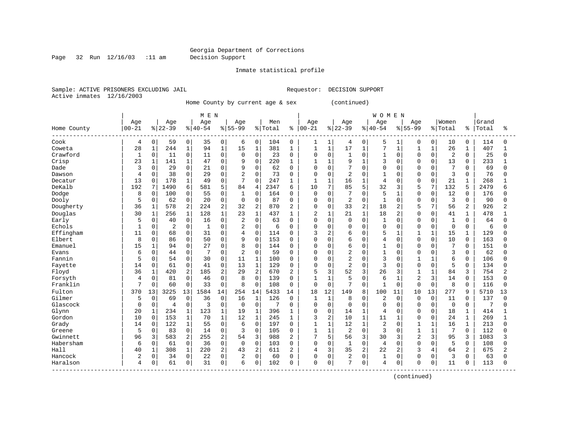#### Georgia Department of Corrections Page 32 Run 12/16/03 :11 am Decision Support

Inmate statistical profile

Sample: ACTIVE PRISONERS EXCLUDING JAIL **Requestor: DECISION SUPPORT** Active inmates 12/16/2003

Home County by current age & sex (continued)

| Age<br>$00 - 21$<br>Home County<br>Cook<br>4<br>28<br>Coweta<br>Crawford<br>1<br>23<br>Crisp<br>Dade<br>3<br>Dawson<br>4<br>13<br>Decatur<br>DeKalb<br>192<br>Dodge<br>8 |                     |              | M E N |                |                |                |         |                |                |              |                |                | <b>WOMEN</b>   |                |                |                |                |              |       |              |
|--------------------------------------------------------------------------------------------------------------------------------------------------------------------------|---------------------|--------------|-------|----------------|----------------|----------------|---------|----------------|----------------|--------------|----------------|----------------|----------------|----------------|----------------|----------------|----------------|--------------|-------|--------------|
|                                                                                                                                                                          | Age                 |              | Age   |                | Age            |                | Men     |                | Age            |              | Age            |                | Age            |                | Age            |                | Women          |              | Grand |              |
|                                                                                                                                                                          | $ 22-39$            | $8 40-54$    |       |                | $8 55-99$      |                | % Total | နွ             | $00 - 21$      |              | $ 22-39$       |                | $ 40-54$       |                | $8 55-99$      |                | % Total        | နွ           | Total | ిక           |
|                                                                                                                                                                          | 0<br>59             | 0            | 35    | 0              | 6              | 0              | 104     | $\mathbf 0$    | 1              | 1            | 4              | 0              | 5              | 1              | 0              | 0              | 10             | 0            | 114   | 0            |
|                                                                                                                                                                          | $1\,$<br>244        | $\mathbf{1}$ | 94    | $1\,$          | 15             | $\mathbf{1}$   | 381     | $\mathbf{1}$   | 1              | $\mathbf{1}$ | 17             | $\mathbf{1}$   | 7              | $\mathbf{1}$   | 1              | $\mathbf{1}$   | 26             | 1            | 407   | 1            |
|                                                                                                                                                                          | 0<br>11             | 0            | 11    | $\mathbf 0$    | $\mathbf 0$    | $\mathbf 0$    | 23      | $\Omega$       | 0              | $\mathbf 0$  | $\mathbf{1}$   | 0              | $\mathbf{1}$   | $\Omega$       | $\Omega$       | $\mathbf 0$    | $\overline{2}$ | $\Omega$     | 25    | 0            |
|                                                                                                                                                                          | $\mathbf 1$<br>141  | $\mathbf 1$  | 47    | $\Omega$       | 9              | $\Omega$       | 220     | 1              | $\mathbf{1}$   | $\mathbf{1}$ | 9              | $\mathbf{1}$   | 3              | $\Omega$       | $\Omega$       | $\Omega$       | 13             | $\Omega$     | 233   | $\mathbf{1}$ |
|                                                                                                                                                                          | 0<br>29             | 0            | 21    | $\mathbf 0$    | 9              | 0              | 62      | 0              | 0              | $\mathbf 0$  | 7              | $\Omega$       | $\Omega$       | 0              | $\cap$         | $\Omega$       | 7              | $\Omega$     | 69    | <sup>0</sup> |
|                                                                                                                                                                          | 38<br>0             | 0            | 29    | $\mathbf 0$    | $\overline{2}$ | $\Omega$       | 73      | 0              | 0              | $\mathbf 0$  | $\overline{c}$ | 0              |                | $\Omega$       | $\cap$         | $\Omega$       | $\overline{3}$ | $\Omega$     | 76    | $\Omega$     |
|                                                                                                                                                                          | 178<br>0            | $\mathbf{1}$ | 49    | $\mathbf{0}$   | 7              | $\Omega$       | 247     | $\mathbf{1}$   | $\mathbf{1}$   | $\mathbf{1}$ | 16             | $\mathbf 1$    | $\overline{4}$ | $\Omega$       | $\Omega$       | $\Omega$       | 21             | $\mathbf{1}$ | 268   |              |
|                                                                                                                                                                          | 7<br>1490           | 6            | 581   | 5              | 84             | 4              | 2347    | 6              | 10             | 7            | 85             | 5              | 32             | 3              | 5              | 7              | 132            | 5            | 2479  | б            |
|                                                                                                                                                                          | $\Omega$<br>100     | $\Omega$     | 55    | $\Omega$       | 1              | $\Omega$       | 164     | $\Omega$       | $\Omega$       | $\Omega$     | 7              | $\Omega$       | 5              | $\mathbf{1}$   | $\Omega$       | $\Omega$       | 12             | $\Omega$     | 176   | $\Omega$     |
| Dooly<br>5                                                                                                                                                               | $\mathbf 0$<br>62   | 0            | 20    | $\mathbf 0$    | $\mathbf 0$    | $\mathbf 0$    | 87      | $\mathbf{0}$   | 0              | $\mathbf 0$  | $\overline{c}$ | 0              |                | $\mathbf 0$    | $\Omega$       | $\mathbf 0$    | $\overline{3}$ | 0            | 90    | $\Omega$     |
| Dougherty<br>36                                                                                                                                                          | $\mathbf{1}$<br>578 | 2            | 224   | $\overline{2}$ | 32             | 2              | 870     | 2              | 0              | $\mathbf 0$  | 33             | $\overline{2}$ | 18             | 2              | 5              | 7              | 56             | 2            | 926   | 2            |
| Douglas<br>30                                                                                                                                                            | $\mathbf{1}$<br>256 | $\mathbf{1}$ | 128   | $\mathbf 1$    | 23             | $\mathbf 1$    | 437     | $\mathbf{1}$   | $\overline{2}$ | $\mathbf{1}$ | 21             | 1              | 18             | 2              | $\Omega$       | $\Omega$       | 41             | 1            | 478   | $\mathbf{1}$ |
| Early<br>5                                                                                                                                                               | 0<br>40             | 0            | 16    | $\mathbf 0$    | $\overline{2}$ | $\mathbf 0$    | 63      | $\Omega$       | 0              | $\mathbf 0$  | $\mathbf 0$    | 0              | $\mathbf{1}$   | $\mathbf 0$    | $\cap$         | $\Omega$       | $\mathbf{1}$   | $\Omega$     | 64    | $\Omega$     |
| Echols<br>$\mathbf{1}$                                                                                                                                                   | $\overline{2}$<br>0 | 0            |       | $\mathbf 0$    | 2              | 0              | 6       | 0              | 0              | 0            | 0              | $\Omega$       | $\Omega$       | 0              | $\Omega$       | $\Omega$       | $\mathbf 0$    | $\Omega$     | 6     | $\Omega$     |
| Effingham<br>11                                                                                                                                                          | 0<br>68             | 0            | 31    | $\mathbf 0$    | 4              | 0              | 114     | $\Omega$       | 3              | 2            | 6              | $\Omega$       | 5              | $\mathbf{1}$   | $\mathbf{1}$   | $\mathbf{1}$   | 15             | $\mathbf{1}$ | 129   | O            |
| Elbert<br>8                                                                                                                                                              | $\Omega$<br>86      | 0            | 50    | $\Omega$       | 9              | $\Omega$       | 153     | $\Omega$       | $\Omega$       | $\Omega$     | 6              | $\Omega$       | $\overline{4}$ | $\Omega$       | $\Omega$       | $\Omega$       | 10             | $\Omega$     | 163   | O            |
| Emanuel<br>15                                                                                                                                                            | 94<br>1             | 0            | 27    | $\Omega$       | 8              | $\Omega$       | 144     | $\Omega$       | 0              | $\Omega$     | 6              | $\Omega$       | $\mathbf{1}$   | $\Omega$       | $\Omega$       | $\Omega$       | 7              | $\Omega$     | 151   | U            |
| 6<br>Evans                                                                                                                                                               | $\mathbf 0$<br>44   | 0            |       | $\mathbf 0$    | $\overline{2}$ | 0              | 59      | $\mathbf 0$    | 0              | $\mathbf 0$  | $\overline{2}$ | $\Omega$       | $\mathbf{1}$   | 0              | $\Omega$       | $\Omega$       | $\overline{3}$ | $\Omega$     | 62    | <sup>0</sup> |
| Fannin<br>5                                                                                                                                                              | 54<br>$\mathbf 0$   | 0            | 30    | 0              | 11             | $\mathbf{1}$   | 100     | $\mathbf 0$    | 0              | $\mathbf 0$  | $\overline{2}$ | 0              | 3              | 0              |                |                | 6              | $\mathbf 0$  | 106   | <sup>0</sup> |
| Fayette<br>14                                                                                                                                                            | 61<br>0             | 0            | 41    | $\mathbf 0$    | 13             | $\mathbf{1}$   | 129     | $\mathbf 0$    | $\Omega$       | $\mathbf 0$  | $\overline{2}$ | $\Omega$       | 3              | $\Omega$       | $\cap$         | $\Omega$       | 5              | $\Omega$     | 134   | <sup>0</sup> |
| Floyd<br>36                                                                                                                                                              | 420<br>$\mathbf{1}$ | 2            | 185   | $\overline{2}$ | 29             | $\overline{2}$ | 670     | 2              | 5              | 3            | 52             | 3              | 26             | 3              | -1             |                | 84             | 3            | 754   | 2            |
| Forsyth<br>4                                                                                                                                                             | 0<br>81             | 0            | 46    | 0              | 8              | 0              | 139     | $\Omega$       | 1              | $\mathbf{1}$ | 5              | 0              | 6              | $\mathbf{1}$   | $\overline{2}$ | 3              | 14             | 0            | 153   | $\Omega$     |
| Franklin<br>$\overline{7}$                                                                                                                                               | 0<br>60             | 0            | 33    | $\mathbf 0$    | 8              | 0              | 108     | $\mathbf{0}$   | 0              | $\Omega$     | $\overline{7}$ | 0              | $\mathbf{1}$   | $\mathbf 0$    | $\Omega$       | $\mathbf 0$    | 8              | $\Omega$     | 116   | $\Omega$     |
| Fulton<br>370                                                                                                                                                            | 3225<br>13          | 13           | 1584  | 14             | 254            | 14             | 5433    | 14             | 18             | 12           | 149            | 8              | 100            | 11             | 10             | 13             | 277            | 9            | 5710  | 13           |
| Gilmer<br>5                                                                                                                                                              | $\Omega$<br>69      | $\Omega$     | 36    | $\Omega$       | 16             | 1              | 126     | $\Omega$       | $\mathbf{1}$   | $\mathbf{1}$ | 8              | $\Omega$       | $\overline{c}$ | $\Omega$       | $\Omega$       | $\Omega$       | 11             | $\Omega$     | 137   | $\Omega$     |
| Glascock<br>0                                                                                                                                                            | 0<br>4              | 0            | 3     | $\mathbf 0$    | $\overline{0}$ | $\mathbf 0$    | 7       | $\Omega$       | 0              | $\mathbf 0$  | $\mathbf 0$    | $\Omega$       | $\Omega$       | 0              | 0              | $\Omega$       | $\overline{0}$ | 0            | 7     | 0            |
| Glynn<br>20                                                                                                                                                              | $\mathbf{1}$<br>234 | $\mathbf{1}$ | 123   | $1\,$          | 19             | $\mathbf{1}$   | 396     | 1              | 0              | $\mathbf 0$  | 14             | $\mathbf{1}$   | $\overline{4}$ | $\mathbf 0$    | $\Omega$       | $\mathbf 0$    | 18             | $\mathbf 1$  | 414   |              |
| Gordon<br>10                                                                                                                                                             | $\mathbf 0$<br>153  | $\mathbf{1}$ | 70    | $1\,$          | 12             | 1              | 245     | $\mathbf 1$    | 3              | 2            | 10             | $\mathbf{1}$   | 11             | $\mathbf{1}$   | $\Omega$       | $\Omega$       | 24             | $\mathbf 1$  | 269   | $\mathbf{1}$ |
| Grady<br>14                                                                                                                                                              | 122<br>0            | $\mathbf{1}$ | 55    | $\mathbf 0$    | 6              | $\Omega$       | 197     | $\Omega$       | $\mathbf{1}$   | 1            | 12             | 1              | $\overline{2}$ | $\Omega$       | $\mathbf{1}$   | 1              | 16             | 1            | 213   | $\Omega$     |
| 5<br>Greene                                                                                                                                                              | 83<br>0             | 0            | 14    | $\mathbf 0$    | 3              | 0              | 105     | 0              | $\mathbf{1}$   | $\mathbf{1}$ | $\overline{2}$ | $\Omega$       | 3              | $\Omega$       |                |                | 7              | $\Omega$     | 112   | 0            |
| Gwinnett<br>96                                                                                                                                                           |                     | 2            | 255   | $\overline{2}$ | 54             | 3              | 988     | 2              | 7              | 5            | 56             | $\overline{3}$ | 30             | 3              | $\overline{2}$ | 3              | 95             | 3            | 1083  | 3            |
| Habersham<br>6                                                                                                                                                           | 3<br>583            |              |       |                | $\Omega$       | 0              | 103     | $\Omega$       | $\Omega$       | $\Omega$     | $\mathbf{1}$   | $\Omega$       | $\overline{4}$ | $\Omega$       | $\Omega$       | $\Omega$       | 5              | $\Omega$     | 108   | $\Omega$     |
| Hall<br>40                                                                                                                                                               | $\mathbf 0$<br>61   | 0            | 36    | $\mathbf 0$    |                |                |         |                |                |              |                |                |                |                |                |                |                |              |       |              |
| Hancock<br>2                                                                                                                                                             | 308<br>$\mathbf{1}$ | $\mathbf 1$  | 220   | $\overline{2}$ | 43             | 2              | 611     | $\overline{c}$ | 4              | 3            | 35             | 2              | 22             | $\overline{2}$ | 3              | $\overline{4}$ | 64             | 2            | 675   | 2            |
| Haralson<br>4                                                                                                                                                            | 0<br>34             | 0            | 22    | $\mathbf 0$    | $\overline{2}$ | $\mathbf 0$    | 60      | $\Omega$       | 0              | $\mathbf 0$  | $\overline{2}$ | 0              | $\mathbf{1}$   | $\mathbf 0$    | $\mathbf 0$    | $\Omega$       | 3              | $\Omega$     | 63    | $\Omega$     |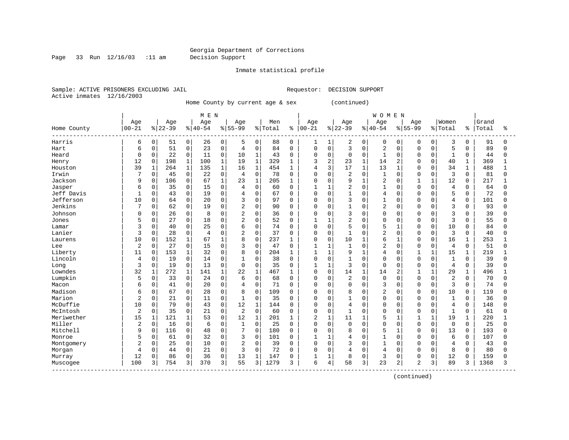#### Georgia Department of Corrections Page 33 Run 12/16/03 :11 am Decision Support

Inmate statistical profile

Sample: ACTIVE PRISONERS EXCLUDING JAIL **Requestor: DECISION SUPPORT** Active inmates 12/16/2003

Home County by current age & sex (continued)

| Age<br>$00 - 21$<br>Home County<br>Harris<br>6<br>б<br>Hart<br>Heard<br>$\Omega$<br>12<br>Henry<br>39<br>Houston<br>Irwin | Age<br>$ 22-39$<br>0<br>51<br>51<br>0<br>22<br>0<br>$\Omega$<br>198<br>$\mathbf{1}$<br>264<br>0<br>45<br>$\mathbf 0$<br>106<br>$\Omega$<br>35<br>0<br>43 | 0<br>0<br>0<br>$\mathbf{1}$<br>$\mathbf 1$<br>0<br>0<br>0 | Age<br>$8 40-54$<br>26<br>23<br>11<br>100<br>135<br>22<br>67 | 0<br>0<br>0<br>$\mathbf{1}$<br>$\mathbf{1}$<br>0 | Age<br>$8 55-99$<br>5<br>4<br>10<br>19<br>16 | 0<br>$\mathbf 0$<br>1<br>$\mathbf{1}$ | Men<br>% Total<br>88<br>84<br>43 | ႜ<br>$\mathbf 0$<br>$\mathbf 0$ | Age<br>$ 00 - 21$<br>1<br>0 | 1<br>$\mathsf 0$ | Age<br>$ 22-39$<br>2<br>3 | 0<br>0       | Age<br>$8 40-54$<br>0 | 0<br>$\mathbf 0$ | Age<br>$8 55-99$<br>0 | 0<br>$\Omega$ | Women<br>% Total<br>3<br>5 | နွ<br>0<br>$\Omega$ | Grand<br>Total<br>91 | ిక<br>0      |
|---------------------------------------------------------------------------------------------------------------------------|----------------------------------------------------------------------------------------------------------------------------------------------------------|-----------------------------------------------------------|--------------------------------------------------------------|--------------------------------------------------|----------------------------------------------|---------------------------------------|----------------------------------|---------------------------------|-----------------------------|------------------|---------------------------|--------------|-----------------------|------------------|-----------------------|---------------|----------------------------|---------------------|----------------------|--------------|
|                                                                                                                           |                                                                                                                                                          |                                                           |                                                              |                                                  |                                              |                                       |                                  |                                 |                             |                  |                           |              |                       |                  |                       |               |                            |                     |                      |              |
|                                                                                                                           |                                                                                                                                                          |                                                           |                                                              |                                                  |                                              |                                       |                                  |                                 |                             |                  |                           |              |                       |                  |                       |               |                            |                     |                      |              |
|                                                                                                                           |                                                                                                                                                          |                                                           |                                                              |                                                  |                                              |                                       |                                  |                                 |                             |                  |                           |              |                       |                  |                       |               |                            |                     |                      |              |
|                                                                                                                           |                                                                                                                                                          |                                                           |                                                              |                                                  |                                              |                                       |                                  |                                 |                             |                  |                           |              | $\overline{c}$        |                  | 0                     |               |                            |                     | 89                   | 0            |
|                                                                                                                           |                                                                                                                                                          |                                                           |                                                              |                                                  |                                              |                                       |                                  | $\mathbf 0$                     | 0                           | $\mathbf 0$      | $\mathbf 0$               | 0            | $\mathbf{1}$          | 0                | $\Omega$              | $\Omega$      | $\mathbf{1}$               | $\Omega$            | 44                   | 0            |
|                                                                                                                           |                                                                                                                                                          |                                                           |                                                              |                                                  |                                              |                                       | 329                              | 1                               | 3                           | $\overline{2}$   | 23                        | $\mathbf{1}$ | 14                    | $\overline{2}$   | $\Omega$              | $\Omega$      | 40                         | $\mathbf{1}$        | 369                  |              |
|                                                                                                                           |                                                                                                                                                          |                                                           |                                                              |                                                  |                                              | $\mathbf{1}$                          | 454                              | 1                               | 4                           | 3                | 17                        | $\mathbf{1}$ | 13                    | $\mathbf{1}$     | $\Omega$              | $\Omega$      | 34                         | 1                   | 488                  |              |
|                                                                                                                           |                                                                                                                                                          |                                                           |                                                              |                                                  | $\overline{4}$                               | $\mathbf 0$                           | 78                               | 0                               | 0                           | $\mathbf 0$      | 2                         | 0            | 1                     | $\mathbf 0$      |                       | $\Omega$      | 3                          | $\Omega$            | 81                   | <sup>0</sup> |
| Jackson<br>9                                                                                                              |                                                                                                                                                          |                                                           |                                                              | $\mathbf{1}$                                     | 23                                           | $\mathbf{1}$                          | 205                              | -1                              | $\Omega$                    | $\Omega$         | 9                         | $\mathbf{1}$ | $\overline{2}$        | $\mathbf 0$      |                       | $\mathbf{1}$  | 12                         | $\Omega$            | 217                  |              |
| Jasper<br>6                                                                                                               |                                                                                                                                                          |                                                           | 15                                                           | $\Omega$                                         | 4                                            | $\Omega$                              | 60                               | $\Omega$                        | 1                           | $\mathbf{1}$     | $\overline{2}$            | $\Omega$     | $\mathbf{1}$          | $\Omega$         | $\Omega$              | $\Omega$      | $\overline{4}$             | $\Omega$            | 64                   | <sup>0</sup> |
| Jeff Davis<br>1                                                                                                           |                                                                                                                                                          | 0                                                         | 19                                                           | $\Omega$                                         | $\overline{4}$                               | $\Omega$                              | 67                               | $\Omega$                        | $\Omega$                    | $\Omega$         | $\mathbf{1}$              | $\Omega$     | $\overline{4}$        | $\Omega$         | $\Omega$              | $\Omega$      | 5                          | $\Omega$            | 72                   | <sup>0</sup> |
| Jefferson<br>10                                                                                                           | 0<br>64                                                                                                                                                  | 0                                                         | 20                                                           | 0                                                | 3                                            | 0                                     | 97                               | 0                               | 0                           | $\mathbf 0$      | 3                         | 0            | $\overline{1}$        | $\mathbf 0$      |                       | <sup>0</sup>  | $\overline{4}$             | 0                   | 101                  | 0            |
| Jenkins                                                                                                                   | 62<br>0                                                                                                                                                  | 0                                                         | 19                                                           | 0                                                | $\overline{2}$                               | 0                                     | 90                               | $\Omega$                        | 0                           | $\mathbf 0$      | $\mathbf{1}$              | $\Omega$     | $\overline{2}$        | $\mathbf 0$      | $\Omega$              | $\Omega$      | 3                          | 0                   | 93                   | U            |
| Johnson<br>$\Omega$                                                                                                       | 26<br>0                                                                                                                                                  | 0                                                         | 8                                                            | $\Omega$                                         | 2                                            | $\mathbf 0$                           | 36                               | $\Omega$                        | 0                           | $\Omega$         | 3                         | $\Omega$     | $\Omega$              | $\Omega$         | $\Omega$              | $\Omega$      | 3                          | $\Omega$            | 39                   | O            |
| 5<br>Jones                                                                                                                | 27<br>0                                                                                                                                                  | $\mathbf 0$                                               | 18                                                           | 0                                                | $\overline{2}$                               | $\mathbf 0$                           | 52                               | 0                               | $\mathbf{1}$                | 1                | $\overline{2}$            | $\Omega$     | $\Omega$              | $\mathbf 0$      | $\Omega$              | $\Omega$      | 3                          | $\Omega$            | 55                   | <sup>0</sup> |
| 3<br>Lamar                                                                                                                | 0<br>40                                                                                                                                                  | 0                                                         | 25                                                           | 0                                                | 6                                            | $\mathbf 0$                           | 74                               | $\Omega$                        | 0                           | $\mathbf 0$      | 5                         | $\Omega$     | 5                     | $\mathbf{1}$     | $\Omega$              | U             | 10                         | O                   | 84                   | <sup>0</sup> |
| Lanier<br>3                                                                                                               | 28<br>$\mathbf 0$                                                                                                                                        | 0                                                         | $\overline{4}$                                               | 0                                                | 2                                            | $\mathbf 0$                           | 37                               | $\Omega$                        | $\Omega$                    | $\Omega$         | $\mathbf{1}$              | $\Omega$     | $\overline{2}$        | $\Omega$         | $\Omega$              | $\Omega$      | 3                          | $\Omega$            | 40                   | U            |
| 10<br>Laurens                                                                                                             | 152<br>$\Omega$                                                                                                                                          | $\mathbf{1}$                                              | 67                                                           | 1                                                | 8                                            | $\Omega$                              | 237                              |                                 | $\Omega$                    | $\Omega$         | 10                        | $\mathbf{1}$ | 6                     | $\overline{1}$   | $\Omega$              | <sup>0</sup>  | 16                         | 1                   | 253                  |              |
| $\overline{c}$<br>Lee                                                                                                     | 0<br>27                                                                                                                                                  | $\mathbf 0$                                               | 15                                                           | $\Omega$                                         | 3                                            | $\Omega$                              | 47                               | $\Omega$                        | 1                           | $\mathbf{1}$     | $\mathbf{1}$              | $\Omega$     | $\overline{a}$        | $\Omega$         | $\Omega$              | $\Omega$      | $\overline{4}$             | $\Omega$            | 51                   | O            |
| Liberty<br>11                                                                                                             | 153<br>$\mathbf 0$                                                                                                                                       | $\mathbf{1}$                                              | 32                                                           | 0                                                | 8                                            | $\mathbf 0$                           | 204                              | 1                               | 1                           | $\mathbf{1}$     | 9                         | 1            | $\overline{4}$        | $\mathbf 0$      |                       | 1             | 15                         |                     | 219                  |              |
| Lincoln<br>4                                                                                                              | 0<br>19                                                                                                                                                  | 0                                                         | 14                                                           | 0                                                |                                              | 0                                     | 38                               | $\mathbf{0}$                    | 0                           | $\mathbf 0$      | $\mathbf{1}$              | 0            | $\Omega$              | $\mathbf 0$      | $\Omega$              | $\Omega$      | $\mathbf{1}$               | $\Omega$            | 39                   | <sup>0</sup> |
| 3<br>Long                                                                                                                 | 0<br>19                                                                                                                                                  | 0                                                         | 13                                                           | 0                                                | $\Omega$                                     | $\Omega$                              | 35                               | $\Omega$                        | $\mathbf{1}$                | $\mathbf{1}$     | 3                         | $\Omega$     | $\Omega$              | $\Omega$         | $\Omega$              | $\Omega$      | $\overline{4}$             | $\Omega$            | 39                   | U            |
| Lowndes<br>32                                                                                                             | 272<br>1                                                                                                                                                 | 1                                                         | 141                                                          | $\mathbf{1}$                                     | 22                                           | $\mathbf{1}$                          | 467                              |                                 | 0                           | $\mathbf 0$      | 14                        | 1            | 14                    | 2                |                       |               | 29                         | 1                   | 496                  |              |
| Lumpkin<br>5                                                                                                              | 0<br>33                                                                                                                                                  | 0                                                         | 24                                                           | 0                                                | 6                                            | $\mathbf 0$                           | 68                               | $\Omega$                        | 0                           | 0                | 2                         | 0            | $\mathbf 0$           | $\mathbf 0$      | $\Omega$              | $\Omega$      | $\overline{\mathbf{c}}$    | $\Omega$            | 70                   | 0            |
| Macon<br>6                                                                                                                | 41<br>0                                                                                                                                                  | 0                                                         | 20                                                           | 0                                                | 4                                            | $\mathbf 0$                           | 71                               | $\Omega$                        | 0                           | 0                | $\mathbf 0$               | 0            | 3                     | 0                | $\Omega$              | $\Omega$      | 3                          | $\Omega$            | 74                   | U            |
| Madison<br>6                                                                                                              | 67<br>0                                                                                                                                                  | 0                                                         | 28                                                           | 0                                                | 8                                            | $\Omega$                              | 109                              | $\Omega$                        | O                           | $\Omega$         | 8                         | $\Omega$     | $\overline{2}$        | O                | $\Omega$              | <sup>0</sup>  | 10                         | $\Omega$            | 119                  | U            |
| Marion<br>$\sqrt{2}$                                                                                                      | 21<br>$\Omega$                                                                                                                                           | 0                                                         | 11                                                           | $\Omega$                                         | 1                                            | $\Omega$                              | 35                               | $\Omega$                        | 0                           | $\Omega$         | $\mathbf{1}$              | $\Omega$     | $\Omega$              | $\Omega$         | $\Omega$              | $\Omega$      | $\mathbf{1}$               | $\Omega$            | 36                   | O            |
| McDuffie<br>10                                                                                                            | $\mathbf 0$<br>79                                                                                                                                        | 0                                                         | 43                                                           | 0                                                | 12                                           | $\mathbf 1$                           | 144                              | 0                               | 0                           | $\mathbf 0$      | 4                         | $\Omega$     | $\Omega$              | 0                | $\Omega$              | $\Omega$      | $\overline{4}$             | 0                   | 148                  | O            |
| $\overline{2}$<br>McIntosh                                                                                                | 0<br>35                                                                                                                                                  | 0                                                         | 21                                                           | 0                                                | $\overline{2}$                               | $\mathbf 0$                           | 60                               | $\mathbf 0$                     | 0                           | $\mathbf 0$      | $\mathbf{1}$              | 0            | $\Omega$              | $\mathbf 0$      | $\Omega$              | 0             | $\mathbf{1}$               | 0                   | 61                   | <sup>0</sup> |
| 15<br>Meriwether                                                                                                          | 121<br>1                                                                                                                                                 | $\mathbf{1}$                                              | 53                                                           | 0                                                | 12                                           | 1                                     | 201                              | 1                               | 2                           | $\mathbf{1}$     | 11                        | $\mathbf{1}$ | 5                     | $\mathbf{1}$     |                       | $\mathbf{1}$  | 19                         | $\mathbf 1$         | 220                  |              |
| Miller<br>$\overline{2}$                                                                                                  | $\mathbf 0$<br>16                                                                                                                                        | 0                                                         | 6                                                            | 0                                                | 1                                            | $\mathbf 0$                           | 25                               | $\Omega$                        | 0                           | $\mathbf 0$      | $\mathbf 0$               | $\Omega$     | $\Omega$              | $\Omega$         | $\Omega$              | $\Omega$      | $\mathbf{0}$               | $\Omega$            | 25                   | <sup>0</sup> |
| Mitchell<br>9                                                                                                             | 0<br>116                                                                                                                                                 | 0                                                         | 48                                                           | 0                                                | 7                                            | $\mathbf 0$                           | 180                              | $\Omega$                        | 0                           | $\Omega$         | 8                         | $\Omega$     | 5                     | $\mathbf{1}$     | $\Omega$              | <sup>0</sup>  | 13                         | $\Omega$            | 193                  | O            |
| 5<br>Monroe                                                                                                               | 61<br>0                                                                                                                                                  | 0                                                         | 32                                                           | 0                                                | 3                                            | $\mathbf 0$                           | 101                              | $\Omega$                        | 1                           | $\mathbf{1}$     | 4                         | 0            | 1                     | $\Omega$         | $\Omega$              | O             | 6                          | 0                   | 107                  |              |
| 2<br>Montgomery                                                                                                           | 25<br>0                                                                                                                                                  | $\mathbf 0$                                               | 10                                                           | 0                                                | $\overline{2}$                               | 0                                     | 39                               | $\Omega$                        | $\Omega$                    | $\Omega$         | 3                         | $\Omega$     | $\mathbf{1}$          | $\Omega$         | $\Omega$              | $\cap$        | $\overline{4}$             | $\Omega$            | 43                   | U            |
| 4<br>Morgan                                                                                                               | 0<br>44                                                                                                                                                  | 0                                                         | 21                                                           | 0                                                | 3                                            | $\Omega$                              | 72                               | $\Omega$                        | 0                           | $\Omega$         | 4                         | $\Omega$     | $\overline{4}$        | $\mathbf 0$      | $\Omega$              | $\Omega$      | 8                          | $\Omega$            | 80                   | <sup>0</sup> |
| 12<br>Murray                                                                                                              | 0<br>86                                                                                                                                                  | 0                                                         | 36                                                           | 0                                                | 13                                           | $\mathbf{1}$                          | 147                              | <sup>0</sup>                    |                             | 1                | 8                         | $\Omega$     | 3                     | 0                | $\Omega$              | 0             | 12                         | 0                   | 159                  | <sup>0</sup> |
| 100<br>Muscogee                                                                                                           | 3<br>754                                                                                                                                                 | 3                                                         | 370                                                          | 3                                                | 55                                           | 3                                     | 1279                             | κ                               | 6                           | 4                | 58                        | 3            | 23                    | 2                | $\overline{2}$        | 3             | 89                         | 3                   | 1368                 | 3            |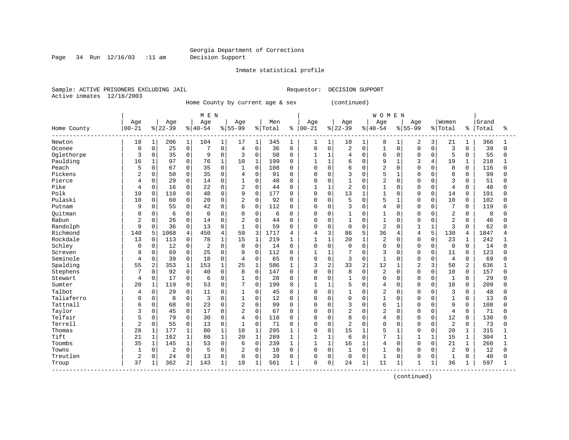#### Georgia Department of Corrections Page 34 Run 12/16/03 :11 am Decision Support

Inmate statistical profile

Sample: ACTIVE PRISONERS EXCLUDING JAIL **Requestor: DECISION SUPPORT** Active inmates 12/16/2003

Home County by current age & sex (continued)

| Age<br>$00 - 21$<br>Home County<br>18<br>Newton<br>Oconee<br>0<br>Oglethorpe<br>3<br>Paulding<br>16<br>Peach<br>5<br>Pickens<br>2 | $\mathbf{1}$<br>$\mathbf 0$<br>0<br>$\mathbf 1$<br>0<br>0<br>0<br>$\Omega$ | Age<br>$ 22-39$<br>206<br>25<br>35<br>97<br>67<br>50<br>29 | $\mathbf 1$<br>0<br>0<br>$\Omega$<br>0<br>0 | Age<br>$8 40-54$<br>104<br>7<br>9<br>76<br>35 | $\mathbf{1}$<br>$\mathsf 0$<br>0<br>$1\,$ | Age<br>$8 55-99$<br>17<br>4<br>3<br>10 | 1<br>$\overline{0}$ | Men<br>% Total<br>345<br>36 | နွ<br>1      | Age<br>$00 - 21$<br>1 | $\mathbf{1}$   | Age<br>$8 22-39$<br>10 | $\mathbf{1}$ | Age<br>$8140 - 54$<br>8 | 1            | Age<br>$8155 - 99$ | 3            | Women<br>% Total | ႜ            | Grand<br>Total<br>366 | ిక           |
|-----------------------------------------------------------------------------------------------------------------------------------|----------------------------------------------------------------------------|------------------------------------------------------------|---------------------------------------------|-----------------------------------------------|-------------------------------------------|----------------------------------------|---------------------|-----------------------------|--------------|-----------------------|----------------|------------------------|--------------|-------------------------|--------------|--------------------|--------------|------------------|--------------|-----------------------|--------------|
|                                                                                                                                   |                                                                            |                                                            |                                             |                                               |                                           |                                        |                     |                             |              |                       |                |                        |              |                         |              |                    |              |                  |              |                       |              |
|                                                                                                                                   |                                                                            |                                                            |                                             |                                               |                                           |                                        |                     |                             |              |                       |                |                        |              |                         |              |                    |              |                  |              |                       |              |
|                                                                                                                                   |                                                                            |                                                            |                                             |                                               |                                           |                                        |                     |                             |              |                       |                |                        |              |                         |              | 2                  |              | 21               | 1            |                       | 1            |
|                                                                                                                                   |                                                                            |                                                            |                                             |                                               |                                           |                                        |                     |                             | $\mathbf 0$  | 0                     | $\mathbf 0$    | $\overline{2}$         | $\mathbf 0$  | $\mathbf{1}$            | $\Omega$     | $\mathbf 0$        | $\Omega$     | $\overline{3}$   | $\Omega$     | 39                    | $\Omega$     |
|                                                                                                                                   |                                                                            |                                                            |                                             |                                               |                                           |                                        | 0                   | 50                          | $\mathbf 0$  | 1                     | $\mathbf{1}$   | 4                      | 0            | $\Omega$                | $\Omega$     | $\Omega$           | $\Omega$     | 5                | $\Omega$     | 55                    | 0            |
|                                                                                                                                   |                                                                            |                                                            |                                             |                                               |                                           |                                        | $\mathbf{1}$        | 199                         | $\Omega$     | $\mathbf{1}$          | $\mathbf{1}$   | 6                      | $\Omega$     | 9                       | $\mathbf{1}$ | 3                  | 4            | 19               | $\mathbf{1}$ | 218                   | 1            |
|                                                                                                                                   |                                                                            |                                                            |                                             |                                               | 0                                         | $\mathbf{1}$                           | $\mathbf 0$         | 108                         | 0            | 0                     | $\mathbf 0$    | 6                      | $\Omega$     | $\overline{2}$          | $\Omega$     | $\cap$             | <sup>0</sup> | 8                | 0            | 116                   | $\Omega$     |
|                                                                                                                                   |                                                                            |                                                            |                                             | 35                                            | $\mathbf 0$                               | 4                                      | 0                   | 91                          | 0            | 0                     | $\Omega$       | 3                      | $\Omega$     | 5                       |              | $\cap$             |              | 8                | 0            | 99                    | U            |
| Pierce<br>4                                                                                                                       |                                                                            |                                                            | 0                                           | 14                                            | $\mathbf 0$                               | $\mathbf{1}$                           | $\Omega$            | 48                          | $\Omega$     | $\Omega$              | $\Omega$       | $\mathbf{1}$           | $\Omega$     | $\overline{c}$          | $\Omega$     | $\cap$             | $\Omega$     | 3                | 0            | 51                    | U            |
| Pike<br>4                                                                                                                         |                                                                            | 16                                                         | 0                                           | 22                                            | $\Omega$                                  | $\overline{2}$                         | $\Omega$            | 44                          | $\Omega$     | 1                     | $\overline{1}$ | $\overline{2}$         | $\Omega$     | $\mathbf{1}$            | $\Omega$     | $\Omega$           | $\Omega$     | $\overline{4}$   | $\Omega$     | 48                    | U            |
| Polk<br>10                                                                                                                        | $\Omega$                                                                   | 110                                                        | $\mathsf{O}$                                | 48                                            | $\Omega$                                  | 9                                      | $\Omega$            | 177                         | $\Omega$     | $\Omega$              | $\Omega$       | 13                     | 1            |                         | $\Omega$     | $\Omega$           | $\Omega$     | 14               | $\Omega$     | 191                   | O            |
| Pulaski<br>10                                                                                                                     | 0                                                                          | 60                                                         | 0                                           | 20                                            | $\mathbf 0$                               | $\overline{2}$                         | 0                   | 92                          | 0            | 0                     | $\mathbf 0$    | 5                      | $\mathbf 0$  | 5                       | 1            | $\Omega$           | 0            | 10               | 0            | 102                   | U            |
| 9<br>Putnam                                                                                                                       | 0                                                                          | 55                                                         | 0                                           | 42                                            | 0                                         | 6                                      | 0                   | 112                         | 0            | 0                     | $\Omega$       | 3                      | 0            | $\overline{4}$          | $\Omega$     | $\Omega$           | $\mathbf 0$  | $\overline{7}$   | 0            | 119                   | $\Omega$     |
| Ouitman<br>$\Omega$                                                                                                               | $\Omega$                                                                   | 6                                                          | 0                                           | $\Omega$                                      | $\mathbf 0$                               | $\Omega$                               | 0                   | 6                           | $\Omega$     | 0                     | 0              | 1                      | 0            | 1                       | $\Omega$     | $\Omega$           | $\Omega$     | $\overline{a}$   | 0            | 8                     | U            |
| Rabun<br>$\overline{2}$                                                                                                           | 0                                                                          | 26                                                         | 0                                           | 14                                            | $\mathbf 0$                               | $\overline{2}$                         | 0                   | 44                          | $\Omega$     | 0                     | $\mathbf 0$    | 1                      | $\Omega$     | $\mathbf{1}$            | $\Omega$     | $\Omega$           | $\Omega$     | $\overline{2}$   | 0            | 46                    | U            |
| Randolph<br>9                                                                                                                     | 0                                                                          | 36                                                         | 0                                           | 13                                            | $\mathbf 0$                               | $\mathbf{1}$                           | 0                   | 59                          | 0            | 0                     | 0              | $\mathbf 0$            | $\Omega$     | $\overline{c}$          | $\cap$       | $\mathbf 1$        |              | 3                | $\mathbf 0$  | 62                    | U            |
| Richmond<br>140                                                                                                                   | 5                                                                          | 1068                                                       | 4                                           | 450                                           | 4                                         | 59                                     | 3                   | 1717                        | 4            | 4                     | 3              | 86                     | 5            | 36                      | 4            | $\overline{4}$     | 5            | 130              | 4            | 1847                  | 4            |
| Rockdale<br>13                                                                                                                    | $\Omega$                                                                   | 113                                                        | 0                                           | 78                                            | $\mathbf{1}$                              | 15                                     | $\mathbf{1}$        | 219                         | $\mathbf{1}$ | $\mathbf{1}$          | $\mathbf{1}$   | 20                     | $\mathbf{1}$ | $\overline{c}$          | $\Omega$     | $\Omega$           | $\Omega$     | 23               | 1            | 242                   |              |
| Schley<br>$\Omega$                                                                                                                | $\Omega$                                                                   | 12                                                         | $\Omega$                                    | $\overline{c}$                                | $\Omega$                                  | $\Omega$                               | $\Omega$            | 14                          | $\Omega$     | $\Omega$              | $\Omega$       | $\Omega$               | $\Omega$     | $\Omega$                | $\Omega$     | $\Omega$           | $\Omega$     | $\Omega$         | $\Omega$     | 14                    | U            |
| Screven<br>9                                                                                                                      | 0                                                                          | 69                                                         | 0                                           | 25                                            | $\mathbf 0$                               | 9                                      | 0                   | 112                         | $\Omega$     | 1                     | $\mathbf{1}$   | 7                      | 0            | 3                       | $\Omega$     | $\Omega$           | 0            | 11               | 0            | 123                   | O            |
| Seminole<br>4                                                                                                                     | 0                                                                          | 39                                                         | $\mathbf 0$                                 | 18                                            | $\mathsf 0$                               | $\overline{4}$                         | 0                   | 65                          | $\mathbf 0$  | $\Omega$              | $\mathbf 0$    | 3                      | 0            | $\mathbf{1}$            | $\Omega$     | $\Omega$           | $\mathbf 0$  | $\overline{4}$   | $\mathbf 0$  | 69                    | U            |
| Spalding<br>55                                                                                                                    | 2                                                                          | 353                                                        | $\mathbf{1}$                                | 153                                           | $\mathbf 1$                               | 25                                     | $\mathbf{1}$        | 586                         | $\mathbf 1$  | 3                     | 2              | 33                     | 2            | 12                      | 1            | $\overline{c}$     | 3            | 50               | 2            | 636                   | $\mathbf{1}$ |
| Stephens                                                                                                                          | 0                                                                          | 92                                                         | 0                                           | 40                                            | 0                                         | 8                                      | $\mathbf 0$         | 147                         | 0            | 0                     | 0              | 8                      | $\Omega$     | 2                       | $\Omega$     | $\Omega$           | $\Omega$     | 10               | $\Omega$     | 157                   | O            |
| Stewart<br>4                                                                                                                      | 0                                                                          | 17                                                         | 0                                           | 6                                             | $\mathbf 0$                               | $\mathbf{1}$                           | $\Omega$            | 28                          | $\Omega$     | $\Omega$              | $\Omega$       | 1                      | 0            | $\Omega$                | $\Omega$     | $\Omega$           | $\Omega$     | $\mathbf{1}$     | $\Omega$     | 29                    | O            |
| Sumter<br>20                                                                                                                      | 1                                                                          | 119                                                        | 0                                           | 53                                            | $\mathbf{0}$                              | 7                                      | 0                   | 199                         | 0            | $\mathbf{1}$          | $\mathbf{1}$   | 5                      | $\mathbf 0$  | $\overline{4}$          | $\Omega$     | $\Omega$           | $\Omega$     | 10               | $\Omega$     | 209                   | O            |
| Talbot<br>4                                                                                                                       | $\Omega$                                                                   | 29                                                         | $\Omega$                                    | 11                                            | $\Omega$                                  | $\mathbf{1}$                           | $\Omega$            | 45                          | $\Omega$     | $\Omega$              | $\Omega$       | $\mathbf{1}$           | O            | $\overline{c}$          | $\Omega$     | $\Omega$           | $\cap$       | 3                | $\Omega$     | 48                    | U            |
| Taliaferro<br>$\Omega$                                                                                                            | $\Omega$                                                                   | 8                                                          | 0                                           | 3                                             | $\Omega$                                  | 1                                      | $\Omega$            | 12                          | $\Omega$     | O                     | $\Omega$       | $\Omega$               | $\Omega$     | 1                       | $\Omega$     | $\Omega$           | $\Omega$     | $\mathbf{1}$     | $\Omega$     | 13                    | O            |
| Tattnall<br>6                                                                                                                     | 0                                                                          | 68                                                         | 0                                           | 23                                            | $\mathbf 0$                               | $\overline{2}$                         | $\mathbf 0$         | 99                          | $\Omega$     | 0                     | $\mathbf 0$    | 3                      | $\Omega$     | 6                       | 1            | $\Omega$           | $\Omega$     | 9                | 0            | 108                   | U            |
| Taylor<br>3                                                                                                                       | 0                                                                          | 45                                                         | 0                                           | 17                                            | $\mathbf 0$                               | $\overline{2}$                         | 0                   | 67                          | 0            | 0                     | 0              | $\overline{2}$         | 0            | $\overline{c}$          | $\Omega$     | $\Omega$           | $\Omega$     | $\overline{4}$   | $\mathbf 0$  | 71                    | U            |
| Telfair<br>5                                                                                                                      | 0                                                                          | 79                                                         | 0                                           | 30                                            | $\mathbf 0$                               | 4                                      | 0                   | 118                         | $\Omega$     | $\Omega$              | $\mathbf 0$    | 8                      | 0            | $\overline{4}$          | $\Omega$     | $\Omega$           | $\Omega$     | 12               | 0            | 130                   | $\cap$       |
| Terrell<br>$\overline{a}$                                                                                                         | 0                                                                          | 55                                                         | 0                                           | 13                                            | $\mathbf 0$                               | 1                                      | $\Omega$            | 71                          | $\Omega$     | $\Omega$              | 0              | $\overline{c}$         | $\Omega$     | $\Omega$                | $\Omega$     | $\Omega$           | $\Omega$     | 2                | $\Omega$     | 73                    | U            |
| 28<br>Thomas                                                                                                                      | 1                                                                          | 177                                                        | 1                                           | 80                                            | $\mathbf 1$                               | 10                                     | $\mathbf{1}$        | 295                         | 1            | 0                     | 0              | 15                     | 1            | 5                       |              | $\Omega$           | $\Omega$     | 20               | 1            | 315                   |              |
| Tift<br>21                                                                                                                        | 1                                                                          | 162                                                        | $\mathbf{1}$                                | 86                                            | $\mathbf 1$                               | 20                                     | $\mathbf 1$         | 289                         | 1            | $\mathbf{1}$          | $\mathbf{1}$   | 6                      | $\mathbf 0$  | 7                       | 1            | $\mathbf{1}$       |              | 15               | 1            | 304                   | -1           |
| Toombs<br>35                                                                                                                      | $\mathbf 1$                                                                | 145                                                        | $\mathbf{1}$                                | 53                                            | $\mathbf 0$                               | 6                                      | $\mathbf 0$         | 239                         | 1            | $\mathbf{1}$          | $\mathbf{1}$   | 16                     | $\mathbf{1}$ | $\overline{4}$          | $\Omega$     | $\Omega$           | $\Omega$     | 21               | $\mathbf 1$  | 260                   | $\mathbf{1}$ |
| Towns<br>$\mathbf{1}$                                                                                                             | 0                                                                          | $\overline{2}$                                             | 0                                           | 5                                             | $\mathbf 0$                               | 2                                      | $\Omega$            | 10                          | $\Omega$     | 0                     | $\mathbf 0$    | $\mathbf{1}$           | $\Omega$     |                         | $\Omega$     | $\mathbf 0$        | $\Omega$     | 2                | 0            | 12                    | O            |
| Treutlen<br>2                                                                                                                     | 0                                                                          | 24                                                         | 0                                           | 13                                            | $\mathbf 0$                               | $\Omega$                               | 0                   | 39                          | $\Omega$     | 0                     | $\mathbf 0$    | $\mathbf 0$            | $\Omega$     | $\mathbf{1}$            | 0            | $\Omega$           | $\Omega$     | $\mathbf 1$      | $\mathbf 0$  | 40                    | O            |
| 37<br>Troup                                                                                                                       | 1                                                                          | 362                                                        | 2                                           | 143                                           | $\mathbf{1}$                              | 19                                     | $\mathbf{1}$        | 561                         |              | 0                     | $\Omega$       | 24                     | $\mathbf 1$  | 11                      | 1            | $\mathbf{1}$       | 1            | 36               | 1            | 597                   | $\mathbf{1}$ |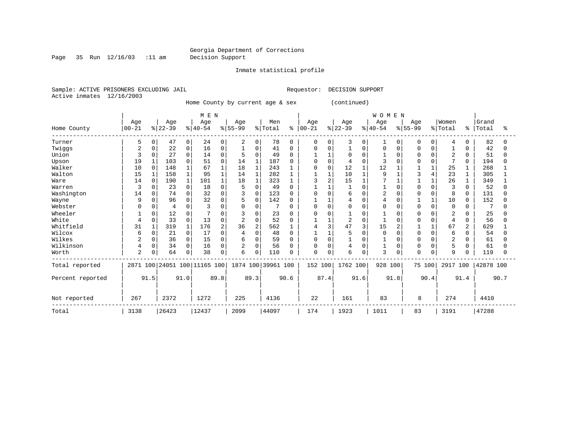Page 35 Run 12/16/03 :11 am Decision Support

Inmate statistical profile

Sample: ACTIVE PRISONERS EXCLUDING JAIL **Requestor: DECISION SUPPORT** Active inmates 12/16/2003

Home County by current age & sex (continued)

|                  |                |          |           |             | M E N                        |          |                |                |                    |              |             |              |                |          | <b>WOMEN</b>   |          |              |          |                |          |           |      |
|------------------|----------------|----------|-----------|-------------|------------------------------|----------|----------------|----------------|--------------------|--------------|-------------|--------------|----------------|----------|----------------|----------|--------------|----------|----------------|----------|-----------|------|
|                  | Age            |          | Age       |             | Age                          |          | Age            |                | Men                |              | Age         |              | Age            |          | Age            |          | Age          |          | Women          |          | Grand     |      |
| Home County      | $00 - 21$      |          | $ 22-39 $ |             | $ 40-54$                     |          | $ 55-99 $      |                | % Total            | ៖            | $00 - 21$   |              | $ 22-39 $      |          | $ 40-54$       |          | $8 55-99$    |          | % Total        | ႜ        | Total     | ႜ    |
| Turner           | 5              | 0        | 47        | 0           | 24                           | 0        | 2              | 0 <sup>1</sup> | 78                 | 0            | $\mathbf 0$ | 0            | 3              | 0        | 1              | $\Omega$ | 0            | $\Omega$ | 4              | $\Omega$ | 82        |      |
| Twiggs           | 2              | $\Omega$ | 22        | $\mathbf 0$ | 16                           | O        |                | $\Omega$       | 41                 | $\Omega$     | O           | $\Omega$     |                | $\Omega$ | 0              | $\Omega$ | O            | O        |                | 0        | 42        |      |
| Union            |                | $\Omega$ | 27        | $\Omega$    | 14                           | $\Omega$ | 5              | $\Omega$       | 49                 | ∩            |             |              |                | $\Omega$ |                |          |              | $\cap$   | $\overline{2}$ |          | 51        |      |
| Upson            | 19             |          | 103       | $\Omega$    | 51                           |          | 14             |                | 187                | <sup>0</sup> | 0           | <sup>0</sup> |                | U        | 3              |          |              | $\cap$   | 7              | 0        | 194       |      |
| Walker           | 10             | $\Omega$ | 148       |             | 67                           |          | 18             | $\mathbf{1}$   | 243                |              | O           | $\Omega$     | 12             |          | 12             |          |              |          | 25             |          | 268       |      |
| Walton           | 15             | 1        | 158       | $\mathbf 1$ | 95                           |          | 14             | $\mathbf{1}$   | 282                |              |             |              | 10             |          | 9              |          |              | 4        | 23             |          | 305       |      |
| Ware             | 14             | $\Omega$ | 190       |             | 101                          |          | 18             |                | 323                |              | 3           |              | 15             |          |                |          |              |          | 26             |          | 349       |      |
| Warren           | 3              | $\Omega$ | 23        | $\mathbf 0$ | 18                           |          | 5              | $\Omega$       | 49                 |              |             |              |                | $\Omega$ |                |          | O            | $\cap$   | 3              |          | 52        |      |
| Washington       | 14             | 0        | 74        | $\mathbf 0$ | 32                           |          | 3              | $\Omega$       | 123                | 0            | 0           | $\cap$       | 6              | O        | $\overline{2}$ | $\Omega$ |              | $\Omega$ | 8              | $\Omega$ | 131       |      |
| Wayne            | 9              | $\Omega$ | 96        | $\Omega$    | 32                           | $\Omega$ | 5              | $\Omega$       | 142                | <sup>0</sup> |             |              | 4              | $\Omega$ | 4              | $\Omega$ |              |          | 10             | $\Omega$ | 152       |      |
| Webster          |                | $\Omega$ |           | $\Omega$    |                              |          | 0              | O              |                    |              | U           | O            | U              | $\Omega$ | O              |          | U            | $\Omega$ | 0              |          |           |      |
| Wheeler          |                | $\Omega$ | 12        | 0           |                              |          | 3              | $\Omega$       | 23                 |              | U           | $\cap$       |                | O        |                |          | U            | $\cap$   |                |          | 25        |      |
| White            |                | $\Omega$ | 33        | $\Omega$    | 13                           | $\Omega$ | $\overline{2}$ | $\Omega$       | 52                 | $\Omega$     |             |              | $\overline{2}$ | $\Omega$ |                |          |              | $\cap$   | 4              | 0        | 56        |      |
| Whitfield        | 31             |          | 319       |             | 176                          | 2        | 36             | $\overline{2}$ | 562                |              |             | 3            | 47             | 3        | 15             |          |              |          | 67             | 2        | 629       |      |
| Wilcox           | 6              | $\Omega$ | 21        | $\mathbf 0$ | 17                           |          | 4              | $\Omega$       | 48                 | ∩            |             |              | 5              | $\Omega$ | $\Omega$       |          | <sup>0</sup> | $\cap$   | 6              | 0        | 54        |      |
| Wilkes           | 2              | 0        | 36        | $\mathbf 0$ | 15                           | O        | 6              | $\Omega$       | 59                 | <sup>0</sup> | 0           | $\Omega$     |                | $\Omega$ |                | O        |              | $\Omega$ | 2              | $\Omega$ | 61        |      |
| Wilkinson        | 4              | $\Omega$ | 34        | $\Omega$    | 16                           | $\Omega$ | $\overline{c}$ | $\Omega$       | 56                 | <sup>0</sup> | O           | $\Omega$     | 4              | $\Omega$ |                | $\Omega$ | <sup>0</sup> | ∩        | 5              | $\Omega$ | 61        |      |
| Worth            | $\overline{2}$ | $\Omega$ | 64        | $\mathbf 0$ | 38                           | 0        | б              | 0              | 110                |              | 0           | 0            | 6              | $\Omega$ | 3              | 0        | <sup>0</sup> | 0        | 9              |          | 119       |      |
| Total reported   |                |          |           |             | 2871 100 24051 100 11165 100 |          |                |                | 1874 100 39961 100 |              | 152 100     |              | 1762 100       |          | 928 100        |          |              | 75 100   | 2917 100       |          | 42878 100 |      |
| Percent reported |                | 91.5     |           | 91.0        |                              | 89.8     |                | 89.3           |                    | 90.6         |             | 87.4         |                | 91.6     |                | 91.8     |              | 90.4     |                | 91.4     |           | 90.7 |
| Not reported     | 267            |          | 2372      |             | 1272                         |          | 225            |                | 4136               |              | 22          |              | 161            |          | 83             |          | 8            |          | 274            |          | 4410      |      |
| Total            | 3138           |          | 26423     |             | 12437                        |          | 2099           |                | 44097              |              | 174         |              | 1923           |          | 1011           |          | 83           |          | 3191           |          | 47288     |      |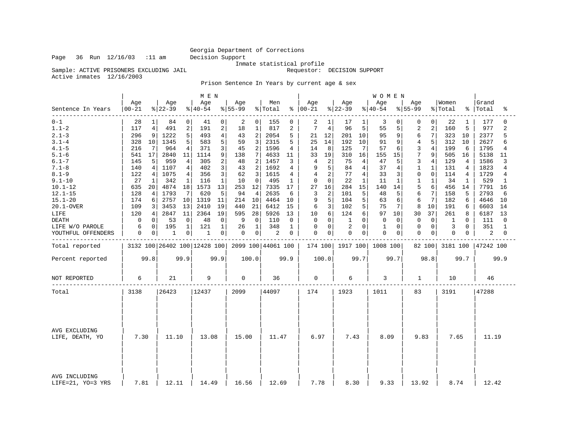Sample: ACTIVE PRISONERS EXCLUDING JAIL

Inmate statistical profile<br>Requestor: DECISION SUPPORT

Active inmates 12/16/2003

Prison Sentence In Years by current age & sex

|                                    |                  |                   |                 |                  | M E N                        |                 |                  |                                |                    |        |                      |             |                 |              | WOMEN            |              |                 |                |                  |        |                      |                            |
|------------------------------------|------------------|-------------------|-----------------|------------------|------------------------------|-----------------|------------------|--------------------------------|--------------------|--------|----------------------|-------------|-----------------|--------------|------------------|--------------|-----------------|----------------|------------------|--------|----------------------|----------------------------|
| Sentence In Years                  | Age<br>$00 - 21$ |                   | Age<br>$ 22-39$ |                  | Age<br>$ 40-54$              |                 | Age<br>$8 55-99$ |                                | Men<br>% Total     |        | Age<br>$8   00 - 21$ |             | Age<br>$ 22-39$ |              | Age<br>$ 40-54 $ |              | Age<br>$ 55-99$ |                | Women<br>% Total |        | Grand<br>%   Total   | ႜ                          |
| $0 - 1$<br>$1.1 - 2$               | 28<br>117        | $\mathbf{1}$<br>4 | 84<br>491       | $\mathbf 0$<br>2 | 41<br>191                    | 0<br>$\sqrt{2}$ | 2<br>18          | $\overline{0}$<br>$\mathbf{1}$ | 155<br>817         | 0<br>2 | 2<br>7               | 1<br>4      | 17<br>96        | 1<br>5       | 3<br>55          | 0<br>5       | 0<br>2          | 0<br>2         | 22<br>160        | 1<br>5 | 177<br>977           | $\Omega$<br>$\overline{a}$ |
|                                    |                  |                   |                 |                  |                              |                 |                  |                                |                    |        |                      |             |                 |              |                  |              |                 |                |                  |        |                      |                            |
| $2.1 - 3$                          | 296              | 9                 | 1222            | 5                | 493                          | $\overline{4}$  | 43               | 2                              | 2054               | 5      | 21                   | 12          | 201             | 10           | 95               | 9            | 6               | 7              | 323              | 10     | 2377                 | 5                          |
| $3.1 - 4$<br>$4.1 - 5$             | 328              | 10                | 1345            | 5                | 583                          | 5               | 59               | 3                              | 2315<br>1596       | 5      | 25                   | 14          | 192             | 10           | 91               | 9            | 4<br>3          | 5              | 312              | 10     | 2627                 | 6                          |
|                                    | 216              | $7\phantom{.0}$   | 964             | 4                | 371                          | 3               | 45               | 2                              |                    | 4      | 14                   | 8           | 125             | 7            | 57               | 6            | 7               | $\overline{4}$ | 199              | 6      | 1795                 | 4                          |
| $5.1 - 6$                          | 541              | 17                | 2840            | 11               | 1114                         | 9               | 138              | 7                              | 4633               | 11     | 33                   | 19          | 310             | 16           | 155              | 15           |                 | 9              | 505              | 16     | 5138                 | 11                         |
| $6.1 - 7$                          | 145              | 5                 | 959             | 4                | 305                          | 2               | 48               | 2                              | 1457               | 3      | 4                    | 2           | 75              | 4            | 47               | 5            | 3               | 4              | 129              | 4      | 1586                 | 3                          |
| $7.1 - 8$                          | 140              | 4                 | 1107            | 4                | 402                          | 3               | 43               | $\overline{a}$                 | 1692               | 4      | 9                    | 5           | 84              | 4            | 37               | 4            | $\mathbf{1}$    | $\mathbf{1}$   | 131              | 4      | 1823                 | 4                          |
| $8.1 - 9$                          | 122              | 4                 | 1075            | 4                | 356                          | 3               | 62               | 3                              | 1615               | 4      | $\overline{4}$       | 2           | 77              | 4            | 33               | 3            | $\mathbf 0$     | $\mathbf 0$    | 114              | 4      | 1729                 | 4                          |
| $9.1 - 10$                         | 27               | 1                 | 342             | $\mathbf{1}$     | 116                          | 1               | 10               | $\Omega$                       | 495                | 1      | $\Omega$             | $\Omega$    | 22              | $\mathbf{1}$ | 11               | $\mathbf{1}$ | $\mathbf 1$     | 1              | 34               | 1      | 529                  | $\mathbf{1}$               |
| $10.1 - 12$                        | 635              | 20                | 4874            | 18               | 1573                         | 13              | 253              | 12                             | 7335               | 17     | 27                   | 16          | 284             | 15           | 140              | 14           | 5               | 6              | 456              | 14     | 7791                 | 16                         |
| $12.1 - 15$                        | 128              | 4                 | 1793            | 7                | 620                          | 5               | 94               | 4                              | 2635               | 6      | 3                    | 2           | 101             | 5            | 48               | 5            | 6               | 7              | 158              | 5      | 2793                 | 6                          |
| $15.1 - 20$                        | 174              | 6                 | 2757            | 10               | 1319                         | 11              | 214              | 10                             | 4464               | 10     | 9                    | 5           | 104             | 5            | 63               | 6            | 6               | 7              | 182              | 6      | 4646                 | 10                         |
| 20.1-OVER                          | 109              | 3                 | 3453            | 13               | 2410                         | 19              | 440              | 21                             | 6412               | 15     | 6                    | 3           | 102             | 5            | 75               | 7            | 8               | 10             | 191              | 6      | 6603                 | 14                         |
| LIFE                               | 120              | 4                 | 2847            | 11               | 2364                         | 19              | 595              | 28                             | 5926               | 13     | 10                   | 6           | 124             | 6            | 97               | 10           | 30              | 37             | 261              | 8      | 6187                 | 13                         |
| <b>DEATH</b>                       | $\Omega$         | 0                 | 53              | $\mathbf 0$      | 48                           | $\mathbf 0$     | 9                | $\Omega$                       | 110                | 0      | 0                    | $\Omega$    | 1               | $\Omega$     | $\mathbf 0$      | $\Omega$     | $\Omega$        | $\mathbf 0$    | 1                | U      | 111                  | O                          |
| LIFE W/O PAROLE                    | 6                | 0                 | 195             | 1                | 121                          | $\mathbf{1}$    | 26               | $\mathbf{1}$                   | 348                | 1      | 0                    | $\mathbf 0$ | $\overline{2}$  | $\mathbf 0$  | $\mathbf 1$      | 0            | 0               | $\mathbf 0$    | 3                | 0      | 351                  | $\mathbf{1}$               |
| YOUTHFUL OFFENDERS                 | 0                | 0                 | 1               | 0                | 1                            | 0               | 0                | 0 <sup>1</sup>                 | 2                  | 0      | $\mathbf 0$          | 0           | $\Omega$        | 0            | $\mathbf 0$      | 0            | $\Omega$        | 0              | 0                | 0      | 2                    | $\Omega$                   |
| Total reported                     |                  |                   |                 |                  | 3132 100 26402 100 12428 100 |                 |                  |                                | 2099 100 44061 100 |        | 174 100              |             | 1917 100        |              | 1008 100         |              | 82 100          |                |                  |        | 3181 100   47242 100 |                            |
| Percent reported                   |                  | 99.8              | 99.9            |                  | 99.9                         |                 |                  | 100.0                          |                    | 99.9   |                      | 100.0       |                 | 99.7         |                  | 99.7         |                 | 98.8           |                  | 99.7   |                      | 99.9                       |
| NOT REPORTED                       | 6                |                   | 21              |                  | 9                            |                 | 0                |                                | 36                 |        | $\mathbf 0$          |             | 6               |              | 3                |              | 1               |                | 10               |        | 46                   |                            |
| Total                              | 3138             |                   | 26423           |                  | 12437                        |                 | 2099             |                                | 44097              |        | 174                  |             | 1923            |              | 1011             |              | 83              |                | 3191             |        | 47288                |                            |
| AVG EXCLUDING<br>LIFE, DEATH, YO   | 7.30             |                   | 11.10           |                  | 13.08                        |                 | 15.00            |                                | 11.47              |        | 6.97                 |             | 7.43            |              | 8.09             |              | 9.83            |                | 7.65             |        | 11.19                |                            |
| AVG INCLUDING<br>LIFE=21, YO=3 YRS | 7.81             |                   | 12.11           |                  | 14.49                        |                 | 16.56            |                                | 12.69              |        | 7.78                 |             | 8.30            |              | 9.33             |              | 13.92           |                | 8.74             |        | 12.42                |                            |

Page 36 Run 12/16/03 :11 am Decision Support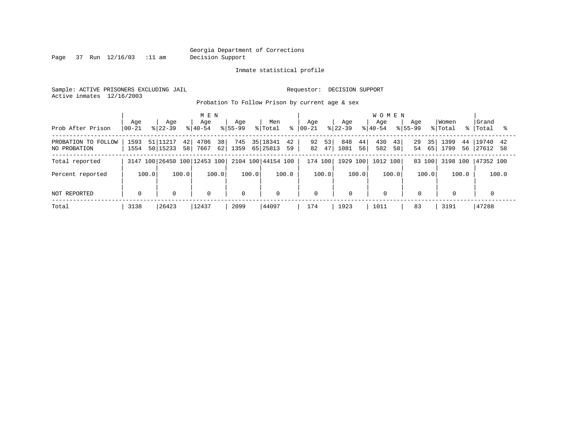Page 37 Run 12/16/03 :11 am Decision Support

Inmate statistical profile

Sample: ACTIVE PRISONERS EXCLUDING JAIL **Requestor: DECISION SUPPORT** Active inmates 12/16/2003

Probation To Follow Prison by current age & sex

| Prob After Prison                   | Age<br>  00-21 |       | Age<br>$8122 - 39$   |                        | M E N<br>Age<br>$8 40-54$    |          | Aqe<br>$8155 - 99$ |       | Men<br>% Total          |          | Aqe<br>$8   00 - 21$ |          | Age<br>$ 22-39 $ |          | <b>WOMEN</b><br>Aqe<br>$8140 - 54$ |          | Aqe<br>$8155 - 99$ |          | Women<br>% Total |          | Grand<br>%   Total |       |
|-------------------------------------|----------------|-------|----------------------|------------------------|------------------------------|----------|--------------------|-------|-------------------------|----------|----------------------|----------|------------------|----------|------------------------------------|----------|--------------------|----------|------------------|----------|--------------------|-------|
| PROBATION TO FOLLOW<br>NO PROBATION | 1593<br>1554   |       | 51 11217<br>50 15233 | 42 <br>58 <sup>1</sup> | 4786<br>7667                 | 38<br>62 | 745<br>1359        |       | 35   1834 1<br>65 25813 | 42<br>59 | 92<br>82             | 53<br>47 | 848<br>1081      | 44<br>56 | 430<br>582                         | 43<br>58 | 29<br>54           | 35<br>65 | 1399<br>1799     | 44<br>56 | 19740<br> 27612 58 | 42    |
| Total reported                      |                |       |                      |                        | 3147 100 26450 100 12453 100 |          |                    |       | 2104 100 44154 100      |          | 174 100              |          | 1929 100         |          | 1012 100                           |          |                    | 83 100   | 3198 100         |          | 47352 100          |       |
| Percent reported                    |                | 100.0 |                      | 100.0                  |                              | 100.0    |                    | 100.0 |                         | 100.0    |                      | 100.0    |                  | 100.0    |                                    | 100.0    |                    | 100.0    |                  | 100.0    |                    | 100.0 |
| NOT REPORTED                        | $\mathbf 0$    |       | $\mathbf 0$          |                        | 0                            |          | $\mathbf{0}$       |       | $\mathbf 0$             |          | $\mathbf 0$          |          | 0                |          | $\mathbf 0$                        |          | 0                  |          | $\mathbf 0$      |          | 0                  |       |
| Total                               | 3138           |       | 26423                |                        | 12437                        |          | 2099               |       | 44097                   |          | 174                  |          | 1923             |          | 1011                               |          | 83                 |          | 3191             |          | 47288              |       |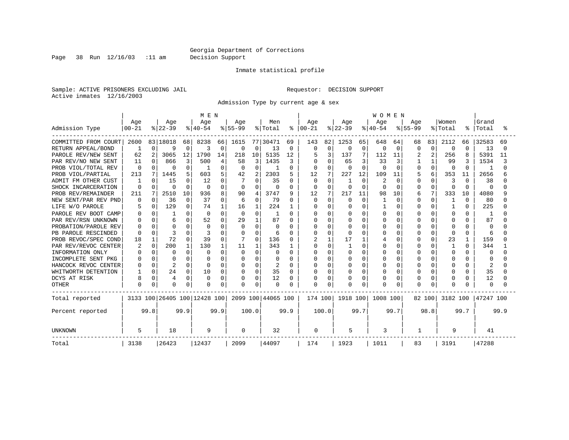Page 38 Run 12/16/03 :11 am Decision Support

#### Inmate statistical profile

Sample: ACTIVE PRISONERS EXCLUDING JAIL **Requestor: DECISION SUPPORT** Active inmates 12/16/2003

Admission Type by current age & sex

|                      |              |              |              |          | M E N                        |          |             |          |                    |               |              |              |           |                   | <b>WOMEN</b> |          |             |          |          |              |           |      |
|----------------------|--------------|--------------|--------------|----------|------------------------------|----------|-------------|----------|--------------------|---------------|--------------|--------------|-----------|-------------------|--------------|----------|-------------|----------|----------|--------------|-----------|------|
|                      | Age          |              | Age          |          | Age                          |          | Age         |          | Men                |               | Age          |              | Age       |                   | Age          |          | Age         |          | Women    |              | Grand     |      |
| Admission Type       | $00 - 21$    |              | $ 22-39$     |          | $ 40-54$                     |          | $8 55-99$   |          | % Total            | $\frac{8}{6}$ | $00 - 21$    |              | $ 22-39 $ |                   | $8 40-54$    |          | $8155 - 99$ |          | % Total  | ႜ            | Total     |      |
| COMMITTED FROM COURT | 2600         |              | 83 18018     | 68       | 8238                         | 66       | 1615        |          | 77 30471           | 69            | 143          | 82           | 1253      | 65                | 648          | 64       | 68          | 83       | 2112     | 66           | 32583     | 69   |
| RETURN APPEAL/BOND   |              | 0            | 9            | $\Omega$ | 3                            | 0        | 0           | 0        | 13                 | 0             | <sup>0</sup> | 0            | 0         | $\mathbf 0$       | $\Omega$     | 0        | 0           | $\Omega$ | 0        | $\Omega$     | 13        |      |
| PAROLE REV/NEW SENT  | 62           | 2            | 3065         | 12       | 1790                         | 14       | 218         | 10       | 5135               | 12            |              | 3            | 137       | 7                 | 112          | 11       |             | 2        | 256      | 8            | 5391      | 11   |
| PAR REV/NO NEW SENT  | 11           | 0            | 866          | 3        | 500                          | 4        | 58          | 3        | 1435               | 3             |              | $\Omega$     | 65        | 3                 | 33           | 3        |             |          | 99       |              | 1534      |      |
| PROB VIOL/TOTAL REV  | $\Omega$     |              | $\Omega$     | O        |                              | O        | 0           | 0        |                    | 0             |              | $\Omega$     |           | $\cap$            | $\Omega$     | $\Omega$ |             | $\Omega$ | $\Omega$ | 0            |           |      |
| PROB VIOL/PARTIAL    | 213          | 7            | 1445         |          | 603                          | 5        | 42          | 2        | 2303               | 5.            | 12           | 7            | 227       | $12 \overline{ }$ | 109          | 11       | 5           | 6        | 353      | 11           | 2656      |      |
| ADMIT FM OTHER CUST  | 1            | n.           | 15           | U        | 12                           |          |             | N        | 35                 | 0             | $\Omega$     | $\Omega$     |           | $\Omega$          | 2            | $\Omega$ | U           | U        | 3        | <sup>0</sup> | 38        |      |
| SHOCK INCARCERATION  | O            | U            | $\Omega$     | $\Omega$ | 0                            | $\cap$   | 0           | $\Omega$ | O                  | 0             | $\Omega$     | $\Omega$     | n         | $\cap$            | U            | $\Omega$ | U           | $\Omega$ | O        | $\Omega$     | $\Omega$  |      |
| PROB REV/REMAINDER   | 211          | 7            | 2510         | 10       | 936                          | 8        | 90          | 4        | 3747               | 9             | 12           | 7            | 217       | 11                | 98           | 10       | 6           | 7        | 333      | 10           | 4080      |      |
| NEW SENT/PAR REV PND | 0            | $\Omega$     | 36           | $\Omega$ | 37                           | $\Omega$ | 6           | $\Omega$ | 79                 | 0             | $\Omega$     | $\Omega$     | $\Omega$  | $\Omega$          |              | 0        |             | $\Omega$ | 1        | $\Omega$     | 80        |      |
| LIFE W/O PAROLE      |              | $\Omega$     | 129          | 0        | 74                           | 1        | 16          | 1        | 224                |               |              | $\Omega$     |           | $\Omega$          |              | $\Omega$ |             | $\Omega$ |          | $\Omega$     | 225       |      |
| PAROLE REV BOOT CAMP |              |              |              | ∩        | $\Omega$                     | $\Omega$ | $\Omega$    | $\cap$   | -1                 | 0             |              | $\Omega$     |           | $\cap$            | O            | $\Omega$ |             | $\cap$   | O        | U            | -1        |      |
| PAR REV/RSN UNKNOWN  |              | U            |              | U        | 52                           | $\cap$   | 29          | 1        | 87                 | O             |              | $\cap$       |           | $\cap$            | O            | $\Omega$ |             | $\cap$   | U        | U            | 87        |      |
| PROBATION/PAROLE REV |              |              | $\Omega$     |          | $\Omega$                     |          | $\Omega$    | $\Omega$ | O                  | O             |              | $\Omega$     |           | $\cap$            | U            | $\Omega$ |             | O        | $\Omega$ |              | $\Omega$  |      |
| PB PAROLE RESCINDED  |              | O            |              |          |                              |          | O           | O        | 6                  | O             |              | $\Omega$     |           | $\Omega$          | O            | 0        |             | O        | $\Omega$ | O            | 6         |      |
| PROB REVOC/SPEC COND | 18           | $\mathbf{1}$ | 72           |          | 39                           |          |             | N        | 136                | 0             |              | $\mathbf{1}$ | 17        | 1                 |              | 0        |             | $\Omega$ | 23       |              | 159       |      |
| PAR REV/REVOC CENTER |              | $\Omega$     | 200          |          | 130                          |          | 11          |          | 343                |               |              | 0            |           | 0                 |              | 0        |             |          |          | <sup>0</sup> | 344       |      |
| INFORMATION ONLY     |              | O            | 0            | U        | $\Omega$                     |          | 0           | $\Omega$ | O                  | 0             |              | $\Omega$     |           | $\Omega$          |              | $\Omega$ |             | U        | $\Omega$ | U            | 0         |      |
| INCOMPLETE SENT PKG  |              | 0            | <sup>0</sup> | U        |                              |          | 0           | O        | O                  | 0             |              | $\Omega$     |           | $\Omega$          |              | $\Omega$ |             | O        | $\Omega$ | U            | O         |      |
| HANCOCK REVOC CENTER |              | 0            | 2            | O        | $\Omega$                     | $\Omega$ | 0           | $\Omega$ | 2                  | 0             |              | $\Omega$     |           | $\Omega$          |              | 0        |             | O        | 0        | O            | 2         |      |
| WHITWORTH DETENTION  |              | $\Omega$     | 24           | 0        | 10                           | $\Omega$ | 0           | $\Omega$ | 35                 | 0             |              | $\Omega$     | O         | $\Omega$          |              | 0        |             | $\Omega$ | 0        | O            | 35        |      |
| DCYS AT RISK         | 8            | 0            | 4            | $\Omega$ | $\Omega$                     | $\Omega$ | $\Omega$    | 0        | 12                 | 0             |              | $\Omega$     |           | $\Omega$          | Ω            | 0        |             | $\Omega$ | 0        | O            | 12        |      |
| <b>OTHER</b>         | <sup>0</sup> | 0            | $\Omega$     | 0        | $\Omega$                     | $\Omega$ | 0           | 0        | 0                  | O             |              | 0            |           | 0                 | N            | 0        |             | $\Omega$ | $\Omega$ |              | $\Omega$  |      |
| Total reported       |              |              |              |          | 3133 100 26405 100 12428 100 |          |             |          | 2099 100 44065 100 |               | 174 100      |              | 1918 100  |                   | 1008 100     |          |             | 82 100   | 3182 100 |              | 47247 100 |      |
| Percent reported     |              | 99.8         |              | 99.9     |                              | 99.9     |             | 100.0    |                    | 99.9          |              | 100.0        |           | 99.7              |              | 99.7     |             | 98.8     |          | 99.7         |           | 99.9 |
| <b>UNKNOWN</b>       | 5            |              | 18           |          | 9                            |          | $\mathbf 0$ |          | 32                 |               | 0            |              | 5         |                   | 3            |          |             |          | 9        |              | 41        |      |
| Total                | 3138         |              | 26423        |          | 12437                        |          | 2099        |          | 44097              |               | 174          |              | 1923      |                   | 1011         |          | 83          |          | 3191     |              | 47288     |      |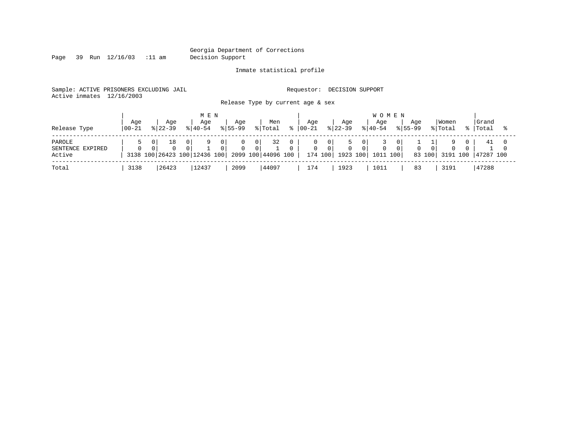Page 39 Run 12/16/03 :11 am Decision Support

Inmate statistical profile

Sample: ACTIVE PRISONERS EXCLUDING JAIL **Requestor: DECISION SUPPORT** Active inmates 12/16/2003

Release Type by current age & sex

| Release Type                         | Age<br>$100 - 21$ | Age<br>$8122 - 39$                 |                 | M E N<br>Age<br>$8140 - 54$ |                       | Aqe<br>$8155 - 99$ |                 | Men<br>% Total           | Aqe<br>$ 00 - 21$ |                           | Age<br>$ 22-39 $         | <b>WOMEN</b><br>Aqe<br>$8140 - 54$ | Aqe<br>$8155 - 99$ |                | Women<br>% Total | Grand<br>%   Total |  |
|--------------------------------------|-------------------|------------------------------------|-----------------|-----------------------------|-----------------------|--------------------|-----------------|--------------------------|-------------------|---------------------------|--------------------------|------------------------------------|--------------------|----------------|------------------|--------------------|--|
| PAROLE<br>SENTENCE EXPIRED<br>Active | $\Omega$          | 18<br>3138 100 26423 100 12436 100 | 0 I<br>$\Omega$ | 9                           | 0 I<br>0 <sup>1</sup> | $\Omega$           | 0 I<br>$\Omega$ | 32<br>2099 100 44096 100 | 0                 | - 0 1<br>. O I<br>174 100 | $\mathbf{0}$<br>1923 100 | 1011 100                           | $\Omega$           | $\overline{0}$ | 83 100 3191 100  | 41<br>47287 100    |  |
| Total                                | 3138              | 26423                              |                 | 12437                       |                       | 2099               |                 | 44097                    | 174               |                           | 1923                     | 1011                               | 83                 |                | 3191             | 47288              |  |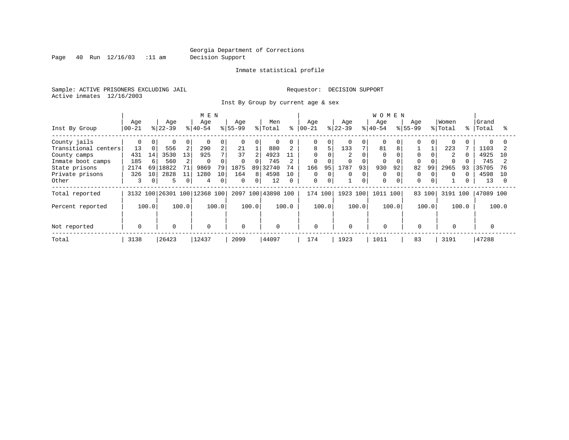Page 40 Run 12/16/03 :11 am Decision Support

Inmate statistical profile

Sample: ACTIVE PRISONERS EXCLUDING JAIL **Requestor: DECISION SUPPORT** Active inmates 12/16/2003

Inst By Group by current age & sex

|                      |             |                 |           |                | M E N                        |              |          |       |                    |          |          |          |           |          | WOMEN       |       |             |          |          |           |           |       |
|----------------------|-------------|-----------------|-----------|----------------|------------------------------|--------------|----------|-------|--------------------|----------|----------|----------|-----------|----------|-------------|-------|-------------|----------|----------|-----------|-----------|-------|
|                      | Age         |                 | Age       |                | Age                          |              | Age      |       | Men                |          | Age      |          | Age       |          | Age         |       | Age         |          | Women    |           | Grand     |       |
| Inst By Group        | $ 00-21$    |                 | $8 22-39$ |                | $ 40-54 $                    |              | $ 55-99$ |       | % Total            | ႜ        | $ 00-21$ |          | $ 22-39 $ |          | $8 40-54$   |       | $8155 - 99$ |          | % Total  | $\approx$ | Total     |       |
| County jails         | 0           | 0               | $\Omega$  |                | $\Omega$                     | 0            |          |       |                    |          | $\Omega$ | $\Omega$ |           | $\Omega$ |             |       |             |          | $\Omega$ |           |           |       |
| Transitional centers | 13          | $\overline{0}$  | 556       | $\overline{a}$ | 290                          | 2            | 21       |       | 880                |          | 8        |          | 133       | 7        | 81          | 8     |             |          | 223      |           | 1103      |       |
| County camps         | 431         | 14              | 3530      | 13             | 925                          | $\mathbf{r}$ | 37       |       | 4923               | 11       |          |          |           |          | $\Omega$    |       |             |          | 2        |           | 4925      | 1 O   |
| Inmate boot camps    | 185         | 6               | 560       |                | 0                            |              | $\Omega$ |       | 745                |          | 0        |          |           |          |             |       |             |          |          |           | 745       |       |
| State prisons        | 2174        | 69              | 18822     | 71             | 9869                         | 79           | 1875     |       | 89 32740           | 74       | 166      | 95       | 1787      | 93       | 930         | 92    | 82          | 99       | 2965     | 93        | 35705     |       |
| Private prisons      | 326         | 10 <sup>1</sup> | 2828      | 11             | 1280                         | 10           | 164      | 8     | 4598               | 10       | $\Omega$ |          | 0         | $\Omega$ | $\Omega$    |       |             |          | $\Omega$ |           | 4598      | 1 O   |
| Other                | 3           | $\Omega$        | 5         | $\mathbf 0$    | 4                            | $\Omega$     | $\Omega$ | 0     | 12                 | $\Omega$ | 0        | $\Omega$ |           | $\Omega$ | $\Omega$    |       | $\Omega$    | $\Omega$ |          |           | 13        |       |
| Total reported       |             |                 |           |                | 3132 100 26301 100 12368 100 |              |          |       | 2097 100 43898 100 |          | 174 100  |          | 1923 100  |          | 1011        | 100   | 83 100      |          | 3191 100 |           | 47089 100 |       |
| Percent reported     |             | 100.0           |           | 100.0          |                              | 100.0        |          | 100.0 |                    | 100.0    |          | 100.0    |           | 100.0    |             | 100.0 |             | 100.0    |          | 100.0     |           | 100.0 |
|                      |             |                 |           |                |                              |              |          |       |                    |          |          |          |           |          |             |       |             |          |          |           |           |       |
| Not reported         | $\mathbf 0$ |                 | $\Omega$  |                | $\mathbf 0$                  |              | $\Omega$ |       | $\mathbf 0$        |          | 0        |          | $\Omega$  |          | $\mathbf 0$ |       | $\Omega$    |          | 0        |           |           |       |
| Total                | 3138        |                 | 26423     |                | 12437                        |              | 2099     |       | 44097              |          | 174      |          | 1923      |          | 1011        |       | 83          |          | 3191     |           | 47288     |       |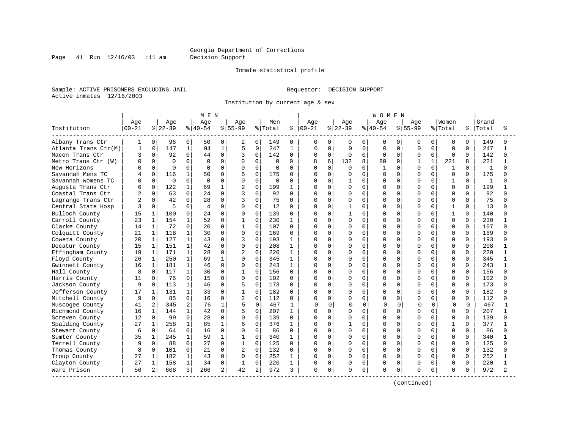Page 41 Run 12/16/03 :11 am Decision Support

#### Inmate statistical profile

Sample: ACTIVE PRISONERS EXCLUDING JAIL **Requestor: DECISION SUPPORT** Active inmates 12/16/2003

Institution by current age & sex

|                      |                  |                |                  |                | MEN             |                |                  |             |                |              |                   |             |                 |              | <b>WOMEN</b>     |             |                  |              |                  |              |                |              |
|----------------------|------------------|----------------|------------------|----------------|-----------------|----------------|------------------|-------------|----------------|--------------|-------------------|-------------|-----------------|--------------|------------------|-------------|------------------|--------------|------------------|--------------|----------------|--------------|
| Institution          | Age<br>$00 - 21$ |                | Age<br>$8 22-39$ |                | Age<br>$ 40-54$ |                | Age<br>$8 55-99$ |             | Men<br>% Total | ⊱            | Age<br>$ 00 - 21$ |             | Age<br>$ 22-39$ |              | Age<br>$8 40-54$ |             | Age<br>$8 55-99$ |              | Women<br>% Total | ႜ            | Grand<br>Total |              |
| Albany Trans Ctr     | 1                | $\overline{0}$ | 96               | $\overline{0}$ | 50              | 0              | 2                | $\Omega$    | 149            | $\Omega$     | 0                 | 0           | 0               | $\mathbf{0}$ | 0                | 0           | 0                | 0            | 0                | $\Omega$     | 149            |              |
| Atlanta Trans Ctr(M) | $\mathbf{1}$     | 0              | 147              | $\mathbf{1}$   | 94              | $\mathbf{1}$   | 5                | $\mathbf 0$ | 247            | $\mathbf{1}$ | $\Omega$          | $\mathbf 0$ | $\mathbf 0$     | $\Omega$     | $\Omega$         | $\Omega$    | $\Omega$         | $\Omega$     | $\Omega$         | $\Omega$     | 247            |              |
| Macon Trans Ctr      | 3                | 0              | 92               | 0              | 44              | $\mathbf 0$    | 3                | 0           | 142            | $\Omega$     | 0                 | $\mathbf 0$ | $\Omega$        | $\Omega$     | $\Omega$         | $\Omega$    | $\mathbf 0$      | $\Omega$     | $\Omega$         | $\Omega$     | 142            | $\cap$       |
| Metro Trans Ctr (W)  |                  | $\Omega$       | $\Omega$         | $\Omega$       | $\Omega$        | $\Omega$       | $\Omega$         | $\Omega$    | <sup>0</sup>   | $\Omega$     | 8                 | 6           | 132             | 8            | 80               | 9           | 1                | $\mathbf{1}$ | 221              | $\mathsf{R}$ | 221            |              |
| New Horizons         |                  | $\Omega$       | $\Omega$         | $\Omega$       | $\Omega$        | $\Omega$       | $\Omega$         | $\Omega$    | $\Omega$       | $\Omega$     | U                 | $\Omega$    | U               | $\Omega$     | $\mathbf{1}$     | $\Omega$    | $\cap$           | $\Omega$     | $\mathbf{1}$     | $\cap$       | 1              |              |
| Savannah Mens TC     |                  | $\Omega$       | 116              | 1              | 50              | $\Omega$       | 5                | $\Omega$    | 175            | 0            | 0                 | $\Omega$    | $\Omega$        | $\Omega$     | $\Omega$         | $\Omega$    | <sup>0</sup>     | $\Omega$     | $\Omega$         | $\Omega$     | 175            |              |
| Savannah Womens TC   |                  | 0              | $\mathbf 0$      | $\Omega$       | $\Omega$        | 0              | $\Omega$         | 0           | 0              | $\Omega$     |                   | $\mathbf 0$ |                 | $\Omega$     | 0                | 0           | $\Omega$         | 0            | 1                | 0            | $\mathbf{1}$   |              |
| Augusta Trans Ctr    |                  | 0              | 122              | $\mathbf 1$    | 69              | $\mathbf{1}$   | $\overline{2}$   | 0           | 199            | 1            | U                 | $\mathbf 0$ | $\Omega$        | $\Omega$     | $\Omega$         | $\Omega$    | <sup>0</sup>     | 0            | $\Omega$         | $\Omega$     | 199            |              |
| Coastal Trans Ctr    |                  | $\Omega$       | 63               | $\Omega$       | 24              | $\Omega$       | 3                | $\Omega$    | 92             | $\Omega$     | 0                 | 0           | 0               | $\Omega$     | O                | $\Omega$    | <sup>0</sup>     | U            | $\Omega$         | $\Omega$     | 92             |              |
| Lagrange Trans Ctr   |                  | $\Omega$       | 42               | $\Omega$       | 28              | $\Omega$       | 3                | 0           | 75             | $\Omega$     | $\Omega$          | $\mathbf 0$ | O               | $\Omega$     | $\Omega$         | $\Omega$    | U                | U            | $\Omega$         | $\Omega$     | 75             |              |
| Central State Hosp   |                  | $\Omega$       | 5                | $\Omega$       | 4               | $\Omega$       | $\Omega$         | $\Omega$    | 12             | $\Omega$     | U                 | $\Omega$    |                 | $\Omega$     | O                | $\Omega$    | $\Omega$         | $\Omega$     | $\mathbf{1}$     | $\Omega$     | 13             |              |
| Bulloch County       | 15               | $\mathbf{1}$   | 100              | 0              | 24              | $\Omega$       | 0                | 0           | 139            | 0            | ი                 | $\Omega$    |                 | $\Omega$     | O                | $\Omega$    | <sup>0</sup>     | 0            | 1                | $\Omega$     | 140            |              |
| Carroll County       | 23               | $\mathbf{1}$   | 154              | 1              | 52              | $\Omega$       |                  | 0           | 230            | 1            | ი                 | $\mathbf 0$ | $\Omega$        | $\Omega$     | $\Omega$         | $\mathbf 0$ | <sup>0</sup>     | 0            | $\Omega$         | 0            | 230            |              |
| Clarke County        | 14               | $\mathbf{1}$   | 72               | $\Omega$       | 20              | $\Omega$       | $\mathbf 1$      | $\Omega$    | 107            | $\Omega$     | U                 | $\mathbf 0$ | $\Omega$        | $\Omega$     | $\Omega$         | $\Omega$    | <sup>0</sup>     | U            | $\Omega$         | $\Omega$     | 107            |              |
| Colquitt County      | 21               | $\mathbf{1}$   | 118              | $\mathbf 1$    | 30              | $\Omega$       | $\mathbf 0$      | 0           | 169            | $\Omega$     | O                 | 0           | 0               | $\Omega$     | O                | $\Omega$    | <sup>0</sup>     | U            | $\Omega$         | 0            | 169            |              |
| Coweta County        | 20               | 1              | 127              | $\mathbf 1$    | 43              | U              | 3                | 0           | 193            | 1            | ი                 | 0           | O               | $\Omega$     | O                | $\Omega$    | <sup>0</sup>     | U            | $\Omega$         | 0            | 193            |              |
| Decatur County       | 15               | $\mathbf{1}$   | 151              | $\mathbf{1}$   | 42              | $\Omega$       | $\Omega$         | $\Omega$    | 208            | $\mathbf{1}$ | O                 | $\Omega$    | O               | $\Omega$     | $\Omega$         | $\Omega$    | <sup>0</sup>     | $\Omega$     | $\Omega$         | $\Omega$     | 208            |              |
| Effingham County     | 19               | $\mathbf{1}$   | 171              | $\mathbf{1}$   | 28              | $\Omega$       | 2                | 0           | 220            | $\mathbf{1}$ | 0                 | $\Omega$    | 0               | $\Omega$     | 0                | $\Omega$    | 0                | 0            | $\Omega$         | $\Omega$     | 220            |              |
| Floyd County         | 26               | $\mathbf{1}$   | 250              | $\mathbf{1}$   | 69              | $\mathbf{1}$   | $\Omega$         | 0           | 345            | $\mathbf{1}$ | ი                 | $\mathbf 0$ | $\Omega$        | $\Omega$     | $\Omega$         | $\Omega$    | $\Omega$         | 0            | $\Omega$         | $\Omega$     | 345            |              |
| Gwinnett County      | 16               | $\mathbf{1}$   | 181              | $\mathbf{1}$   | 46              | $\Omega$       | 0                | $\Omega$    | 243            | 1            | O                 | $\mathbf 0$ | $\Omega$        | $\Omega$     | $\Omega$         | $\Omega$    | <sup>0</sup>     | 0            | $\Omega$         | $\Omega$     | 243            | $\mathbf{1}$ |
| Hall County          | 8                | $\Omega$       | 117              | 1              | 30              | 0              |                  | $\Omega$    | 156            | $\Omega$     | 0                 | 0           | O               | $\Omega$     | $\Omega$         | $\Omega$    | <sup>0</sup>     | O            | $\Omega$         | $\Omega$     | 156            |              |
| Harris County        | 11               | $\Omega$       | 76               | $\Omega$       | 15              | $\Omega$       | $\Omega$         | $\Omega$    | 102            | $\Omega$     | U                 | $\Omega$    | O               | $\Omega$     | $\cap$           | $\cap$      | U                | U            | $\Omega$         | $\Omega$     | 102            |              |
| Jackson County       | 9                | $\Omega$       | 113              | $\mathbf{1}$   | 46              | 0              | 5                | 0           | 173            | 0            | O                 | 0           | $\Omega$        | $\Omega$     | $\Omega$         | $\Omega$    | <sup>0</sup>     | 0            | $\Omega$         | $\Omega$     | 173            |              |
| Jefferson County     | 17               | 1              | 131              | $\mathbf{1}$   | 33              | $\Omega$       |                  | $\Omega$    | 182            | $\Omega$     | Ω                 | $\Omega$    | 0               | $\Omega$     | 0                | $\Omega$    | 0                | 0            | $\Omega$         | $\Omega$     | 182            |              |
| Mitchell County      | 9                | $\Omega$       | 85               | $\Omega$       | 16              | $\Omega$       | $\overline{2}$   | $\Omega$    | 112            | $\Omega$     | Λ                 | $\mathbf 0$ | 0               | $\Omega$     | 0                | $\mathbf 0$ | $\Omega$         | 0            | $\Omega$         | $\Omega$     | 112            |              |
| Muscogee County      | 41               | $\overline{a}$ | 345              | $\overline{2}$ | 76              | $\mathbf{1}$   | $\overline{5}$   | $\Omega$    | 467            | $\mathbf{1}$ | $\Omega$          | $\Omega$    | $\Omega$        | 0            | $\Omega$         | $\Omega$    | $\sqrt{ }$       | 0            | $\Omega$         | $\Omega$     | 467            | 1            |
| Richmond County      | 16               | $\mathbf{1}$   | 144              | $\mathbf 1$    | 42              | $\Omega$       | 5                | 0           | 207            | 1            | O                 | 0           | 0               | $\Omega$     | O                | $\Omega$    | <sup>0</sup>     | O            | $\Omega$         | $\Omega$     | 207            |              |
| Screven County       | 12               | 0              | 99               | $\Omega$       | 28              | $\Omega$       | $\Omega$         | $\Omega$    | 139            | <sup>0</sup> | U                 | 0           | O               | $\Omega$     | $\cap$           | $\cap$      | U                |              | $\Omega$         | $\Omega$     | 139            |              |
| Spalding County      | 27               | $\mathbf{1}$   | 258              | $\mathbf{1}$   | 85              | $\mathbf{1}$   | 6                | $\Omega$    | 376            | 1            | O                 | $\Omega$    |                 | $\Omega$     | $\Omega$         | $\Omega$    | U                | O.           | 1                | $\Omega$     | 377            |              |
| Stewart County       | 6                | $\Omega$       | 64               | 0              | 16              | $\Omega$       | $\mathbf 0$      | 0           | 86             | $\Omega$     | O                 | $\mathbf 0$ | $\Omega$        | $\Omega$     | $\Omega$         | $\Omega$    | <sup>0</sup>     | 0            | $\Omega$         | $\Omega$     | 86             |              |
| Sumter County        | 35               | 1              | 245              | $\mathbf{1}$   | 59              | $\mathbf{1}$   | $\mathbf{1}$     | 0           | 340            | 1            | በ                 | $\mathbf 0$ | $\Omega$        | $\Omega$     | $\Omega$         | $\Omega$    | <sup>0</sup>     | 0            | $\Omega$         | $\Omega$     | 340            |              |
| Terrell County       | q                | 0              | 88               | 0              | 27              | 0              | 1                | 0           | 125            | 0            | 0                 | 0           | $\Omega$        | $\Omega$     | U                | 0           | 0                | 0            | $\Omega$         | 0            | 125            | $\cap$       |
| Thomas County        | 8                | 0              | 101              | 0              | 21              | 0              | $\overline{2}$   | 0           | 132            | $\Omega$     | 0                 | 0           | 0               | 0            | $\Omega$         | 0           | <sup>0</sup>     | O            | $\Omega$         | 0            | 132            |              |
| Troup County         | 27               | $\mathbf{1}$   | 182              | $\mathbf{1}$   | 43              | $\Omega$       | $\Omega$         | $\Omega$    | 252            | 1            | O                 | $\Omega$    | $\Omega$        | $\Omega$     | $\Omega$         | $\Omega$    | $\Omega$         | 0            | $\Omega$         | $\Omega$     | 252            |              |
| Clayton County       | 27               | $\mathbf 1$    | 158              | $\mathbf{1}$   | 34              | 0              | 1                | 0           | 220            | 1            | 0                 | 0           | $\Omega$        | 0            | 0                | $\mathbf 0$ | 0                | $\Omega$     | $\Omega$         | $\Omega$     | 220            |              |
| Ware Prison          | 56               | 2              | 608              | 3              | 266             | $\overline{2}$ | 42               | 2           | 972            | 3            | 0                 | 0           | U               | 0            | 0                | 0           | $\Omega$         | 0            | $\Omega$         | 0            | 972            |              |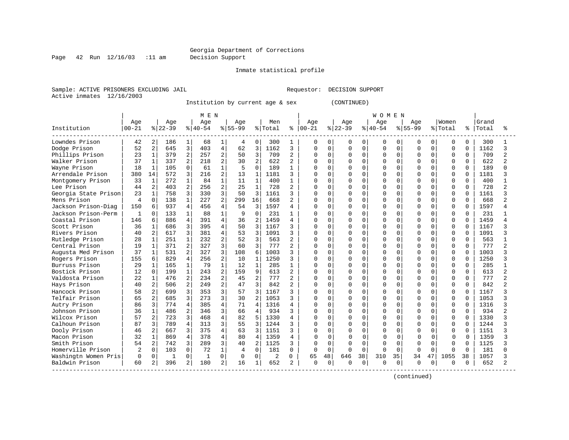#### Georgia Department of Corrections Page 42 Run 12/16/03 :11 am Decision Support

Inmate statistical profile

Sample: ACTIVE PRISONERS EXCLUDING JAIL REGUESTOR: DECISION SUPPORT Active inmates 12/16/2003

Institution by current age & sex (CONTINUED)

|                      |                |                |           |                | MEN       |                |           |                |                |              |          |              |          |          | <b>WOMEN</b> |          |             |             |              |             |       |                |
|----------------------|----------------|----------------|-----------|----------------|-----------|----------------|-----------|----------------|----------------|--------------|----------|--------------|----------|----------|--------------|----------|-------------|-------------|--------------|-------------|-------|----------------|
|                      | Age            |                | Age       |                | Age       |                | Age       |                | Men            |              | Age      |              | Age      |          | Age          |          | Age         |             | Women        |             | Grand |                |
| Institution          | $00 - 21$      |                | $8 22-39$ |                | $8 40-54$ |                | $8 55-99$ |                | % Total        | နွ           | $ 00-21$ |              | $ 22-39$ |          | $ 40-54$     |          | $8155 - 99$ |             | % Total      | ႜ           | Total | ిన             |
| Lowndes Prison       | 42             | 2              | 186       | $\mathbf{1}$   | 68        | 1              | 4         | 0              | 300            |              | $\Omega$ | 0            | 0        | 0        | 0            | 0        | 0           | 0           | 0            | 0           | 300   |                |
| Dodge Prison         | 52             | $\overline{a}$ | 645       | 3              | 403       | $\overline{4}$ | 62        | 3              | 1162           | 3            | $\Omega$ | $\Omega$     | $\Omega$ | $\Omega$ | $\mathbf 0$  | $\Omega$ | $\Omega$    | 0           | $\mathbf 0$  | $\Omega$    | 1162  | 3              |
| Phillips Prison      | 23             | $\mathbf{1}$   | 379       | $\overline{2}$ | 257       | $\overline{2}$ | 50        | 3              | 709            | 2            | $\Omega$ | $\Omega$     | $\Omega$ | $\Omega$ | $\mathbf 0$  | 0        | O           | $\mathbf 0$ | 0            | $\mathbf 0$ | 709   | $\overline{a}$ |
| Walker Prison        | 37             | $\mathbf{1}$   | 337       | $\overline{a}$ | 218       | 2              | 30        | $\overline{a}$ | 622            | 2            | O        | $\Omega$     | $\Omega$ | $\Omega$ | $\Omega$     | 0        | U           | $\mathbf 0$ | $\Omega$     | $\Omega$    | 622   | $\overline{a}$ |
| Wayne Prison         | 18             | $\mathbf{1}$   | 105       | $\Omega$       | 61        | $\mathbf{1}$   | 5         | $\Omega$       | 189            | $\mathbf{1}$ | $\Omega$ | $\cap$       | $\cap$   | $\Omega$ | $\Omega$     | $\Omega$ | $\cap$      | $\Omega$    | 0            | $\Omega$    | 189   | $\cap$         |
| Arrendale Prison     | 380            | 14             | 572       | 3              | 216       | $\overline{2}$ | 13        | $\mathbf{1}$   | 1181           | ζ            |          | n            | $\cap$   | $\Omega$ | $\Omega$     | 0        | U           | $\Omega$    | 0            | $\Omega$    | 1181  | κ              |
| Montgomery Prison    | 33             | $\mathbf{1}$   | 272       | $\mathbf{1}$   | 84        |                | 11        | $\mathbf{1}$   | 400            |              |          |              | $\Omega$ | $\Omega$ | $\Omega$     | $\cap$   | U           | $\Omega$    | 0            | $\Omega$    | 400   |                |
| Lee Prison           | 44             | 2              | 403       | $\overline{a}$ | 256       | $\overline{2}$ | 25        | $\mathbf{1}$   | 728            |              |          |              | O        | $\Omega$ | $\Omega$     | $\Omega$ |             | $\Omega$    | <sup>0</sup> | U           | 728   | $\mathfrak{D}$ |
| Georgia State Prison | 23             | $\mathbf{1}$   | 758       | 3              | 330       | $\mathbf{z}$   | 50        | 3              | 1161           |              |          |              | $\cap$   | $\Omega$ | $\Omega$     | $\Omega$ | $\cap$      | $\Omega$    | $\Omega$     | U           | 1161  | २              |
| Mens Prison          | 4              | $\Omega$       | 138       | $\mathbf{1}$   | 227       | $\overline{a}$ | 299       | 16             | 668            |              |          | $\Omega$     |          | $\Omega$ | $\Omega$     | $\Omega$ | U           | $\Omega$    | $\Omega$     | 0           | 668   | $\mathfrak{D}$ |
| Jackson Prison-Diag  | 150            | 6              | 937       | $\overline{4}$ | 456       | $\overline{4}$ | 54        | 3              | 1597           |              | O        | $\Omega$     | O        | $\Omega$ | $\Omega$     | $\Omega$ | O           | $\Omega$    | $\Omega$     | $\Omega$    | 1597  | 4              |
| Jackson Prison-Perm  | 1              | 0              | 133       | 1              | 88        | 1              | 9         | $\Omega$       | 231            |              | O        | ∩            | O        | $\Omega$ | $\Omega$     | $\Omega$ | n           | $\Omega$    | 0            | $\Omega$    | 231   |                |
| Coastal Prison       | 146            | 6              | 886       | $\overline{4}$ | 391       | $\overline{4}$ | 36        | $\overline{a}$ | 1459           |              |          | $\Omega$     | $\Omega$ | $\Omega$ | $\Omega$     | $\Omega$ | O           | $\Omega$    | 0            | U           | 1459  | 4              |
| Scott Prison         | 36             | $\mathbf{1}$   | 686       | 3              | 395       | $\overline{4}$ | 50        | 3              | 1167           |              |          | <sup>0</sup> | $\Omega$ | $\Omega$ | $\Omega$     | $\Omega$ | C           | 0           | 0            | $\Omega$    | 1167  | २              |
| Rivers Prison        | 40             | $\overline{a}$ | 617       | 3              | 381       | 4              | 53        | 3              | 1091           | ζ            |          |              | $\cap$   | $\Omega$ | $\Omega$     | $\Omega$ | $\cap$      | $\Omega$    | 0            | $\Omega$    | 1091  | २              |
| Rutledge Prison      | 28             | $\mathbf{1}$   | 251       | $\mathbf{1}$   | 232       | 2              | 52        | 3              | 563            | 2            |          | n            | $\cap$   | $\Omega$ | $\Omega$     | $\Omega$ | U           | $\Omega$    | 0            | $\Omega$    | 563   |                |
| Central Prison       | 19             | $\mathbf 1$    | 371       | $\overline{2}$ | 327       | 3              | 60        | 3              | 777            |              |          |              |          | O        | $\Omega$     | $\Omega$ | U           | $\Omega$    | <sup>0</sup> | U           | 777   | $\mathfrak{D}$ |
| Augusta Med Prison   | 37             | $\mathbf{1}$   | 531       | $\overline{2}$ | 327       | 3              | 108       | 6              | 1003           |              |          |              | $\Omega$ | $\Omega$ | $\Omega$     | $\Omega$ | U           | $\Omega$    | $\Omega$     | O           | 1003  |                |
| Rogers Prison        | 155            | 6              | 829       | $\overline{4}$ | 256       | $\overline{a}$ | 10        | 1              | 1250           |              | $\Omega$ |              | $\cap$   | $\Omega$ | $\Omega$     | $\Omega$ | $\Omega$    | $\Omega$    | $\Omega$     | $\Omega$    | 1250  | κ              |
| Burruss Prison       | 29             | $\mathbf{1}$   | 165       | $\mathbf{1}$   | 79        | $\mathbf{1}$   | 12        | $\mathbf{1}$   | 285            |              | $\Omega$ | $\Omega$     | $\Omega$ | $\Omega$ | $\Omega$     | $\Omega$ | O           | $\Omega$    | $\Omega$     | $\Omega$    | 285   |                |
| Bostick Prison       | 12             | 0              | 199       | $\mathbf{1}$   | 243       | $\overline{2}$ | 159       | 9              | 613            |              |          | $\Omega$     | $\cap$   | $\Omega$ | $\Omega$     | $\Omega$ | O           | $\Omega$    | $\Omega$     | 0           | 613   | $\mathfrak{D}$ |
| Valdosta Prison      | 22             | $\mathbf 1$    | 476       | 2              | 234       | 2              | 45        | 2              | 777            | 2            |          |              | $\Omega$ | $\Omega$ | $\Omega$     | 0        | U           | $\mathbf 0$ | $\Omega$     | $\Omega$    | 777   | $\overline{a}$ |
| Hays Prison          | 40             | 2              | 506       | 2              | 249       | 2              | 47        | 3              | 842            | 2            |          |              | $\Omega$ | $\Omega$ | $\Omega$     | $\Omega$ | U           | $\Omega$    | $\Omega$     | $\Omega$    | 842   | $\mathcal{D}$  |
| Hancock Prison       | 58             | 2              | 699       | 3              | 353       | 3              | 57        | 3              | 1167           |              |          |              | $\Omega$ | $\Omega$ | $\Omega$     | 0        | ∩           | $\Omega$    | 0            | $\Omega$    | 1167  |                |
| Telfair Prison       | 65             | $\overline{a}$ | 685       | 3              | 273       | $\mathcal{R}$  | 30        | $\overline{2}$ | 1053           |              |          | $\Omega$     | $\cap$   | $\Omega$ | $\Omega$     | 0        | $\cap$      | $\Omega$    | <sup>0</sup> | $\Omega$    | 1053  | २              |
| Autry Prison         | 86             | 3              | 774       | $\overline{4}$ | 385       | $\overline{4}$ | 71        | $\overline{4}$ | 1316           | 4            |          |              | $\Omega$ | $\Omega$ | $\Omega$     | $\Omega$ | $\cap$      | $\Omega$    | 0            | $\Omega$    | 1316  |                |
| Johnson Prison       | 36             | $\mathbf 1$    | 486       | $\overline{a}$ | 346       | 3              | 66        | $\overline{4}$ | 934            | 3            |          |              |          | $\Omega$ | $\Omega$     | $\Omega$ |             | $\Omega$    | <sup>0</sup> | U           | 934   | $\mathfrak{D}$ |
| Wilcox Prison        | 57             | $\overline{a}$ | 723       | 3              | 468       | 4              | 82        | 5              | 1330           | 4            |          |              | $\cap$   | $\Omega$ | $\Omega$     | $\Omega$ | $\cap$      | $\Omega$    | $\Omega$     | U           | 1330  | २              |
| Calhoun Prison       | 87             | 3              | 789       | $\overline{4}$ | 313       | $\mathcal{R}$  | 55        | ঽ              | 1244           |              |          |              |          | $\Omega$ | $\Omega$     | $\Omega$ | $\cap$      | $\Omega$    | $\Omega$     | $\Omega$    | 1244  | २              |
| Dooly Prison         | 46             | 2              | 667       | 3              | 375       | $\overline{4}$ | 63        |                | 1151           |              |          | $\Omega$     | $\cap$   | $\Omega$ | $\Omega$     | $\Omega$ | ∩           | $\Omega$    | 0            | $\Omega$    | 1151  | ζ              |
| Macon Prison         | 32             | $\mathbf 1$    | 869       | $\overline{4}$ | 378       | 4              | 80        | $\overline{4}$ | 1359           |              | $\Omega$ |              |          | $\Omega$ | $\Omega$     | O        |             | $\Omega$    | 0            | $\Omega$    | 1359  |                |
| Smith Prison         | 54             | 2              | 742       | 3              | 289       | 3              | 40        | 2              | 1125           | 3            | $\Omega$ | $\Omega$     | $\Omega$ | $\Omega$ | $\Omega$     | $\Omega$ | $\sqrt{ }$  | 0           | 0            | $\Omega$    | 1125  |                |
| Homerville Prison    | $\overline{c}$ | 0              | 103       | $\mathbf 0$    | 72        | $\mathbf{1}$   | 4         | $\Omega$       | 181            | $\Omega$     | $\cap$   | $\Omega$     | $\cap$   | $\Omega$ | $\cap$       | $\Omega$ | $\cap$      | $\Omega$    | U            | $\Omega$    | 181   | ∩              |
| Washingtn Women Pris | 0              | 0              | 1         | 0              | -1        | 0              | 0         | $\Omega$       | $\overline{2}$ | 0            | 65       | 48           | 646      | 38       | 310          | 35       | 34          | 47          | 1055         | 38          | 1057  |                |
| Baldwin Prison       | 60             | 2              | 396       | 2              | 180       | 2              | 16        | 1              | 652            | 2            | $\Omega$ | 0            |          | 0        | $\Omega$     | 0        | $\Omega$    | 0           | O            | 0           | 652   | $\mathcal{D}$  |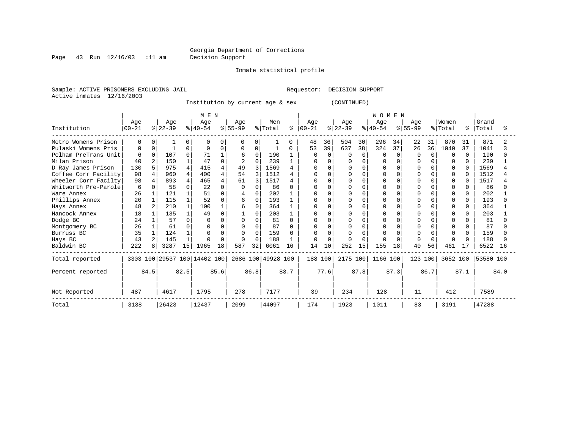#### Georgia Department of Corrections Page 43 Run 12/16/03 :11 am Decision Support

Inmate statistical profile

Sample: ACTIVE PRISONERS EXCLUDING JAIL **Requestor: DECISION SUPPORT** Active inmates 12/16/2003

Institution by current age & sex (CONTINUED)

|                      |                  |                |                  |              | M E N                        |          |                  |          |                    |      |                  |          |                  |          | <b>WOMEN</b>     |              |                  |          |                  |              |                |      |
|----------------------|------------------|----------------|------------------|--------------|------------------------------|----------|------------------|----------|--------------------|------|------------------|----------|------------------|----------|------------------|--------------|------------------|----------|------------------|--------------|----------------|------|
| Institution          | Age<br>$00 - 21$ |                | Age<br>$ 22-39 $ |              | Age<br>$ 40-54 $             |          | Age<br>$8 55-99$ |          | Men<br>% Total     | ႜ    | Age<br>$00 - 21$ |          | Age<br>$ 22-39 $ |          | Age<br>$8 40-54$ |              | Age<br>$8 55-99$ |          | Women<br>% Total | ိုး          | Grand<br>Total |      |
| Metro Womens Prison  | $\Omega$         | O              |                  | 0            | $\Omega$                     | U        | 0                | 0        |                    | U    | 48               | 36       | 504              | 30       | 296              | 34           | 22               | 31       | 870              | 31           | 871            |      |
| Pulaski Womens Pris  | 0                | O              |                  | 0            | <sup>0</sup>                 | U        | 0                | 0        |                    | 0    | 53               | 39       | 637              | 38       | 324              | 37           | 26               | 36       | 1040             | 37           | 1041           |      |
| Pelham PreTrans Unit | 6                | $\Omega$       | 107              | $\Omega$     | 71                           |          | 6                | $\Omega$ | 190                |      | 0                | $\Omega$ | $\Omega$         | $\Omega$ | O                | <sup>0</sup> |                  | $\cap$   | ∩                | 0            | 190            |      |
| Milan Prison         | 40               | $\overline{c}$ | 150              |              | 47                           | $\Omega$ | 2                | $\Omega$ | 239                |      | U                |          | $\Omega$         |          |                  |              |                  |          |                  | 0            | 239            |      |
| D Ray James Prison   | 130              | 5              | 975              | 4            | 415                          |          | 49               |          | 1569               |      |                  |          |                  |          |                  |              |                  |          |                  |              | 1569           |      |
| Coffee Corr Facility | 98               | 4              | 960              | 4            | 400                          |          | 54               | 3        | 1512               |      | <sup>0</sup>     |          | $\Omega$         |          | $\cap$           |              |                  |          | $\Omega$         |              | 1512           |      |
| Wheeler Corr Facilty | 98               |                | 893              | 4            | 465                          |          | 61               |          | 1517               |      |                  |          |                  |          | $\Omega$         |              |                  |          |                  |              | 1517           |      |
| Whitworth Pre-Parole | 6                |                | 58               | $\Omega$     | 22                           | $\Omega$ |                  |          | 86                 |      |                  |          | O                |          | U                |              |                  |          |                  |              | 86             |      |
| Ware Annex           | 26               |                | 121              |              | 51                           |          |                  | $\Omega$ | 202                |      |                  |          |                  |          |                  |              |                  |          |                  | 0            | 202            |      |
| Phillips Annex       | 20               |                | 115              | $\mathbf{1}$ | 52                           | $\Omega$ | 6                | $\Omega$ | 193                |      |                  |          | $\Omega$         |          | O                |              |                  |          |                  | $\Omega$     | 193            |      |
| Hays Annex           | 48               | 2              | 210              | $\mathbf{1}$ | 100                          |          | 6                | $\Omega$ | 364                |      | O                |          |                  |          | $\Omega$         |              |                  |          | O                | 0            | 364            |      |
| Hancock Annex        | 18               |                | 135              | 1            | 49                           |          |                  | $\Omega$ | 203                |      |                  |          |                  |          |                  |              |                  |          |                  | <sup>0</sup> | 203            |      |
| Dodge BC             | 24               |                | 57               | $\Omega$     |                              |          |                  | $\Omega$ | 81                 |      |                  |          |                  |          |                  |              |                  |          |                  |              | 81             |      |
| Montgomery BC        | 26               |                | 61               | $\Omega$     |                              | $\Omega$ |                  | $\Omega$ | 87                 |      |                  |          |                  |          |                  |              |                  |          |                  |              | 87             |      |
| Burruss BC           | 35               |                | 124              |              |                              | $\cap$   |                  | $\Omega$ | 159                |      |                  |          |                  |          |                  |              |                  |          |                  |              | 159            |      |
| Hays BC              | 43               | $\overline{a}$ | 145              | $\mathbf{1}$ |                              | $\Omega$ |                  | $\Omega$ | 188                |      | O                |          | $\Omega$         |          |                  |              |                  | $\Omega$ |                  |              | 188            |      |
| Baldwin BC           | 222              | 8              | 3287             | 15           | 1965                         | 18       | 587              | 32       | 6061               | 16   | 14               | 10       | 252              | 15       | 155              | 18           | 40               | 56       | 461              | 17           | 6522           | 16   |
| Total reported       |                  |                |                  |              | 3303 100 29537 100 14402 100 |          |                  |          | 2686 100 49928 100 |      | 188 100          |          | 2175 100         |          | 1166 100         |              | 123 100          |          | 3652 100         |              | 53580 100      |      |
| Percent reported     |                  | 84.5           |                  | 82.5         |                              | 85.6     |                  | 86.8     |                    | 83.7 |                  | 77.6     |                  | 87.8     |                  | 87.3         |                  | 86.7     |                  | 87.1         |                | 84.0 |
| Not Reported         | 487              |                | 4617             |              | 1795                         |          | 278              |          | 7177               |      | 39               |          | 234              |          | 128              |              | 11               |          | 412              |              | 7589           |      |
| Total                | 3138             |                | 26423            |              | 12437                        |          | 2099             |          | 44097              |      | 174              |          | 1923             |          | 1011             |              | 83               |          | 3191             |              | 47288          |      |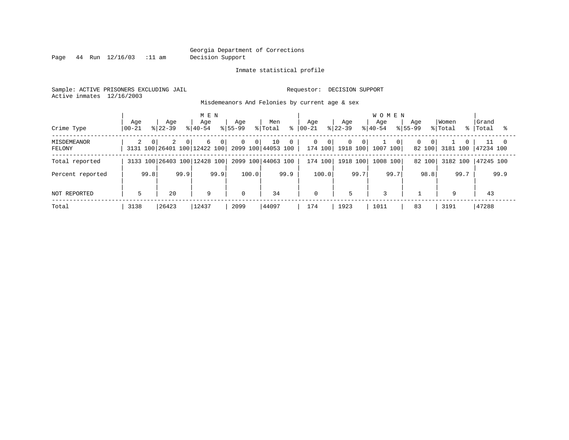Page 44 Run 12/16/03 :11 am Decision Support

#### Inmate statistical profile

Sample: ACTIVE PRISONERS EXCLUDING JAIL **Requestor: DECISION SUPPORT** Active inmates 12/16/2003

Misdemeanors And Felonies by current age & sex

| Crime Type            | Age<br>$ 00-21$ | Aqe<br>$8122 - 39$ | M E N<br>Age<br>$8140 - 54$                         | Aqe<br>$8155 - 99$             | Men<br>% Total<br>ႜ                      | Aqe<br>$00 - 21$               | Age<br>$8 22-39$                        | <b>WOMEN</b><br>Aqe<br>$8 40-54$<br>$8155 - 99$ | Aqe                 | Women<br>% Total | Grand<br>%   Total |
|-----------------------|-----------------|--------------------|-----------------------------------------------------|--------------------------------|------------------------------------------|--------------------------------|-----------------------------------------|-------------------------------------------------|---------------------|------------------|--------------------|
| MISDEMEANOR<br>FELONY | $\Omega$<br>2   | 2<br>$\Omega$      | 6<br>0 <sup>1</sup><br>3131 100 26401 100 12422 100 | 0 <sup>1</sup><br>$\mathbf{0}$ | 10<br>$\mathbf{0}$<br>2099 100 44053 100 | $\mathbf{0}$<br>$\overline{0}$ | 0<br>$\overline{0}$<br>174 100 1918 100 | 0 <sup>1</sup><br>1007 100                      | 0<br>0 <sup>1</sup> | 82 100 3181 100  | 47234 100          |
| Total reported        |                 |                    | 3133 100 26403 100 12428 100                        |                                | 2099 100 44063 100                       |                                | 174 100 1918 100                        | 1008 100                                        | 82 100              | 3182 100         | 47245 100          |
| Percent reported      | 99.8            | 99.9               | 99.9                                                | 100.0                          | 99.9                                     | 100.0                          | 99.7                                    | 99.7                                            | 98.8                | 99.7             | 99.9               |
| NOT REPORTED          | 5               | 20                 | 9                                                   |                                | 34                                       | $\mathbf 0$                    | 5                                       | 3                                               |                     | 9                | 43                 |
| Total                 | 3138            | 26423              | 12437                                               | 2099                           | 44097                                    | 174                            | 1923                                    | 1011                                            | 83                  | 3191             | 47288              |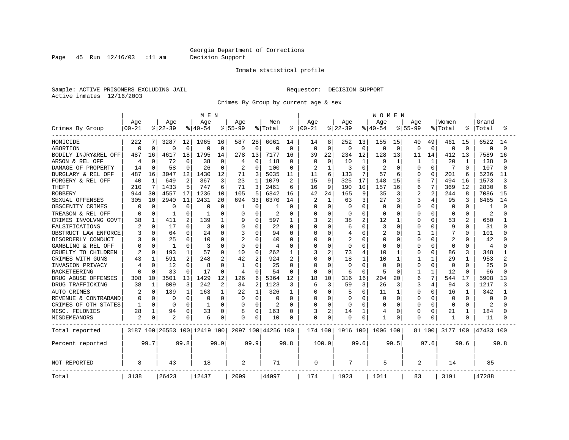Page 45 Run 12/16/03 :11 am Decision Support

#### Inmate statistical profile

Sample: ACTIVE PRISONERS EXCLUDING JAIL **Requestor: DECISION SUPPORT** Active inmates 12/16/2003

Crimes By Group by current age & sex

|                      |                  |              |                    |              | M E N                        |             |                  |                |                    |                |                 |                |                  |                | <b>WOMEN</b>     |                |                    |              |                  |                |                |          |
|----------------------|------------------|--------------|--------------------|--------------|------------------------------|-------------|------------------|----------------|--------------------|----------------|-----------------|----------------|------------------|----------------|------------------|----------------|--------------------|--------------|------------------|----------------|----------------|----------|
| Crimes By Group      | Age<br>$00 - 21$ |              | Age<br>$8$   22-39 |              | Age<br>$8140 - 54$           |             | Age<br>$8 55-99$ |                | Men<br>% Total     | ႜ              | Age<br>$ 00-21$ |                | Age<br>$ 22-39 $ |                | Age<br>$8 40-54$ |                | Age<br>$8155 - 99$ |              | Women<br>% Total |                | Grand<br>Total |          |
| HOMICIDE             | 222              | 7            | 3287               | 12           | 1965                         | 16          | 587              | 28             | 6061               | 14             | 14              | 8              | 252              | 13             | 155              | 15             | 40                 | 49           | 461              | 15             | 6522           | 14       |
| <b>ABORTION</b>      | $\mathbf 0$      | $\Omega$     | $\Omega$           | $\mathbf 0$  | 0                            | $\mathbf 0$ | $\mathbf 0$      | 0              | $\Omega$           | $\mathbf 0$    | $\mathbf 0$     | $\Omega$       | O                | $\mathbf 0$    | 0                | $\overline{0}$ | $\Omega$           | $\Omega$     | $\Omega$         | $\Omega$       | $\mathbf 0$    | $\Omega$ |
| BODILY INJRY&REL OFF | 487              | 16           | 4617               | 18           | 1795                         | 14          | 278              | 13             | 7177               | 16             | 39              | 22             | 234              | 12             | 128              | 13             | 11                 | 14           | 412              | 13             | 7589           | 16       |
| ARSON & REL OFF      | 4                | $\Omega$     | 72                 | $\Omega$     | 38                           | $\Omega$    | 4                | $\Omega$       | 118                | $\Omega$       | 0               | $\Omega$       | 10               | 1              | 9                |                | 1                  | $\mathbf{1}$ | 20               | -1             | 138            |          |
| DAMAGE OF PROPERTY   | 14               | $\Omega$     | 58                 | $\Omega$     | 26                           | 0           | 2                | $\Omega$       | 100                | $\Omega$       | 2               | $\mathbf{1}$   | κ                | $\Omega$       | 2                | $\Omega$       | U                  | U            | 7                | <sup>0</sup>   | 107            |          |
| BURGLARY & REL OFF   | 487              | 16           | 3047               | 12           | 1430                         | 12          | 71               | 3              | 5035               | 11             | 11              | 6              | 133              | 7              | 57               | 6              | O                  | $\Omega$     | 201              | 6              | 5236           | 11       |
| FORGERY & REL OFF    | 40               | $\mathbf{1}$ | 649                | 2            | 367                          | 3           | 23               | $\mathbf{1}$   | 1079               | 2              | 15              | 9              | 325              | 17             | 148              | 15             | 6                  | 7            | 494              | 16             | 1573           | ζ        |
| <b>THEFT</b>         | 210              | 7            | 1433               | 5            | 747                          | 6           | 71               | 3              | 2461               | 6              | 16              | 9              | 190              | 10             | 157              | 16             | 6                  | 7            | 369              | 12             | 2830           |          |
| <b>ROBBERY</b>       | 944              | 30           | 4557               | 17           | 1236                         | 10          | 105              | 5              | 6842               | 16             | 42              | 24             | 165              | 9              | 35               | 3              | 2                  | 2            | 244              | 8              | 7086           | 15       |
| SEXUAL OFFENSES      | 305              | 10           | 2940               | 11           | 2431                         | 20          | 694              | 33             | 6370               | 14             | 2               | $\mathbf{1}$   | 63               | 3              | 27               | 3              |                    | 4            | 95               |                | 6465           | 14       |
| OBSCENITY CRIMES     | 0                | $\Omega$     | C                  | $\Omega$     | 0                            | 0           | -1               | 0              |                    | 0              | 0               | $\Omega$       | Ω                | $\Omega$       | $\Omega$         | 0              | $\Omega$           | $\Omega$     | $\Omega$         | U              |                |          |
| TREASON & REL OFF    | 0                | $\Omega$     | -1                 | 0            | -1                           | 0           | 0                | 0              | 2                  | $\Omega$       | 0               | $\Omega$       | 0                | $\Omega$       | O                | $\Omega$       | O                  | 0            | 0                | $\Omega$       | 2              |          |
| CRIMES INVOLVNG GOVT | 38               | 1            | 411                | 2            | 139                          | 1           | 9                | U              | 597                | 1              | 3               | 2              | 38               | 2              | 12               |                | $\Omega$           | O            | 53               | $\overline{c}$ | 650            |          |
| FALSIFICATIONS       |                  | $\Omega$     | 17                 | $\Omega$     | 3                            | 0           | 0                | 0              | 22                 | $\Omega$       | O               | $\Omega$       | 6                | $\Omega$       | 3                | $\Omega$       | O                  | 0            | 9                | $\Omega$       | 31             |          |
| OBSTRUCT LAW ENFORCE |                  | $\Omega$     | 64                 | 0            | 24                           | 0           | 3                | 0              | 94                 | 0              | O               | $\Omega$       | 4                | $\Omega$       | 2                | n              | 1                  | -1           | 7                | $\Omega$       | 101            |          |
| DISORDERLY CONDUCT   |                  |              | 25                 | 0            | 10                           | 0           | 2                | U              | 40                 | $\Omega$       | O               | $\Omega$       | 2                | 0              | 0                | 0              | 0                  | 0            | 2                |                | 42             |          |
| GAMBLING & REL OFF   | 0                | $\Omega$     | $\mathbf{1}$       | $\Omega$     | 3                            | 0           | $\Omega$         | $\Omega$       | 4                  | $\Omega$       | U               | $\Omega$       | $\Omega$         | $\Omega$       | $\Omega$         | n              | $\Omega$           | U            | $\Omega$         | $\Omega$       | 4              |          |
| CRUELTY TO CHILDREN  | 2                | $\Omega$     | 193                | 1            | 57                           | 0           | 10               | $\Omega$       | 262                | 1              | 3               | $\overline{a}$ | 73               | $\overline{4}$ | 10               |                | 0                  | $\Omega$     | 86               | 3              | 348            |          |
| CRIMES WITH GUNS     | 43               | 1            | 591                | 2            | 248                          | 2           | 42               | $\overline{a}$ | 924                | $\overline{2}$ | $\Omega$        | $\Omega$       | 18               | $\mathbf{1}$   | 10               | $\mathbf{1}$   |                    | $\mathbf{1}$ | 29               | $\mathbf{1}$   | 953            |          |
| INVASION PRIVACY     | 4                | $\Omega$     | 12                 | $\Omega$     | 8                            | 0           | $\mathbf{1}$     | $\Omega$       | 25                 | $\Omega$       | $\Omega$        | $\Omega$       | U                | $\Omega$       | <sup>0</sup>     | $\Omega$       | <sup>0</sup>       | $\Omega$     | $\Omega$         | <sup>0</sup>   | 25             |          |
| RACKETEERING         | n                |              | 33                 | $\Omega$     | 17                           | $\Omega$    | $\overline{4}$   | U              | 54                 | $\Omega$       | <sup>0</sup>    | $\Omega$       | 6                | $\Omega$       | 5                | ∩              | 1                  | $\mathbf{1}$ | 12               | <sup>0</sup>   | 66             |          |
| DRUG ABUSE OFFENSES  | 308              | 10           | 3501               | 13           | 1429                         | 12          | 126              | 6              | 5364               | 12             | 18              | 10             | 316              | 16             | 204              | 20             | 6                  | 7            | 544              | 17             | 5908           | 13       |
| DRUG TRAFFICKING     | 38               | 1            | 809                | 3            | 242                          | 2           | 34               | 2              | 1123               | 3              | 6               | 3              | 59               | 3              | 26               | 3              | 3                  | 4            | 94               | 3              | 1217           | 3        |
| AUTO CRIMES          | 2                | $\Omega$     | 139                | $\mathbf{1}$ | 163                          | 1           | 22               | 1              | 326                | 1              | 0               | $\Omega$       | 5                | $\Omega$       | 11               | -1             | 0                  | $\Omega$     | 16               | 1              | 342            |          |
| REVENUE & CONTRABAND | $\Omega$         | $\Omega$     | $\Omega$           | $\mathbf 0$  | 0                            | $\Omega$    | $\Omega$         | $\Omega$       | 0                  | $\Omega$       | 0               | $\mathbf 0$    | 0                | $\Omega$       | $\Omega$         | $\Omega$       | $\Omega$           | 0            | $\Omega$         | $\Omega$       | $\Omega$       |          |
| CRIMES OF OTH STATES | $\mathbf{1}$     | $\Omega$     | $\Omega$           | $\Omega$     | -1                           | O           | 0                | $\Omega$       | 2                  | $\Omega$       | <sup>0</sup>    | $\Omega$       | Ω                | $\Omega$       | $\Omega$         | n              | $\Omega$           | $\Omega$     | $\Omega$         | $\Omega$       | $\overline{c}$ |          |
| MISC. FELONIES       | 28               | 1            | 94                 | 0            | 33                           | 0           | 8                | 0              | 163                | $\Omega$       | 3               | 2              | 14               | 1              | 4                | 0              | <sup>0</sup>       | 0            | 21               | 1              | 184            |          |
| MISDEMEANORS         | $\overline{2}$   | 0            | 2                  | 0            | 6                            | 0           | 0                | 0              | 10                 | 0              | $\Omega$        | 0              | Ω                | 0              |                  | 0              | 0                  | 0            | $\mathbf{1}$     |                | 11             |          |
| Total reported       |                  |              |                    |              | 3187 100 26553 100 12419 100 |             |                  |                | 2097 100 44256 100 |                | 174 100         |                | 1916 100         |                | 1006 100         |                |                    | 81 100       | 3177 100         |                | 47433 100      |          |
| Percent reported     |                  | 99.7         |                    | 99.8         |                              | 99.9        |                  | 99.9           |                    | 99.8           |                 | 100.0          |                  | 99.6           |                  | 99.5           |                    | 97.6         |                  | 99.6           |                | 99.8     |
| NOT REPORTED         | 8                |              | 43                 |              | 18                           |             | 2                |                | 71                 |                | 0               |                | 7                |                | 5                |                | $\overline{a}$     |              | 14               |                | 85             |          |
| Total                | 3138             |              | 26423              |              | 12437                        |             | 2099             |                | 44097              |                | 174             |                | 1923             |                | 1011             |                | 83                 |              | 3191             |                | 47288          |          |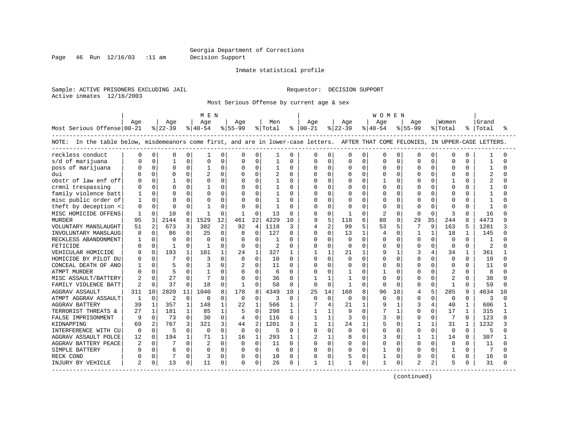Page 46 Run 12/16/03 :11 am Decision Support

#### Inmate statistical profile

Sample: ACTIVE PRISONERS EXCLUDING JAIL **Requestor: DECISION SUPPORT** Active inmates 12/16/2003

Most Serious Offense by current age & sex

|                                                                                                                                   |          |              |           |              | M E N        |              |              |                |         |              |                |              |              |              | W O M E N      |              |              |              |                |              |       |          |
|-----------------------------------------------------------------------------------------------------------------------------------|----------|--------------|-----------|--------------|--------------|--------------|--------------|----------------|---------|--------------|----------------|--------------|--------------|--------------|----------------|--------------|--------------|--------------|----------------|--------------|-------|----------|
|                                                                                                                                   | Age      |              | Age       |              | Age          |              | Age          |                | Men     |              | Aqe            |              | Aqe          |              | Aqe            |              | Aqe          |              | Women          |              | Grand |          |
| Most Serious Offense 00-21                                                                                                        |          |              | $ 22-39 $ |              | $8 40-54$    |              | $ 55-99$     |                | % Total |              | $8   00 - 21$  |              | $8122 - 39$  |              | $8 40-54$      |              | $8155 - 99$  |              | % Total        | ိ            | Total | ႜ        |
| NOTE: In the table below, misdemeanors come first, and are in lower-case letters. AFTER THAT COME FELONIES, IN UPPER-CASE LETTERS |          |              |           |              |              |              |              |                |         |              |                |              |              |              |                |              |              |              |                |              |       |          |
| reckless conduct                                                                                                                  | O        | $\mathbf{0}$ |           | 0            |              | $\Omega$     | 0            | 0              | 1       | O            | 0              | O            | 0            | 0            | 0              | $\Omega$     | U            | 0            | $\Omega$       | O            |       |          |
| s/d of marijuana                                                                                                                  |          | $\Omega$     |           | $\Omega$     | $\Omega$     | $\Omega$     | 0            | $\Omega$       | 1       | O            | $\Omega$       | O            | $\cap$       | $\Omega$     | $\cap$         | $\Omega$     | C            | $\Omega$     | $\Omega$       | 0            |       | ∩        |
| poss of marijuana                                                                                                                 |          | $\Omega$     | $\Omega$  | $\Omega$     | -1           | $\Omega$     | O            | $\Omega$       | 1       | $\Omega$     | $\Omega$       | $\Omega$     | $\cap$       | $\Omega$     | $\Omega$       | $\Omega$     | $\Omega$     | $\Omega$     | $\Omega$       | 0            |       | $\cap$   |
| dui                                                                                                                               |          | $\Omega$     | $\Omega$  | $\Omega$     | 2            | $\Omega$     |              | $\Omega$       | 2       | $\Omega$     | 0              | $\Omega$     | $\Omega$     | 0            | $\Omega$       | $\Omega$     | $\Omega$     | $\Omega$     | $\Omega$       | O            | 2     | $\cap$   |
| obstr of law enf off                                                                                                              |          | $\Omega$     |           | $\Omega$     |              | $\Omega$     | 0            | $\mathbf 0$    |         | $\Omega$     | $\Omega$       | 0            |              | $\Omega$     | 1              | $\cap$       | C            | $\Omega$     | 1              | 0            |       | ∩        |
| crmnl trespassing                                                                                                                 |          | $\Omega$     |           | $\Omega$     |              | $\Omega$     | O            | $\Omega$       | 1       | $\Omega$     | $\Omega$       | $\Omega$     | $\cap$       | $\Omega$     | $\Omega$       | <sup>0</sup> | n            | 0            | $\Omega$       | 0            |       | ∩        |
| family violence batt                                                                                                              |          | $\Omega$     |           | $\Omega$     |              | $\Omega$     | 0            | $\Omega$       |         | O            | O              | $\Omega$     |              |              | $\Omega$       | ∩            | O            | <sup>0</sup> | O              | 0            |       |          |
| misc public order of                                                                                                              |          | $\Omega$     |           | $\Omega$     |              | $\Omega$     | O            | $\Omega$       |         | O            | $\cap$         | $\Omega$     |              |              | $\cap$         | $\Omega$     |              | <sup>0</sup> | $\Omega$       |              |       |          |
| theft by deception <                                                                                                              | 0        | $\Omega$     |           | $\Omega$     |              | $\Omega$     | $\cap$       | $\Omega$       | 1       | O            | O              | U            | ∩            |              | $\Omega$       | <sup>0</sup> | n            | $\Omega$     | $\Omega$       | 0            |       | ∩        |
| MISC HOMICIDE OFFENS                                                                                                              | 1        | 0            | 10        | U            | $\mathbf{1}$ | $\Omega$     | $\mathbf{1}$ | $\Omega$       | 13      | $\Omega$     | <sup>0</sup>   | $\Omega$     | 1            | $\Omega$     | $\overline{2}$ | $\Omega$     | $\Omega$     | $\Omega$     | 3              | 0            | 16    | ∩        |
| <b>MURDER</b>                                                                                                                     | 95       | 3            | 2144      | 8            | 1529         | 12           | 461          | 22             | 4229    | 10           | 9              | 5            | 118          | 6            | 88             | 9            | 29           | 35           | 244            | 8            | 4473  | q        |
| VOLUNTARY MANSLAUGHT                                                                                                              | 51       | 2            | 673       | 3            | 302          | 2            | 92           | 4              | 1118    | 3            | 4              | 2            | 99           | 5            | 53             | 5            |              | 9            | 163            | 5            | 1281  |          |
| INVOLUNTARY MANSLAUG                                                                                                              | 8        | $\Omega$     | 86        | $\Omega$     | 25           | $\Omega$     | 8            | $\Omega$       | 127     | $\Omega$     | $\Omega$       | $\Omega$     | 13           | 1            | $\overline{4}$ | $\Omega$     | $\mathbf{1}$ | $\mathbf{1}$ | 18             | $\mathbf{1}$ | 145   | ∩        |
| RECKLESS ABANDONMENT                                                                                                              |          | $\Omega$     | $\Omega$  | $\Omega$     |              | $\Omega$     | 0            | $\Omega$       | 1       | $\Omega$     | <sup>0</sup>   | $\Omega$     | $\Omega$     | $\Omega$     | $\Omega$       | $\Omega$     | n            | $\Omega$     | $\Omega$       | $\Omega$     |       | ∩        |
| FETICIDE                                                                                                                          |          | $\Omega$     |           | $\Omega$     |              | $\Omega$     | 0            | $\Omega$       | 2       | $\Omega$     | <sup>0</sup>   | $\Omega$     | <sup>0</sup> |              | $\Omega$       |              | O            | $\Omega$     | $\Omega$       | O            |       | ∩        |
| VEHICULAR HOMICIDE                                                                                                                |          | $\Omega$     | 193       | $\mathbf{1}$ | 101          | 1            | 24           | $\mathbf{1}$   | 327     |              | 1              | $\mathbf{1}$ | 21           |              | 9              |              | 3            | 4            | 34             | $\mathbf{1}$ | 361   |          |
| HOMICIDE BY PILOT DU                                                                                                              |          | $\Omega$     |           | $\Omega$     | 3            | $\Omega$     | $\Omega$     | $\Omega$       | 10      | $\Omega$     | <sup>0</sup>   | $\Omega$     | <sup>0</sup> | 0            | $\Omega$       | $\Omega$     | ∩            | $\Omega$     | $\Omega$       | 0            | 10    | ∩        |
| CONCEAL DEATH OF ANO                                                                                                              |          | $\Omega$     |           | 0            | 3            | $\Omega$     | 2            | $\Omega$       | 11      | $\Omega$     | <sup>0</sup>   | $\Omega$     | $\Omega$     | $\Omega$     | $\Omega$       | $\Omega$     | $\Omega$     | $\Omega$     | $\Omega$       | 0            | 11    | $\cap$   |
| <b>ATMPT MURDER</b>                                                                                                               |          | $\Omega$     |           | $\Omega$     |              | $\Omega$     | $\Omega$     | $\Omega$       | 6       | $\Omega$     | 0              | $\Omega$     |              |              |                | $\Omega$     | C            | $\Omega$     | 2              | O            | 8     | $\cap$   |
| MISC ASSAULT/BATTERY                                                                                                              | 2        | $\Omega$     | 27        | $\Omega$     | 7            | $\Omega$     | 0            | $\Omega$       | 36      | $\Omega$     | 1              | 1            |              |              | $\cap$         | <sup>0</sup> | $\cap$       | $\Omega$     | $\overline{c}$ | 0            | 38    | U        |
| FAMILY VIOLENCE BATT                                                                                                              | 2        | $\Omega$     | 37        | $\Omega$     | 18           | $\Omega$     | 1            | $\Omega$       | 58      | $\Omega$     | $\Omega$       | $\Omega$     | $\mathbf{1}$ | $\Omega$     | $\Omega$       | $\Omega$     | $\Omega$     | $\Omega$     | $\mathbf{1}$   | 0            | 59    | ∩        |
| <b>AGGRAV ASSAULT</b>                                                                                                             | 311      | 10           | 2820      | 11           | 1040         | $\mathsf{R}$ | 178          | $\mathsf{R}$   | 4349    | 10           | 25             | 14           | 160          |              | 96             | 10           | 4            | 5            | 285            | 9            | 4634  | 1 O      |
| ATMPT AGGRAV ASSAULT                                                                                                              | -1       | $\mathbf 0$  | 2         | $\mathbf 0$  | $\Omega$     | $\Omega$     | 0            | $\Omega$       | 3       | 0            | $\Omega$       | 0            | $\Omega$     |              | $\Omega$       | $\Omega$     | O            | 0            | $\Omega$       | U            | 3     | ∩        |
| <b>AGGRAV BATTERY</b>                                                                                                             | 39       | $\mathbf{1}$ | 357       | $\mathbf{1}$ | 148          | 1            | 22           | $\mathbf{1}$   | 566     | 1            | 7              | 4            | 21           |              | q              |              |              | 4            | 40             | $\mathbf{1}$ | 606   | 1        |
| TERRORIST THREATS &                                                                                                               | 27       | $\mathbf{1}$ | 181       | $\mathbf{1}$ | 85           | $\mathbf{1}$ | 5            | $\Omega$       | 298     | $\mathbf{1}$ | 1              | $\mathbf{1}$ | 9            | <sup>n</sup> |                |              | 0            | $\Omega$     | 17             | 1            | 315   | 1        |
| FALSE IMPRISONMENT                                                                                                                | 9        | $\mathbf 0$  | 73        | $\mathbf 0$  | 30           | $\mathbf 0$  | 4            | $\Omega$       | 116     | $\Omega$     | $\mathbf{1}$   | $\mathbf{1}$ | 3            | 0            | 3              | $\Omega$     | $\Omega$     | 0            | -7             | $\Omega$     | 123   | $\Omega$ |
| KIDNAPPING                                                                                                                        | 69       | 2            | 767       | 3            | 321          | 3            | 44           | $\overline{2}$ | 1201    | 3            | 1              | $\mathbf{1}$ | 24           |              | 5              | $\Omega$     |              | $\mathbf{1}$ | 31             | 1            | 1232  |          |
| INTERFERENCE WITH CU                                                                                                              | $\Omega$ | $\Omega$     | 5         | $\Omega$     | $\Omega$     | $\Omega$     | 0            | $\Omega$       | 5       | $\Omega$     | <sup>0</sup>   | $\Omega$     | $\Omega$     | $\Omega$     | $\Omega$       | $\Omega$     | O            | $\Omega$     | $\Omega$       | $\Omega$     | 5     | ∩        |
| AGGRAV ASSAULT POLCE                                                                                                              | 12       | $\Omega$     | 194       | $\mathbf{1}$ | 71           |              | 16           | $\mathbf{1}$   | 293     | 1            | $\overline{c}$ | 1            |              |              | 3              |              |              | $\mathbf{1}$ | 14             | $\Omega$     | 307   |          |
| AGGRAV BATTERY PEACE                                                                                                              | 2        | $\Omega$     |           | $\Omega$     |              | $\Omega$     | $\Omega$     | $\Omega$       | 11      | $\Omega$     | U              | $\Omega$     | <sup>0</sup> | U            | $\cap$         | $\Omega$     | $\Omega$     | $\Omega$     | $\Omega$       | 0            | 11    | ∩        |
| SIMPLE BATTERY                                                                                                                    | U        | $\Omega$     | 6         | $\Omega$     | $\Omega$     | $\Omega$     | 0            | $\Omega$       | 6       | $\Omega$     | <sup>0</sup>   | $\Omega$     | $\Omega$     | $\Omega$     | $\mathbf{1}$   | $\Omega$     | $\Omega$     | $\Omega$     | $\mathbf{1}$   | 0            | 7     | ∩        |
| RECK COND                                                                                                                         |          | $\Omega$     |           | $\Omega$     | 3            | $\Omega$     | $\Omega$     | $\Omega$       | 10      | $\Omega$     | 0              | $\Omega$     | 5            | 0            |                | $\Omega$     | 0            | $\mathbf 0$  | 6              | 0            | 16    |          |
| INJURY BY VEHICLE                                                                                                                 |          | $\Omega$     | 13        | 0            | 11           | 0            | $\Omega$     | $\mathbf 0$    | 26      | $\Omega$     | $\mathbf{1}$   | 1            |              | 0            | $\mathbf{1}$   | $\Omega$     | 2            | 2            | 5              | 0            | 31    | U        |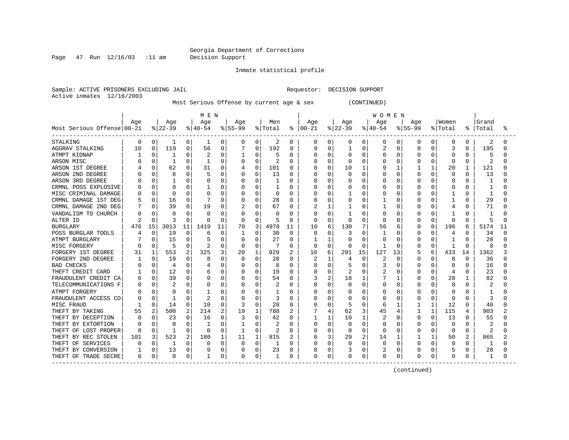Page 47 Run 12/16/03 :11 am Decision Support

Inmate statistical profile

Sample: ACTIVE PRISONERS EXCLUDING JAIL **Requestor: DECISION SUPPORT** Active inmates 12/16/2003

Most Serious Offense by current age & sex (CONTINUED)

|                            |     |              |           |                | M E N        |    |              |          |          |                |               |          |              |              | <b>WOMEN</b> |    |              |              |              |               |              |    |
|----------------------------|-----|--------------|-----------|----------------|--------------|----|--------------|----------|----------|----------------|---------------|----------|--------------|--------------|--------------|----|--------------|--------------|--------------|---------------|--------------|----|
|                            | Age |              | Age       |                | Age          |    | Age          |          | Men      |                | Age           |          | Age          |              | Age          |    | Age          |              | Women        |               | Grand        |    |
| Most Serious Offense 00-21 |     |              | $ 22-39 $ |                | $ 40-54$     |    | $8 55-99$    |          | % Total  |                | $8   00 - 21$ |          | $ 22-39$     |              | $8 40-54$    |    | $8155 - 99$  |              | % Total      | $\frac{1}{6}$ | Total        | °≈ |
| STALKING                   | 0   | $\mathbf{0}$ | 1         | 0              | 1            | 0  | 0            | 0        | 2        | 0              | 0             | 0        | 0            | 0            | 0            | 0  | 0            | 0            | 0            | 0             | 2            |    |
| AGGRAV STALKING            | 10  | $\Omega$     | 119       | 0              | 56           | 0  |              | $\Omega$ | 192      | 0              | Ω             | 0        |              | 0            | 2            | N  | 0            | 0            | 3            | 0             | 195          |    |
| ATMPT KIDNAP               |     | O            |           | $\Omega$       |              | 0  |              | O        | 5        | $\Omega$       | Ω             | 0        | <sup>0</sup> | O            | O            | U  | U            |              | $\Omega$     | <sup>0</sup>  | 5            |    |
| ARSON MISC                 |     | 0            | -1        | O              | -1           | O  | O            | $\Omega$ | 2        | $\Omega$       | Ω             | $\Omega$ | U            | O            | O            | U  |              | O            | $\Omega$     | 0             | 2            |    |
| ARSON 1ST DEGREE           |     | 0            | 62        | $\Omega$       | 31           | 0  |              | $\Omega$ | 101      | 0              |               | $\Omega$ | 10           |              | 9            |    |              | $\mathbf{1}$ | 20           |               | 121          |    |
| ARSON 2ND DEGREE           |     | U            | 8         | $\Omega$       | 5            | O  | 0            | 0        | 13       | $\Omega$       |               | 0        | 0            | $\Omega$     | U            | O  | <sup>0</sup> | O            | $\Omega$     | $\Omega$      | 13           |    |
| ARSON 3RD DEGREE           |     | O            |           | N              |              | 0  |              | 0        |          | $\Omega$       |               | 0        | C            | O            | O            | N  |              | O            | $\Omega$     | O             |              |    |
| CRMNL POSS EXPLOSIVE       |     | $\Omega$     | 0         | 0              |              | 0  |              | 0        |          | $\Omega$       |               | 0        |              | O            | 0            | 0  |              | 0            | 0            | 0             |              |    |
| MISC CRIMINAL DAMAGE       |     | $\Omega$     | $\Omega$  | $\Omega$       |              | O  | O            | O        | $\Omega$ | $\Omega$       |               | 0        |              | O            | O            | N  | n            | O            |              | 0             | $\mathbf{1}$ |    |
| CRMNL DAMAGE 1ST DEG       |     | 0            | 16        | 0              |              | 0  | 0            | 0        | 28       | 0              | Ω             | 0        | Ω            | 0            |              | 0  | O            | 0            |              | 0             | 29           |    |
| CRMNL DAMAGE 2ND DEG       |     | 0            | 39        | 0              | 19           | 0  |              | 0        | 67       | 0              |               | 1        |              | 0            |              | 0  | U            | 0            |              | 0             | 71           |    |
| VANDALISM TO CHURCH        |     | 0            | $\Omega$  | 0              | U            | 0  | 0            | 0        | O        | 0              | Ω             | $\Omega$ |              | O            | 0            | O  |              | O            |              | 0             |              |    |
| ALTER ID                   |     | $\Omega$     | 3         | $\Omega$       | U            | 0  | 0            | 0        | 5        | 0              | 0             | 0        | 0            | O            | 0            | O  | O            | $\Omega$     | $\Omega$     | 0             | 5            |    |
| <b>BURGLARY</b>            | 476 | 15           | 3013      | 11             | 1419         | 11 | 70           | 3        | 4978     | 11             | 10            | 6        | 130          |              | 56           | 6  |              | O            | 196          | 6             | 5174         | 11 |
| POSS BURGLAR TOOLS         |     | $\Omega$     | 19        | $\Omega$       | 6            | 0  |              | 0        | 30       | $\Omega$       | 0             | 0        | 3            | 0            |              |    | 0            |              | 4            |               | 34           |    |
| ATMPT BURGLARY             |     | <sup>0</sup> | 15        | $\Omega$       |              | 0  | 0            | O        | 27       | $\cap$         |               |          | O            | n            | U            |    | U            | O            |              | U             | 28           |    |
| MISC FORGERY               |     | 0            | 5         | O              |              | O  | $\Omega$     | O        |          | $\Omega$       | U             | $\Omega$ | O            | <sup>0</sup> | -1           | U  | O            | O            | -1           | <sup>0</sup>  | 8            |    |
| FORGERY 1ST DEGREE         | 31  | 1            | 553       | $\overline{2}$ | 325          | 3  | 20           | 1        | 929      | $\overline{2}$ | 10            | 6        | 291          | 15           | 127          | 13 |              | б            | 433          | 14            | 1362         |    |
| FORGERY 2ND DEGREE         |     | 0            | 19        | $\Omega$       | 8            | O  | $\Omega$     | O        | 28       | $\Omega$       | 2             |          | 4            | $\Omega$     | 2            | U  | O            | O            | 8            | 0             | 36           |    |
| <b>BAD CHECKS</b>          |     | 0            | 4         | 0              |              | 0  | 0            | 0        | 8        | $\Omega$       |               | $\Omega$ | 5            | $\Omega$     | 3            | O  | 0            | 0            | 8            | 0             | 16           |    |
| THEFT CREDIT CARD          |     | 0            | 12        | $\Omega$       |              | 0  |              | 0        | 19       | $\Omega$       |               | 0        | 2            | 0            | 2            | 0  |              | 0            | 4            | O             | 23           |    |
| FRAUDULENT CREDIT CA       |     | 0            | 39        | O              |              | 0  |              | 0        | 54       | $\Omega$       | 3             | 2        | 18           |              |              |    | U            | U            | 28           |               | 82           |    |
| TELECOMMUNICATIONS F       |     | 0            | 2         | 0              |              | 0  | 0            | 0        | 2        | $\Omega$       | Λ             | $\Omega$ | 0            | $\Omega$     | O            | O  | U            | 0            | $\Omega$     | 0             | 2            |    |
| ATMPT FORGERY              |     | 0            | ∩         | O              |              | 0  |              | O        |          | O              | Λ             | 0        | С            | O            | O            | O  |              | O            | $\Omega$     |               |              |    |
| FRAUDULENT ACCESS CO       |     | 0            | -1        | $\Omega$       |              | 0  | 0            | O        | 3        | O              |               | 0        | 0            | O            | O            | O  |              | O            | $\Omega$     | 0             | 3            |    |
| MISC FRAUD                 |     | 0            | 14        | $\Omega$       | 10           | 0  |              | 0        | 28       | 0              | Ω             | 0        | 5            | U            | 6            |    |              | $\mathbf{1}$ | 12           | 0             | 40           |    |
| THEFT BY TAKING            | 55  | 2            | 500       | 2              | 214          | 2  | 19           | 1        | 788      | 2              |               | 4        | 62           | 3            | 45           | 4  |              | 1            | 115          | 4             | 903          |    |
| THEFT BY DECEPTION         |     |              | 23        | Ω              | 16           | 0  | 3            | 0        | 42       | 0              |               | 1        | 10           |              | 2            |    | 0            | 0            | 13           |               | 55           |    |
| THEFT BY EXTORTION         |     |              | $\Omega$  | O              |              | O  |              | O        |          | O              | Λ             | 0        | Ω            | O            | O            |    | O            |              | $\Omega$     |               |              |    |
| THEFT OF LOST PROPER       | C   | $\Omega$     |           | $\Omega$       | $\Omega$     | 0  | $\mathbf{1}$ | 0        |          | O              | U             | 0        | 0            | O            | O            |    | O            | O            | $\Omega$     | 0             | 2            |    |
| THEFT BY REC STOLEN        | 101 | 3            | 523       | 2              | 180          | 1  | 11           | 1        | 815      | 2              | 6             | 3        | 29           | 2            | 14           |    |              | 1            | 50           | 2             | 865          |    |
| THEFT OF SERVICES          |     | $\Omega$     |           | $\Omega$       | O            | O  | $\Omega$     | $\Omega$ |          | O              |               | 0        | O            | O            | $\Omega$     | O  | O            | $\Omega$     | <sup>0</sup> | 0             |              |    |
| THEFT BY CONVERSION        |     | 0            | 13        | 0              |              | 0  |              | 0        | 23       | 0              |               | 0        | 3            | 0            | 2            | 0  | 0            | 0            | 5            | 0             | 28           |    |
| THEFT OF TRADE SECRE       | 0   | 0            | $\Omega$  | 0              | $\mathbf{1}$ | 0  | 0            | 0        |          | $\Omega$       | 0             | 0        | 0            | 0            | 0            | 0  | 0            | 0            | $\Omega$     |               |              |    |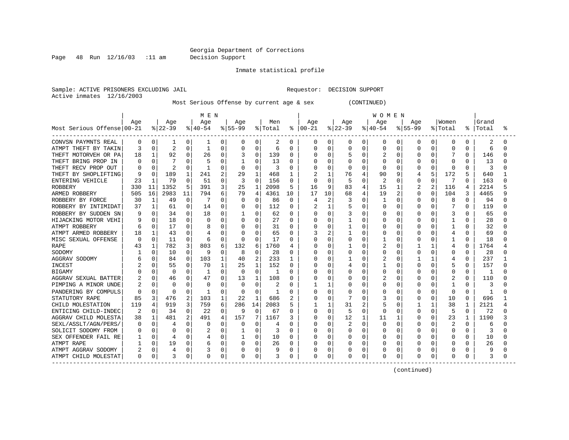Page 48 Run 12/16/03 :11 am Decision Support

Inmate statistical profile

Sample: ACTIVE PRISONERS EXCLUDING JAIL **Requestor: DECISION SUPPORT** Active inmates 12/16/2003

Most Serious Offense by current age & sex (CONTINUED)

|                            | MEN      |              |                |          |          |              |           |                |         |                | WOMEN    |                |          |          |          |          |              |              |              |              |           |   |
|----------------------------|----------|--------------|----------------|----------|----------|--------------|-----------|----------------|---------|----------------|----------|----------------|----------|----------|----------|----------|--------------|--------------|--------------|--------------|-----------|---|
|                            | Age      |              | Age            |          | Age      |              | Age       |                | Men     |                | Aqe      |                | Age      |          | Age      |          | Aqe          |              | Women        |              | Grand     |   |
| Most Serious Offense 00-21 |          |              | $ 22-39 $      |          | $ 40-54$ |              | $8 55-99$ |                | % Total | ᡷ              | $ 00-21$ |                | $ 22-39$ |          | $ 40-54$ |          | $8155 - 99$  |              | % Total      |              | %   Total | ° |
| CONVSN PAYMNTS REAL        | 0        | 0            | 1              | 0        | 1        | 0            | 0         | 0              | 2       | 0              | 0        | 0              | 0        | 0        | 0        | 0        | 0            | 0            | 0            | 0            | 2         | O |
| ATMPT THEFT BY TAKIN       | Р        | $\Omega$     | $\overline{c}$ | $\Omega$ | 1        | 0            | 0         | O              | 6       | $\Omega$       | Ω        | 0              | Ω        | 0        | 0        |          | O            | O            | $\Omega$     | 0            | 6         |   |
| THEFT MOTORVEH OR PA       | 18       |              | 92             | $\Omega$ | 26       | 0            |           | $\Omega$       | 139     | <sup>0</sup>   | O        | 0              | 5        | 0        | 2        | Ω        | O            |              |              | 0            | 146       |   |
| THEFT BRING PROP IN        |          |              |                | O        | 5        | 0            |           | O              | 13      | O              | Ω        | $\Omega$       | ი        | O        | U        | O        | U            |              | <sup>0</sup> | <sup>0</sup> | 13        |   |
| THEFT RECV PROP OUT        |          | 0            | 2              | O        | -1       | 0            | $\Omega$  | U              | 3       | O              | Λ        | $\Omega$       | O        | O        | O        | 0        |              | O            | $\Omega$     | 0            | 3         |   |
| THEFT BY SHOPLIFTING       | q        | $\Omega$     | 189            | 1        | 241      | 2            | 29        | 1              | 468     | 1              |          | 1              | 76       |          | 90       | 9        | 4            | 5            | 172          | 5            | 640       |   |
| ENTERING VEHICLE           | 23       |              | 79             | $\Omega$ | 51       | 0            | 3         | $\Omega$       | 156     | 0              | 0        | $\Omega$       | 5        | U        | 2        | 0        | 0            | $\Omega$     | 7            | <sup>0</sup> | 163       |   |
| <b>ROBBERY</b>             | 330      | 11           | 1352           | 5        | 391      | 3            | 25        | 1              | 2098    | 5              | 16       | 9              | 83       |          | 15       | 1        | 2            | 2            | 116          |              | 2214      |   |
| ARMED ROBBERY              | 505      | 16           | 2983           | 11       | 794      | 6            | 79        | 4              | 4361    | 10             | 17       | 10             | 68       | 4        | 19       | 2        | O            | O            | 104          | 3            | 4465      | q |
| ROBBERY BY FORCE           | 30       | 1            | 49             | $\Omega$ |          | 0            | 0         | 0              | 86      | 0              | 4        | $\overline{c}$ | 3        | O        | 1        | $\Omega$ | 0            | O            | 8            | $\Omega$     | 94        | Λ |
| ROBBERY BY INTIMIDAT       | 37       | 1            | 61             | $\Omega$ | 14       | 0            | 0         | 0              | 112     | 0              | 2        | 1              | 5        | O        | $\Omega$ | 0        | O            | 0            | 7            | $\Omega$     | 119       | ∩ |
| ROBBERY BY SUDDEN SN       |          | 0            | 34             | $\Omega$ | 18       | 0            |           | 0              | 62      | $\Omega$       | 0        | 0              | 3        | $\Omega$ | O        | N        | U            | U            | 3            | <sup>0</sup> | 65        |   |
| HIJACKING MOTOR VEHI       |          | 0            | 18             | $\Omega$ | O        | 0            | 0         | $\Omega$       | 27      | $\Omega$       | Ω        | 0              |          | O        | 0        | 0        | O            | O            |              | 0            | 28        | U |
| ATMPT ROBBERY              | 6        | <sup>0</sup> | 17             | 0        |          | 0            | 0         | O              | 31      | $\Omega$       | Ω        | 0              |          | O        | 0        | O        | O            | O            |              | 0            | 32        |   |
| ATMPT ARMED ROBBERY        | 18       |              | 43             | N        |          | 0            | $\Omega$  | O              | 65      | 0              | 3        | $\overline{c}$ |          | U        | O        |          |              |              |              | O            | 69        |   |
| MISC SEXUAL OFFENSE        | C        | <sup>0</sup> | 11             | 0        | 6        | 0            | $\Omega$  | $\Omega$       | 17      | O              | Ω        | 0              |          | 0        |          |          | U            |              |              | O            | 18        |   |
| RAPE                       | 43       | 1            | 782            | 3        | 803      | 6            | 132       | 6              | 1760    | $\overline{4}$ | ი        | ∩              |          | C        | 2        | N        |              | $\mathbf{1}$ | 4            | O            | 1764      |   |
| SODOMY                     |          | U            | 10             | $\Omega$ | 9        | 0            | 8         | O              | 28      | O              | Ω        | $\Omega$       | ი        | O        | U        | 0        | O            | O            | <sup>0</sup> | 0            | 28        |   |
| AGGRAV SODOMY              |          | U            | 84             | 0        | 103      | $\mathbf{1}$ | 40        | $\overline{2}$ | 233     | 1              | Ω        | $\Omega$       |          | U        |          | 0        |              | 1            |              | 0            | 237       |   |
| INCEST                     |          | 0            | 55             | $\Omega$ | 70       | $\mathbf{1}$ | 25        | $\mathbf{1}$   | 152     | 0              | Ω        | $\Omega$       | 4        | O        |          | N        | O            | O            | 5            | $\Omega$     | 157       |   |
| <b>BIGAMY</b>              |          |              | 0              | $\Omega$ | -1       | 0            | 0         | $\Omega$       |         | $\Omega$       |          | 0              |          | O        | 0        | N        |              | 0            | $\Omega$     | 0            | -1        |   |
| AGGRAV SEXUAL BATTER       |          | 0            | 46             | 0        | 47       | 0            | 13        | 1              | 108     | <sup>0</sup>   |          | 0              | N        | O        |          | N        | O            | U            |              | 0            | 110       |   |
| PIMPING A MINOR UNDE       |          | $\Omega$     | $\Omega$       | $\Omega$ | O        | 0            | 0         | $\Omega$       | 2       | $\Omega$       |          | 1              | Ω        | $\Omega$ | O        | O        | U            | O            | $\mathbf{1}$ | 0            | 3         |   |
| PANDERING BY COMPULS       | C        | $\Omega$     | $\Omega$       | $\Omega$ | 1        | 0            | $\Omega$  | $\Omega$       |         | $\Omega$       | U        | 0              |          | O        | 0        | 0        |              | 0            | $\Omega$     | $\Omega$     |           |   |
| STATUTORY RAPE             | 85       | 3            | 476            | 2        | 103      | 1            | 22        | $\mathbf{1}$   | 686     | 2              | ი        | $\Omega$       | 7        | ∩        | 3        | N        | <sup>0</sup> | O            | 10           | $\Omega$     | 696       |   |
| CHILD MOLESTATION          | 119      | 4            | 919            | 3        | 759      | 6            | 286       | 14             | 2083    | 5              |          | 1              | 31       | 2        | 5        | O        |              | $\mathbf{1}$ | 38           | 1            | 2121      |   |
| ENTICING CHILD-INDEC       | 2        | 0            | 34             | $\Omega$ | 22       | 0            | 9         | 0              | 67      | $\Omega$       | U        | 0              | 5        | $\Omega$ | 0        | O        | <sup>0</sup> | $\Omega$     | 5            | $\Omega$     | 72        |   |
| AGGRAV CHILD MOLESTA       | 38       |              | 481            | 2        | 491      | 4            | 157       | 7              | 1167    | 3              | O        | 0              | 12       |          | 11       |          | O            | O            | 23           |              | 1190      |   |
| SEXL/ASSLT/AGN/PERS        |          | $\Omega$     | 4              | $\Omega$ | 0        | 0            | 0         | 0              | 4       | $\Omega$       | Ω        | 0              | 2        | 0        | 0        | N        |              |              |              | O            | 6         |   |
| SOLICIT SODOMY FROM        |          | O            | n              | O        |          | 0            |           | O              |         | O              | Ω        | 0              | ი        | O        | O        | O        | O            | O            | $\Omega$     | 0            | 3         |   |
| SEX OFFENDER FAIL RE       |          | 0            |                | $\Omega$ |          | 0            | 1         | 0              | 10      | O              | Λ        | $\Omega$       | ი        | O        | U        | 0        | U            | O            | <sup>0</sup> | 0            | 10        | U |
| ATMPT RAPE                 |          | $\Omega$     | 19             | 0        | 6        | 0            | O         | 0              | 26      | $\Omega$       | Λ        | 0              | O        | $\Omega$ | O        | $\Omega$ | U            | O            | n            | 0            | 26        |   |
| ATMPT AGGRAV SODOMY        | 2        | $\Omega$     |                | $\Omega$ |          | 0            |           | 0              |         | 0              |          | 0              | Ω        | 0        | 0        | 0        |              | 0            |              |              |           |   |
| ATMPT CHILD MOLESTAT       | $\Omega$ | 0            | 3              | 0        | 0        | 0            |           | 0              | 3       | 0              | Ω        | 0              | 0        | 0        | 0        | 0        | 0            | 0            | $\Omega$     |              | 3         |   |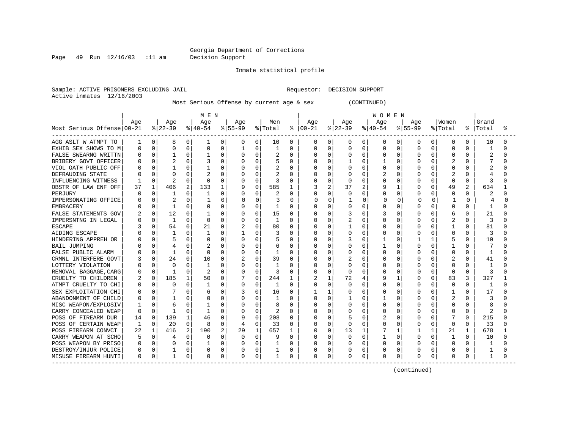Page 49 Run 12/16/03 :11 am Decision Support

Inmate statistical profile

Sample: ACTIVE PRISONERS EXCLUDING JAIL **Requestor: DECISION SUPPORT** Active inmates 12/16/2003

Most Serious Offense by current age & sex (CONTINUED)

|                            | MEN |              |                |   |              |             |              |             |         |              | <b>WOMEN</b> |                |          |          |          |              |              |              |              |                |       |   |
|----------------------------|-----|--------------|----------------|---|--------------|-------------|--------------|-------------|---------|--------------|--------------|----------------|----------|----------|----------|--------------|--------------|--------------|--------------|----------------|-------|---|
|                            | Age |              | Age            |   | Age          |             | Age          |             | Men     |              | Age          |                | Age      |          | Age      |              | Age          |              | Women        |                | Grand |   |
| Most Serious Offense 00-21 |     |              | $ 22-39$       |   | $ 40-54 $    |             | $8 55-99$    |             | % Total | ႜ            | $ 00-21$     |                | $ 22-39$ |          | $ 40-54$ |              | $8155 - 99$  |              | % Total      | ႜ              | Total | ႜ |
| AGG ASLT W ATMPT TO        |     | 0            | 8              | 0 | 1            | 0           | 0            | 0           | 10      | 0            | 0            | 0              | 0        | 0        | 0        | 0            | 0            | 0            | 0            | 0              | 10    |   |
| EXHIB SEX SHOWS TO M       | 0   | 0            | $\Omega$       | 0 | 0            | 0           |              | 0           |         | $\Omega$     | 0            | 0              | 0        | 0        | 0        | 0            | $\Omega$     | 0            | 0            | 0              |       |   |
| FALSE SWEARNG WRITTN       |     | 0            | $\mathbf{1}$   | 0 |              | O           | $\Omega$     | $\mathbf 0$ |         | $\Omega$     | 0            | $\mathbf 0$    | 0        | $\Omega$ | 0        | $\Omega$     | $\Omega$     | O            | $\Omega$     | $\Omega$       |       |   |
| BRIBERY GOVT OFFICER       |     | O            | 2              | 0 |              | O           |              | $\Omega$    |         | 0            | Ω            | $\Omega$       |          | O        |          | O            | O            | O            |              | U              |       |   |
| VIOL OATH PUBLIC OFF       |     | O            |                | 0 |              | U           |              | $\Omega$    |         | O            | Ω            | $\Omega$       | U        | U        | 0        | O            | O            | O            | $\Omega$     | U              |       |   |
| DEFRAUDING STATE           |     | U            | $\Omega$       | O |              | O           |              | $\Omega$    |         | $\Omega$     |              | 0              | 0        | $\cap$   |          | $\Omega$     | O            | 0            | 2            | U              |       |   |
| INFLUENCING WITNESS        |     | O            | $\overline{2}$ | O | $\Omega$     | O           |              | $\mathbf 0$ | 3       | O            |              | $\mathbf 0$    | U        | O        | O        | O            | O            | 0            | $\Omega$     | $\Omega$       | Р     |   |
| OBSTR OF LAW ENF OFF       | 37  | $\mathbf{1}$ | 406            | 2 | 133          | $\mathbf 1$ | 9            | $\mathbf 0$ | 585     |              | 3            | 2              | 37       | 2        | 9        | 1            | 0            | 0            | 49           | $\overline{2}$ | 634   |   |
| PERJURY                    |     | 0            |                | 0 |              | O           |              | $\Omega$    |         | 0            | ი            | 0              | 0        | O        | 0        | O            | O            | 0            | $\Omega$     | O              |       |   |
| IMPERSONATING OFFICE       |     | 0            | 2              | 0 |              | 0           | 0            | $\Omega$    | 3       | $\Omega$     | 0            | 0              |          | O        | $\Omega$ | 0            | C            | $\Omega$     | -1           | 0              |       | U |
| <b>EMBRACERY</b>           |     | 0            | -1             | 0 | $\Omega$     | 0           | 0            | 0           | 1       | $\Omega$     | U            | 0              | 0        | 0        | 0        | 0            | $\Omega$     | 0            | $\Omega$     | 0              | -1    |   |
| FALSE STATEMENTS GOV       |     | 0            | 12             | 0 |              | 0           |              | 0           | 15      | 0            | U            | 0              | 3        | O        | 3        | O            | 0            | 0            | 6            | O              | 21    |   |
| IMPERSNTNG IN LEGAL        |     | 0            | 1              | 0 | $\Omega$     | 0           |              | 0           | 1       | 0            | Ω            | 0              | 2        | 0        | 0        | O            | O            | 0            | 2            | $\Omega$       | 3     |   |
| <b>ESCAPE</b>              |     | 0            | 54             | 0 | 21           | 0           |              | 0           | 80      | 0            | 0            | 0              |          | 0        | 0        | 0            | 0            | O            |              | O              | 81    |   |
| AIDING ESCAPE              |     | U            |                | 0 |              | O           |              | 0           | 3       | O            | Ω            | 0              | 0        | O        | 0        | O            | O            |              | $\Omega$     | O              |       |   |
| HINDERING APPREH OR        |     | O            | 5              | 0 |              | O           | <sup>0</sup> | $\Omega$    |         | $\Omega$     | Ω            | 0              |          | ∩        |          | O            |              | $\mathbf{1}$ | 5            | O              | 10    |   |
| <b>BAIL JUMPING</b>        |     | U            | 4              | O |              | U           | $\Omega$     | $\Omega$    | 6       | $\Omega$     | Ω            | $\Omega$       | U        | O        |          | $\cap$       | $\Omega$     | O            |              | U              |       |   |
| FALSE PUBLIC ALARM         |     | O            | -1             | O | <sup>0</sup> | O           | $\Omega$     | $\Omega$    | 1       | O            | Ω            | $\Omega$       | U        | 0        | O        | O            | O            | O            | $\Omega$     | O              | -1    |   |
| CRMNL INTERFERE GOVT       |     | 0            | 24             | 0 | 10           | 0           |              | $\Omega$    | 39      | 0            | Ω            | $\Omega$       |          | $\Omega$ | 0        | $\Omega$     | O            | 0            |              | U              | 41    |   |
| LOTTERY VIOLATION          |     | $\Omega$     | $\Omega$       | O |              | 0           |              | $\Omega$    |         | $\Omega$     | Ω            | 0              | 0        | 0        | O        | $\Omega$     | O            | 0            | $\Omega$     | U              | 1     |   |
| REMOVAL BAGGAGE, CARG      |     | $\Omega$     | -1             | U | 2            | $\Omega$    |              | $\mathbf 0$ | 3       | O            | N            | $\overline{0}$ | O        | O        | O        | O            | O            | 0            | $\Omega$     | O              | 3     |   |
| CRUELTY TO CHILDREN        |     | $\mathbf 0$  | 185            |   | 50           | 0           |              | $\mathbf 0$ | 244     | $\mathbf{1}$ |              | $\mathbf{1}$   | 72       |          | 9        | 1            | 0            | 0            | 83           | 3              | 327   |   |
| ATMPT CRUELTY TO CHI       |     | 0            | <sup>0</sup>   | 0 | 1            | O           | $\Omega$     | 0           | 1       | 0            | U            | 0              | O        | O        | O        | O            | O            | 0            | $\Omega$     | O              | -1    |   |
| SEX EXPLOITATION CHI       |     | $\Omega$     |                | 0 | 6            | O           |              | 0           | 16      | $\Omega$     |              | 1              | 0        | $\Omega$ | O        | $\Omega$     | <sup>0</sup> | 0            | $\mathbf{1}$ | $\cap$         | 17    |   |
| ABANDONMENT OF CHILD       |     | 0            | -1             | O |              | O           |              | $\Omega$    | 1       | 0            | U            | $\Omega$       |          | O        | 1        | O            | O            | 0            | 2            | O              | Р     |   |
| MISC WEAPON/EXPLOSIV       |     | 0            | 6              | 0 |              | 0           |              | 0           |         | 0            | Ω            | 0              | 0        | O        | 0        | 0            | O            | O            | $\Omega$     | O              | 8     |   |
| CARRY CONCEALED WEAP       | O   | $\Omega$     | -1             | 0 | 1            | O           | $\Omega$     | 0           | 2       | 0            | Ω            | 0              | 0        | O        | 0        | 0            | O            | O            | $\Omega$     | $\Omega$       | 2     |   |
| POSS OF FIREARM DUR        | 14  | $\Omega$     | 139            | 1 | 46           | 0           | 9            | $\Omega$    | 208     | 0            | 0            | $\mathbf 0$    | 5        | 0        | 2        | 0            | 0            |              |              | 0              | 215   |   |
| POSS OF CERTAIN WEAP       |     | 0            | 20             | 0 | 8            | 0           | 4            | 0           | 33      | $\Omega$     | Ω            | 0              | 0        | O        | 0        | O            | 0            | 0            | $\Omega$     | O              | 33    |   |
| POSS FIREARM CONVCT        | 22  |              | 416            | 2 | 190          | 2           | 29           | 1           | 657     | 1            | O            | $\mathbf 0$    | 13       |          |          | $\mathbf{1}$ |              | 1            | 21           | $\mathbf{1}$   | 678   |   |
| CARRY WEAPON AT SCHO       |     | 0            | 4              | 0 | O            | O           | $\Omega$     | 0           |         | O            | 0            | 0              | 0        | $\Omega$ |          | $\Omega$     | 0            | 0            |              | U              | 10    |   |
| POSS WEAPON BY PRISO       | C   | $\Omega$     | $\Omega$       | 0 |              | $\Omega$    | $\Omega$     | 0           |         | O            | Ω            | 0              | O        | O        | O        | $\Omega$     | O            | 0            | $\Omega$     | $\Omega$       |       |   |
| DESTROY/INJUR POLICE       | 0   | 0            |                | 0 | 0            | $\Omega$    |              | 0           |         | 0            | Ω            | 0              | 0        | 0        | 0        | 0            | 0            | 0            | 0            | 0              |       |   |
| MISUSE FIREARM HUNTI       | 0   | 0            | $\mathbf{1}$   | 0 | $\Omega$     | 0           | 0            | 0           | 1       | 0            | 0            | 0              | 0        | 0        | 0        | 0            | $\Omega$     | 0            | 0            | 0              | 1     |   |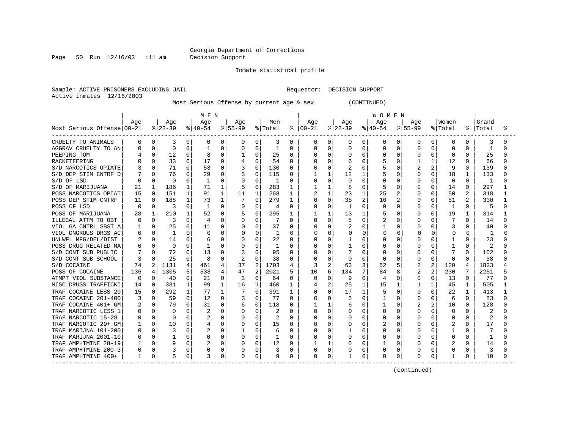Page 50 Run 12/16/03 :11 am Decision Support

Inmate statistical profile

Sample: ACTIVE PRISONERS EXCLUDING JAIL **Requestor: DECISION SUPPORT** Active inmates 12/16/2003

Most Serious Offense by current age & sex (CONTINUED)

|                            | M E N |             |              |              |           |              |              |                |         |              | W O M E N |                |              |          |           |              |              |              |             |              |                |    |
|----------------------------|-------|-------------|--------------|--------------|-----------|--------------|--------------|----------------|---------|--------------|-----------|----------------|--------------|----------|-----------|--------------|--------------|--------------|-------------|--------------|----------------|----|
|                            | Age   |             | Age          |              | Age       |              | Age          |                | Men     |              | Age       |                | Age          |          | Age       |              | Age          |              | Women       |              | Grand          |    |
| Most Serious Offense 00-21 |       |             | $ 22-39$     |              | $ 40-54 $ |              | $ 55-99$     |                | % Total | ႜ            | $ 00-21$  |                | $ 22-39$     |          | $ 40-54 $ |              | $8155 - 99$  |              | % Total     |              | %   Total      | °≈ |
| CRUELTY TO ANIMALS         | 0     | 0           | 3            | 0            | 0         | 0            | 0            | 0              | 3       | 0            | 0         | 0              | 0            | 0        | 0         | 0            | 0            | 0            | 0           | 0            | 3              | O  |
| AGGRAV CRUELTY TO AN       | 0     | $\Omega$    | $\Omega$     | 0            |           | 0            |              | $\Omega$       |         | $\Omega$     | 0         | 0              | 0            | 0        | 0         | 0            |              |              | 0           |              | -1             |    |
| PEEPING TOM                |       | 0           | 12           | 0            | 8         | 0            |              | $\Omega$       | 25      | $\Omega$     | Ω         | $\Omega$       | 0            | O        | 0         | 0            |              |              | $\mathbf 0$ |              | 25             | U  |
| RACKETEERING               |       | 0           | 33           | $\Omega$     | 17        | $\Omega$     | 4            | $\Omega$       | 54      | $\Omega$     |           | $\Omega$       | б            | 0        | 5         | 0            |              |              | 12          | O            | 66             | U  |
| S/D NARCOTICS OPIATE       |       | 0           | 71           | 0            | 53        | $\Omega$     | 3            | $\Omega$       | 130     | $\Omega$     | O         | $\Omega$       | 2            | 0        |           | $\Omega$     |              | 2            | 9           | 0            | 139            | U  |
| S/D DEP STIM CNTRF D       |       | $\Omega$    | 76           | O            | 29        | $\Omega$     | 3            | $\Omega$       | 115     | $\Omega$     |           | 1              | 12           |          | 5         | $\Omega$     |              | $\Omega$     | 18          |              | 133            |    |
| S/D OF LSD                 | Ω     | $\Omega$    | $\Omega$     | O            |           | O            |              | $\Omega$       |         | $\Omega$     | O         | $\Omega$       | 0            | O        | O         | $\Omega$     |              | $\Omega$     | 0           | 0            | -1             |    |
| S/D OF MARIJUANA           | 21    | $\mathbf 1$ | 186          | $\mathbf{1}$ | 71        | $\mathbf{1}$ |              | 0              | 283     | 1            |           | $\mathbf{1}$   | 8            | O        | 5         | 0            |              | 0            | 14          | 0            | 297            |    |
| POSS NARCOTICS OPIAT       | 15    | $\Omega$    | 151          | $\mathbf{1}$ | 91        | $\mathbf{1}$ | 11           | 1              | 268     | 1            | 2         | 1              | 23           | 1        | 25        | 2            |              | 0            | 50          |              | 318            |    |
| POSS DEP STIM CNTRF        | 11    | $\Omega$    | 188          | 1            | 73        | 1            |              | $\Omega$       | 279     | 1            | Ω         | $\Omega$       | 35           | 2        | 16        | 2            |              | 0            | 51          | 2            | 330            |    |
| POSS OF LSD                | n     | 0           | 3            | 0            | -1        | 0            | 0            | 0              | 4       | $\Omega$     | N         | 0              | $\mathbf{1}$ | 0        | $\Omega$  | $\Omega$     | ∩            | 0            | 1           | 0            | 5              | U  |
| POSS OF MARIJUANA          | 28    | 1           | 210          | 1            | 52        | 0            |              | 0              | 295     | 1            |           | 1              | 13           | 1        |           | $\Omega$     |              | $\Omega$     | 19          | 1            | 314            |    |
| ILLEGAL ATTM TO OBT        | n     | 0           | 3            | O            | 4         | 0            | 0            | 0              | 7       | <sup>0</sup> | N         | ∩              | 5            | 0        |           | $\Omega$     |              | <sup>0</sup> | 7           | 0            | 14             | U  |
| VIOL GA CNTRL SBST A       |       | $\Omega$    | 25           | 0            | 11        | 0            | 0            | $\Omega$       | 37      | $\Omega$     | O         | 0              |              | 0        |           | $\Omega$     |              | 0            | 3           |              | 40             |    |
| VIOL DNGROUS DRGS AC       | O     | $\Omega$    | $\mathbf{1}$ | U            | O         | 0            |              | $\Omega$       | 1       | O            | U         |                | O            |          | $\Omega$  |              |              | 0            | 0           | O            |                | n  |
| UNLWFL MFG/DEL/DIST        |       | 0           | 14           | O            |           | O            |              | $\Omega$       | 22      | $\Omega$     |           | O              |              |          | O         | O            |              |              |             |              | 23             |    |
| POSS DRUG RELATED MA       |       | $\Omega$    | $\Omega$     | O            |           | O            |              | $\Omega$       | 1       | <sup>0</sup> |           | O              |              | U        | O         | O            |              |              |             | U            | $\overline{2}$ |    |
| S/D CONT SUB PUBLIC        |       | 0           | 72           | 0            | 13        | O            |              | $\Omega$       | 95      | $\Omega$     | Ω         | O              |              | U        | O         | 0            |              | O            | 7           | O            | 102            |    |
| S/D CONT SUB SCHOOL        | 3     | 0           | 25           | 0            | 8         | $\Omega$     | 2            | $\cap$         | 38      | $\Omega$     | Ω         | $\Omega$       | 0            | U        | O         | $\Omega$     | <sup>0</sup> | $\Omega$     | $\Omega$    | 0            | 38             |    |
| S/D COCAINE                | 74    | 2           | 1131         | 4            | 461       | 4            | 37           | 2              | 1703    | 4            | 3         | $\overline{2}$ | 63           | 3        | 52        | 5            | 2            | 2            | 120         | 4            | 1823           |    |
| POSS OF COCAINE            | 136   | 4           | 1305         | 5            | 533       | 4            | 47           | $\overline{2}$ | 2021    |              | 10        | 6              | 134          | 7        | 84        | 8            | 2            | 2            | 230         |              | 2251           |    |
| ATMPT VIOL SUBSTANCE       | 0     | 0           | 40           | 0            | 21        | 0            | 3            | $\Omega$       | 64      | $\Omega$     | O         | $\Omega$       | 9            | $\Omega$ | 4         | 0            | $\Omega$     | 0            | 13          | $\Omega$     | 77             | ∩  |
| MISC DRUGS TRAFFICKI       | 14    | $\Omega$    | 331          | 1            | 99        | $\mathbf{1}$ | 16           | 1              | 460     | 1            | 4         | 2              | 25           | 1        | 15        | 1            |              | 1            | 45          | 1            | 505            |    |
| TRAF COCAINE LESS 20       | 15    | $\Omega$    | 292          | 1            | 77        | 1            |              | $\Omega$       | 391     | 1            | O         | $\Omega$       | 17           | 1        | 5         | $\Omega$     |              | $\Omega$     | 22          | $\mathbf{1}$ | 413            |    |
| TRAF COCAINE 201-400       |       | 0           | 59           | $\Omega$     | 12        | $\Omega$     |              | O              | 77      | $\Omega$     |           | $\Omega$       | 5            | 0        |           | $\Omega$     |              | 0            | 6           | $\Omega$     | 83             | U  |
| TRAF COCAINE 401+ GM       |       | 0           | 79           | 0            | 31        | 0            | 6            | 0              | 118     | $\Omega$     |           | -1             | 6            | 0        | 1         | 0            |              | 2            | 10          | <sup>0</sup> | 128            |    |
| TRAF NARCOTIC LESS 1       | O     | $\Omega$    | $\Omega$     | 0            | 2         | O            | 0            | $\Omega$       | 2       | $\Omega$     | O         | $\Omega$       | 0            | O        | O         | $\Omega$     |              | <sup>0</sup> | 0           |              | 2              |    |
| TRAF NARCOTIC 15-28        | 0     | 0           | 0            | 0            |           | 0            |              | $\Omega$       | 2       | $\Omega$     | Ω         | 0              |              |          | 0         | $\Omega$     |              |              | 0           |              | 2              |    |
| TRAF NARCOTIC 29+ GM       |       | 0           | 10           | 0            |           | 0            |              | 0              | 15      | $\Omega$     |           | 0              |              |          |           | 0            |              |              |             |              | 17             |    |
| TRAF MARIJNA 101-200       | Ω     | $\Omega$    | 3            | O            |           | O            |              | $\Omega$       | 6       | $\Omega$     | ი         | O              |              | U        | O         | <sup>0</sup> |              | <sup>0</sup> |             |              |                |    |
| TRAF MARIJNA 2001-10       |       | 0           |              | 0            | O         | $\Omega$     | $\Omega$     | $\Omega$       |         | $\Omega$     | O         | 0              | U            | 0        | O         | $\Omega$     |              | $\Omega$     | $\Omega$    | U            | -1             | U  |
| TRAF AMPHTMINE 28-19       |       | $\Omega$    | 9            | 0            |           | $\Omega$     | <sup>0</sup> | 0              | 12      | $\Omega$     |           |                | U            | 0        | 1         | $\Omega$     |              | $\Omega$     |             | 0            | 14             | O  |
| TRAF AMPHTMINE 200-3       | 0     | $\Omega$    | 3            | 0            |           | 0            |              | $\Omega$       | 3       | $\Omega$     | Ω         | 0              | 0            | 0        | 0         | $\Omega$     |              | $\Omega$     | 0           |              | 3              |    |
| TRAF AMPHTMINE 400+        | 1     | 0           | 5            | 0            | 3         | 0            | 0            | 0              | 9       | 0            | 0         | 0              |              | 0        | 0         | 0            | $\Omega$     | 0            | 1           |              | 10             | N  |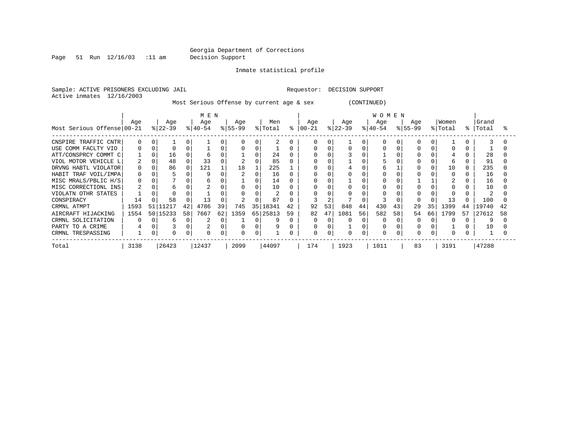Page 51 Run 12/16/03 :11 am Decision Support

Inmate statistical profile

Sample: ACTIVE PRISONERS EXCLUDING JAIL **Requestor: DECISION SUPPORT** Active inmates 12/16/2003

Most Serious Offense by current age & sex (CONTINUED)

|                            | M E N |    |           |    |           |    |           |    |          |    | WOMEN     |    |           |          |          |    |           |    |          |    |       |    |
|----------------------------|-------|----|-----------|----|-----------|----|-----------|----|----------|----|-----------|----|-----------|----------|----------|----|-----------|----|----------|----|-------|----|
|                            | Age   |    | Age       |    | Age       |    | Age       |    | Men      |    | Age       |    | Age       |          | Age      |    | Age       |    | Women    |    | Grand |    |
| Most Serious Offense 00-21 |       |    | $ 22-39 $ |    | $ 40-54 $ |    | $ 55-99 $ |    | % Total  | ႜ  | $00 - 21$ |    | $ 22-39 $ |          | $ 40-54$ |    | $ 55-99 $ | %  | Total    | ႜ  | Total |    |
| CNSPIRE TRAFFIC CNTR       | 0     | 0  |           | 0  |           |    |           |    |          |    |           |    |           | $\Omega$ |          |    |           |    |          |    |       |    |
| USE COMM FACLTY VIO        |       |    |           |    |           |    |           |    |          |    |           |    |           |          |          |    |           |    |          |    |       |    |
| ATT/CONSPRCY COMMT C       |       |    | 16        |    |           |    |           |    | 24       |    |           |    |           |          |          |    |           |    |          |    | 28    |    |
| VIOL MOTOR VEHICLE L       |       |    | 48        |    | 33        |    |           |    | 85       |    |           |    |           |          |          |    |           |    | h        |    | 91    |    |
| DRVNG HABTL VIOLATOR       | 0     |    | 86        | 0  | 121       |    | 18        |    | 225      |    |           |    |           |          |          |    |           |    | 10       |    | 235   |    |
| HABIT TRAF VOIL/IMPA       | 0     |    |           |    |           |    |           |    | 16       |    |           |    |           |          |          |    |           |    | $\Omega$ |    | 16    |    |
| MISC MRALS/PBLIC H/S       |       |    |           |    |           |    |           |    | 14       |    |           |    |           |          |          |    |           |    |          |    | 16    |    |
| MISC CORRECTIONL INS       |       |    | ь         |    |           |    |           |    | 10       |    |           |    |           |          |          |    |           |    |          |    | 10    |    |
| VIOLATN OTHR STATES        |       |    |           |    |           |    |           |    |          |    |           |    |           |          |          |    |           |    |          |    |       |    |
| CONSPIRACY                 | 14    |    | 58        |    | 13        |    |           |    | 87       |    |           |    |           |          |          |    |           |    | 13       |    | 100   |    |
| CRMNL ATMPT                | 1593  | 51 | 1217      | 42 | 4786      | 39 | 745       | 35 | 18341    | 42 | 92        | 53 | 848       | 44       | 430      | 43 | 29        | 35 | 1399     | 44 | 19740 |    |
| AIRCRAFT HIJACKING         | 1554  | 50 | 15233     | 58 | 7667      | 62 | 1359      |    | 65 25813 | 59 | 82        | 47 | 1081      | 56       | 582      | 58 | 54        | 66 | 1799     | 57 | 27612 | 58 |
| CRMNL SOLICITATION         |       | O  | ь         |    |           | C  |           |    | 9        |    | 0         |    |           |          |          |    |           |    |          |    | Q     |    |
| PARTY TO A CRIME           |       | 0  |           | 0  |           |    |           |    | 9        |    | 0         |    |           |          |          |    |           |    |          |    | 10    |    |
| CRMNL TRESPASSING          |       | 0  |           |    |           | 0  |           |    |          |    | 0         |    |           | 0        |          |    |           | 0  |          |    |       |    |
| Total                      | 3138  |    | 26423     |    | 12437     |    | 2099      |    | 44097    |    | 174       |    | 1923      |          | 1011     |    | 83        |    | 3191     |    | 47288 |    |